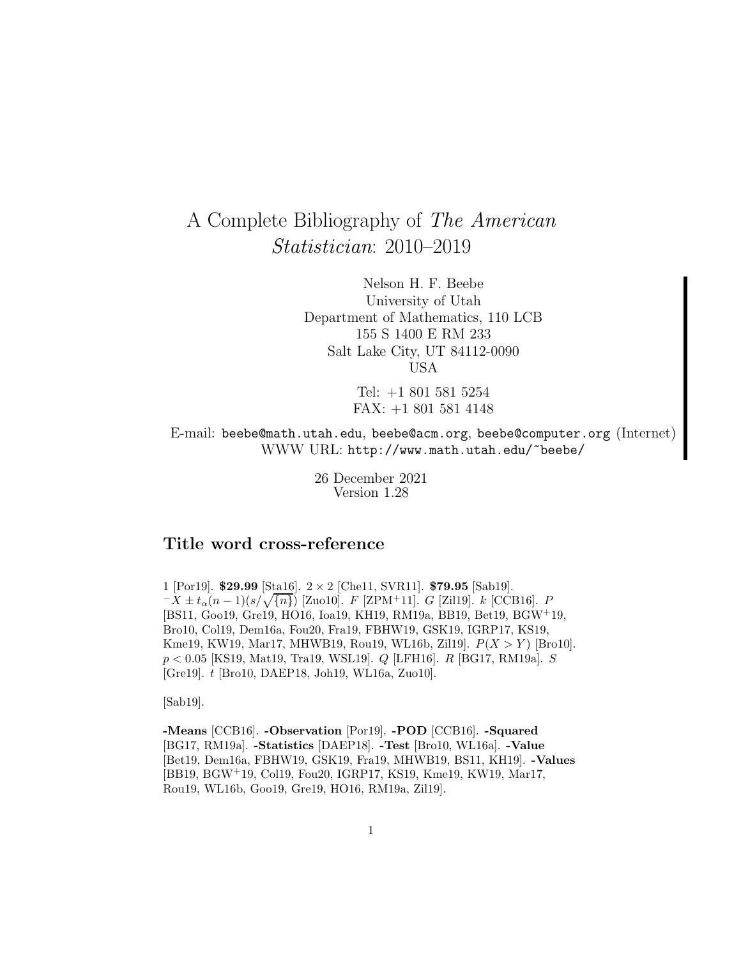# A Complete Bibliography of The American Statistician: 2010–2019

Nelson H. F. Beebe University of Utah Department of Mathematics, 110 LCB 155 S 1400 E RM 233 Salt Lake City, UT 84112-0090 USA

> Tel: +1 801 581 5254 FAX: +1 801 581 4148

E-mail: beebe@math.utah.edu, beebe@acm.org, beebe@computer.org (Internet) WWW URL: http://www.math.utah.edu/~beebe/

> 26 December 2021 Version 1.28

## **Title word cross-reference**

1 [Por19]. \$**29.99** [Sta16]. 2 × 2 [Che11, SVR11]. \$**79.95** [Sab19].  $-X \pm t_{\alpha}(n-1)(s/\sqrt{n})$  [Zuo10]. F [ZPM+11]. G [Zil19]. k [CCB16]. P [BS11, Goo19, Gre19, HO16, Ioa19, KH19, RM19a, BB19, Bet19, BGW<sup>+</sup>19, Bro10, Col19, Dem16a, Fou20, Fra19, FBHW19, GSK19, IGRP17, KS19, Kme19, KW19, Mar17, MHWB19, Rou19, WL16b, Zil19].  $P(X > Y)$  [Bro10]. p < 0.05 [KS19, Mat19, Tra19, WSL19]. Q [LFH16]. R [BG17, RM19a]. S [Gre19]. t [Bro10, DAEP18, Joh19, WL16a, Zuo10].

[Sab19].

**-Means** [CCB16]. **-Observation** [Por19]. **-POD** [CCB16]. **-Squared** [BG17, RM19a]. **-Statistics** [DAEP18]. **-Test** [Bro10, WL16a]. **-Value** [Bet19, Dem16a, FBHW19, GSK19, Fra19, MHWB19, BS11, KH19]. **-Values** [BB19, BGW<sup>+</sup>19, Col19, Fou20, IGRP17, KS19, Kme19, KW19, Mar17, Rou19, WL16b, Goo19, Gre19, HO16, RM19a, Zil19].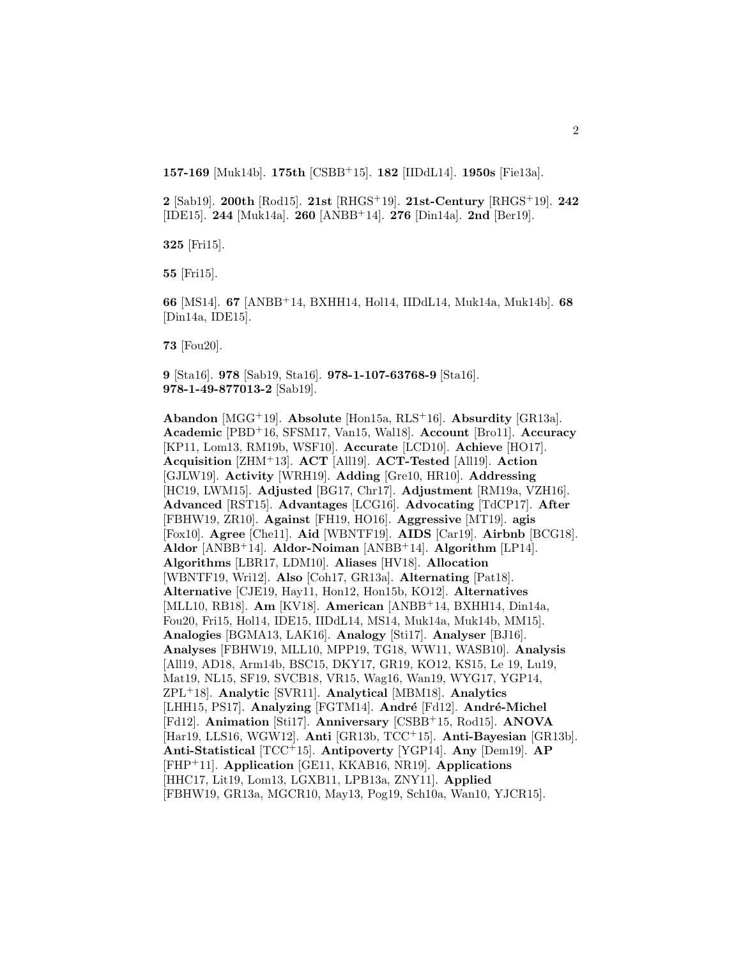**157-169** [Muk14b]. **175th** [CSBB<sup>+</sup>15]. **182** [IIDdL14]. **1950s** [Fie13a].

**2** [Sab19]. **200th** [Rod15]. **21st** [RHGS<sup>+</sup>19]. **21st-Century** [RHGS<sup>+</sup>19]. **242** [IDE15]. **244** [Muk14a]. **260** [ANBB<sup>+</sup>14]. **276** [Din14a]. **2nd** [Ber19].

**325** [Fri15].

**55** [Fri15].

**66** [MS14]. **67** [ANBB<sup>+</sup>14, BXHH14, Hol14, IIDdL14, Muk14a, Muk14b]. **68** [Din14a, IDE15].

**73** [Fou20].

**9** [Sta16]. **978** [Sab19, Sta16]. **978-1-107-63768-9** [Sta16]. **978-1-49-877013-2** [Sab19].

**Abandon** [MGG<sup>+</sup>19]. **Absolute** [Hon15a, RLS<sup>+</sup>16]. **Absurdity** [GR13a]. **Academic** [PBD<sup>+</sup>16, SFSM17, Van15, Wal18]. **Account** [Bro11]. **Accuracy** [KP11, Lom13, RM19b, WSF10]. **Accurate** [LCD10]. **Achieve** [HO17]. **Acquisition** [ZHM<sup>+</sup>13]. **ACT** [All19]. **ACT-Tested** [All19]. **Action** [GJLW19]. **Activity** [WRH19]. **Adding** [Gre10, HR10]. **Addressing** [HC19, LWM15]. **Adjusted** [BG17, Chr17]. **Adjustment** [RM19a, VZH16]. **Advanced** [RST15]. **Advantages** [LCG16]. **Advocating** [TdCP17]. **After** [FBHW19, ZR10]. **Against** [FH19, HO16]. **Aggressive** [MT19]. **agis** [Fox10]. **Agree** [Che11]. **Aid** [WBNTF19]. **AIDS** [Car19]. **Airbnb** [BCG18]. **Aldor** [ANBB<sup>+</sup>14]. **Aldor-Noiman** [ANBB<sup>+</sup>14]. **Algorithm** [LP14]. **Algorithms** [LBR17, LDM10]. **Aliases** [HV18]. **Allocation** [WBNTF19, Wri12]. **Also** [Coh17, GR13a]. **Alternating** [Pat18]. **Alternative** [CJE19, Hay11, Hon12, Hon15b, KO12]. **Alternatives** [MLL10, RB18]. **Am** [KV18]. **American** [ANBB<sup>+</sup>14, BXHH14, Din14a, Fou20, Fri15, Hol14, IDE15, IIDdL14, MS14, Muk14a, Muk14b, MM15]. **Analogies** [BGMA13, LAK16]. **Analogy** [Sti17]. **Analyser** [BJ16]. **Analyses** [FBHW19, MLL10, MPP19, TG18, WW11, WASB10]. **Analysis** [All19, AD18, Arm14b, BSC15, DKY17, GR19, KO12, KS15, Le 19, Lu19, Mat19, NL15, SF19, SVCB18, VR15, Wag16, Wan19, WYG17, YGP14, ZPL<sup>+</sup>18]. **Analytic** [SVR11]. **Analytical** [MBM18]. **Analytics** [LHH15, PS17]. Analyzing [FGTM14]. André [Fd12]. André-Michel [Fd12]. **Animation** [Sti17]. **Anniversary** [CSBB<sup>+</sup>15, Rod15]. **ANOVA** [Har19, LLS16, WGW12]. **Anti** [GR13b, TCC<sup>+</sup>15]. **Anti-Bayesian** [GR13b]. **Anti-Statistical** [TCC<sup>+</sup>15]. **Antipoverty** [YGP14]. **Any** [Dem19]. **AP** [FHP<sup>+</sup>11]. **Application** [GE11, KKAB16, NR19]. **Applications** [HHC17, Lit19, Lom13, LGXB11, LPB13a, ZNY11]. **Applied** [FBHW19, GR13a, MGCR10, May13, Pog19, Sch10a, Wan10, YJCR15].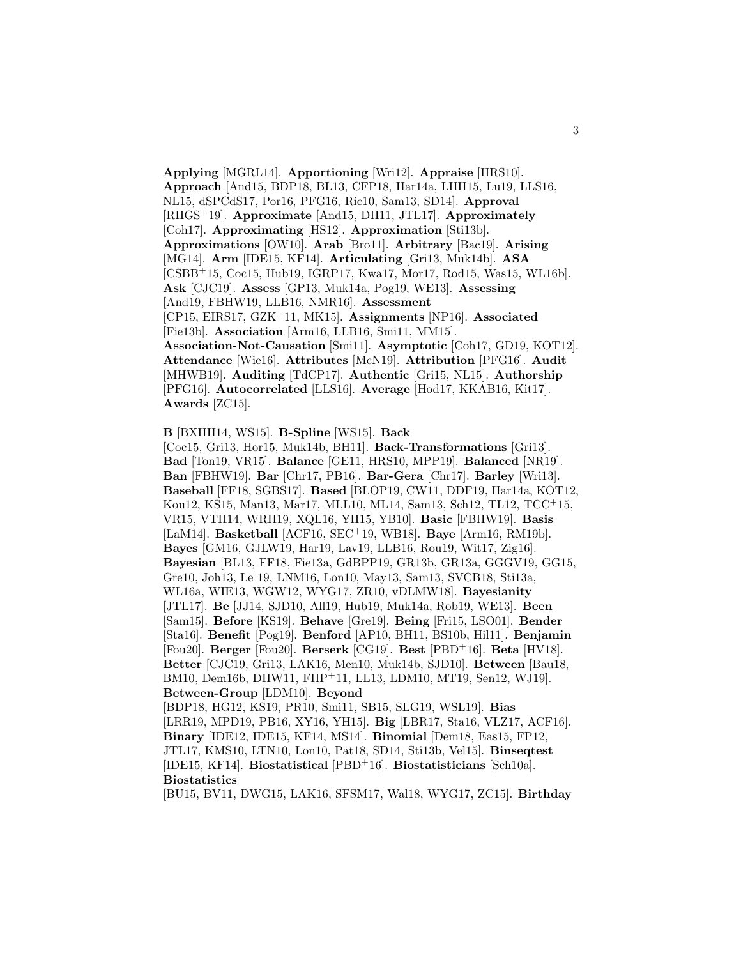**Applying** [MGRL14]. **Apportioning** [Wri12]. **Appraise** [HRS10]. **Approach** [And15, BDP18, BL13, CFP18, Har14a, LHH15, Lu19, LLS16, NL15, dSPCdS17, Por16, PFG16, Ric10, Sam13, SD14]. **Approval** [RHGS<sup>+</sup>19]. **Approximate** [And15, DH11, JTL17]. **Approximately** [Coh17]. **Approximating** [HS12]. **Approximation** [Sti13b]. **Approximations** [OW10]. **Arab** [Bro11]. **Arbitrary** [Bac19]. **Arising** [MG14]. **Arm** [IDE15, KF14]. **Articulating** [Gri13, Muk14b]. **ASA** [CSBB<sup>+</sup>15, Coc15, Hub19, IGRP17, Kwa17, Mor17, Rod15, Was15, WL16b]. **Ask** [CJC19]. **Assess** [GP13, Muk14a, Pog19, WE13]. **Assessing** [And19, FBHW19, LLB16, NMR16]. **Assessment** [CP15, EIRS17, GZK<sup>+</sup>11, MK15]. **Assignments** [NP16]. **Associated** [Fie13b]. **Association** [Arm16, LLB16, Smi11, MM15]. **Association-Not-Causation** [Smi11]. **Asymptotic** [Coh17, GD19, KOT12]. **Attendance** [Wie16]. **Attributes** [McN19]. **Attribution** [PFG16]. **Audit** [MHWB19]. **Auditing** [TdCP17]. **Authentic** [Gri15, NL15]. **Authorship** [PFG16]. **Autocorrelated** [LLS16]. **Average** [Hod17, KKAB16, Kit17]. **Awards** [ZC15].

## **B** [BXHH14, WS15]. **B-Spline** [WS15]. **Back**

[Coc15, Gri13, Hor15, Muk14b, BH11]. **Back-Transformations** [Gri13]. **Bad** [Ton19, VR15]. **Balance** [GE11, HRS10, MPP19]. **Balanced** [NR19]. **Ban** [FBHW19]. **Bar** [Chr17, PB16]. **Bar-Gera** [Chr17]. **Barley** [Wri13]. **Baseball** [FF18, SGBS17]. **Based** [BLOP19, CW11, DDF19, Har14a, KOT12, Kou12, KS15, Man13, Mar17, MLL10, ML14, Sam13, Sch12, TL12, TCC<sup>+</sup>15, VR15, VTH14, WRH19, XQL16, YH15, YB10]. **Basic** [FBHW19]. **Basis** [LaM14]. **Basketball** [ACF16, SEC<sup>+</sup>19, WB18]. **Baye** [Arm16, RM19b]. **Bayes** [GM16, GJLW19, Har19, Lav19, LLB16, Rou19, Wit17, Zig16]. **Bayesian** [BL13, FF18, Fie13a, GdBPP19, GR13b, GR13a, GGGV19, GG15, Gre10, Joh13, Le 19, LNM16, Lon10, May13, Sam13, SVCB18, Sti13a, WL16a, WIE13, WGW12, WYG17, ZR10, vDLMW18]. **Bayesianity** [JTL17]. **Be** [JJ14, SJD10, All19, Hub19, Muk14a, Rob19, WE13]. **Been** [Sam15]. **Before** [KS19]. **Behave** [Gre19]. **Being** [Fri15, LSO01]. **Bender** [Sta16]. **Benefit** [Pog19]. **Benford** [AP10, BH11, BS10b, Hil11]. **Benjamin** [Fou20]. **Berger** [Fou20]. **Berserk** [CG19]. **Best** [PBD<sup>+</sup>16]. **Beta** [HV18]. **Better** [CJC19, Gri13, LAK16, Men10, Muk14b, SJD10]. **Between** [Bau18, BM10, Dem16b, DHW11, FHP<sup>+</sup>11, LL13, LDM10, MT19, Sen12, WJ19]. **Between-Group** [LDM10]. **Beyond** [BDP18, HG12, KS19, PR10, Smi11, SB15, SLG19, WSL19]. **Bias** [LRR19, MPD19, PB16, XY16, YH15]. **Big** [LBR17, Sta16, VLZ17, ACF16]. **Binary** [IDE12, IDE15, KF14, MS14]. **Binomial** [Dem18, Eas15, FP12, JTL17, KMS10, LTN10, Lon10, Pat18, SD14, Sti13b, Vel15]. **Binseqtest** [IDE15, KF14]. **Biostatistical** [PBD<sup>+</sup>16]. **Biostatisticians** [Sch10a]. **Biostatistics**

[BU15, BV11, DWG15, LAK16, SFSM17, Wal18, WYG17, ZC15]. **Birthday**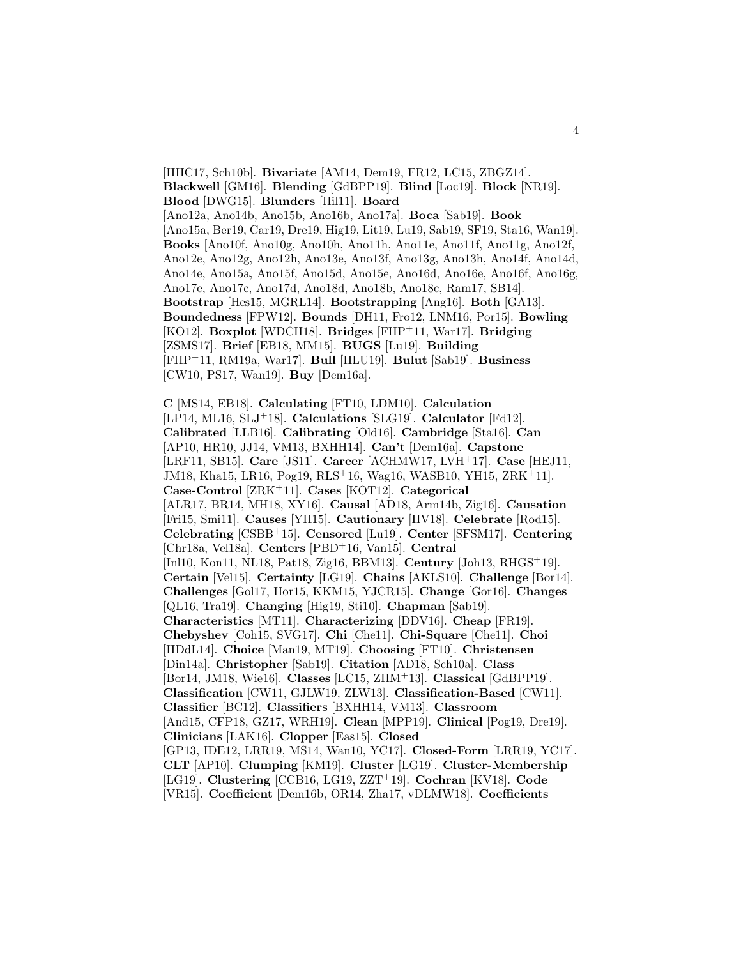[HHC17, Sch10b]. **Bivariate** [AM14, Dem19, FR12, LC15, ZBGZ14]. **Blackwell** [GM16]. **Blending** [GdBPP19]. **Blind** [Loc19]. **Block** [NR19]. **Blood** [DWG15]. **Blunders** [Hil11]. **Board** [Ano12a, Ano14b, Ano15b, Ano16b, Ano17a]. **Boca** [Sab19]. **Book** [Ano15a, Ber19, Car19, Dre19, Hig19, Lit19, Lu19, Sab19, SF19, Sta16, Wan19]. **Books** [Ano10f, Ano10g, Ano10h, Ano11h, Ano11e, Ano11f, Ano11g, Ano12f, Ano12e, Ano12g, Ano12h, Ano13e, Ano13f, Ano13g, Ano13h, Ano14f, Ano14d, Ano14e, Ano15a, Ano15f, Ano15d, Ano15e, Ano16d, Ano16e, Ano16f, Ano16g, Ano17e, Ano17c, Ano17d, Ano18d, Ano18b, Ano18c, Ram17, SB14]. **Bootstrap** [Hes15, MGRL14]. **Bootstrapping** [Ang16]. **Both** [GA13]. **Boundedness** [FPW12]. **Bounds** [DH11, Fro12, LNM16, Por15]. **Bowling** [KO12]. **Boxplot** [WDCH18]. **Bridges** [FHP<sup>+</sup>11, War17]. **Bridging** [ZSMS17]. **Brief** [EB18, MM15]. **BUGS** [Lu19]. **Building** [FHP<sup>+</sup>11, RM19a, War17]. **Bull** [HLU19]. **Bulut** [Sab19]. **Business** [CW10, PS17, Wan19]. **Buy** [Dem16a].

**C** [MS14, EB18]. **Calculating** [FT10, LDM10]. **Calculation** [LP14, ML16, SLJ<sup>+</sup>18]. **Calculations** [SLG19]. **Calculator** [Fd12]. **Calibrated** [LLB16]. **Calibrating** [Old16]. **Cambridge** [Sta16]. **Can** [AP10, HR10, JJ14, VM13, BXHH14]. **Can't** [Dem16a]. **Capstone** [LRF11, SB15]. **Care** [JS11]. **Career** [ACHMW17, LVH<sup>+</sup>17]. **Case** [HEJ11, JM18, Kha15, LR16, Pog19, RLS<sup>+</sup>16, Wag16, WASB10, YH15, ZRK<sup>+</sup>11]. **Case-Control** [ZRK<sup>+</sup>11]. **Cases** [KOT12]. **Categorical** [ALR17, BR14, MH18, XY16]. **Causal** [AD18, Arm14b, Zig16]. **Causation** [Fri15, Smi11]. **Causes** [YH15]. **Cautionary** [HV18]. **Celebrate** [Rod15]. **Celebrating** [CSBB<sup>+</sup>15]. **Censored** [Lu19]. **Center** [SFSM17]. **Centering** [Chr18a, Vel18a]. **Centers** [PBD<sup>+</sup>16, Van15]. **Central** [Inl10, Kon11, NL18, Pat18, Zig16, BBM13]. **Century** [Joh13, RHGS<sup>+</sup>19]. **Certain** [Vel15]. **Certainty** [LG19]. **Chains** [AKLS10]. **Challenge** [Bor14]. **Challenges** [Gol17, Hor15, KKM15, YJCR15]. **Change** [Gor16]. **Changes** [QL16, Tra19]. **Changing** [Hig19, Sti10]. **Chapman** [Sab19]. **Characteristics** [MT11]. **Characterizing** [DDV16]. **Cheap** [FR19]. **Chebyshev** [Coh15, SVG17]. **Chi** [Che11]. **Chi-Square** [Che11]. **Choi** [IIDdL14]. **Choice** [Man19, MT19]. **Choosing** [FT10]. **Christensen** [Din14a]. **Christopher** [Sab19]. **Citation** [AD18, Sch10a]. **Class** [Bor14, JM18, Wie16]. **Classes** [LC15, ZHM<sup>+</sup>13]. **Classical** [GdBPP19]. **Classification** [CW11, GJLW19, ZLW13]. **Classification-Based** [CW11]. **Classifier** [BC12]. **Classifiers** [BXHH14, VM13]. **Classroom** [And15, CFP18, GZ17, WRH19]. **Clean** [MPP19]. **Clinical** [Pog19, Dre19]. **Clinicians** [LAK16]. **Clopper** [Eas15]. **Closed** [GP13, IDE12, LRR19, MS14, Wan10, YC17]. **Closed-Form** [LRR19, YC17]. **CLT** [AP10]. **Clumping** [KM19]. **Cluster** [LG19]. **Cluster-Membership** [LG19]. **Clustering** [CCB16, LG19, ZZT<sup>+</sup>19]. **Cochran** [KV18]. **Code** [VR15]. **Coefficient** [Dem16b, OR14, Zha17, vDLMW18]. **Coefficients**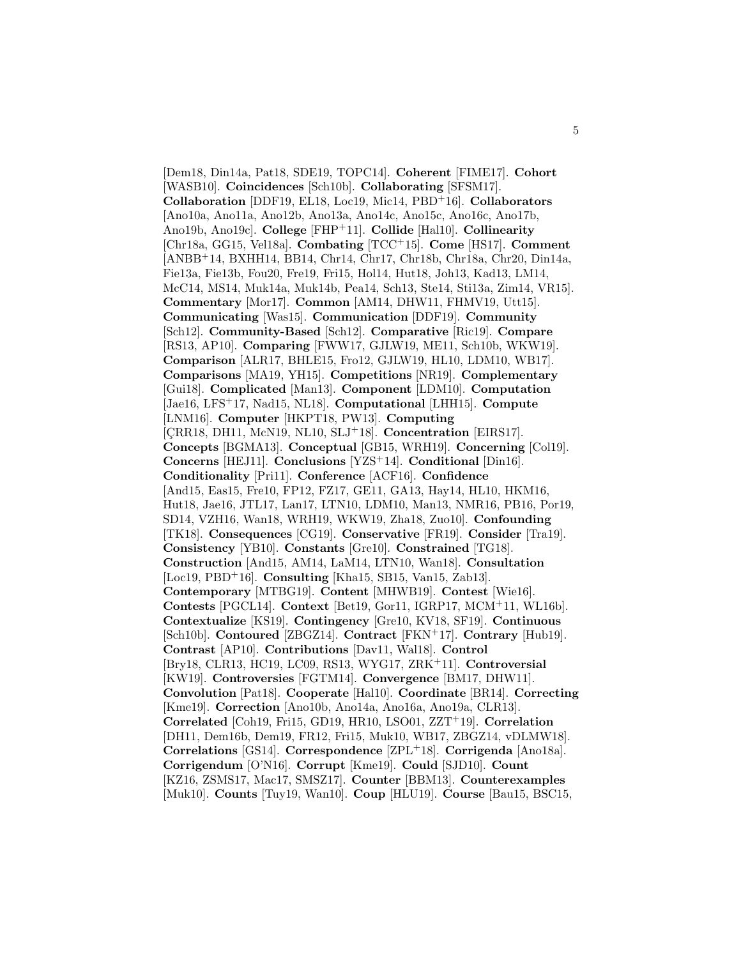[Dem18, Din14a, Pat18, SDE19, TOPC14]. **Coherent** [FIME17]. **Cohort** [WASB10]. **Coincidences** [Sch10b]. **Collaborating** [SFSM17]. **Collaboration** [DDF19, EL18, Loc19, Mic14, PBD<sup>+</sup>16]. **Collaborators** [Ano10a, Ano11a, Ano12b, Ano13a, Ano14c, Ano15c, Ano16c, Ano17b, Ano19b, Ano19c]. **College** [FHP<sup>+</sup>11]. **Collide** [Hal10]. **Collinearity** [Chr18a, GG15, Vel18a]. **Combating** [TCC<sup>+</sup>15]. **Come** [HS17]. **Comment** [ANBB<sup>+</sup>14, BXHH14, BB14, Chr14, Chr17, Chr18b, Chr18a, Chr20, Din14a, Fie13a, Fie13b, Fou20, Fre19, Fri15, Hol14, Hut18, Joh13, Kad13, LM14, McC14, MS14, Muk14a, Muk14b, Pea14, Sch13, Ste14, Sti13a, Zim14, VR15]. **Commentary** [Mor17]. **Common** [AM14, DHW11, FHMV19, Utt15]. **Communicating** [Was15]. **Communication** [DDF19]. **Community** [Sch12]. **Community-Based** [Sch12]. **Comparative** [Ric19]. **Compare** [RS13, AP10]. **Comparing** [FWW17, GJLW19, ME11, Sch10b, WKW19]. **Comparison** [ALR17, BHLE15, Fro12, GJLW19, HL10, LDM10, WB17]. **Comparisons** [MA19, YH15]. **Competitions** [NR19]. **Complementary** [Gui18]. **Complicated** [Man13]. **Component** [LDM10]. **Computation** [Jae16, LFS<sup>+</sup>17, Nad15, NL18]. **Computational** [LHH15]. **Compute** [LNM16]. **Computer** [HKPT18, PW13]. **Computing** [CRR18, DH11, McN19, NL10, SLJ<sup>+</sup>18]. **Concentration** [EIRS17]. **Concepts** [BGMA13]. **Conceptual** [GB15, WRH19]. **Concerning** [Col19]. **Concerns** [HEJ11]. **Conclusions** [YZS<sup>+</sup>14]. **Conditional** [Din16]. **Conditionality** [Pri11]. **Conference** [ACF16]. **Confidence** [And15, Eas15, Fre10, FP12, FZ17, GE11, GA13, Hay14, HL10, HKM16, Hut18, Jae16, JTL17, Lan17, LTN10, LDM10, Man13, NMR16, PB16, Por19, SD14, VZH16, Wan18, WRH19, WKW19, Zha18, Zuo10]. **Confounding** [TK18]. **Consequences** [CG19]. **Conservative** [FR19]. **Consider** [Tra19]. **Consistency** [YB10]. **Constants** [Gre10]. **Constrained** [TG18]. **Construction** [And15, AM14, LaM14, LTN10, Wan18]. **Consultation** [Loc19, PBD<sup>+</sup>16]. **Consulting** [Kha15, SB15, Van15, Zab13]. **Contemporary** [MTBG19]. **Content** [MHWB19]. **Contest** [Wie16]. **Contests** [PGCL14]. **Context** [Bet19, Gor11, IGRP17, MCM<sup>+</sup>11, WL16b]. **Contextualize** [KS19]. **Contingency** [Gre10, KV18, SF19]. **Continuous** [Sch10b]. **Contoured** [ZBGZ14]. **Contract** [FKN<sup>+</sup>17]. **Contrary** [Hub19]. **Contrast** [AP10]. **Contributions** [Dav11, Wal18]. **Control** [Bry18, CLR13, HC19, LC09, RS13, WYG17, ZRK<sup>+</sup>11]. **Controversial** [KW19]. **Controversies** [FGTM14]. **Convergence** [BM17, DHW11]. **Convolution** [Pat18]. **Cooperate** [Hal10]. **Coordinate** [BR14]. **Correcting** [Kme19]. **Correction** [Ano10b, Ano14a, Ano16a, Ano19a, CLR13]. **Correlated** [Coh19, Fri15, GD19, HR10, LSO01, ZZT<sup>+</sup>19]. **Correlation** [DH11, Dem16b, Dem19, FR12, Fri15, Muk10, WB17, ZBGZ14, vDLMW18]. **Correlations** [GS14]. **Correspondence** [ZPL<sup>+</sup>18]. **Corrigenda** [Ano18a]. **Corrigendum** [O'N16]. **Corrupt** [Kme19]. **Could** [SJD10]. **Count** [KZ16, ZSMS17, Mac17, SMSZ17]. **Counter** [BBM13]. **Counterexamples** [Muk10]. **Counts** [Tuy19, Wan10]. **Coup** [HLU19]. **Course** [Bau15, BSC15,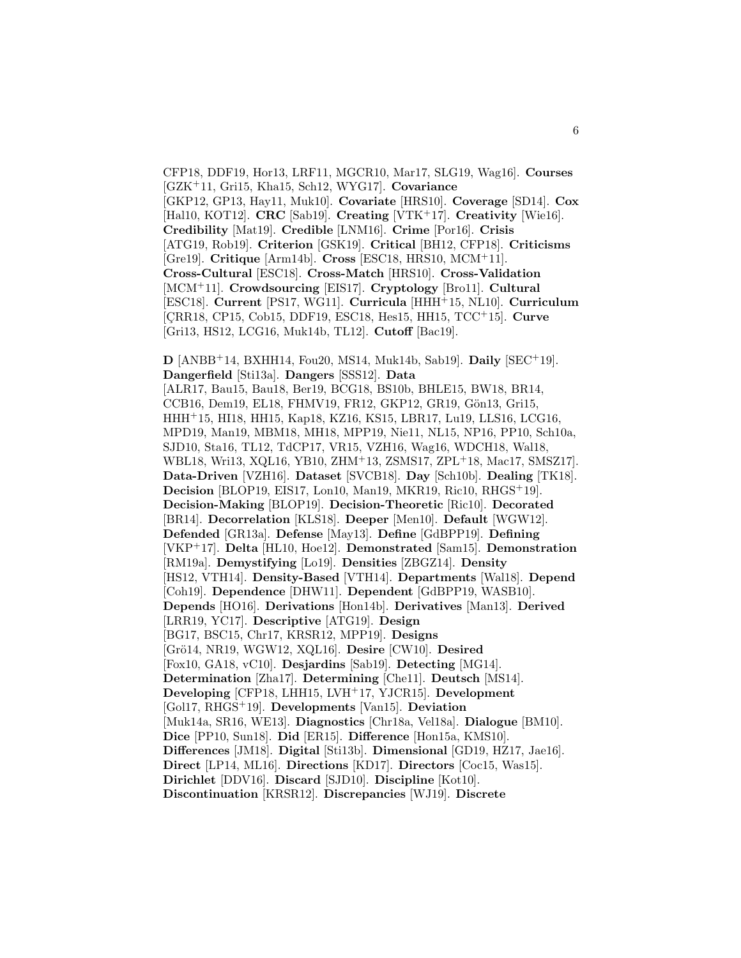CFP18, DDF19, Hor13, LRF11, MGCR10, Mar17, SLG19, Wag16]. **Courses** [GZK<sup>+</sup>11, Gri15, Kha15, Sch12, WYG17]. **Covariance** [GKP12, GP13, Hay11, Muk10]. **Covariate** [HRS10]. **Coverage** [SD14]. **Cox** [Hal10, KOT12]. **CRC** [Sab19]. **Creating** [VTK<sup>+</sup>17]. **Creativity** [Wie16]. **Credibility** [Mat19]. **Credible** [LNM16]. **Crime** [Por16]. **Crisis** [ATG19, Rob19]. **Criterion** [GSK19]. **Critical** [BH12, CFP18]. **Criticisms** [Gre19]. **Critique** [Arm14b]. **Cross** [ESC18, HRS10, MCM<sup>+</sup>11]. **Cross-Cultural** [ESC18]. **Cross-Match** [HRS10]. **Cross-Validation** [MCM<sup>+</sup>11]. **Crowdsourcing** [EIS17]. **Cryptology** [Bro11]. **Cultural** [ESC18]. **Current** [PS17, WG11]. **Curricula** [HHH<sup>+</sup>15, NL10]. **Curriculum** [CRR18, CP15, Cob15, DDF19, ESC18, Hes15, HH15, TCC<sup>+</sup>15]. **Curve** [Gri13, HS12, LCG16, Muk14b, TL12]. **Cutoff** [Bac19].

**D** [ANBB<sup>+</sup>14, BXHH14, Fou20, MS14, Muk14b, Sab19]. **Daily** [SEC<sup>+</sup>19]. **Dangerfield** [Sti13a]. **Dangers** [SSS12]. **Data** [ALR17, Bau15, Bau18, Ber19, BCG18, BS10b, BHLE15, BW18, BR14, CCB16, Dem19, EL18, FHMV19, FR12, GKP12, GR19, Gön13, Gri15, HHH<sup>+</sup>15, HI18, HH15, Kap18, KZ16, KS15, LBR17, Lu19, LLS16, LCG16, MPD19, Man19, MBM18, MH18, MPP19, Nie11, NL15, NP16, PP10, Sch10a, SJD10, Sta16, TL12, TdCP17, VR15, VZH16, Wag16, WDCH18, Wal18, WBL18, Wri13, XQL16, YB10, ZHM<sup>+</sup>13, ZSMS17, ZPL<sup>+</sup>18, Mac17, SMSZ17]. **Data-Driven** [VZH16]. **Dataset** [SVCB18]. **Day** [Sch10b]. **Dealing** [TK18]. **Decision** [BLOP19, EIS17, Lon10, Man19, MKR19, Ric10, RHGS<sup>+</sup>19]. **Decision-Making** [BLOP19]. **Decision-Theoretic** [Ric10]. **Decorated** [BR14]. **Decorrelation** [KLS18]. **Deeper** [Men10]. **Default** [WGW12]. **Defended** [GR13a]. **Defense** [May13]. **Define** [GdBPP19]. **Defining** [VKP<sup>+</sup>17]. **Delta** [HL10, Hoe12]. **Demonstrated** [Sam15]. **Demonstration** [RM19a]. **Demystifying** [Lo19]. **Densities** [ZBGZ14]. **Density** [HS12, VTH14]. **Density-Based** [VTH14]. **Departments** [Wal18]. **Depend** [Coh19]. **Dependence** [DHW11]. **Dependent** [GdBPP19, WASB10]. **Depends** [HO16]. **Derivations** [Hon14b]. **Derivatives** [Man13]. **Derived** [LRR19, YC17]. **Descriptive** [ATG19]. **Design** [BG17, BSC15, Chr17, KRSR12, MPP19]. **Designs** [Grö14, NR19, WGW12, XQL16]. **Desire** [CW10]. **Desired** [Fox10, GA18, vC10]. **Desjardins** [Sab19]. **Detecting** [MG14]. **Determination** [Zha17]. **Determining** [Che11]. **Deutsch** [MS14]. **Developing** [CFP18, LHH15, LVH<sup>+</sup>17, YJCR15]. **Development** [Gol17, RHGS<sup>+</sup>19]. **Developments** [Van15]. **Deviation** [Muk14a, SR16, WE13]. **Diagnostics** [Chr18a, Vel18a]. **Dialogue** [BM10]. **Dice** [PP10, Sun18]. **Did** [ER15]. **Difference** [Hon15a, KMS10]. **Differences** [JM18]. **Digital** [Sti13b]. **Dimensional** [GD19, HZ17, Jae16]. **Direct** [LP14, ML16]. **Directions** [KD17]. **Directors** [Coc15, Was15]. **Dirichlet** [DDV16]. **Discard** [SJD10]. **Discipline** [Kot10]. **Discontinuation** [KRSR12]. **Discrepancies** [WJ19]. **Discrete**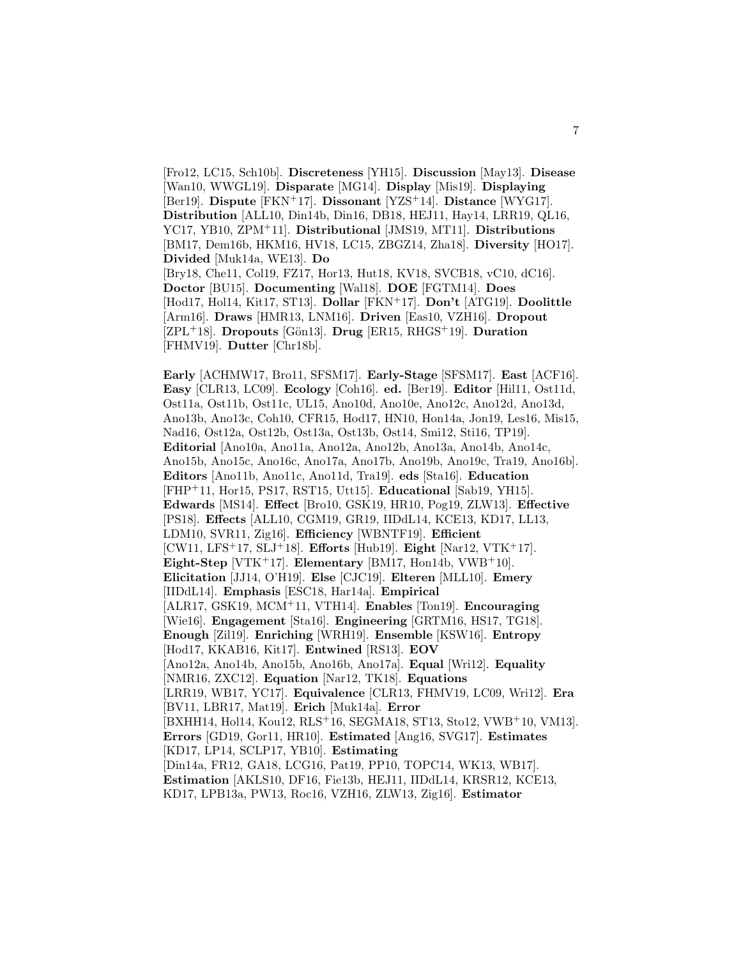[Fro12, LC15, Sch10b]. **Discreteness** [YH15]. **Discussion** [May13]. **Disease** [Wan10, WWGL19]. **Disparate** [MG14]. **Display** [Mis19]. **Displaying** [Ber19]. **Dispute** [FKN<sup>+</sup>17]. **Dissonant** [YZS<sup>+</sup>14]. **Distance** [WYG17]. **Distribution** [ALL10, Din14b, Din16, DB18, HEJ11, Hay14, LRR19, QL16, YC17, YB10, ZPM<sup>+</sup>11]. **Distributional** [JMS19, MT11]. **Distributions** [BM17, Dem16b, HKM16, HV18, LC15, ZBGZ14, Zha18]. **Diversity** [HO17]. **Divided** [Muk14a, WE13]. **Do** [Bry18, Che11, Col19, FZ17, Hor13, Hut18, KV18, SVCB18, vC10, dC16]. **Doctor** [BU15]. **Documenting** [Wal18]. **DOE** [FGTM14]. **Does** [Hod17, Hol14, Kit17, ST13]. **Dollar** [FKN<sup>+</sup>17]. **Don't** [ATG19]. **Doolittle** [Arm16]. **Draws** [HMR13, LNM16]. **Driven** [Eas10, VZH16]. **Dropout** [ZPL<sup>+</sup>18]. **Dropouts** [Gön13]. **Drug** [ER15, RHGS<sup>+</sup>19]. **Duration** [FHMV19]. **Dutter** [Chr18b].

**Early** [ACHMW17, Bro11, SFSM17]. **Early-Stage** [SFSM17]. **East** [ACF16]. **Easy** [CLR13, LC09]. **Ecology** [Coh16]. **ed.** [Ber19]. **Editor** [Hil11, Ost11d, Ost11a, Ost11b, Ost11c, UL15, Ano10d, Ano10e, Ano12c, Ano12d, Ano13d, Ano13b, Ano13c, Coh10, CFR15, Hod17, HN10, Hon14a, Jon19, Les16, Mis15, Nad16, Ost12a, Ost12b, Ost13a, Ost13b, Ost14, Smi12, Sti16, TP19]. **Editorial** [Ano10a, Ano11a, Ano12a, Ano12b, Ano13a, Ano14b, Ano14c, Ano15b, Ano15c, Ano16c, Ano17a, Ano17b, Ano19b, Ano19c, Tra19, Ano16b]. **Editors** [Ano11b, Ano11c, Ano11d, Tra19]. **eds** [Sta16]. **Education** [FHP<sup>+</sup>11, Hor15, PS17, RST15, Utt15]. **Educational** [Sab19, YH15]. **Edwards** [MS14]. **Effect** [Bro10, GSK19, HR10, Pog19, ZLW13]. **Effective** [PS18]. **Effects** [ALL10, CGM19, GR19, IIDdL14, KCE13, KD17, LL13, LDM10, SVR11, Zig16]. **Efficiency** [WBNTF19]. **Efficient** [CW11, LFS<sup>+</sup>17, SLJ<sup>+</sup>18]. **Efforts** [Hub19]. **Eight** [Nar12, VTK<sup>+</sup>17]. **Eight-Step** [VTK<sup>+</sup>17]. **Elementary** [BM17, Hon14b, VWB<sup>+</sup>10]. **Elicitation** [JJ14, O'H19]. **Else** [CJC19]. **Elteren** [MLL10]. **Emery** [IIDdL14]. **Emphasis** [ESC18, Har14a]. **Empirical** [ALR17, GSK19, MCM<sup>+</sup>11, VTH14]. **Enables** [Ton19]. **Encouraging** [Wie16]. **Engagement** [Sta16]. **Engineering** [GRTM16, HS17, TG18]. **Enough** [Zil19]. **Enriching** [WRH19]. **Ensemble** [KSW16]. **Entropy** [Hod17, KKAB16, Kit17]. **Entwined** [RS13]. **EOV** [Ano12a, Ano14b, Ano15b, Ano16b, Ano17a]. **Equal** [Wri12]. **Equality** [NMR16, ZXC12]. **Equation** [Nar12, TK18]. **Equations** [LRR19, WB17, YC17]. **Equivalence** [CLR13, FHMV19, LC09, Wri12]. **Era** [BV11, LBR17, Mat19]. **Erich** [Muk14a]. **Error** [BXHH14, Hol14, Kou12, RLS<sup>+</sup>16, SEGMA18, ST13, Sto12, VWB<sup>+</sup>10, VM13]. **Errors** [GD19, Gor11, HR10]. **Estimated** [Ang16, SVG17]. **Estimates** [KD17, LP14, SCLP17, YB10]. **Estimating** [Din14a, FR12, GA18, LCG16, Pat19, PP10, TOPC14, WK13, WB17]. **Estimation** [AKLS10, DF16, Fie13b, HEJ11, IIDdL14, KRSR12, KCE13, KD17, LPB13a, PW13, Roc16, VZH16, ZLW13, Zig16]. **Estimator**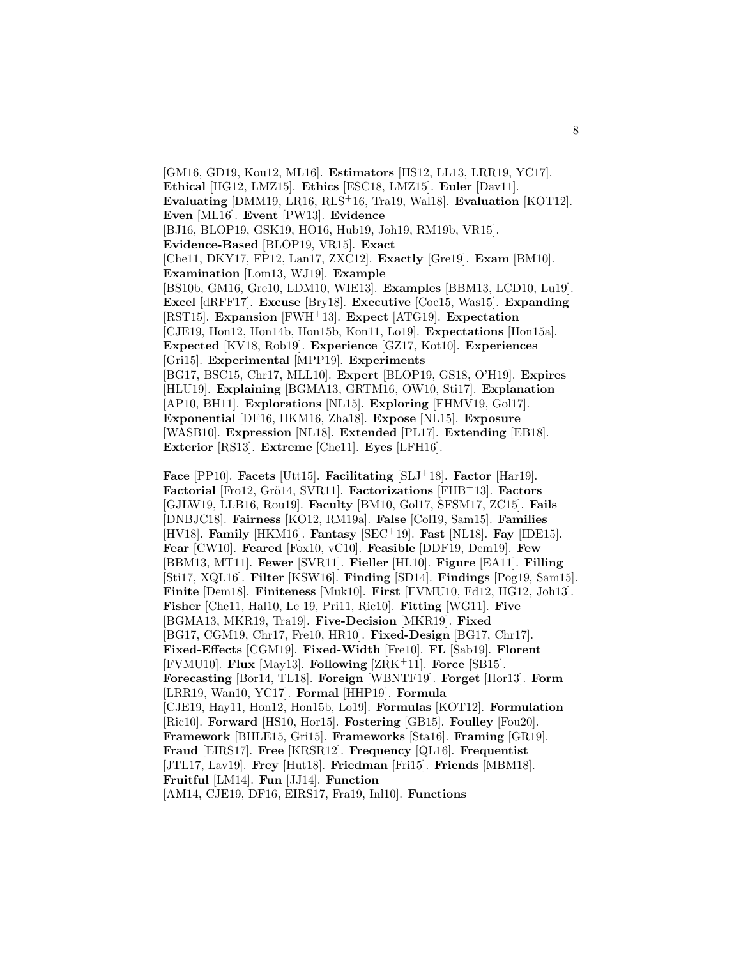[GM16, GD19, Kou12, ML16]. **Estimators** [HS12, LL13, LRR19, YC17]. **Ethical** [HG12, LMZ15]. **Ethics** [ESC18, LMZ15]. **Euler** [Dav11]. **Evaluating** [DMM19, LR16, RLS<sup>+</sup>16, Tra19, Wal18]. **Evaluation** [KOT12]. **Even** [ML16]. **Event** [PW13]. **Evidence** [BJ16, BLOP19, GSK19, HO16, Hub19, Joh19, RM19b, VR15]. **Evidence-Based** [BLOP19, VR15]. **Exact** [Che11, DKY17, FP12, Lan17, ZXC12]. **Exactly** [Gre19]. **Exam** [BM10]. **Examination** [Lom13, WJ19]. **Example** [BS10b, GM16, Gre10, LDM10, WIE13]. **Examples** [BBM13, LCD10, Lu19]. **Excel** [dRFF17]. **Excuse** [Bry18]. **Executive** [Coc15, Was15]. **Expanding** [RST15]. **Expansion** [FWH<sup>+</sup>13]. **Expect** [ATG19]. **Expectation** [CJE19, Hon12, Hon14b, Hon15b, Kon11, Lo19]. **Expectations** [Hon15a]. **Expected** [KV18, Rob19]. **Experience** [GZ17, Kot10]. **Experiences** [Gri15]. **Experimental** [MPP19]. **Experiments** [BG17, BSC15, Chr17, MLL10]. **Expert** [BLOP19, GS18, O'H19]. **Expires** [HLU19]. **Explaining** [BGMA13, GRTM16, OW10, Sti17]. **Explanation** [AP10, BH11]. **Explorations** [NL15]. **Exploring** [FHMV19, Gol17]. **Exponential** [DF16, HKM16, Zha18]. **Expose** [NL15]. **Exposure** [WASB10]. **Expression** [NL18]. **Extended** [PL17]. **Extending** [EB18]. **Exterior** [RS13]. **Extreme** [Che11]. **Eyes** [LFH16].

**Face** [PP10]. **Facets** [Utt15]. **Facilitating** [SLJ<sup>+</sup>18]. **Factor** [Har19]. **Factorial** [Fro12, Grö14, SVR11]. **Factorizations** [FHB+13]. **Factors** [GJLW19, LLB16, Rou19]. **Faculty** [BM10, Gol17, SFSM17, ZC15]. **Fails** [DNBJC18]. **Fairness** [KO12, RM19a]. **False** [Col19, Sam15]. **Families** [HV18]. **Family** [HKM16]. **Fantasy** [SEC<sup>+</sup>19]. **Fast** [NL18]. **Fay** [IDE15]. **Fear** [CW10]. **Feared** [Fox10, vC10]. **Feasible** [DDF19, Dem19]. **Few** [BBM13, MT11]. **Fewer** [SVR11]. **Fieller** [HL10]. **Figure** [EA11]. **Filling** [Sti17, XQL16]. **Filter** [KSW16]. **Finding** [SD14]. **Findings** [Pog19, Sam15]. **Finite** [Dem18]. **Finiteness** [Muk10]. **First** [FVMU10, Fd12, HG12, Joh13]. **Fisher** [Che11, Hal10, Le 19, Pri11, Ric10]. **Fitting** [WG11]. **Five** [BGMA13, MKR19, Tra19]. **Five-Decision** [MKR19]. **Fixed** [BG17, CGM19, Chr17, Fre10, HR10]. **Fixed-Design** [BG17, Chr17]. **Fixed-Effects** [CGM19]. **Fixed-Width** [Fre10]. **FL** [Sab19]. **Florent** [FVMU10]. **Flux** [May13]. **Following** [ZRK<sup>+</sup>11]. **Force** [SB15]. **Forecasting** [Bor14, TL18]. **Foreign** [WBNTF19]. **Forget** [Hor13]. **Form** [LRR19, Wan10, YC17]. **Formal** [HHP19]. **Formula** [CJE19, Hay11, Hon12, Hon15b, Lo19]. **Formulas** [KOT12]. **Formulation** [Ric10]. **Forward** [HS10, Hor15]. **Fostering** [GB15]. **Foulley** [Fou20]. **Framework** [BHLE15, Gri15]. **Frameworks** [Sta16]. **Framing** [GR19]. **Fraud** [EIRS17]. **Free** [KRSR12]. **Frequency** [QL16]. **Frequentist** [JTL17, Lav19]. **Frey** [Hut18]. **Friedman** [Fri15]. **Friends** [MBM18]. **Fruitful** [LM14]. **Fun** [JJ14]. **Function** [AM14, CJE19, DF16, EIRS17, Fra19, Inl10]. **Functions**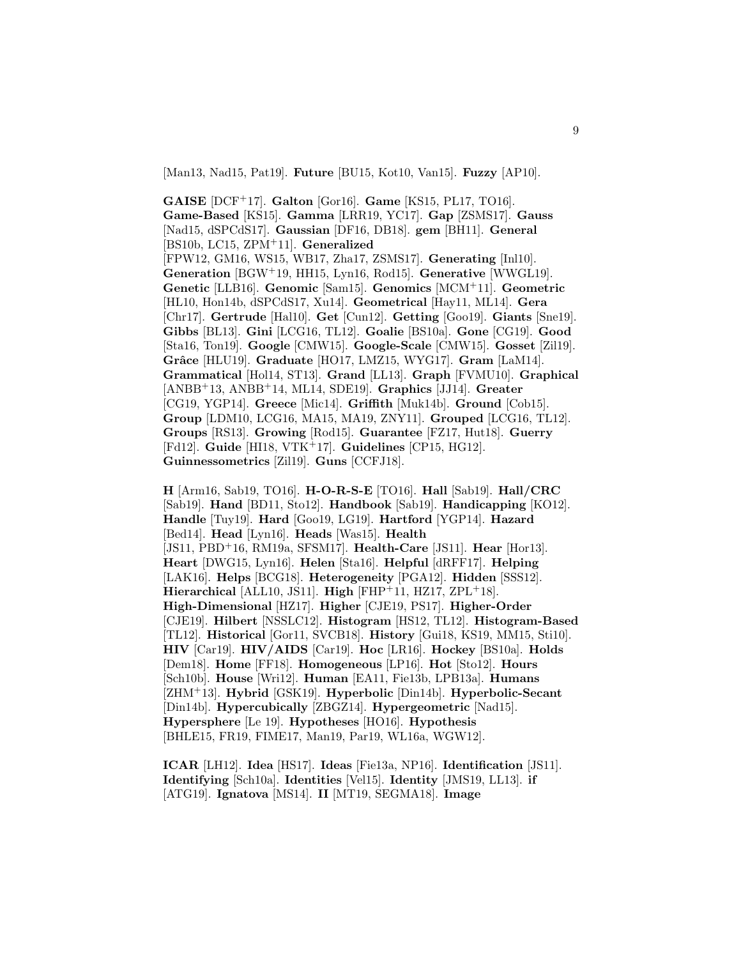[Man13, Nad15, Pat19]. **Future** [BU15, Kot10, Van15]. **Fuzzy** [AP10].

**GAISE** [DCF<sup>+</sup>17]. **Galton** [Gor16]. **Game** [KS15, PL17, TO16]. **Game-Based** [KS15]. **Gamma** [LRR19, YC17]. **Gap** [ZSMS17]. **Gauss** [Nad15, dSPCdS17]. **Gaussian** [DF16, DB18]. **gem** [BH11]. **General** [BS10b, LC15, ZPM<sup>+</sup>11]. **Generalized** [FPW12, GM16, WS15, WB17, Zha17, ZSMS17]. **Generating** [Inl10]. **Generation** [BGW<sup>+</sup>19, HH15, Lyn16, Rod15]. **Generative** [WWGL19]. **Genetic** [LLB16]. **Genomic** [Sam15]. **Genomics** [MCM<sup>+</sup>11]. **Geometric** [HL10, Hon14b, dSPCdS17, Xu14]. **Geometrical** [Hay11, ML14]. **Gera** [Chr17]. **Gertrude** [Hal10]. **Get** [Cun12]. **Getting** [Goo19]. **Giants** [Sne19]. **Gibbs** [BL13]. **Gini** [LCG16, TL12]. **Goalie** [BS10a]. **Gone** [CG19]. **Good** [Sta16, Ton19]. **Google** [CMW15]. **Google-Scale** [CMW15]. **Gosset** [Zil19]. **Grˆace** [HLU19]. **Graduate** [HO17, LMZ15, WYG17]. **Gram** [LaM14]. **Grammatical** [Hol14, ST13]. **Grand** [LL13]. **Graph** [FVMU10]. **Graphical** [ANBB<sup>+</sup>13, ANBB<sup>+</sup>14, ML14, SDE19]. **Graphics** [JJ14]. **Greater** [CG19, YGP14]. **Greece** [Mic14]. **Griffith** [Muk14b]. **Ground** [Cob15]. **Group** [LDM10, LCG16, MA15, MA19, ZNY11]. **Grouped** [LCG16, TL12]. **Groups** [RS13]. **Growing** [Rod15]. **Guarantee** [FZ17, Hut18]. **Guerry** [Fd12]. **Guide** [HI18, VTK<sup>+</sup>17]. **Guidelines** [CP15, HG12]. **Guinnessometrics** [Zil19]. **Guns** [CCFJ18].

**H** [Arm16, Sab19, TO16]. **H-O-R-S-E** [TO16]. **Hall** [Sab19]. **Hall/CRC** [Sab19]. **Hand** [BD11, Sto12]. **Handbook** [Sab19]. **Handicapping** [KO12]. **Handle** [Tuy19]. **Hard** [Goo19, LG19]. **Hartford** [YGP14]. **Hazard** [Bed14]. **Head** [Lyn16]. **Heads** [Was15]. **Health** [JS11, PBD<sup>+</sup>16, RM19a, SFSM17]. **Health-Care** [JS11]. **Hear** [Hor13]. **Heart** [DWG15, Lyn16]. **Helen** [Sta16]. **Helpful** [dRFF17]. **Helping** [LAK16]. **Helps** [BCG18]. **Heterogeneity** [PGA12]. **Hidden** [SSS12]. **Hierarchical** [ALL10, JS11]. **High** [FHP<sup>+</sup>11, HZ17, ZPL<sup>+</sup>18]. **High-Dimensional** [HZ17]. **Higher** [CJE19, PS17]. **Higher-Order** [CJE19]. **Hilbert** [NSSLC12]. **Histogram** [HS12, TL12]. **Histogram-Based** [TL12]. **Historical** [Gor11, SVCB18]. **History** [Gui18, KS19, MM15, Sti10]. **HIV** [Car19]. **HIV/AIDS** [Car19]. **Hoc** [LR16]. **Hockey** [BS10a]. **Holds** [Dem18]. **Home** [FF18]. **Homogeneous** [LP16]. **Hot** [Sto12]. **Hours** [Sch10b]. **House** [Wri12]. **Human** [EA11, Fie13b, LPB13a]. **Humans** [ZHM<sup>+</sup>13]. **Hybrid** [GSK19]. **Hyperbolic** [Din14b]. **Hyperbolic-Secant** [Din14b]. **Hypercubically** [ZBGZ14]. **Hypergeometric** [Nad15]. **Hypersphere** [Le 19]. **Hypotheses** [HO16]. **Hypothesis** [BHLE15, FR19, FIME17, Man19, Par19, WL16a, WGW12].

**ICAR** [LH12]. **Idea** [HS17]. **Ideas** [Fie13a, NP16]. **Identification** [JS11]. **Identifying** [Sch10a]. **Identities** [Vel15]. **Identity** [JMS19, LL13]. **if** [ATG19]. **Ignatova** [MS14]. **II** [MT19, SEGMA18]. **Image**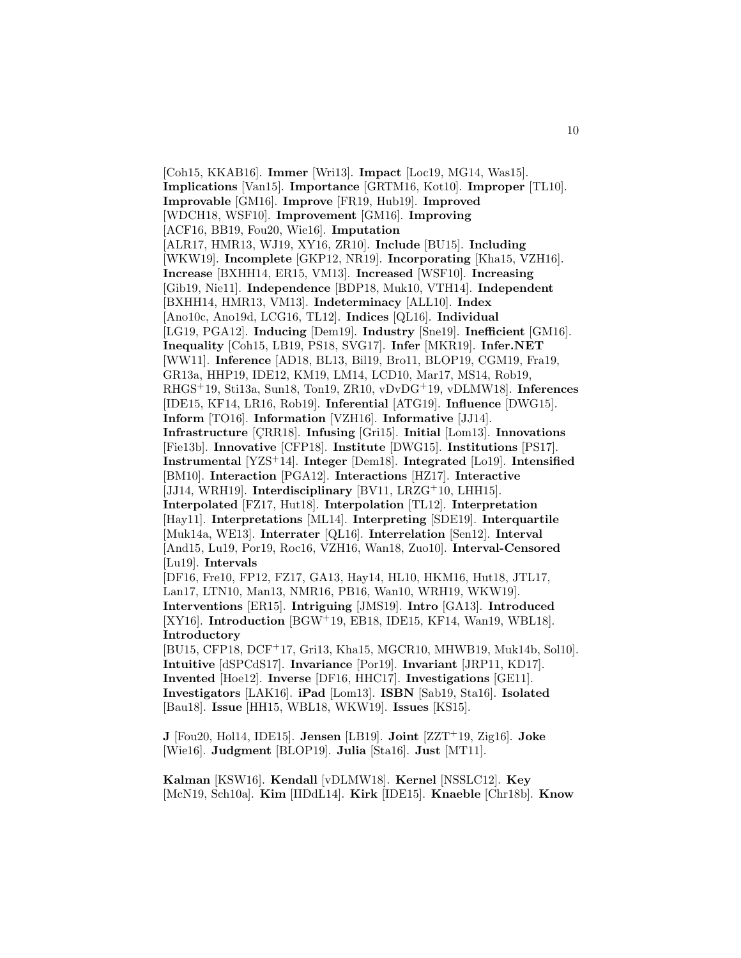[Coh15, KKAB16]. **Immer** [Wri13]. **Impact** [Loc19, MG14, Was15]. **Implications** [Van15]. **Importance** [GRTM16, Kot10]. **Improper** [TL10]. **Improvable** [GM16]. **Improve** [FR19, Hub19]. **Improved** [WDCH18, WSF10]. **Improvement** [GM16]. **Improving** [ACF16, BB19, Fou20, Wie16]. **Imputation** [ALR17, HMR13, WJ19, XY16, ZR10]. **Include** [BU15]. **Including** [WKW19]. **Incomplete** [GKP12, NR19]. **Incorporating** [Kha15, VZH16]. **Increase** [BXHH14, ER15, VM13]. **Increased** [WSF10]. **Increasing** [Gib19, Nie11]. **Independence** [BDP18, Muk10, VTH14]. **Independent** [BXHH14, HMR13, VM13]. **Indeterminacy** [ALL10]. **Index** [Ano10c, Ano19d, LCG16, TL12]. **Indices** [QL16]. **Individual** [LG19, PGA12]. **Inducing** [Dem19]. **Industry** [Sne19]. **Inefficient** [GM16]. **Inequality** [Coh15, LB19, PS18, SVG17]. **Infer** [MKR19]. **Infer.NET** [WW11]. **Inference** [AD18, BL13, Bil19, Bro11, BLOP19, CGM19, Fra19, GR13a, HHP19, IDE12, KM19, LM14, LCD10, Mar17, MS14, Rob19, RHGS<sup>+</sup>19, Sti13a, Sun18, Ton19, ZR10, vDvDG<sup>+</sup>19, vDLMW18]. **Inferences** [IDE15, KF14, LR16, Rob19]. **Inferential** [ATG19]. **Influence** [DWG15]. **Inform** [TO16]. **Information** [VZH16]. **Informative** [JJ14]. **Infrastructure** [CRR18]. **Infusing** [Gri15]. **Initial** [Lom13]. **Innovations** [Fie13b]. **Innovative** [CFP18]. **Institute** [DWG15]. **Institutions** [PS17]. **Instrumental** [YZS<sup>+</sup>14]. **Integer** [Dem18]. **Integrated** [Lo19]. **Intensified** [BM10]. **Interaction** [PGA12]. **Interactions** [HZ17]. **Interactive** [JJ14, WRH19]. **Interdisciplinary** [BV11, LRZG<sup>+</sup>10, LHH15]. **Interpolated** [FZ17, Hut18]. **Interpolation** [TL12]. **Interpretation** [Hay11]. **Interpretations** [ML14]. **Interpreting** [SDE19]. **Interquartile** [Muk14a, WE13]. **Interrater** [QL16]. **Interrelation** [Sen12]. **Interval** [And15, Lu19, Por19, Roc16, VZH16, Wan18, Zuo10]. **Interval-Censored** [Lu19]. **Intervals** [DF16, Fre10, FP12, FZ17, GA13, Hay14, HL10, HKM16, Hut18, JTL17, Lan17, LTN10, Man13, NMR16, PB16, Wan10, WRH19, WKW19]. **Interventions** [ER15]. **Intriguing** [JMS19]. **Intro** [GA13]. **Introduced** [XY16]. **Introduction** [BGW<sup>+</sup>19, EB18, IDE15, KF14, Wan19, WBL18]. **Introductory** [BU15, CFP18, DCF<sup>+</sup>17, Gri13, Kha15, MGCR10, MHWB19, Muk14b, Sol10]. **Intuitive** [dSPCdS17]. **Invariance** [Por19]. **Invariant** [JRP11, KD17]. **Invented** [Hoe12]. **Inverse** [DF16, HHC17]. **Investigations** [GE11]. **Investigators** [LAK16]. **iPad** [Lom13]. **ISBN** [Sab19, Sta16]. **Isolated** [Bau18]. **Issue** [HH15, WBL18, WKW19]. **Issues** [KS15].

**J** [Fou20, Hol14, IDE15]. **Jensen** [LB19]. **Joint** [ZZT<sup>+</sup>19, Zig16]. **Joke** [Wie16]. **Judgment** [BLOP19]. **Julia** [Sta16]. **Just** [MT11].

**Kalman** [KSW16]. **Kendall** [vDLMW18]. **Kernel** [NSSLC12]. **Key** [McN19, Sch10a]. **Kim** [IIDdL14]. **Kirk** [IDE15]. **Knaeble** [Chr18b]. **Know**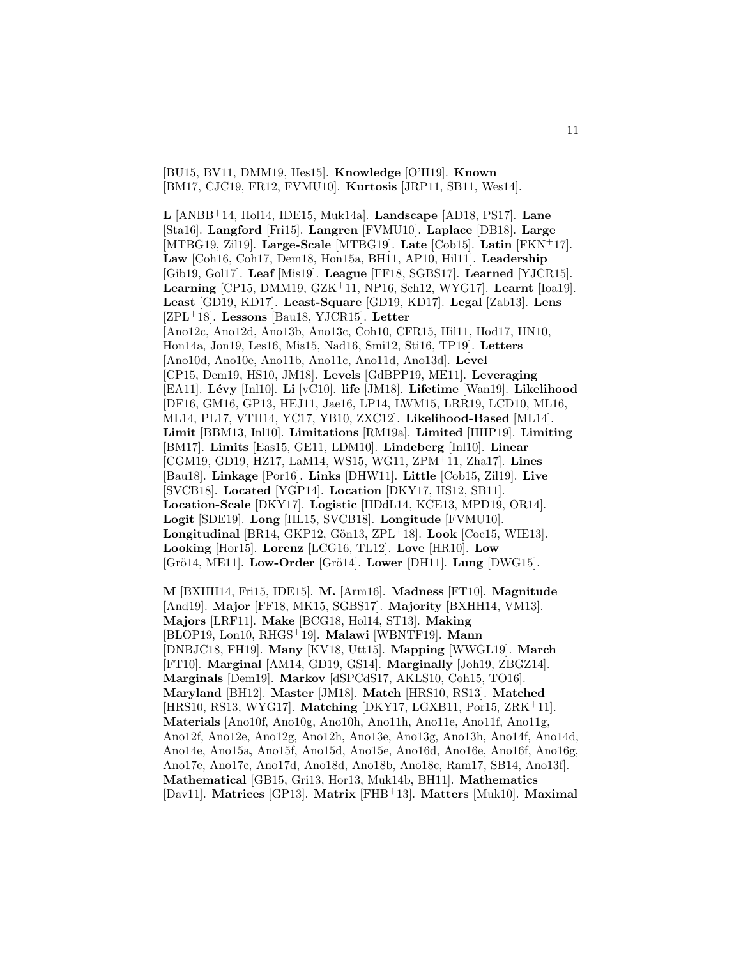[BU15, BV11, DMM19, Hes15]. **Knowledge** [O'H19]. **Known** [BM17, CJC19, FR12, FVMU10]. **Kurtosis** [JRP11, SB11, Wes14].

**L** [ANBB<sup>+</sup>14, Hol14, IDE15, Muk14a]. **Landscape** [AD18, PS17]. **Lane** [Sta16]. **Langford** [Fri15]. **Langren** [FVMU10]. **Laplace** [DB18]. **Large** [MTBG19, Zil19]. **Large-Scale** [MTBG19]. **Late** [Cob15]. **Latin** [FKN<sup>+</sup>17]. **Law** [Coh16, Coh17, Dem18, Hon15a, BH11, AP10, Hil11]. **Leadership** [Gib19, Gol17]. **Leaf** [Mis19]. **League** [FF18, SGBS17]. **Learned** [YJCR15]. **Learning** [CP15, DMM19, GZK<sup>+</sup>11, NP16, Sch12, WYG17]. **Learnt** [Ioa19]. **Least** [GD19, KD17]. **Least-Square** [GD19, KD17]. **Legal** [Zab13]. **Lens** [ZPL<sup>+</sup>18]. **Lessons** [Bau18, YJCR15]. **Letter** [Ano12c, Ano12d, Ano13b, Ano13c, Coh10, CFR15, Hil11, Hod17, HN10, Hon14a, Jon19, Les16, Mis15, Nad16, Smi12, Sti16, TP19]. **Letters** [Ano10d, Ano10e, Ano11b, Ano11c, Ano11d, Ano13d]. **Level** [CP15, Dem19, HS10, JM18]. **Levels** [GdBPP19, ME11]. **Leveraging** [EA11]. **L´evy** [Inl10]. **Li** [vC10]. **life** [JM18]. **Lifetime** [Wan19]. **Likelihood** [DF16, GM16, GP13, HEJ11, Jae16, LP14, LWM15, LRR19, LCD10, ML16, ML14, PL17, VTH14, YC17, YB10, ZXC12]. **Likelihood-Based** [ML14]. **Limit** [BBM13, Inl10]. **Limitations** [RM19a]. **Limited** [HHP19]. **Limiting** [BM17]. **Limits** [Eas15, GE11, LDM10]. **Lindeberg** [Inl10]. **Linear** [CGM19, GD19, HZ17, LaM14, WS15, WG11, ZPM<sup>+</sup>11, Zha17]. **Lines** [Bau18]. **Linkage** [Por16]. **Links** [DHW11]. **Little** [Cob15, Zil19]. **Live** [SVCB18]. **Located** [YGP14]. **Location** [DKY17, HS12, SB11]. **Location-Scale** [DKY17]. **Logistic** [IIDdL14, KCE13, MPD19, OR14]. **Logit** [SDE19]. **Long** [HL15, SVCB18]. **Longitude** [FVMU10]. **Longitudinal** [BR14, GKP12, Gön13, ZPL<sup>+</sup>18]. **Look** [Coc15, WIE13]. **Looking** [Hor15]. **Lorenz** [LCG16, TL12]. **Love** [HR10]. **Low** [Grö14, ME11]. **Low-Order** [Grö14]. **Lower** [DH11]. **Lung** [DWG15].

**M** [BXHH14, Fri15, IDE15]. **M.** [Arm16]. **Madness** [FT10]. **Magnitude** [And19]. **Major** [FF18, MK15, SGBS17]. **Majority** [BXHH14, VM13]. **Majors** [LRF11]. **Make** [BCG18, Hol14, ST13]. **Making** [BLOP19, Lon10, RHGS<sup>+</sup>19]. **Malawi** [WBNTF19]. **Mann** [DNBJC18, FH19]. **Many** [KV18, Utt15]. **Mapping** [WWGL19]. **March** [FT10]. **Marginal** [AM14, GD19, GS14]. **Marginally** [Joh19, ZBGZ14]. **Marginals** [Dem19]. **Markov** [dSPCdS17, AKLS10, Coh15, TO16]. **Maryland** [BH12]. **Master** [JM18]. **Match** [HRS10, RS13]. **Matched** [HRS10, RS13, WYG17]. **Matching** [DKY17, LGXB11, Por15, ZRK<sup>+</sup>11]. **Materials** [Ano10f, Ano10g, Ano10h, Ano11h, Ano11e, Ano11f, Ano11g, Ano12f, Ano12e, Ano12g, Ano12h, Ano13e, Ano13g, Ano13h, Ano14f, Ano14d, Ano14e, Ano15a, Ano15f, Ano15d, Ano15e, Ano16d, Ano16e, Ano16f, Ano16g, Ano17e, Ano17c, Ano17d, Ano18d, Ano18b, Ano18c, Ram17, SB14, Ano13f]. **Mathematical** [GB15, Gri13, Hor13, Muk14b, BH11]. **Mathematics** [Dav11]. **Matrices** [GP13]. **Matrix** [FHB<sup>+</sup>13]. **Matters** [Muk10]. **Maximal**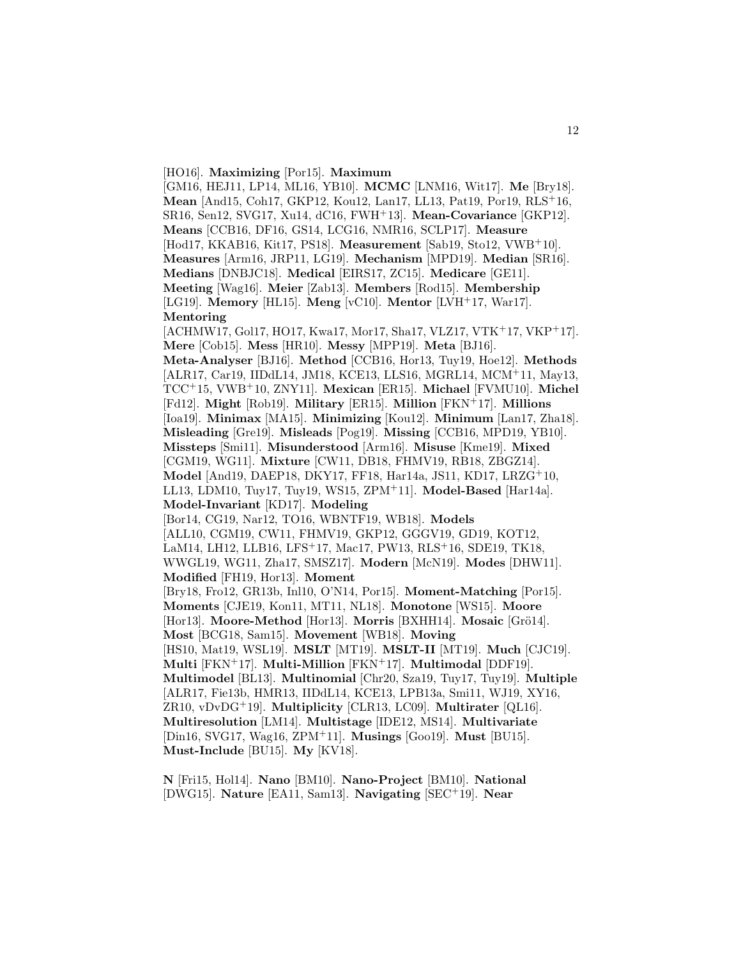[HO16]. **Maximizing** [Por15]. **Maximum**

[GM16, HEJ11, LP14, ML16, YB10]. **MCMC** [LNM16, Wit17]. **Me** [Bry18]. **Mean** [And15, Coh17, GKP12, Kou12, Lan17, LL13, Pat19, Por19, RLS<sup>+</sup>16, SR16, Sen12, SVG17, Xu14, dC16, FWH<sup>+</sup>13]. **Mean-Covariance** [GKP12]. **Means** [CCB16, DF16, GS14, LCG16, NMR16, SCLP17]. **Measure** [Hod17, KKAB16, Kit17, PS18]. **Measurement** [Sab19, Sto12, VWB<sup>+</sup>10]. **Measures** [Arm16, JRP11, LG19]. **Mechanism** [MPD19]. **Median** [SR16]. **Medians** [DNBJC18]. **Medical** [EIRS17, ZC15]. **Medicare** [GE11]. **Meeting** [Wag16]. **Meier** [Zab13]. **Members** [Rod15]. **Membership** [LG19]. **Memory** [HL15]. **Meng** [vC10]. **Mentor** [LVH<sup>+</sup>17, War17]. **Mentoring** [ACHMW17, Gol17, HO17, Kwa17, Mor17, Sha17, VLZ17, VTK<sup>+</sup>17, VKP<sup>+</sup>17]. **Mere** [Cob15]. **Mess** [HR10]. **Messy** [MPP19]. **Meta** [BJ16]. **Meta-Analyser** [BJ16]. **Method** [CCB16, Hor13, Tuy19, Hoe12]. **Methods** [ALR17, Car19, IIDdL14, JM18, KCE13, LLS16, MGRL14, MCM<sup>+</sup>11, May13, TCC<sup>+</sup>15, VWB<sup>+</sup>10, ZNY11]. **Mexican** [ER15]. **Michael** [FVMU10]. **Michel** [Fd12]. **Might** [Rob19]. **Military** [ER15]. **Million** [FKN<sup>+</sup>17]. **Millions** [Ioa19]. **Minimax** [MA15]. **Minimizing** [Kou12]. **Minimum** [Lan17, Zha18]. **Misleading** [Gre19]. **Misleads** [Pog19]. **Missing** [CCB16, MPD19, YB10]. **Missteps** [Smi11]. **Misunderstood** [Arm16]. **Misuse** [Kme19]. **Mixed** [CGM19, WG11]. **Mixture** [CW11, DB18, FHMV19, RB18, ZBGZ14]. **Model** [And19, DAEP18, DKY17, FF18, Har14a, JS11, KD17, LRZG<sup>+</sup>10, LL13, LDM10, Tuy17, Tuy19, WS15, ZPM<sup>+</sup>11]. **Model-Based** [Har14a]. **Model-Invariant** [KD17]. **Modeling** [Bor14, CG19, Nar12, TO16, WBNTF19, WB18]. **Models** [ALL10, CGM19, CW11, FHMV19, GKP12, GGGV19, GD19, KOT12, LaM14, LH12, LLB16, LFS<sup>+</sup>17, Mac17, PW13, RLS<sup>+</sup>16, SDE19, TK18, WWGL19, WG11, Zha17, SMSZ17]. **Modern** [McN19]. **Modes** [DHW11]. **Modified** [FH19, Hor13]. **Moment** [Bry18, Fro12, GR13b, Inl10, O'N14, Por15]. **Moment-Matching** [Por15]. **Moments** [CJE19, Kon11, MT11, NL18]. **Monotone** [WS15]. **Moore** [Hor13]. Moore-Method [Hor13]. Morris [BXHH14]. Mosaic [Grö14]. **Most** [BCG18, Sam15]. **Movement** [WB18]. **Moving** [HS10, Mat19, WSL19]. **MSLT** [MT19]. **MSLT-II** [MT19]. **Much** [CJC19]. **Multi** [FKN<sup>+</sup>17]. **Multi-Million** [FKN<sup>+</sup>17]. **Multimodal** [DDF19]. **Multimodel** [BL13]. **Multinomial** [Chr20, Sza19, Tuy17, Tuy19]. **Multiple** [ALR17, Fie13b, HMR13, IIDdL14, KCE13, LPB13a, Smi11, WJ19, XY16, ZR10, vDvDG<sup>+</sup>19]. **Multiplicity** [CLR13, LC09]. **Multirater** [QL16]. **Multiresolution** [LM14]. **Multistage** [IDE12, MS14]. **Multivariate** [Din16, SVG17, Wag16, ZPM<sup>+</sup>11]. **Musings** [Goo19]. **Must** [BU15]. **Must-Include** [BU15]. **My** [KV18].

**N** [Fri15, Hol14]. **Nano** [BM10]. **Nano-Project** [BM10]. **National** [DWG15]. **Nature** [EA11, Sam13]. **Navigating** [SEC<sup>+</sup>19]. **Near**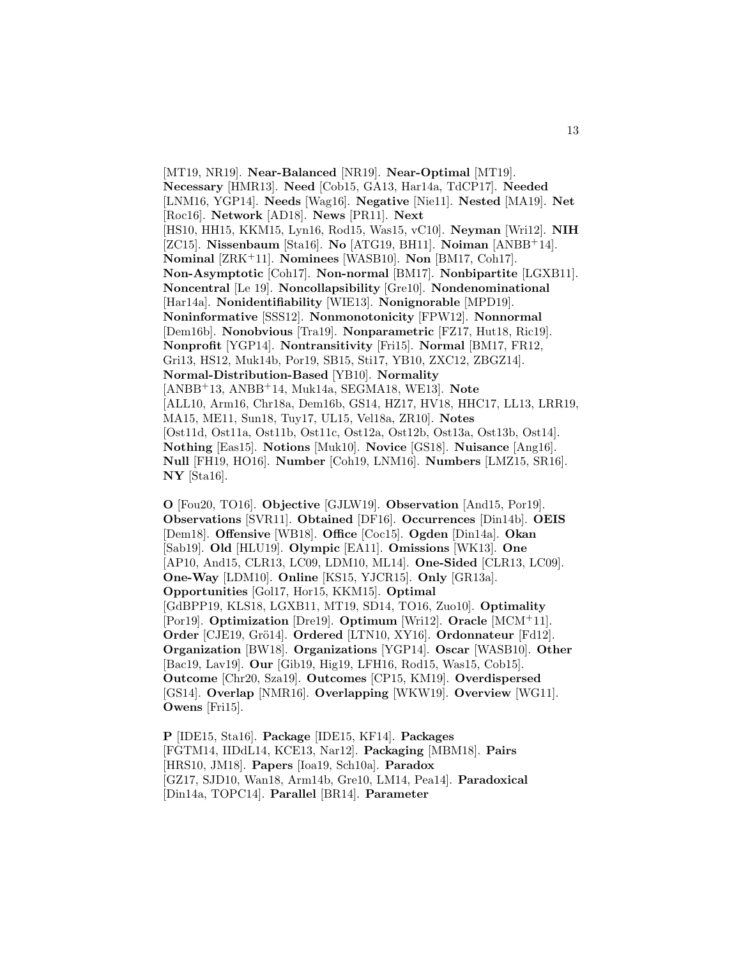[MT19, NR19]. **Near-Balanced** [NR19]. **Near-Optimal** [MT19]. **Necessary** [HMR13]. **Need** [Cob15, GA13, Har14a, TdCP17]. **Needed** [LNM16, YGP14]. **Needs** [Wag16]. **Negative** [Nie11]. **Nested** [MA19]. **Net** [Roc16]. **Network** [AD18]. **News** [PR11]. **Next** [HS10, HH15, KKM15, Lyn16, Rod15, Was15, vC10]. **Neyman** [Wri12]. **NIH** [ZC15]. **Nissenbaum** [Sta16]. **No** [ATG19, BH11]. **Noiman** [ANBB<sup>+</sup>14]. **Nominal** [ZRK<sup>+</sup>11]. **Nominees** [WASB10]. **Non** [BM17, Coh17]. **Non-Asymptotic** [Coh17]. **Non-normal** [BM17]. **Nonbipartite** [LGXB11]. **Noncentral** [Le 19]. **Noncollapsibility** [Gre10]. **Nondenominational** [Har14a]. **Nonidentifiability** [WIE13]. **Nonignorable** [MPD19]. **Noninformative** [SSS12]. **Nonmonotonicity** [FPW12]. **Nonnormal** [Dem16b]. **Nonobvious** [Tra19]. **Nonparametric** [FZ17, Hut18, Ric19]. **Nonprofit** [YGP14]. **Nontransitivity** [Fri15]. **Normal** [BM17, FR12, Gri13, HS12, Muk14b, Por19, SB15, Sti17, YB10, ZXC12, ZBGZ14]. **Normal-Distribution-Based** [YB10]. **Normality** [ANBB<sup>+</sup>13, ANBB<sup>+</sup>14, Muk14a, SEGMA18, WE13]. **Note** [ALL10, Arm16, Chr18a, Dem16b, GS14, HZ17, HV18, HHC17, LL13, LRR19, MA15, ME11, Sun18, Tuy17, UL15, Vel18a, ZR10]. **Notes** [Ost11d, Ost11a, Ost11b, Ost11c, Ost12a, Ost12b, Ost13a, Ost13b, Ost14]. **Nothing** [Eas15]. **Notions** [Muk10]. **Novice** [GS18]. **Nuisance** [Ang16]. **Null** [FH19, HO16]. **Number** [Coh19, LNM16]. **Numbers** [LMZ15, SR16]. **NY** [Sta16].

**O** [Fou20, TO16]. **Objective** [GJLW19]. **Observation** [And15, Por19]. **Observations** [SVR11]. **Obtained** [DF16]. **Occurrences** [Din14b]. **OEIS** [Dem18]. **Offensive** [WB18]. **Office** [Coc15]. **Ogden** [Din14a]. **Okan** [Sab19]. **Old** [HLU19]. **Olympic** [EA11]. **Omissions** [WK13]. **One** [AP10, And15, CLR13, LC09, LDM10, ML14]. **One-Sided** [CLR13, LC09]. **One-Way** [LDM10]. **Online** [KS15, YJCR15]. **Only** [GR13a]. **Opportunities** [Gol17, Hor15, KKM15]. **Optimal** [GdBPP19, KLS18, LGXB11, MT19, SD14, TO16, Zuo10]. **Optimality** [Por19]. **Optimization** [Dre19]. **Optimum** [Wri12]. **Oracle** [MCM<sup>+</sup>11]. **Order** [CJE19, Grö14]. **Ordered** [LTN10, XY16]. **Ordonnateur** [Fd12]. **Organization** [BW18]. **Organizations** [YGP14]. **Oscar** [WASB10]. **Other** [Bac19, Lav19]. **Our** [Gib19, Hig19, LFH16, Rod15, Was15, Cob15]. **Outcome** [Chr20, Sza19]. **Outcomes** [CP15, KM19]. **Overdispersed** [GS14]. **Overlap** [NMR16]. **Overlapping** [WKW19]. **Overview** [WG11]. **Owens** [Fri15].

**P** [IDE15, Sta16]. **Package** [IDE15, KF14]. **Packages** [FGTM14, IIDdL14, KCE13, Nar12]. **Packaging** [MBM18]. **Pairs** [HRS10, JM18]. **Papers** [Ioa19, Sch10a]. **Paradox** [GZ17, SJD10, Wan18, Arm14b, Gre10, LM14, Pea14]. **Paradoxical** [Din14a, TOPC14]. **Parallel** [BR14]. **Parameter**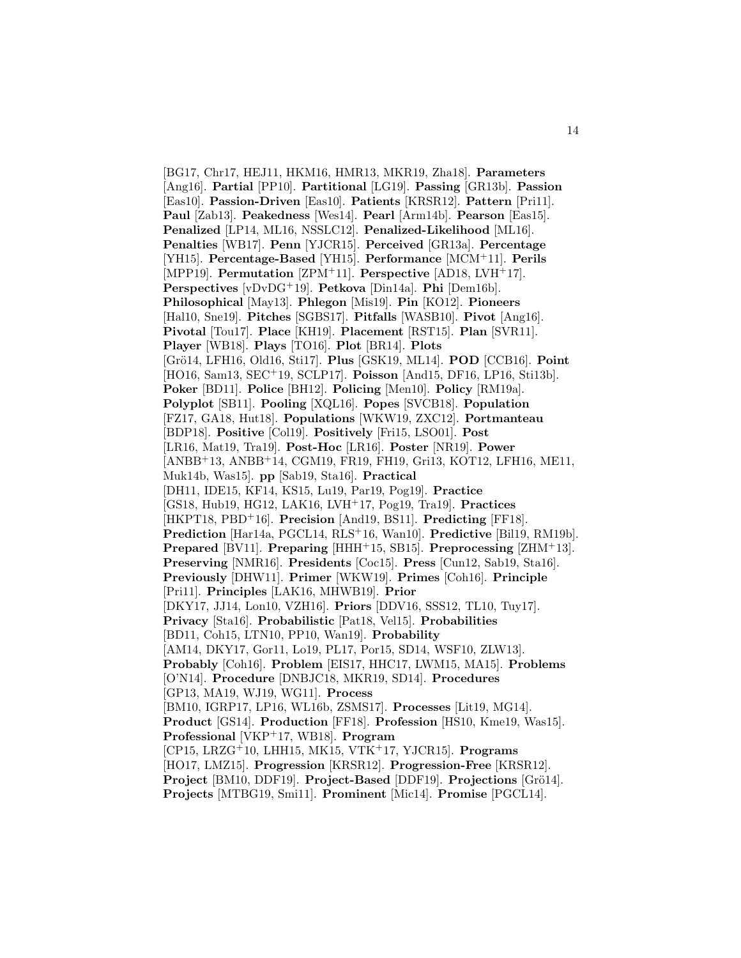[BG17, Chr17, HEJ11, HKM16, HMR13, MKR19, Zha18]. **Parameters** [Ang16]. **Partial** [PP10]. **Partitional** [LG19]. **Passing** [GR13b]. **Passion** [Eas10]. **Passion-Driven** [Eas10]. **Patients** [KRSR12]. **Pattern** [Pri11]. **Paul** [Zab13]. **Peakedness** [Wes14]. **Pearl** [Arm14b]. **Pearson** [Eas15]. **Penalized** [LP14, ML16, NSSLC12]. **Penalized-Likelihood** [ML16]. **Penalties** [WB17]. **Penn** [YJCR15]. **Perceived** [GR13a]. **Percentage** [YH15]. **Percentage-Based** [YH15]. **Performance** [MCM<sup>+</sup>11]. **Perils** [MPP19]. **Permutation** [ZPM<sup>+</sup>11]. **Perspective** [AD18, LVH<sup>+</sup>17]. **Perspectives** [vDvDG<sup>+</sup>19]. **Petkova** [Din14a]. **Phi** [Dem16b]. **Philosophical** [May13]. **Phlegon** [Mis19]. **Pin** [KO12]. **Pioneers** [Hal10, Sne19]. **Pitches** [SGBS17]. **Pitfalls** [WASB10]. **Pivot** [Ang16]. **Pivotal** [Tou17]. **Place** [KH19]. **Placement** [RST15]. **Plan** [SVR11]. **Player** [WB18]. **Plays** [TO16]. **Plot** [BR14]. **Plots** [Grö14, LFH16, Old16, Sti17]. **Plus** [GSK19, ML14]. **POD** [CCB16]. **Point** [HO16, Sam13, SEC<sup>+</sup>19, SCLP17]. **Poisson** [And15, DF16, LP16, Sti13b]. **Poker** [BD11]. **Police** [BH12]. **Policing** [Men10]. **Policy** [RM19a]. **Polyplot** [SB11]. **Pooling** [XQL16]. **Popes** [SVCB18]. **Population** [FZ17, GA18, Hut18]. **Populations** [WKW19, ZXC12]. **Portmanteau** [BDP18]. **Positive** [Col19]. **Positively** [Fri15, LSO01]. **Post** [LR16, Mat19, Tra19]. **Post-Hoc** [LR16]. **Poster** [NR19]. **Power** [ANBB<sup>+</sup>13, ANBB<sup>+</sup>14, CGM19, FR19, FH19, Gri13, KOT12, LFH16, ME11, Muk14b, Was15]. **pp** [Sab19, Sta16]. **Practical** [DH11, IDE15, KF14, KS15, Lu19, Par19, Pog19]. **Practice** [GS18, Hub19, HG12, LAK16, LVH<sup>+</sup>17, Pog19, Tra19]. **Practices** [HKPT18, PBD<sup>+</sup>16]. **Precision** [And19, BS11]. **Predicting** [FF18]. **Prediction** [Har14a, PGCL14, RLS<sup>+</sup>16, Wan10]. **Predictive** [Bil19, RM19b]. **Prepared** [BV11]. **Preparing** [HHH<sup>+</sup>15, SB15]. **Preprocessing** [ZHM<sup>+</sup>13]. **Preserving** [NMR16]. **Presidents** [Coc15]. **Press** [Cun12, Sab19, Sta16]. **Previously** [DHW11]. **Primer** [WKW19]. **Primes** [Coh16]. **Principle** [Pri11]. **Principles** [LAK16, MHWB19]. **Prior** [DKY17, JJ14, Lon10, VZH16]. **Priors** [DDV16, SSS12, TL10, Tuy17]. **Privacy** [Sta16]. **Probabilistic** [Pat18, Vel15]. **Probabilities** [BD11, Coh15, LTN10, PP10, Wan19]. **Probability** [AM14, DKY17, Gor11, Lo19, PL17, Por15, SD14, WSF10, ZLW13]. **Probably** [Coh16]. **Problem** [EIS17, HHC17, LWM15, MA15]. **Problems** [O'N14]. **Procedure** [DNBJC18, MKR19, SD14]. **Procedures** [GP13, MA19, WJ19, WG11]. **Process** [BM10, IGRP17, LP16, WL16b, ZSMS17]. **Processes** [Lit19, MG14]. **Product** [GS14]. **Production** [FF18]. **Profession** [HS10, Kme19, Was15]. **Professional** [VKP<sup>+</sup>17, WB18]. **Program** [CP15, LRZG<sup>+</sup>10, LHH15, MK15, VTK<sup>+</sup>17, YJCR15]. **Programs** [HO17, LMZ15]. **Progression** [KRSR12]. **Progression-Free** [KRSR12]. **Project** [BM10, DDF19]. **Project-Based** [DDF19]. **Projections** [Grö14]. **Projects** [MTBG19, Smi11]. **Prominent** [Mic14]. **Promise** [PGCL14].

14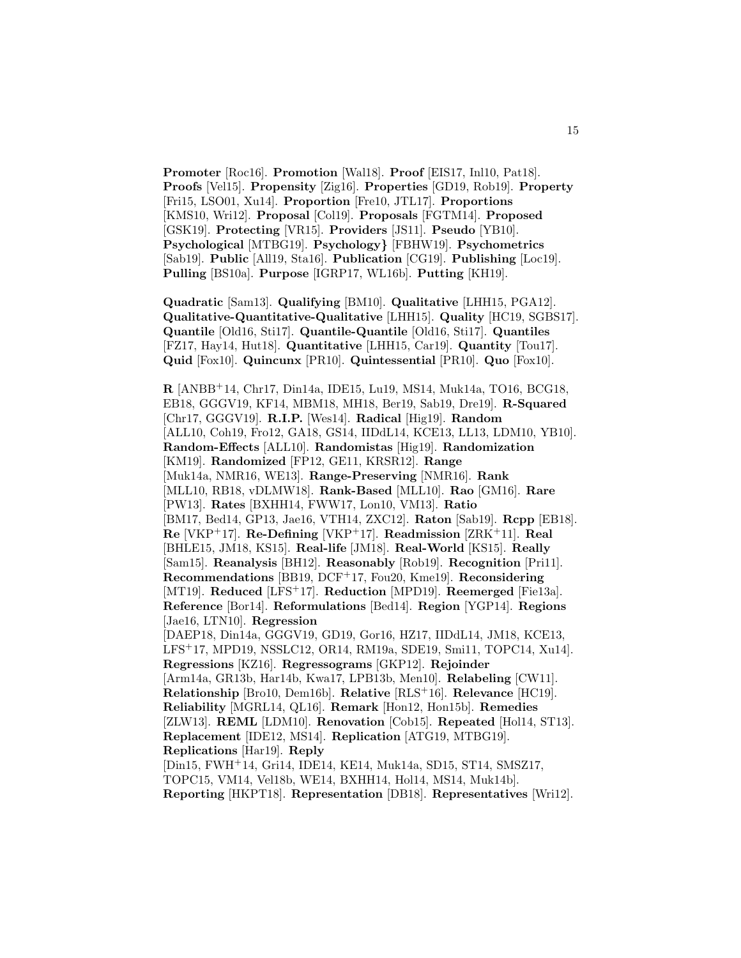**Promoter** [Roc16]. **Promotion** [Wal18]. **Proof** [EIS17, Inl10, Pat18]. **Proofs** [Vel15]. **Propensity** [Zig16]. **Properties** [GD19, Rob19]. **Property** [Fri15, LSO01, Xu14]. **Proportion** [Fre10, JTL17]. **Proportions** [KMS10, Wri12]. **Proposal** [Col19]. **Proposals** [FGTM14]. **Proposed** [GSK19]. **Protecting** [VR15]. **Providers** [JS11]. **Pseudo** [YB10]. **Psychological** [MTBG19]. **Psychology***}* [FBHW19]. **Psychometrics** [Sab19]. **Public** [All19, Sta16]. **Publication** [CG19]. **Publishing** [Loc19]. **Pulling** [BS10a]. **Purpose** [IGRP17, WL16b]. **Putting** [KH19].

15

**Quadratic** [Sam13]. **Qualifying** [BM10]. **Qualitative** [LHH15, PGA12]. **Qualitative-Quantitative-Qualitative** [LHH15]. **Quality** [HC19, SGBS17]. **Quantile** [Old16, Sti17]. **Quantile-Quantile** [Old16, Sti17]. **Quantiles** [FZ17, Hay14, Hut18]. **Quantitative** [LHH15, Car19]. **Quantity** [Tou17]. **Quid** [Fox10]. **Quincunx** [PR10]. **Quintessential** [PR10]. **Quo** [Fox10].

**R** [ANBB<sup>+</sup>14, Chr17, Din14a, IDE15, Lu19, MS14, Muk14a, TO16, BCG18, EB18, GGGV19, KF14, MBM18, MH18, Ber19, Sab19, Dre19]. **R-Squared** [Chr17, GGGV19]. **R.I.P.** [Wes14]. **Radical** [Hig19]. **Random** [ALL10, Coh19, Fro12, GA18, GS14, IIDdL14, KCE13, LL13, LDM10, YB10]. **Random-Effects** [ALL10]. **Randomistas** [Hig19]. **Randomization** [KM19]. **Randomized** [FP12, GE11, KRSR12]. **Range** [Muk14a, NMR16, WE13]. **Range-Preserving** [NMR16]. **Rank** [MLL10, RB18, vDLMW18]. **Rank-Based** [MLL10]. **Rao** [GM16]. **Rare** [PW13]. **Rates** [BXHH14, FWW17, Lon10, VM13]. **Ratio** [BM17, Bed14, GP13, Jae16, VTH14, ZXC12]. **Raton** [Sab19]. **Rcpp** [EB18]. **Re** [VKP<sup>+</sup>17]. **Re-Defining** [VKP<sup>+</sup>17]. **Readmission** [ZRK<sup>+</sup>11]. **Real** [BHLE15, JM18, KS15]. **Real-life** [JM18]. **Real-World** [KS15]. **Really** [Sam15]. **Reanalysis** [BH12]. **Reasonably** [Rob19]. **Recognition** [Pri11]. **Recommendations** [BB19, DCF<sup>+</sup>17, Fou20, Kme19]. **Reconsidering** [MT19]. **Reduced** [LFS<sup>+</sup>17]. **Reduction** [MPD19]. **Reemerged** [Fie13a]. **Reference** [Bor14]. **Reformulations** [Bed14]. **Region** [YGP14]. **Regions** [Jae16, LTN10]. **Regression** [DAEP18, Din14a, GGGV19, GD19, Gor16, HZ17, IIDdL14, JM18, KCE13, LFS<sup>+</sup>17, MPD19, NSSLC12, OR14, RM19a, SDE19, Smi11, TOPC14, Xu14]. **Regressions** [KZ16]. **Regressograms** [GKP12]. **Rejoinder** [Arm14a, GR13b, Har14b, Kwa17, LPB13b, Men10]. **Relabeling** [CW11]. **Relationship** [Bro10, Dem16b]. **Relative** [RLS<sup>+</sup>16]. **Relevance** [HC19]. **Reliability** [MGRL14, QL16]. **Remark** [Hon12, Hon15b]. **Remedies** [ZLW13]. **REML** [LDM10]. **Renovation** [Cob15]. **Repeated** [Hol14, ST13]. **Replacement** [IDE12, MS14]. **Replication** [ATG19, MTBG19]. **Replications** [Har19]. **Reply** [Din15, FWH<sup>+</sup>14, Gri14, IDE14, KE14, Muk14a, SD15, ST14, SMSZ17, TOPC15, VM14, Vel18b, WE14, BXHH14, Hol14, MS14, Muk14b]. **Reporting** [HKPT18]. **Representation** [DB18]. **Representatives** [Wri12].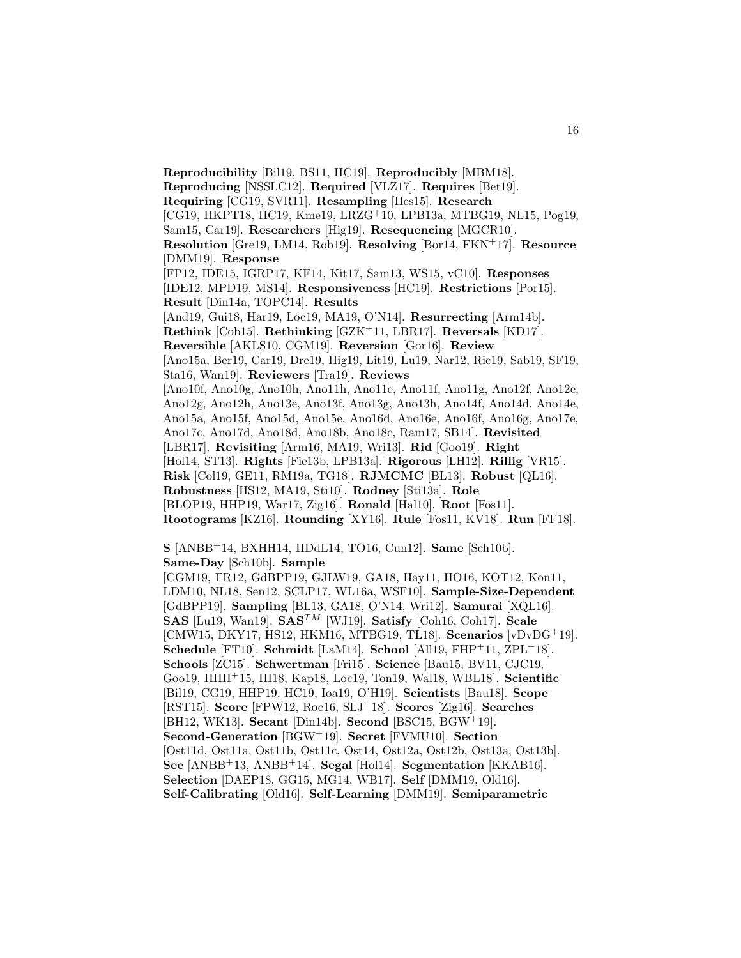**Reproducibility** [Bil19, BS11, HC19]. **Reproducibly** [MBM18]. **Reproducing** [NSSLC12]. **Required** [VLZ17]. **Requires** [Bet19]. **Requiring** [CG19, SVR11]. **Resampling** [Hes15]. **Research** [CG19, HKPT18, HC19, Kme19, LRZG<sup>+</sup>10, LPB13a, MTBG19, NL15, Pog19, Sam15, Car19]. **Researchers** [Hig19]. **Resequencing** [MGCR10]. **Resolution** [Gre19, LM14, Rob19]. **Resolving** [Bor14, FKN<sup>+</sup>17]. **Resource** [DMM19]. **Response** [FP12, IDE15, IGRP17, KF14, Kit17, Sam13, WS15, vC10]. **Responses** [IDE12, MPD19, MS14]. **Responsiveness** [HC19]. **Restrictions** [Por15]. **Result** [Din14a, TOPC14]. **Results** [And19, Gui18, Har19, Loc19, MA19, O'N14]. **Resurrecting** [Arm14b]. **Rethink** [Cob15]. **Rethinking** [GZK<sup>+</sup>11, LBR17]. **Reversals** [KD17]. **Reversible** [AKLS10, CGM19]. **Reversion** [Gor16]. **Review** [Ano15a, Ber19, Car19, Dre19, Hig19, Lit19, Lu19, Nar12, Ric19, Sab19, SF19, Sta16, Wan19]. **Reviewers** [Tra19]. **Reviews** [Ano10f, Ano10g, Ano10h, Ano11h, Ano11e, Ano11f, Ano11g, Ano12f, Ano12e, Ano12g, Ano12h, Ano13e, Ano13f, Ano13g, Ano13h, Ano14f, Ano14d, Ano14e, Ano15a, Ano15f, Ano15d, Ano15e, Ano16d, Ano16e, Ano16f, Ano16g, Ano17e, Ano17c, Ano17d, Ano18d, Ano18b, Ano18c, Ram17, SB14]. **Revisited** [LBR17]. **Revisiting** [Arm16, MA19, Wri13]. **Rid** [Goo19]. **Right** [Hol14, ST13]. **Rights** [Fie13b, LPB13a]. **Rigorous** [LH12]. **Rillig** [VR15]. **Risk** [Col19, GE11, RM19a, TG18]. **RJMCMC** [BL13]. **Robust** [QL16]. **Robustness** [HS12, MA19, Sti10]. **Rodney** [Sti13a]. **Role** [BLOP19, HHP19, War17, Zig16]. **Ronald** [Hal10]. **Root** [Fos11]. **Rootograms** [KZ16]. **Rounding** [XY16]. **Rule** [Fos11, KV18]. **Run** [FF18].

**S** [ANBB<sup>+</sup>14, BXHH14, IIDdL14, TO16, Cun12]. **Same** [Sch10b]. **Same-Day** [Sch10b]. **Sample**

[CGM19, FR12, GdBPP19, GJLW19, GA18, Hay11, HO16, KOT12, Kon11, LDM10, NL18, Sen12, SCLP17, WL16a, WSF10]. **Sample-Size-Dependent** [GdBPP19]. **Sampling** [BL13, GA18, O'N14, Wri12]. **Samurai** [XQL16]. **SAS** [Lu19, Wan19]. **SAS**TM [WJ19]. **Satisfy** [Coh16, Coh17]. **Scale** [CMW15, DKY17, HS12, HKM16, MTBG19, TL18]. **Scenarios** [vDvDG<sup>+</sup>19]. **Schedule** [FT10]. **Schmidt** [LaM14]. **School** [All19, FHP<sup>+</sup>11, ZPL<sup>+</sup>18]. **Schools** [ZC15]. **Schwertman** [Fri15]. **Science** [Bau15, BV11, CJC19, Goo19, HHH<sup>+</sup>15, HI18, Kap18, Loc19, Ton19, Wal18, WBL18]. **Scientific** [Bil19, CG19, HHP19, HC19, Ioa19, O'H19]. **Scientists** [Bau18]. **Scope** [RST15]. **Score** [FPW12, Roc16, SLJ<sup>+</sup>18]. **Scores** [Zig16]. **Searches** [BH12, WK13]. **Secant** [Din14b]. **Second** [BSC15, BGW<sup>+</sup>19]. **Second-Generation** [BGW<sup>+</sup>19]. **Secret** [FVMU10]. **Section** [Ost11d, Ost11a, Ost11b, Ost11c, Ost14, Ost12a, Ost12b, Ost13a, Ost13b]. **See** [ANBB<sup>+</sup>13, ANBB<sup>+</sup>14]. **Segal** [Hol14]. **Segmentation** [KKAB16]. **Selection** [DAEP18, GG15, MG14, WB17]. **Self** [DMM19, Old16]. **Self-Calibrating** [Old16]. **Self-Learning** [DMM19]. **Semiparametric**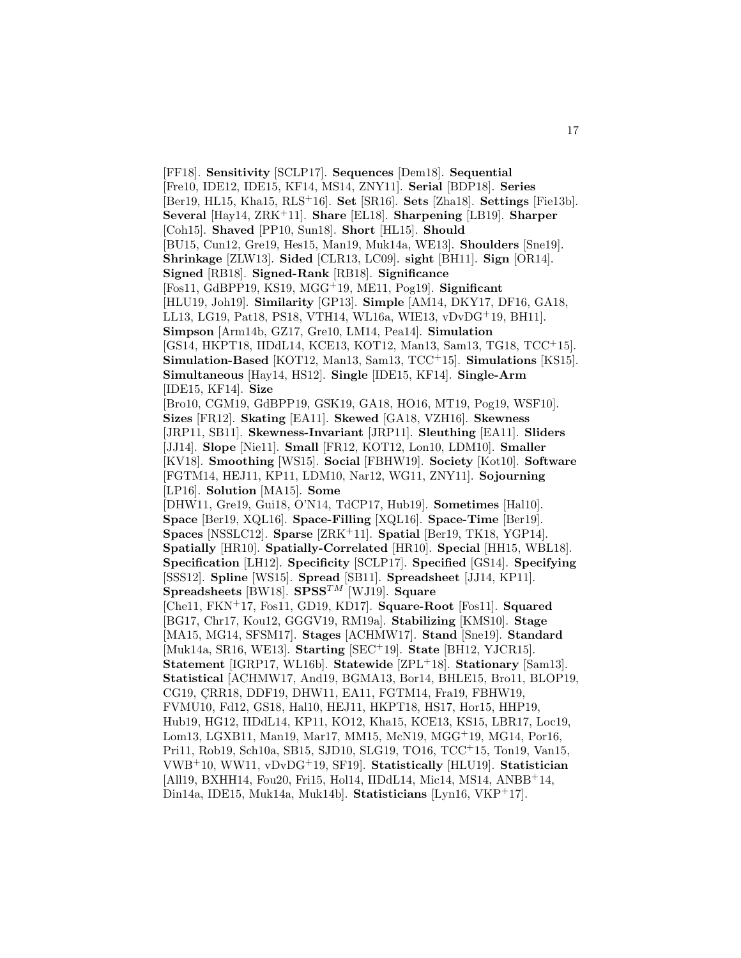[FF18]. **Sensitivity** [SCLP17]. **Sequences** [Dem18]. **Sequential** [Fre10, IDE12, IDE15, KF14, MS14, ZNY11]. **Serial** [BDP18]. **Series** [Ber19, HL15, Kha15, RLS<sup>+</sup>16]. **Set** [SR16]. **Sets** [Zha18]. **Settings** [Fie13b]. **Several** [Hay14, ZRK<sup>+</sup>11]. **Share** [EL18]. **Sharpening** [LB19]. **Sharper** [Coh15]. **Shaved** [PP10, Sun18]. **Short** [HL15]. **Should** [BU15, Cun12, Gre19, Hes15, Man19, Muk14a, WE13]. **Shoulders** [Sne19]. **Shrinkage** [ZLW13]. **Sided** [CLR13, LC09]. **sight** [BH11]. **Sign** [OR14]. **Signed** [RB18]. **Signed-Rank** [RB18]. **Significance** [Fos11, GdBPP19, KS19, MGG<sup>+</sup>19, ME11, Pog19]. **Significant** [HLU19, Joh19]. **Similarity** [GP13]. **Simple** [AM14, DKY17, DF16, GA18, LL13, LG19, Pat18, PS18, VTH14, WL16a, WIE13, vDvDG<sup>+</sup>19, BH11]. **Simpson** [Arm14b, GZ17, Gre10, LM14, Pea14]. **Simulation** [GS14, HKPT18, IIDdL14, KCE13, KOT12, Man13, Sam13, TG18, TCC<sup>+</sup>15]. **Simulation-Based** [KOT12, Man13, Sam13, TCC<sup>+</sup>15]. **Simulations** [KS15]. **Simultaneous** [Hay14, HS12]. **Single** [IDE15, KF14]. **Single-Arm** [IDE15, KF14]. **Size** [Bro10, CGM19, GdBPP19, GSK19, GA18, HO16, MT19, Pog19, WSF10]. **Sizes** [FR12]. **Skating** [EA11]. **Skewed** [GA18, VZH16]. **Skewness** [JRP11, SB11]. **Skewness-Invariant** [JRP11]. **Sleuthing** [EA11]. **Sliders** [JJ14]. **Slope** [Nie11]. **Small** [FR12, KOT12, Lon10, LDM10]. **Smaller** [KV18]. **Smoothing** [WS15]. **Social** [FBHW19]. **Society** [Kot10]. **Software** [FGTM14, HEJ11, KP11, LDM10, Nar12, WG11, ZNY11]. **Sojourning** [LP16]. **Solution** [MA15]. **Some** [DHW11, Gre19, Gui18, O'N14, TdCP17, Hub19]. **Sometimes** [Hal10]. **Space** [Ber19, XQL16]. **Space-Filling** [XQL16]. **Space-Time** [Ber19]. **Spaces** [NSSLC12]. **Sparse** [ZRK<sup>+</sup>11]. **Spatial** [Ber19, TK18, YGP14]. **Spatially** [HR10]. **Spatially-Correlated** [HR10]. **Special** [HH15, WBL18]. **Specification** [LH12]. **Specificity** [SCLP17]. **Specified** [GS14]. **Specifying** [SSS12]. **Spline** [WS15]. **Spread** [SB11]. **Spreadsheet** [JJ14, KP11]. **Spreadsheets** [BW18]. **SPSS**TM [WJ19]. **Square** [Che11, FKN<sup>+</sup>17, Fos11, GD19, KD17]. **Square-Root** [Fos11]. **Squared** [BG17, Chr17, Kou12, GGGV19, RM19a]. **Stabilizing** [KMS10]. **Stage** [MA15, MG14, SFSM17]. **Stages** [ACHMW17]. **Stand** [Sne19]. **Standard** [Muk14a, SR16, WE13]. **Starting** [SEC<sup>+</sup>19]. **State** [BH12, YJCR15]. **Statement** [IGRP17, WL16b]. **Statewide** [ZPL<sup>+</sup>18]. **Stationary** [Sam13]. **Statistical** [ACHMW17, And19, BGMA13, Bor14, BHLE15, Bro11, BLOP19, CG19, CRR18, DDF19, DHW11, EA11, FGTM14, Fra19, FBHW19, FVMU10, Fd12, GS18, Hal10, HEJ11, HKPT18, HS17, Hor15, HHP19, Hub19, HG12, IIDdL14, KP11, KO12, Kha15, KCE13, KS15, LBR17, Loc19, Lom13, LGXB11, Man19, Mar17, MM15, McN19, MGG<sup>+</sup>19, MG14, Por16, Pri11, Rob19, Sch10a, SB15, SJD10, SLG19, TO16, TCC<sup>+</sup>15, Ton19, Van15, VWB<sup>+</sup>10, WW11, vDvDG<sup>+</sup>19, SF19]. **Statistically** [HLU19]. **Statistician** [All19, BXHH14, Fou20, Fri15, Hol14, IIDdL14, Mic14, MS14, ANBB<sup>+</sup>14, Din14a, IDE15, Muk14a, Muk14b]. **Statisticians** [Lyn16, VKP<sup>+</sup>17].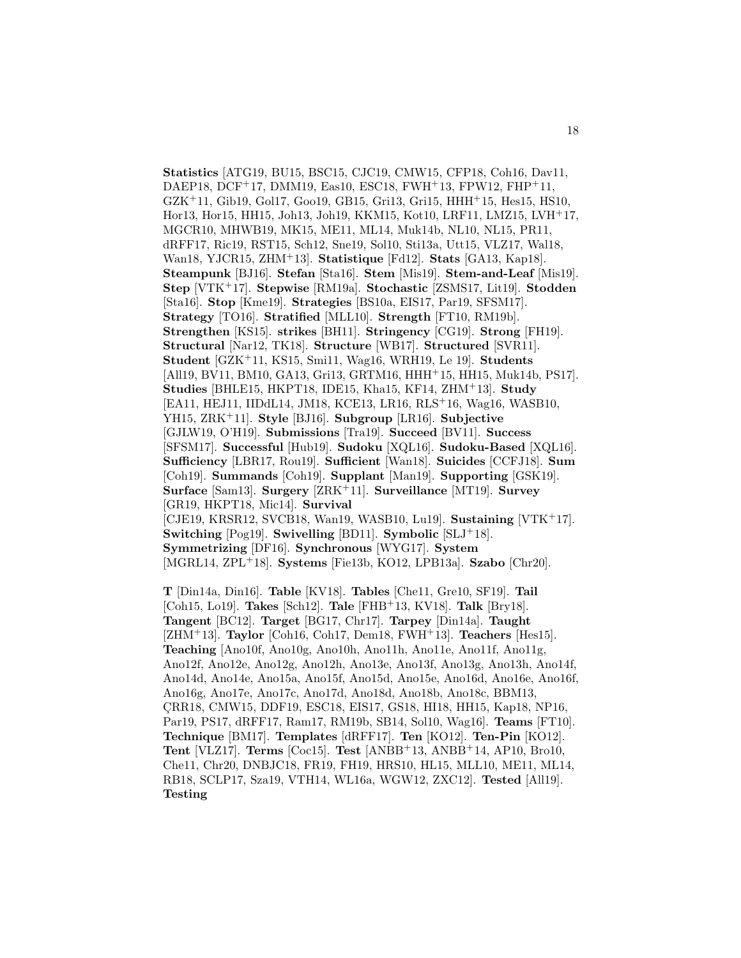**Statistics** [ATG19, BU15, BSC15, CJC19, CMW15, CFP18, Coh16, Dav11, DAEP18, DCF<sup>+</sup>17, DMM19, Eas10, ESC18, FWH<sup>+</sup>13, FPW12, FHP<sup>+</sup>11,  $GZK+11$ , Gib19, Gol17, Goo19, GB15, Gri13, Gri15, HHH<sup>+</sup>15, Hes15, HS10, Hor13, Hor15, HH15, Joh13, Joh19, KKM15, Kot10, LRF11, LMZ15, LVH<sup>+</sup>17, MGCR10, MHWB19, MK15, ME11, ML14, Muk14b, NL10, NL15, PR11, dRFF17, Ric19, RST15, Sch12, Sne19, Sol10, Sti13a, Utt15, VLZ17, Wal18, Wan18, YJCR15, ZHM<sup>+</sup>13]. **Statistique** [Fd12]. **Stats** [GA13, Kap18]. **Steampunk** [BJ16]. **Stefan** [Sta16]. **Stem** [Mis19]. **Stem-and-Leaf** [Mis19]. **Step** [VTK<sup>+</sup>17]. **Stepwise** [RM19a]. **Stochastic** [ZSMS17, Lit19]. **Stodden** [Sta16]. **Stop** [Kme19]. **Strategies** [BS10a, EIS17, Par19, SFSM17]. **Strategy** [TO16]. **Stratified** [MLL10]. **Strength** [FT10, RM19b]. **Strengthen** [KS15]. **strikes** [BH11]. **Stringency** [CG19]. **Strong** [FH19]. **Structural** [Nar12, TK18]. **Structure** [WB17]. **Structured** [SVR11]. **Student** [GZK<sup>+</sup>11, KS15, Smi11, Wag16, WRH19, Le 19]. **Students** [All19, BV11, BM10, GA13, Gri13, GRTM16, HHH<sup>+</sup>15, HH15, Muk14b, PS17]. **Studies** [BHLE15, HKPT18, IDE15, Kha15, KF14, ZHM<sup>+</sup>13]. **Study** [EA11, HEJ11, IIDdL14, JM18, KCE13, LR16, RLS<sup>+</sup>16, Wag16, WASB10, YH15, ZRK<sup>+</sup>11]. **Style** [BJ16]. **Subgroup** [LR16]. **Subjective** [GJLW19, O'H19]. **Submissions** [Tra19]. **Succeed** [BV11]. **Success** [SFSM17]. **Successful** [Hub19]. **Sudoku** [XQL16]. **Sudoku-Based** [XQL16]. **Sufficiency** [LBR17, Rou19]. **Sufficient** [Wan18]. **Suicides** [CCFJ18]. **Sum** [Coh19]. **Summands** [Coh19]. **Supplant** [Man19]. **Supporting** [GSK19]. **Surface** [Sam13]. **Surgery** [ZRK<sup>+</sup>11]. **Surveillance** [MT19]. **Survey** [GR19, HKPT18, Mic14]. **Survival** [CJE19, KRSR12, SVCB18, Wan19, WASB10, Lu19]. **Sustaining** [VTK<sup>+</sup>17]. **Switching** [Pog19]. **Swivelling** [BD11]. **Symbolic** [SLJ<sup>+</sup>18]. **Symmetrizing** [DF16]. **Synchronous** [WYG17]. **System** [MGRL14, ZPL<sup>+</sup>18]. **Systems** [Fie13b, KO12, LPB13a]. **Szabo** [Chr20].

**T** [Din14a, Din16]. **Table** [KV18]. **Tables** [Che11, Gre10, SF19]. **Tail** [Coh15, Lo19]. **Takes** [Sch12]. **Tale** [FHB<sup>+</sup>13, KV18]. **Talk** [Bry18]. **Tangent** [BC12]. **Target** [BG17, Chr17]. **Tarpey** [Din14a]. **Taught** [ZHM<sup>+</sup>13]. **Taylor** [Coh16, Coh17, Dem18, FWH<sup>+</sup>13]. **Teachers** [Hes15]. **Teaching** [Ano10f, Ano10g, Ano10h, Ano11h, Ano11e, Ano11f, Ano11g, Ano12f, Ano12e, Ano12g, Ano12h, Ano13e, Ano13f, Ano13g, Ano13h, Ano14f, Ano14d, Ano14e, Ano15a, Ano15f, Ano15d, Ano15e, Ano16d, Ano16e, Ano16f, Ano16g, Ano17e, Ano17c, Ano17d, Ano18d, Ano18b, Ano18c, BBM13, CRR18, CMW15, DDF19, ESC18, EIS17, GS18, HI18, HH15, Kap18, NP16, Par19, PS17, dRFF17, Ram17, RM19b, SB14, Sol10, Wag16]. **Teams** [FT10]. **Technique** [BM17]. **Templates** [dRFF17]. **Ten** [KO12]. **Ten-Pin** [KO12]. **Tent** [VLZ17]. **Terms** [Coc15]. **Test** [ANBB<sup>+</sup>13, ANBB<sup>+</sup>14, AP10, Bro10, Che11, Chr20, DNBJC18, FR19, FH19, HRS10, HL15, MLL10, ME11, ML14, RB18, SCLP17, Sza19, VTH14, WL16a, WGW12, ZXC12]. **Tested** [All19]. **Testing**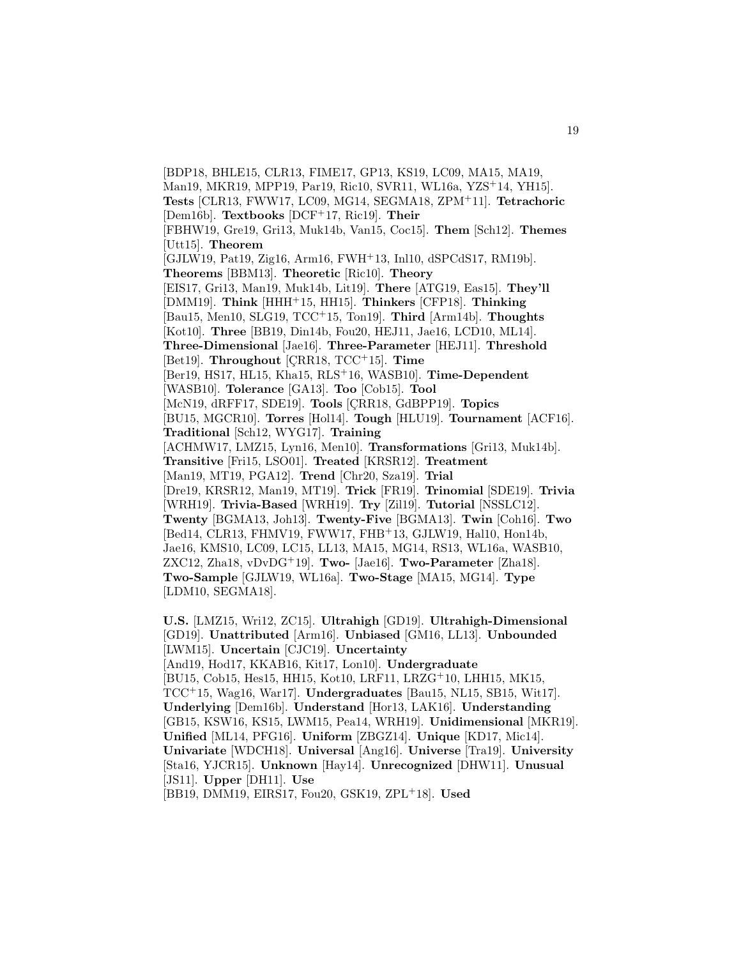[BDP18, BHLE15, CLR13, FIME17, GP13, KS19, LC09, MA15, MA19, Man19, MKR19, MPP19, Par19, Ric10, SVR11, WL16a, YZS<sup>+</sup>14, YH15]. **Tests** [CLR13, FWW17, LC09, MG14, SEGMA18, ZPM<sup>+</sup>11]. **Tetrachoric** [Dem16b]. **Textbooks** [DCF<sup>+</sup>17, Ric19]. **Their** [FBHW19, Gre19, Gri13, Muk14b, Van15, Coc15]. **Them** [Sch12]. **Themes** [Utt15]. **Theorem** [GJLW19, Pat19, Zig16, Arm16, FWH<sup>+</sup>13, Inl10, dSPCdS17, RM19b]. **Theorems** [BBM13]. **Theoretic** [Ric10]. **Theory** [EIS17, Gri13, Man19, Muk14b, Lit19]. **There** [ATG19, Eas15]. **They'll** [DMM19]. **Think** [HHH<sup>+</sup>15, HH15]. **Thinkers** [CFP18]. **Thinking** [Bau15, Men10, SLG19, TCC<sup>+</sup>15, Ton19]. **Third** [Arm14b]. **Thoughts** [Kot10]. **Three** [BB19, Din14b, Fou20, HEJ11, Jae16, LCD10, ML14]. **Three-Dimensional** [Jae16]. **Three-Parameter** [HEJ11]. **Threshold** [Bet19]. **Throughout** [CRR18, TCC<sup>+</sup>15]. **Time** [Ber19, HS17, HL15, Kha15, RLS<sup>+</sup>16, WASB10]. **Time-Dependent** [WASB10]. **Tolerance** [GA13]. **Too** [Cob15]. **Tool** [McN19, dRFF17, SDE19]. **Tools** [CRR18, GdBPP19]. **Topics** [BU15, MGCR10]. **Torres** [Hol14]. **Tough** [HLU19]. **Tournament** [ACF16]. **Traditional** [Sch12, WYG17]. **Training** [ACHMW17, LMZ15, Lyn16, Men10]. **Transformations** [Gri13, Muk14b]. **Transitive** [Fri15, LSO01]. **Treated** [KRSR12]. **Treatment** [Man19, MT19, PGA12]. **Trend** [Chr20, Sza19]. **Trial** [Dre19, KRSR12, Man19, MT19]. **Trick** [FR19]. **Trinomial** [SDE19]. **Trivia** [WRH19]. **Trivia-Based** [WRH19]. **Try** [Zil19]. **Tutorial** [NSSLC12]. **Twenty** [BGMA13, Joh13]. **Twenty-Five** [BGMA13]. **Twin** [Coh16]. **Two** [Bed14, CLR13, FHMV19, FWW17, FHB<sup>+</sup>13, GJLW19, Hal10, Hon14b, Jae16, KMS10, LC09, LC15, LL13, MA15, MG14, RS13, WL16a, WASB10, ZXC12, Zha18, vDvDG<sup>+</sup>19]. **Two-** [Jae16]. **Two-Parameter** [Zha18]. **Two-Sample** [GJLW19, WL16a]. **Two-Stage** [MA15, MG14]. **Type** [LDM10, SEGMA18].

**U.S.** [LMZ15, Wri12, ZC15]. **Ultrahigh** [GD19]. **Ultrahigh-Dimensional** [GD19]. **Unattributed** [Arm16]. **Unbiased** [GM16, LL13]. **Unbounded** [LWM15]. **Uncertain** [CJC19]. **Uncertainty** [And19, Hod17, KKAB16, Kit17, Lon10]. **Undergraduate** [BU15, Cob15, Hes15, HH15, Kot10, LRF11, LRZG<sup>+</sup>10, LHH15, MK15, TCC<sup>+</sup>15, Wag16, War17]. **Undergraduates** [Bau15, NL15, SB15, Wit17]. **Underlying** [Dem16b]. **Understand** [Hor13, LAK16]. **Understanding** [GB15, KSW16, KS15, LWM15, Pea14, WRH19]. **Unidimensional** [MKR19]. **Unified** [ML14, PFG16]. **Uniform** [ZBGZ14]. **Unique** [KD17, Mic14]. **Univariate** [WDCH18]. **Universal** [Ang16]. **Universe** [Tra19]. **University** [Sta16, YJCR15]. **Unknown** [Hay14]. **Unrecognized** [DHW11]. **Unusual** [JS11]. **Upper** [DH11]. **Use**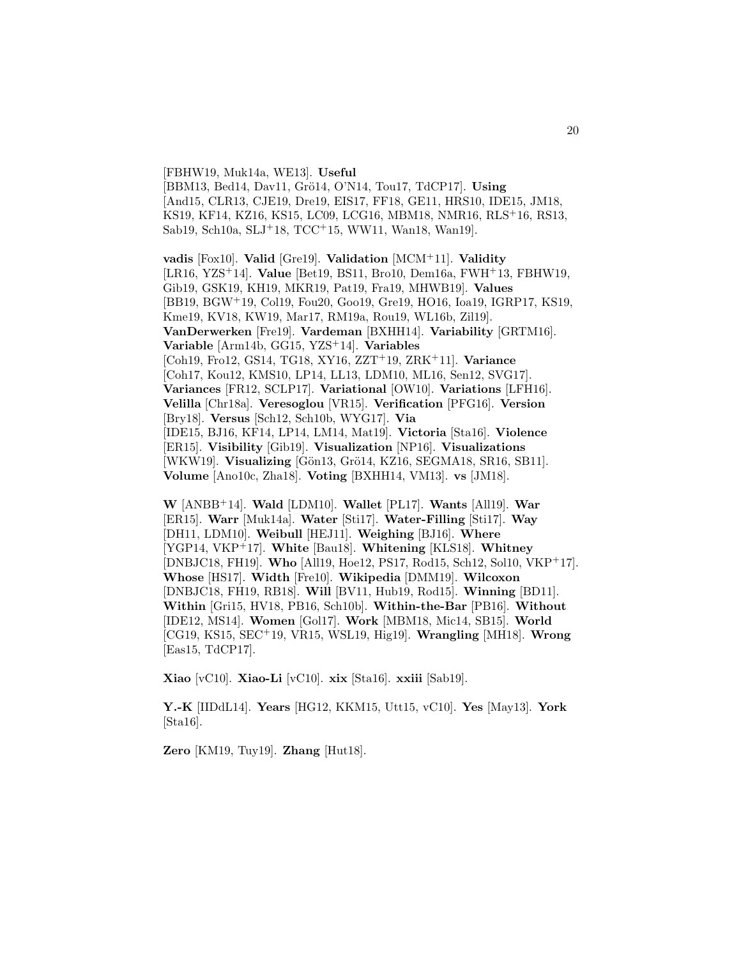[FBHW19, Muk14a, WE13]. **Useful** [BBM13, Bed14, Dav11, Grö14, O'N14, Tou17, TdCP17]. Using [And15, CLR13, CJE19, Dre19, EIS17, FF18, GE11, HRS10, IDE15, JM18, KS19, KF14, KZ16, KS15, LC09, LCG16, MBM18, NMR16, RLS<sup>+</sup>16, RS13, Sab19, Sch10a, SLJ<sup>+</sup>18, TCC<sup>+</sup>15, WW11, Wan18, Wan19].

**vadis** [Fox10]. **Valid** [Gre19]. **Validation** [MCM<sup>+</sup>11]. **Validity** [LR16, YZS<sup>+</sup>14]. **Value** [Bet19, BS11, Bro10, Dem16a, FWH<sup>+</sup>13, FBHW19, Gib19, GSK19, KH19, MKR19, Pat19, Fra19, MHWB19]. **Values** [BB19, BGW<sup>+</sup>19, Col19, Fou20, Goo19, Gre19, HO16, Ioa19, IGRP17, KS19, Kme19, KV18, KW19, Mar17, RM19a, Rou19, WL16b, Zil19]. **VanDerwerken** [Fre19]. **Vardeman** [BXHH14]. **Variability** [GRTM16]. **Variable** [Arm14b, GG15, YZS<sup>+</sup>14]. **Variables** [Coh19, Fro12, GS14, TG18, XY16, ZZT<sup>+</sup>19, ZRK<sup>+</sup>11]. **Variance** [Coh17, Kou12, KMS10, LP14, LL13, LDM10, ML16, Sen12, SVG17]. **Variances** [FR12, SCLP17]. **Variational** [OW10]. **Variations** [LFH16]. **Velilla** [Chr18a]. **Veresoglou** [VR15]. **Verification** [PFG16]. **Version** [Bry18]. **Versus** [Sch12, Sch10b, WYG17]. **Via** [IDE15, BJ16, KF14, LP14, LM14, Mat19]. **Victoria** [Sta16]. **Violence** [ER15]. **Visibility** [Gib19]. **Visualization** [NP16]. **Visualizations** [WKW19]. **Visualizing** [Gön13, Grö14, KZ16, SEGMA18, SR16, SB11]. **Volume** [Ano10c, Zha18]. **Voting** [BXHH14, VM13]. **vs** [JM18].

**W** [ANBB<sup>+</sup>14]. **Wald** [LDM10]. **Wallet** [PL17]. **Wants** [All19]. **War** [ER15]. **Warr** [Muk14a]. **Water** [Sti17]. **Water-Filling** [Sti17]. **Way** [DH11, LDM10]. **Weibull** [HEJ11]. **Weighing** [BJ16]. **Where** [YGP14, VKP<sup>+</sup>17]. **White** [Bau18]. **Whitening** [KLS18]. **Whitney** [DNBJC18, FH19]. **Who** [All19, Hoe12, PS17, Rod15, Sch12, Sol10, VKP<sup>+</sup>17]. **Whose** [HS17]. **Width** [Fre10]. **Wikipedia** [DMM19]. **Wilcoxon** [DNBJC18, FH19, RB18]. **Will** [BV11, Hub19, Rod15]. **Winning** [BD11]. **Within** [Gri15, HV18, PB16, Sch10b]. **Within-the-Bar** [PB16]. **Without** [IDE12, MS14]. **Women** [Gol17]. **Work** [MBM18, Mic14, SB15]. **World** [CG19, KS15, SEC<sup>+</sup>19, VR15, WSL19, Hig19]. **Wrangling** [MH18]. **Wrong** [Eas15, TdCP17].

**Xiao** [vC10]. **Xiao-Li** [vC10]. **xix** [Sta16]. **xxiii** [Sab19].

**Y.-K** [IIDdL14]. **Years** [HG12, KKM15, Utt15, vC10]. **Yes** [May13]. **York**  $[Sta16]$ .

**Zero** [KM19, Tuy19]. **Zhang** [Hut18].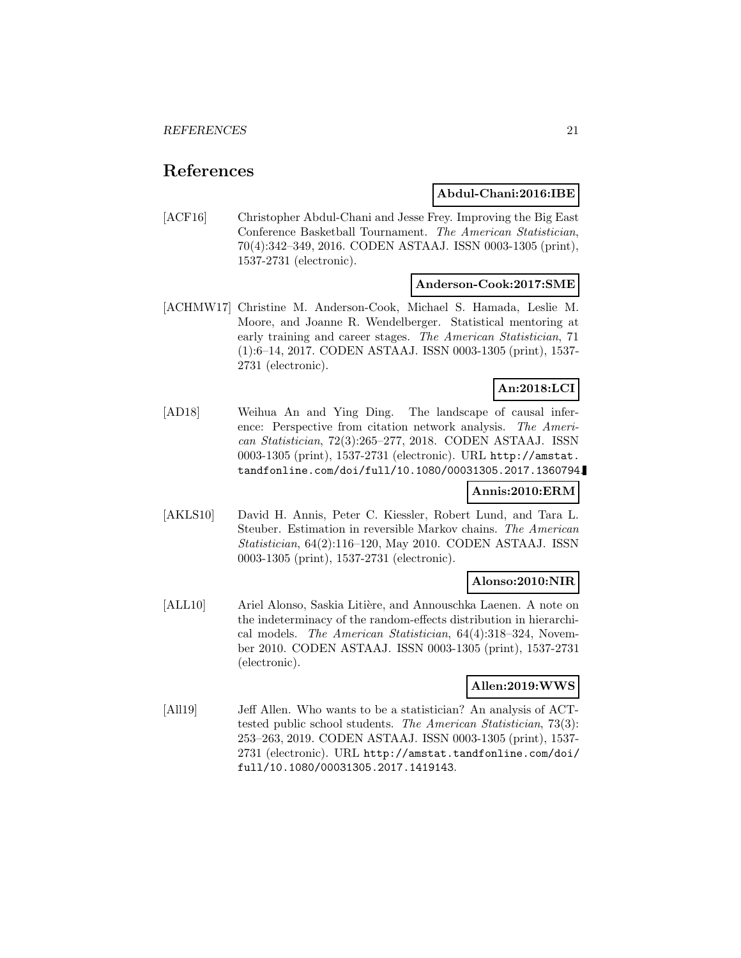## **References**

## **Abdul-Chani:2016:IBE**

[ACF16] Christopher Abdul-Chani and Jesse Frey. Improving the Big East Conference Basketball Tournament. The American Statistician, 70(4):342–349, 2016. CODEN ASTAAJ. ISSN 0003-1305 (print), 1537-2731 (electronic).

## **Anderson-Cook:2017:SME**

[ACHMW17] Christine M. Anderson-Cook, Michael S. Hamada, Leslie M. Moore, and Joanne R. Wendelberger. Statistical mentoring at early training and career stages. The American Statistician, 71 (1):6–14, 2017. CODEN ASTAAJ. ISSN 0003-1305 (print), 1537- 2731 (electronic).

## **An:2018:LCI**

[AD18] Weihua An and Ying Ding. The landscape of causal inference: Perspective from citation network analysis. The American Statistician, 72(3):265–277, 2018. CODEN ASTAAJ. ISSN 0003-1305 (print), 1537-2731 (electronic). URL http://amstat. tandfonline.com/doi/full/10.1080/00031305.2017.1360794.

## **Annis:2010:ERM**

[AKLS10] David H. Annis, Peter C. Kiessler, Robert Lund, and Tara L. Steuber. Estimation in reversible Markov chains. The American Statistician, 64(2):116–120, May 2010. CODEN ASTAAJ. ISSN 0003-1305 (print), 1537-2731 (electronic).

## **Alonso:2010:NIR**

[ALL10] Ariel Alonso, Saskia Litière, and Annouschka Laenen. A note on the indeterminacy of the random-effects distribution in hierarchical models. The American Statistician, 64(4):318–324, November 2010. CODEN ASTAAJ. ISSN 0003-1305 (print), 1537-2731 (electronic).

## **Allen:2019:WWS**

[All19] Jeff Allen. Who wants to be a statistician? An analysis of ACTtested public school students. The American Statistician, 73(3): 253–263, 2019. CODEN ASTAAJ. ISSN 0003-1305 (print), 1537- 2731 (electronic). URL http://amstat.tandfonline.com/doi/ full/10.1080/00031305.2017.1419143.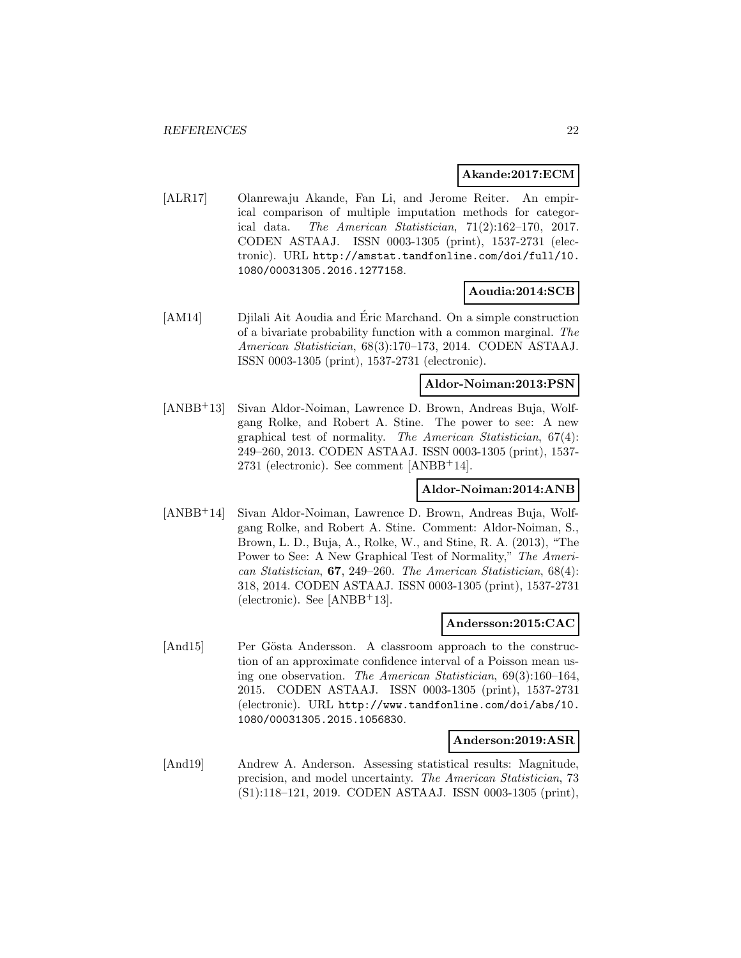## **Akande:2017:ECM**

[ALR17] Olanrewaju Akande, Fan Li, and Jerome Reiter. An empirical comparison of multiple imputation methods for categorical data. The American Statistician, 71(2):162–170, 2017. CODEN ASTAAJ. ISSN 0003-1305 (print), 1537-2731 (electronic). URL http://amstat.tandfonline.com/doi/full/10. 1080/00031305.2016.1277158.

## **Aoudia:2014:SCB**

[AM14] Djilali Ait Aoudia and Éric Marchand. On a simple construction of a bivariate probability function with a common marginal. The American Statistician, 68(3):170–173, 2014. CODEN ASTAAJ. ISSN 0003-1305 (print), 1537-2731 (electronic).

## **Aldor-Noiman:2013:PSN**

[ANBB<sup>+</sup>13] Sivan Aldor-Noiman, Lawrence D. Brown, Andreas Buja, Wolfgang Rolke, and Robert A. Stine. The power to see: A new graphical test of normality. The American Statistician, 67(4): 249–260, 2013. CODEN ASTAAJ. ISSN 0003-1305 (print), 1537- 2731 (electronic). See comment [ANBB<sup>+</sup>14].

## **Aldor-Noiman:2014:ANB**

[ANBB<sup>+</sup>14] Sivan Aldor-Noiman, Lawrence D. Brown, Andreas Buja, Wolfgang Rolke, and Robert A. Stine. Comment: Aldor-Noiman, S., Brown, L. D., Buja, A., Rolke, W., and Stine, R. A. (2013), "The Power to See: A New Graphical Test of Normality," The American Statistician, **67**, 249–260. The American Statistician, 68(4): 318, 2014. CODEN ASTAAJ. ISSN 0003-1305 (print), 1537-2731  $(electronic)$ . See [ANBB+13].

## **Andersson:2015:CAC**

[And15] Per Gösta Andersson. A classroom approach to the construction of an approximate confidence interval of a Poisson mean using one observation. The American Statistician, 69(3):160–164, 2015. CODEN ASTAAJ. ISSN 0003-1305 (print), 1537-2731 (electronic). URL http://www.tandfonline.com/doi/abs/10. 1080/00031305.2015.1056830.

## **Anderson:2019:ASR**

[And19] Andrew A. Anderson. Assessing statistical results: Magnitude, precision, and model uncertainty. The American Statistician, 73 (S1):118–121, 2019. CODEN ASTAAJ. ISSN 0003-1305 (print),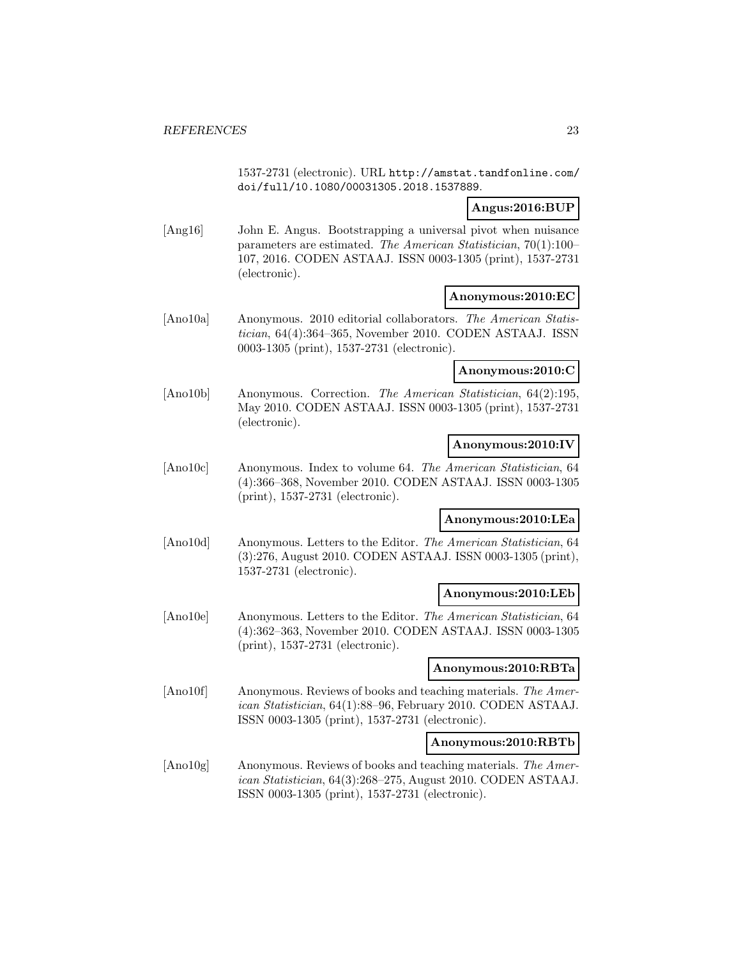1537-2731 (electronic). URL http://amstat.tandfonline.com/ doi/full/10.1080/00031305.2018.1537889.

## **Angus:2016:BUP**

[Ang16] John E. Angus. Bootstrapping a universal pivot when nuisance parameters are estimated. The American Statistician, 70(1):100– 107, 2016. CODEN ASTAAJ. ISSN 0003-1305 (print), 1537-2731 (electronic).

## **Anonymous:2010:EC**

[Ano10a] Anonymous. 2010 editorial collaborators. The American Statistician, 64(4):364–365, November 2010. CODEN ASTAAJ. ISSN 0003-1305 (print), 1537-2731 (electronic).

## **Anonymous:2010:C**

[Ano10b] Anonymous. Correction. The American Statistician, 64(2):195, May 2010. CODEN ASTAAJ. ISSN 0003-1305 (print), 1537-2731 (electronic).

## **Anonymous:2010:IV**

[Ano10c] Anonymous. Index to volume 64. The American Statistician, 64 (4):366–368, November 2010. CODEN ASTAAJ. ISSN 0003-1305 (print), 1537-2731 (electronic).

## **Anonymous:2010:LEa**

[Ano10d] Anonymous. Letters to the Editor. The American Statistician, 64 (3):276, August 2010. CODEN ASTAAJ. ISSN 0003-1305 (print), 1537-2731 (electronic).

## **Anonymous:2010:LEb**

[Ano10e] Anonymous. Letters to the Editor. The American Statistician, 64 (4):362–363, November 2010. CODEN ASTAAJ. ISSN 0003-1305 (print), 1537-2731 (electronic).

## **Anonymous:2010:RBTa**

[Ano10f] Anonymous. Reviews of books and teaching materials. The American Statistician, 64(1):88–96, February 2010. CODEN ASTAAJ. ISSN 0003-1305 (print), 1537-2731 (electronic).

## **Anonymous:2010:RBTb**

[Ano10g] Anonymous. Reviews of books and teaching materials. The American Statistician, 64(3):268–275, August 2010. CODEN ASTAAJ. ISSN 0003-1305 (print), 1537-2731 (electronic).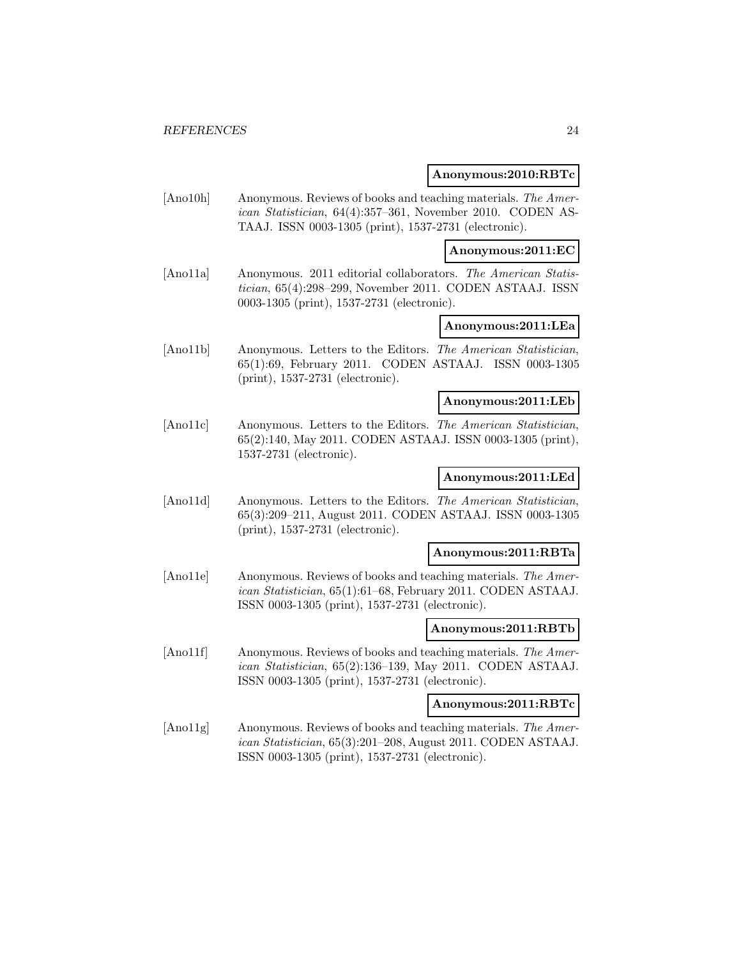#### **Anonymous:2010:RBTc**

[Ano10h] Anonymous. Reviews of books and teaching materials. The American Statistician, 64(4):357–361, November 2010. CODEN AS-TAAJ. ISSN 0003-1305 (print), 1537-2731 (electronic).

**Anonymous:2011:EC**

[Ano11a] Anonymous. 2011 editorial collaborators. The American Statistician, 65(4):298–299, November 2011. CODEN ASTAAJ. ISSN 0003-1305 (print), 1537-2731 (electronic).

## **Anonymous:2011:LEa**

[Ano11b] Anonymous. Letters to the Editors. The American Statistician, 65(1):69, February 2011. CODEN ASTAAJ. ISSN 0003-1305 (print), 1537-2731 (electronic).

## **Anonymous:2011:LEb**

[Ano11c] Anonymous. Letters to the Editors. The American Statistician, 65(2):140, May 2011. CODEN ASTAAJ. ISSN 0003-1305 (print), 1537-2731 (electronic).

## **Anonymous:2011:LEd**

[Ano11d] Anonymous. Letters to the Editors. The American Statistician, 65(3):209–211, August 2011. CODEN ASTAAJ. ISSN 0003-1305 (print), 1537-2731 (electronic).

#### **Anonymous:2011:RBTa**

[Ano11e] Anonymous. Reviews of books and teaching materials. The American Statistician, 65(1):61–68, February 2011. CODEN ASTAAJ. ISSN 0003-1305 (print), 1537-2731 (electronic).

#### **Anonymous:2011:RBTb**

[Ano11f] Anonymous. Reviews of books and teaching materials. The American Statistician, 65(2):136–139, May 2011. CODEN ASTAAJ. ISSN 0003-1305 (print), 1537-2731 (electronic).

#### **Anonymous:2011:RBTc**

[Ano11g] Anonymous. Reviews of books and teaching materials. The American Statistician, 65(3):201–208, August 2011. CODEN ASTAAJ. ISSN 0003-1305 (print), 1537-2731 (electronic).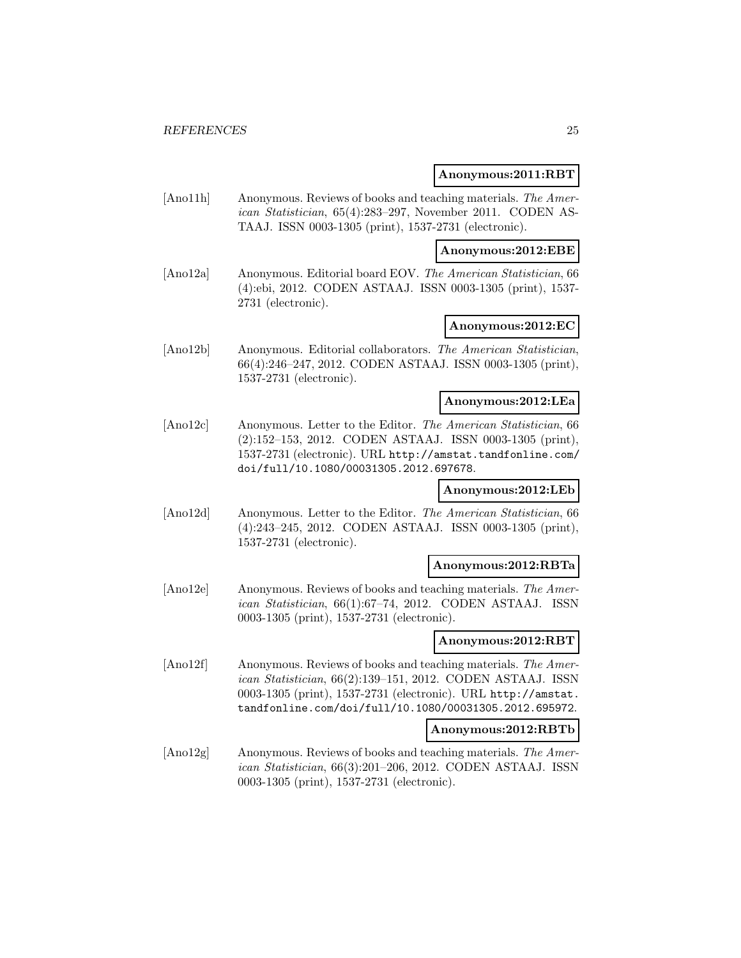#### **Anonymous:2011:RBT**

[Ano11h] Anonymous. Reviews of books and teaching materials. The American Statistician, 65(4):283–297, November 2011. CODEN AS-TAAJ. ISSN 0003-1305 (print), 1537-2731 (electronic).

**Anonymous:2012:EBE**

[Ano12a] Anonymous. Editorial board EOV. The American Statistician, 66 (4):ebi, 2012. CODEN ASTAAJ. ISSN 0003-1305 (print), 1537- 2731 (electronic).

## **Anonymous:2012:EC**

[Ano12b] Anonymous. Editorial collaborators. The American Statistician, 66(4):246–247, 2012. CODEN ASTAAJ. ISSN 0003-1305 (print), 1537-2731 (electronic).

## **Anonymous:2012:LEa**

[Ano12c] Anonymous. Letter to the Editor. The American Statistician, 66 (2):152–153, 2012. CODEN ASTAAJ. ISSN 0003-1305 (print), 1537-2731 (electronic). URL http://amstat.tandfonline.com/ doi/full/10.1080/00031305.2012.697678.

## **Anonymous:2012:LEb**

[Ano12d] Anonymous. Letter to the Editor. The American Statistician, 66 (4):243–245, 2012. CODEN ASTAAJ. ISSN 0003-1305 (print), 1537-2731 (electronic).

## **Anonymous:2012:RBTa**

[Ano12e] Anonymous. Reviews of books and teaching materials. The American Statistician, 66(1):67–74, 2012. CODEN ASTAAJ. ISSN 0003-1305 (print), 1537-2731 (electronic).

## **Anonymous:2012:RBT**

[Ano12f] Anonymous. Reviews of books and teaching materials. The American Statistician, 66(2):139–151, 2012. CODEN ASTAAJ. ISSN 0003-1305 (print), 1537-2731 (electronic). URL http://amstat. tandfonline.com/doi/full/10.1080/00031305.2012.695972.

#### **Anonymous:2012:RBTb**

[Ano12g] Anonymous. Reviews of books and teaching materials. The American Statistician, 66(3):201–206, 2012. CODEN ASTAAJ. ISSN 0003-1305 (print), 1537-2731 (electronic).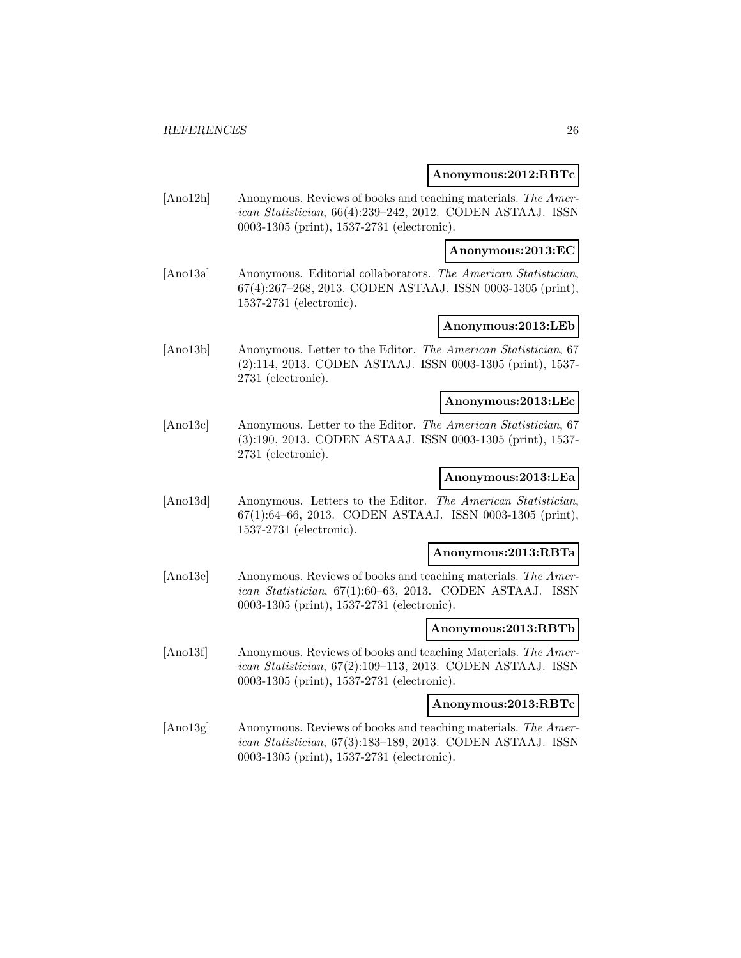#### **Anonymous:2012:RBTc**

[Ano12h] Anonymous. Reviews of books and teaching materials. The American Statistician, 66(4):239–242, 2012. CODEN ASTAAJ. ISSN 0003-1305 (print), 1537-2731 (electronic).

## **Anonymous:2013:EC**

[Ano13a] Anonymous. Editorial collaborators. The American Statistician, 67(4):267–268, 2013. CODEN ASTAAJ. ISSN 0003-1305 (print), 1537-2731 (electronic).

## **Anonymous:2013:LEb**

[Ano13b] Anonymous. Letter to the Editor. The American Statistician, 67 (2):114, 2013. CODEN ASTAAJ. ISSN 0003-1305 (print), 1537- 2731 (electronic).

#### **Anonymous:2013:LEc**

[Ano13c] Anonymous. Letter to the Editor. The American Statistician, 67 (3):190, 2013. CODEN ASTAAJ. ISSN 0003-1305 (print), 1537- 2731 (electronic).

## **Anonymous:2013:LEa**

[Ano13d] Anonymous. Letters to the Editor. The American Statistician, 67(1):64–66, 2013. CODEN ASTAAJ. ISSN 0003-1305 (print), 1537-2731 (electronic).

#### **Anonymous:2013:RBTa**

[Ano13e] Anonymous. Reviews of books and teaching materials. The American Statistician, 67(1):60–63, 2013. CODEN ASTAAJ. ISSN 0003-1305 (print), 1537-2731 (electronic).

#### **Anonymous:2013:RBTb**

[Ano13f] Anonymous. Reviews of books and teaching Materials. The American Statistician, 67(2):109–113, 2013. CODEN ASTAAJ. ISSN 0003-1305 (print), 1537-2731 (electronic).

#### **Anonymous:2013:RBTc**

[Ano13g] Anonymous. Reviews of books and teaching materials. The American Statistician, 67(3):183–189, 2013. CODEN ASTAAJ. ISSN 0003-1305 (print), 1537-2731 (electronic).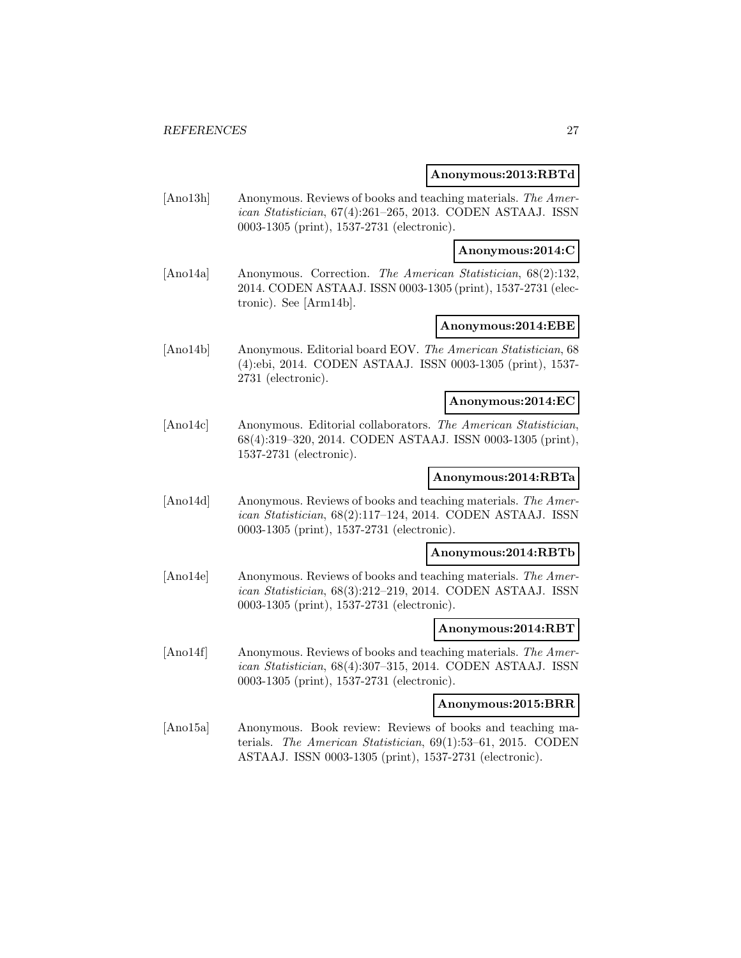#### **Anonymous:2013:RBTd**

[Ano13h] Anonymous. Reviews of books and teaching materials. The American Statistician, 67(4):261–265, 2013. CODEN ASTAAJ. ISSN 0003-1305 (print), 1537-2731 (electronic).

#### **Anonymous:2014:C**

[Ano14a] Anonymous. Correction. The American Statistician, 68(2):132, 2014. CODEN ASTAAJ. ISSN 0003-1305 (print), 1537-2731 (electronic). See [Arm14b].

## **Anonymous:2014:EBE**

[Ano14b] Anonymous. Editorial board EOV. The American Statistician, 68 (4):ebi, 2014. CODEN ASTAAJ. ISSN 0003-1305 (print), 1537- 2731 (electronic).

#### **Anonymous:2014:EC**

[Ano14c] Anonymous. Editorial collaborators. The American Statistician, 68(4):319–320, 2014. CODEN ASTAAJ. ISSN 0003-1305 (print), 1537-2731 (electronic).

## **Anonymous:2014:RBTa**

[Ano14d] Anonymous. Reviews of books and teaching materials. The American Statistician, 68(2):117–124, 2014. CODEN ASTAAJ. ISSN 0003-1305 (print), 1537-2731 (electronic).

#### **Anonymous:2014:RBTb**

[Ano14e] Anonymous. Reviews of books and teaching materials. The American Statistician, 68(3):212–219, 2014. CODEN ASTAAJ. ISSN 0003-1305 (print), 1537-2731 (electronic).

#### **Anonymous:2014:RBT**

[Ano14f] Anonymous. Reviews of books and teaching materials. The American Statistician, 68(4):307–315, 2014. CODEN ASTAAJ. ISSN 0003-1305 (print), 1537-2731 (electronic).

#### **Anonymous:2015:BRR**

[Ano15a] Anonymous. Book review: Reviews of books and teaching materials. The American Statistician, 69(1):53–61, 2015. CODEN ASTAAJ. ISSN 0003-1305 (print), 1537-2731 (electronic).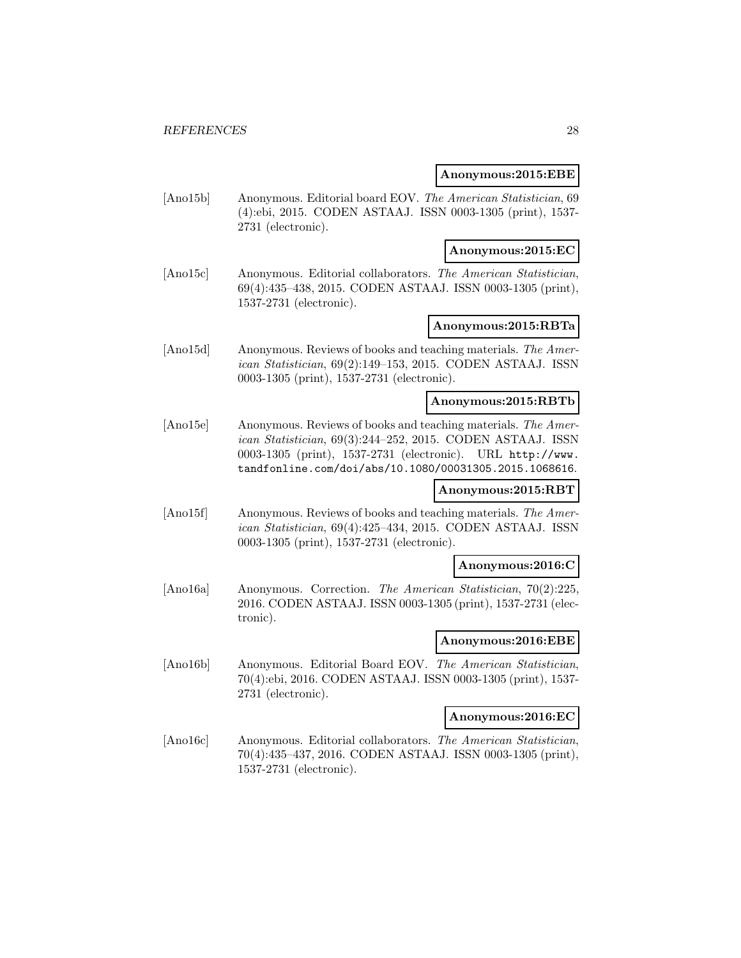#### **Anonymous:2015:EBE**

[Ano15b] Anonymous. Editorial board EOV. The American Statistician, 69 (4):ebi, 2015. CODEN ASTAAJ. ISSN 0003-1305 (print), 1537- 2731 (electronic).

## **Anonymous:2015:EC**

[Ano15c] Anonymous. Editorial collaborators. The American Statistician, 69(4):435–438, 2015. CODEN ASTAAJ. ISSN 0003-1305 (print), 1537-2731 (electronic).

## **Anonymous:2015:RBTa**

[Ano15d] Anonymous. Reviews of books and teaching materials. The American Statistician, 69(2):149–153, 2015. CODEN ASTAAJ. ISSN 0003-1305 (print), 1537-2731 (electronic).

## **Anonymous:2015:RBTb**

[Ano15e] Anonymous. Reviews of books and teaching materials. The American Statistician, 69(3):244–252, 2015. CODEN ASTAAJ. ISSN 0003-1305 (print), 1537-2731 (electronic). URL http://www. tandfonline.com/doi/abs/10.1080/00031305.2015.1068616.

## **Anonymous:2015:RBT**

[Ano15f] Anonymous. Reviews of books and teaching materials. The American Statistician, 69(4):425–434, 2015. CODEN ASTAAJ. ISSN 0003-1305 (print), 1537-2731 (electronic).

#### **Anonymous:2016:C**

[Ano16a] Anonymous. Correction. The American Statistician, 70(2):225, 2016. CODEN ASTAAJ. ISSN 0003-1305 (print), 1537-2731 (electronic).

#### **Anonymous:2016:EBE**

[Ano16b] Anonymous. Editorial Board EOV. The American Statistician, 70(4):ebi, 2016. CODEN ASTAAJ. ISSN 0003-1305 (print), 1537- 2731 (electronic).

## **Anonymous:2016:EC**

[Ano16c] Anonymous. Editorial collaborators. The American Statistician, 70(4):435–437, 2016. CODEN ASTAAJ. ISSN 0003-1305 (print), 1537-2731 (electronic).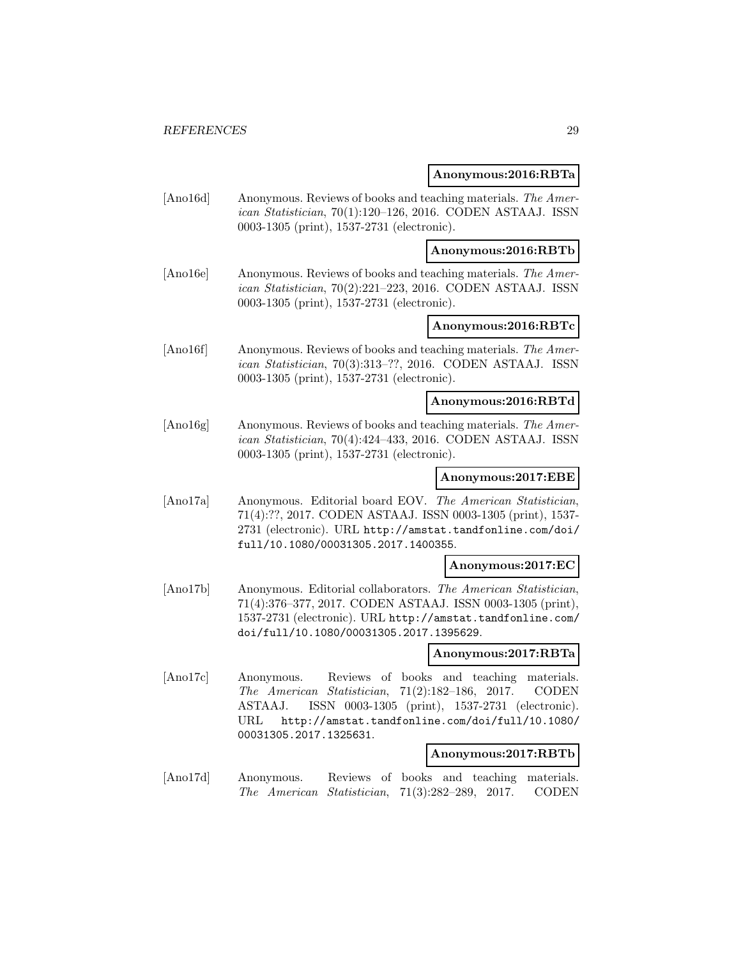#### **Anonymous:2016:RBTa**

[Ano16d] Anonymous. Reviews of books and teaching materials. The American Statistician, 70(1):120–126, 2016. CODEN ASTAAJ. ISSN 0003-1305 (print), 1537-2731 (electronic).

**Anonymous:2016:RBTb**

[Ano16e] Anonymous. Reviews of books and teaching materials. The American Statistician, 70(2):221–223, 2016. CODEN ASTAAJ. ISSN 0003-1305 (print), 1537-2731 (electronic).

## **Anonymous:2016:RBTc**

[Ano16f] Anonymous. Reviews of books and teaching materials. The American Statistician, 70(3):313–??, 2016. CODEN ASTAAJ. ISSN 0003-1305 (print), 1537-2731 (electronic).

## **Anonymous:2016:RBTd**

[Ano16g] Anonymous. Reviews of books and teaching materials. The American Statistician, 70(4):424–433, 2016. CODEN ASTAAJ. ISSN 0003-1305 (print), 1537-2731 (electronic).

## **Anonymous:2017:EBE**

[Ano17a] Anonymous. Editorial board EOV. The American Statistician, 71(4):??, 2017. CODEN ASTAAJ. ISSN 0003-1305 (print), 1537- 2731 (electronic). URL http://amstat.tandfonline.com/doi/ full/10.1080/00031305.2017.1400355.

#### **Anonymous:2017:EC**

[Ano17b] Anonymous. Editorial collaborators. The American Statistician, 71(4):376–377, 2017. CODEN ASTAAJ. ISSN 0003-1305 (print), 1537-2731 (electronic). URL http://amstat.tandfonline.com/ doi/full/10.1080/00031305.2017.1395629.

## **Anonymous:2017:RBTa**

[Ano17c] Anonymous. Reviews of books and teaching materials. The American Statistician, 71(2):182–186, 2017. CODEN ASTAAJ. ISSN 0003-1305 (print), 1537-2731 (electronic). URL http://amstat.tandfonline.com/doi/full/10.1080/ 00031305.2017.1325631.

#### **Anonymous:2017:RBTb**

[Ano17d] Anonymous. Reviews of books and teaching materials. The American Statistician, 71(3):282–289, 2017. CODEN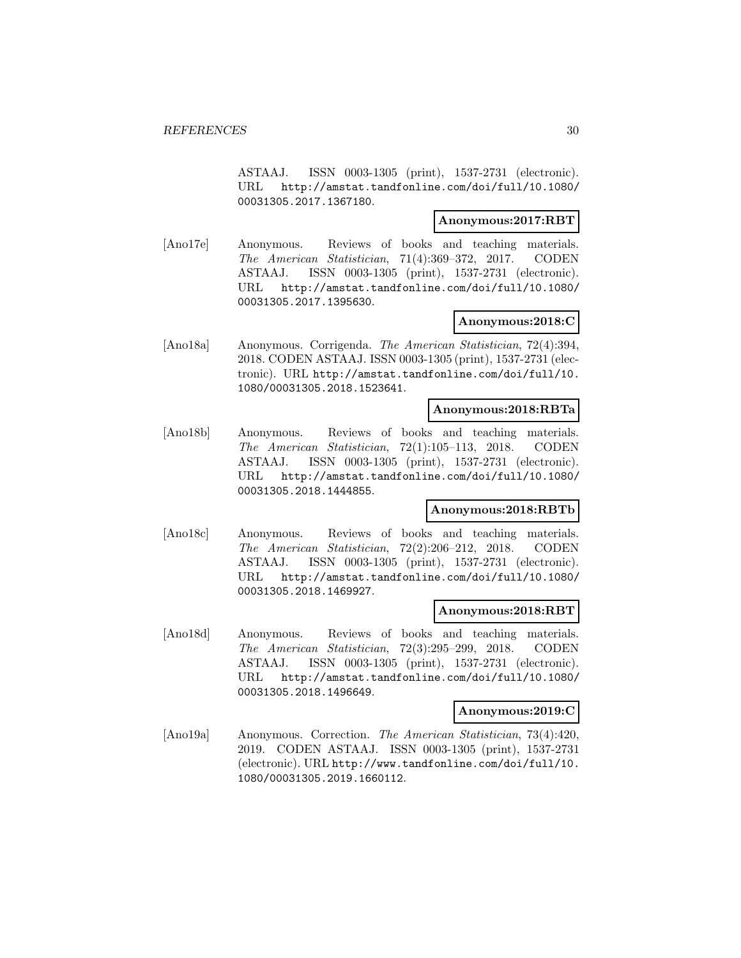ASTAAJ. ISSN 0003-1305 (print), 1537-2731 (electronic). URL http://amstat.tandfonline.com/doi/full/10.1080/ 00031305.2017.1367180.

## **Anonymous:2017:RBT**

[Ano17e] Anonymous. Reviews of books and teaching materials. The American Statistician, 71(4):369–372, 2017. CODEN ASTAAJ. ISSN 0003-1305 (print), 1537-2731 (electronic). URL http://amstat.tandfonline.com/doi/full/10.1080/ 00031305.2017.1395630.

## **Anonymous:2018:C**

[Ano18a] Anonymous. Corrigenda. The American Statistician, 72(4):394, 2018. CODEN ASTAAJ. ISSN 0003-1305 (print), 1537-2731 (electronic). URL http://amstat.tandfonline.com/doi/full/10. 1080/00031305.2018.1523641.

## **Anonymous:2018:RBTa**

[Ano18b] Anonymous. Reviews of books and teaching materials. The American Statistician, 72(1):105–113, 2018. CODEN ASTAAJ. ISSN 0003-1305 (print), 1537-2731 (electronic). URL http://amstat.tandfonline.com/doi/full/10.1080/ 00031305.2018.1444855.

## **Anonymous:2018:RBTb**

[Ano18c] Anonymous. Reviews of books and teaching materials. The American Statistician, 72(2):206–212, 2018. CODEN ASTAAJ. ISSN 0003-1305 (print), 1537-2731 (electronic). URL http://amstat.tandfonline.com/doi/full/10.1080/ 00031305.2018.1469927.

## **Anonymous:2018:RBT**

[Ano18d] Anonymous. Reviews of books and teaching materials. The American Statistician, 72(3):295–299, 2018. CODEN ASTAAJ. ISSN 0003-1305 (print), 1537-2731 (electronic). URL http://amstat.tandfonline.com/doi/full/10.1080/ 00031305.2018.1496649.

#### **Anonymous:2019:C**

[Ano19a] Anonymous. Correction. The American Statistician, 73(4):420, 2019. CODEN ASTAAJ. ISSN 0003-1305 (print), 1537-2731 (electronic). URL http://www.tandfonline.com/doi/full/10. 1080/00031305.2019.1660112.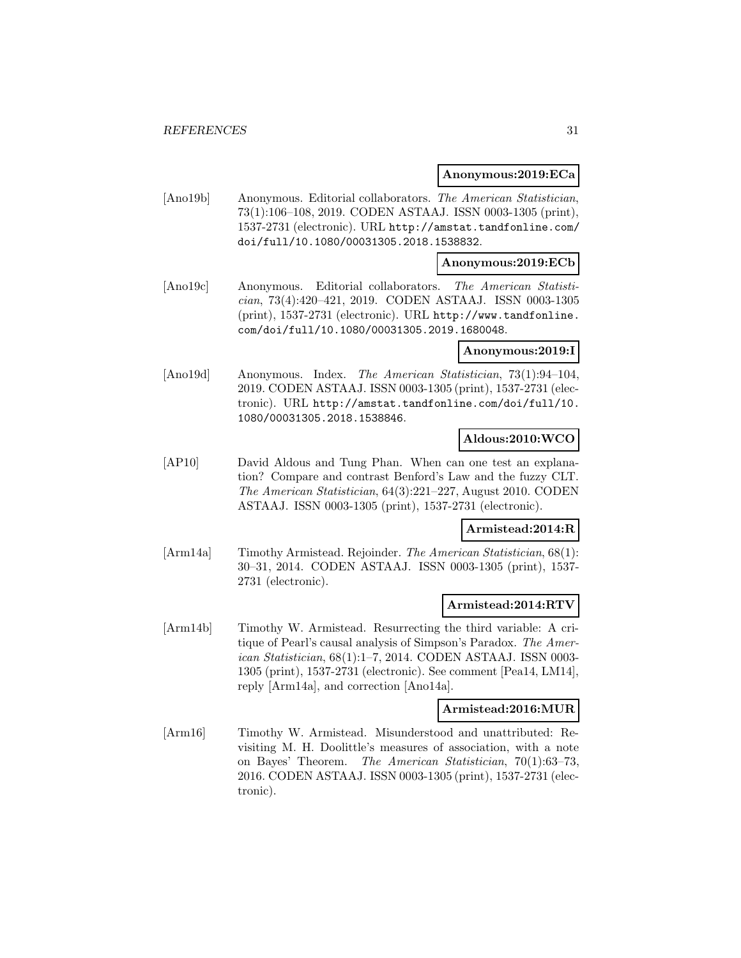#### **Anonymous:2019:ECa**

[Ano19b] Anonymous. Editorial collaborators. The American Statistician, 73(1):106–108, 2019. CODEN ASTAAJ. ISSN 0003-1305 (print), 1537-2731 (electronic). URL http://amstat.tandfonline.com/ doi/full/10.1080/00031305.2018.1538832.

## **Anonymous:2019:ECb**

[Ano19c] Anonymous. Editorial collaborators. The American Statistician, 73(4):420–421, 2019. CODEN ASTAAJ. ISSN 0003-1305 (print), 1537-2731 (electronic). URL http://www.tandfonline. com/doi/full/10.1080/00031305.2019.1680048.

## **Anonymous:2019:I**

[Ano19d] Anonymous. Index. The American Statistician, 73(1):94–104, 2019. CODEN ASTAAJ. ISSN 0003-1305 (print), 1537-2731 (electronic). URL http://amstat.tandfonline.com/doi/full/10. 1080/00031305.2018.1538846.

## **Aldous:2010:WCO**

[AP10] David Aldous and Tung Phan. When can one test an explanation? Compare and contrast Benford's Law and the fuzzy CLT. The American Statistician, 64(3):221–227, August 2010. CODEN ASTAAJ. ISSN 0003-1305 (print), 1537-2731 (electronic).

## **Armistead:2014:R**

[Arm14a] Timothy Armistead. Rejoinder. The American Statistician, 68(1): 30–31, 2014. CODEN ASTAAJ. ISSN 0003-1305 (print), 1537- 2731 (electronic).

## **Armistead:2014:RTV**

[Arm14b] Timothy W. Armistead. Resurrecting the third variable: A critique of Pearl's causal analysis of Simpson's Paradox. The American Statistician, 68(1):1–7, 2014. CODEN ASTAAJ. ISSN 0003- 1305 (print), 1537-2731 (electronic). See comment [Pea14, LM14], reply [Arm14a], and correction [Ano14a].

## **Armistead:2016:MUR**

[Arm16] Timothy W. Armistead. Misunderstood and unattributed: Revisiting M. H. Doolittle's measures of association, with a note on Bayes' Theorem. The American Statistician, 70(1):63–73, 2016. CODEN ASTAAJ. ISSN 0003-1305 (print), 1537-2731 (electronic).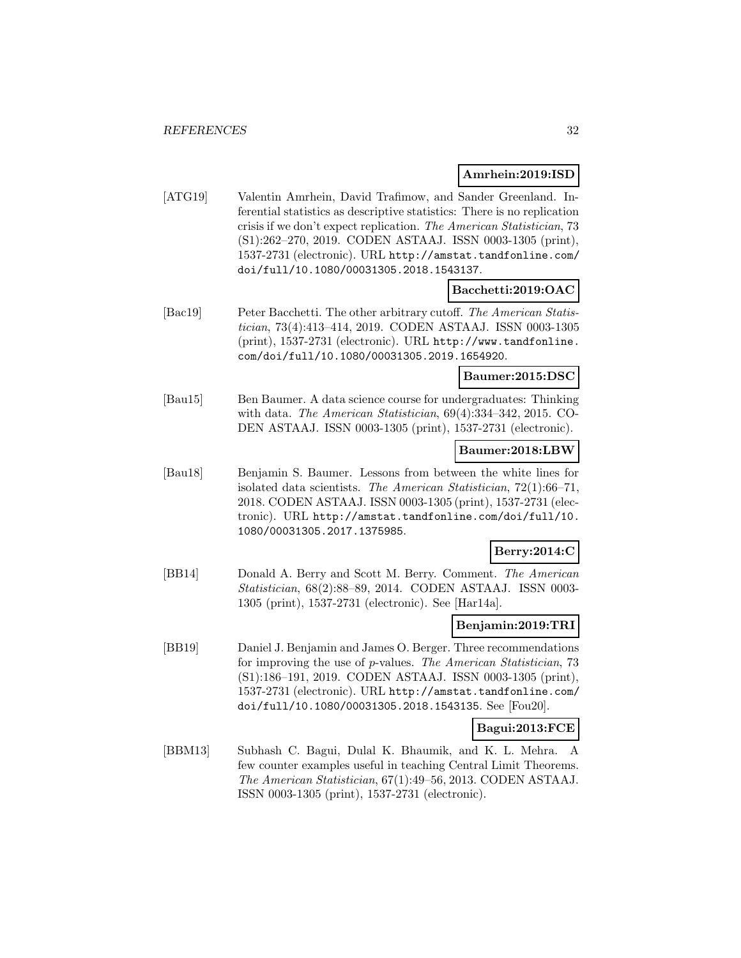## **Amrhein:2019:ISD**

[ATG19] Valentin Amrhein, David Trafimow, and Sander Greenland. Inferential statistics as descriptive statistics: There is no replication crisis if we don't expect replication. The American Statistician, 73 (S1):262–270, 2019. CODEN ASTAAJ. ISSN 0003-1305 (print), 1537-2731 (electronic). URL http://amstat.tandfonline.com/ doi/full/10.1080/00031305.2018.1543137.

## **Bacchetti:2019:OAC**

[Bac19] Peter Bacchetti. The other arbitrary cutoff. The American Statistician, 73(4):413–414, 2019. CODEN ASTAAJ. ISSN 0003-1305 (print), 1537-2731 (electronic). URL http://www.tandfonline. com/doi/full/10.1080/00031305.2019.1654920.

## **Baumer:2015:DSC**

[Bau15] Ben Baumer. A data science course for undergraduates: Thinking with data. The American Statistician, 69(4):334–342, 2015. CO-DEN ASTAAJ. ISSN 0003-1305 (print), 1537-2731 (electronic).

## **Baumer:2018:LBW**

[Bau18] Benjamin S. Baumer. Lessons from between the white lines for isolated data scientists. The American Statistician, 72(1):66–71, 2018. CODEN ASTAAJ. ISSN 0003-1305 (print), 1537-2731 (electronic). URL http://amstat.tandfonline.com/doi/full/10. 1080/00031305.2017.1375985.

#### **Berry:2014:C**

[BB14] Donald A. Berry and Scott M. Berry. Comment. The American Statistician, 68(2):88–89, 2014. CODEN ASTAAJ. ISSN 0003- 1305 (print), 1537-2731 (electronic). See [Har14a].

## **Benjamin:2019:TRI**

[BB19] Daniel J. Benjamin and James O. Berger. Three recommendations for improving the use of p-values. The American Statistician, 73 (S1):186–191, 2019. CODEN ASTAAJ. ISSN 0003-1305 (print), 1537-2731 (electronic). URL http://amstat.tandfonline.com/ doi/full/10.1080/00031305.2018.1543135. See [Fou20].

## **Bagui:2013:FCE**

[BBM13] Subhash C. Bagui, Dulal K. Bhaumik, and K. L. Mehra. A few counter examples useful in teaching Central Limit Theorems. The American Statistician, 67(1):49–56, 2013. CODEN ASTAAJ. ISSN 0003-1305 (print), 1537-2731 (electronic).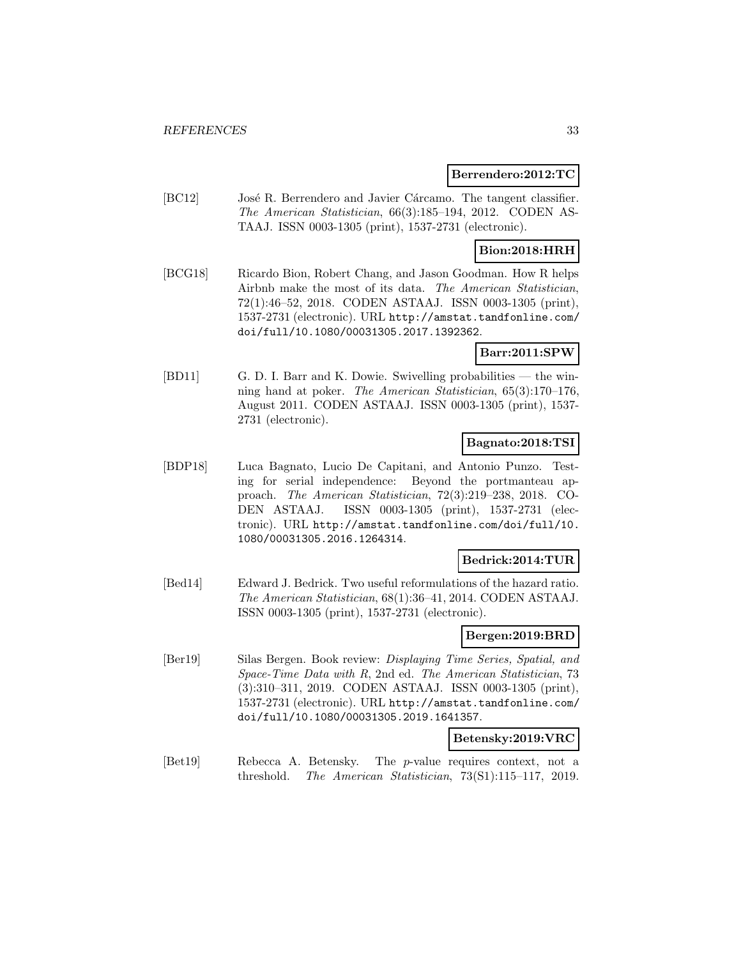## **Berrendero:2012:TC**

[BC12] José R. Berrendero and Javier Cárcamo. The tangent classifier. The American Statistician, 66(3):185–194, 2012. CODEN AS-TAAJ. ISSN 0003-1305 (print), 1537-2731 (electronic).

## **Bion:2018:HRH**

[BCG18] Ricardo Bion, Robert Chang, and Jason Goodman. How R helps Airbnb make the most of its data. The American Statistician, 72(1):46–52, 2018. CODEN ASTAAJ. ISSN 0003-1305 (print), 1537-2731 (electronic). URL http://amstat.tandfonline.com/ doi/full/10.1080/00031305.2017.1392362.

## **Barr:2011:SPW**

[BD11] G. D. I. Barr and K. Dowie. Swivelling probabilities — the winning hand at poker. The American Statistician, 65(3):170–176, August 2011. CODEN ASTAAJ. ISSN 0003-1305 (print), 1537- 2731 (electronic).

## **Bagnato:2018:TSI**

[BDP18] Luca Bagnato, Lucio De Capitani, and Antonio Punzo. Testing for serial independence: Beyond the portmanteau approach. The American Statistician, 72(3):219–238, 2018. CO-DEN ASTAAJ. ISSN 0003-1305 (print), 1537-2731 (electronic). URL http://amstat.tandfonline.com/doi/full/10. 1080/00031305.2016.1264314.

## **Bedrick:2014:TUR**

[Bed14] Edward J. Bedrick. Two useful reformulations of the hazard ratio. The American Statistician, 68(1):36–41, 2014. CODEN ASTAAJ. ISSN 0003-1305 (print), 1537-2731 (electronic).

## **Bergen:2019:BRD**

[Ber19] Silas Bergen. Book review: Displaying Time Series, Spatial, and Space-Time Data with R, 2nd ed. The American Statistician, 73 (3):310–311, 2019. CODEN ASTAAJ. ISSN 0003-1305 (print), 1537-2731 (electronic). URL http://amstat.tandfonline.com/ doi/full/10.1080/00031305.2019.1641357.

## **Betensky:2019:VRC**

[Bet19] Rebecca A. Betensky. The p-value requires context, not a threshold. The American Statistician, 73(S1):115–117, 2019.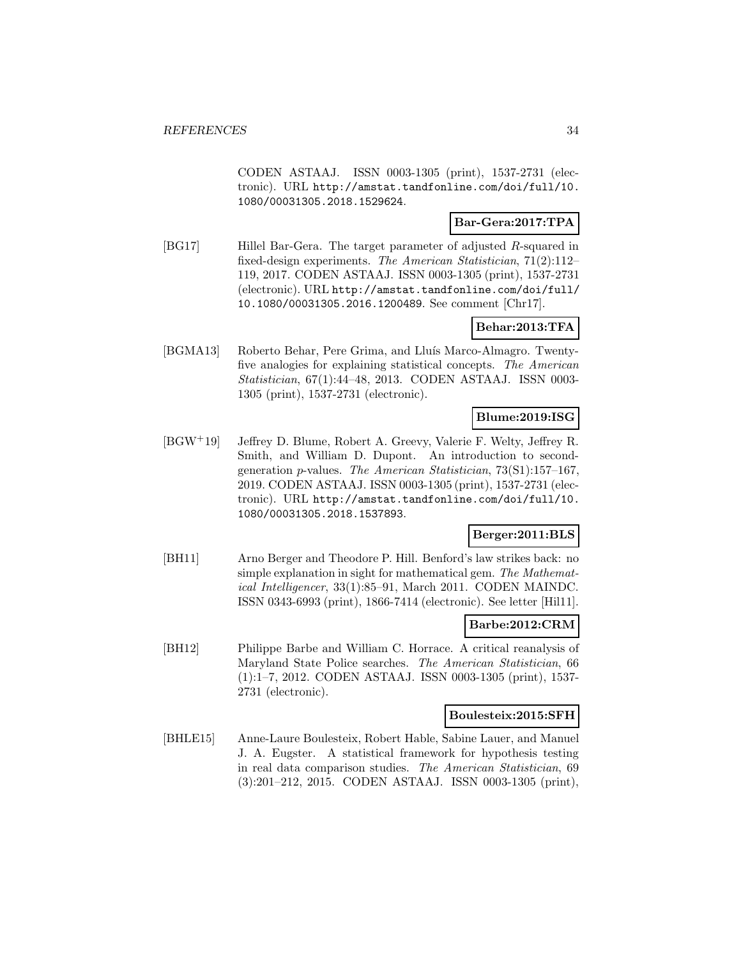CODEN ASTAAJ. ISSN 0003-1305 (print), 1537-2731 (electronic). URL http://amstat.tandfonline.com/doi/full/10. 1080/00031305.2018.1529624.

## **Bar-Gera:2017:TPA**

[BG17] Hillel Bar-Gera. The target parameter of adjusted R-squared in fixed-design experiments. The American Statistician, 71(2):112– 119, 2017. CODEN ASTAAJ. ISSN 0003-1305 (print), 1537-2731 (electronic). URL http://amstat.tandfonline.com/doi/full/ 10.1080/00031305.2016.1200489. See comment [Chr17].

## **Behar:2013:TFA**

[BGMA13] Roberto Behar, Pere Grima, and Lluís Marco-Almagro. Twentyfive analogies for explaining statistical concepts. The American Statistician, 67(1):44–48, 2013. CODEN ASTAAJ. ISSN 0003- 1305 (print), 1537-2731 (electronic).

## **Blume:2019:ISG**

[BGW<sup>+</sup>19] Jeffrey D. Blume, Robert A. Greevy, Valerie F. Welty, Jeffrey R. Smith, and William D. Dupont. An introduction to secondgeneration p-values. The American Statistician, 73(S1):157–167, 2019. CODEN ASTAAJ. ISSN 0003-1305 (print), 1537-2731 (electronic). URL http://amstat.tandfonline.com/doi/full/10. 1080/00031305.2018.1537893.

## **Berger:2011:BLS**

[BH11] Arno Berger and Theodore P. Hill. Benford's law strikes back: no simple explanation in sight for mathematical gem. The Mathematical Intelligencer, 33(1):85–91, March 2011. CODEN MAINDC. ISSN 0343-6993 (print), 1866-7414 (electronic). See letter [Hil11].

## **Barbe:2012:CRM**

[BH12] Philippe Barbe and William C. Horrace. A critical reanalysis of Maryland State Police searches. The American Statistician, 66 (1):1–7, 2012. CODEN ASTAAJ. ISSN 0003-1305 (print), 1537- 2731 (electronic).

#### **Boulesteix:2015:SFH**

[BHLE15] Anne-Laure Boulesteix, Robert Hable, Sabine Lauer, and Manuel J. A. Eugster. A statistical framework for hypothesis testing in real data comparison studies. The American Statistician, 69 (3):201–212, 2015. CODEN ASTAAJ. ISSN 0003-1305 (print),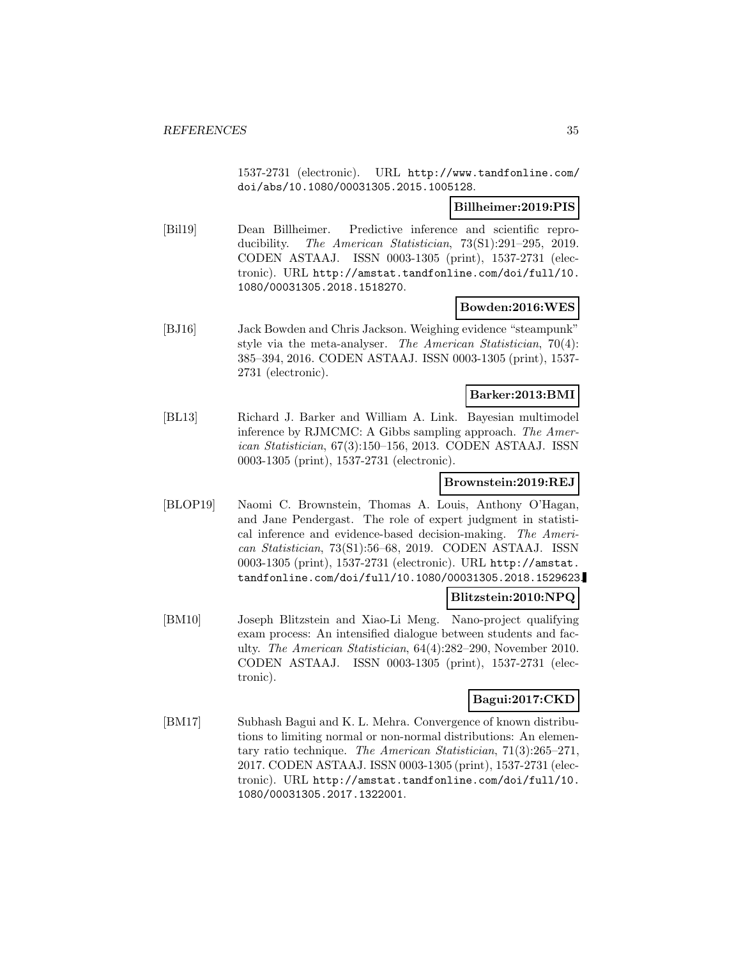1537-2731 (electronic). URL http://www.tandfonline.com/ doi/abs/10.1080/00031305.2015.1005128.

## **Billheimer:2019:PIS**

[Bil19] Dean Billheimer. Predictive inference and scientific reproducibility. The American Statistician, 73(S1):291–295, 2019. CODEN ASTAAJ. ISSN 0003-1305 (print), 1537-2731 (electronic). URL http://amstat.tandfonline.com/doi/full/10. 1080/00031305.2018.1518270.

## **Bowden:2016:WES**

[BJ16] Jack Bowden and Chris Jackson. Weighing evidence "steampunk" style via the meta-analyser. The American Statistician, 70(4): 385–394, 2016. CODEN ASTAAJ. ISSN 0003-1305 (print), 1537- 2731 (electronic).

## **Barker:2013:BMI**

[BL13] Richard J. Barker and William A. Link. Bayesian multimodel inference by RJMCMC: A Gibbs sampling approach. The American Statistician, 67(3):150–156, 2013. CODEN ASTAAJ. ISSN 0003-1305 (print), 1537-2731 (electronic).

## **Brownstein:2019:REJ**

[BLOP19] Naomi C. Brownstein, Thomas A. Louis, Anthony O'Hagan, and Jane Pendergast. The role of expert judgment in statistical inference and evidence-based decision-making. The American Statistician, 73(S1):56–68, 2019. CODEN ASTAAJ. ISSN 0003-1305 (print), 1537-2731 (electronic). URL http://amstat. tandfonline.com/doi/full/10.1080/00031305.2018.1529623.

## **Blitzstein:2010:NPQ**

[BM10] Joseph Blitzstein and Xiao-Li Meng. Nano-project qualifying exam process: An intensified dialogue between students and faculty. The American Statistician, 64(4):282–290, November 2010. CODEN ASTAAJ. ISSN 0003-1305 (print), 1537-2731 (electronic).

## **Bagui:2017:CKD**

[BM17] Subhash Bagui and K. L. Mehra. Convergence of known distributions to limiting normal or non-normal distributions: An elementary ratio technique. The American Statistician, 71(3):265–271, 2017. CODEN ASTAAJ. ISSN 0003-1305 (print), 1537-2731 (electronic). URL http://amstat.tandfonline.com/doi/full/10. 1080/00031305.2017.1322001.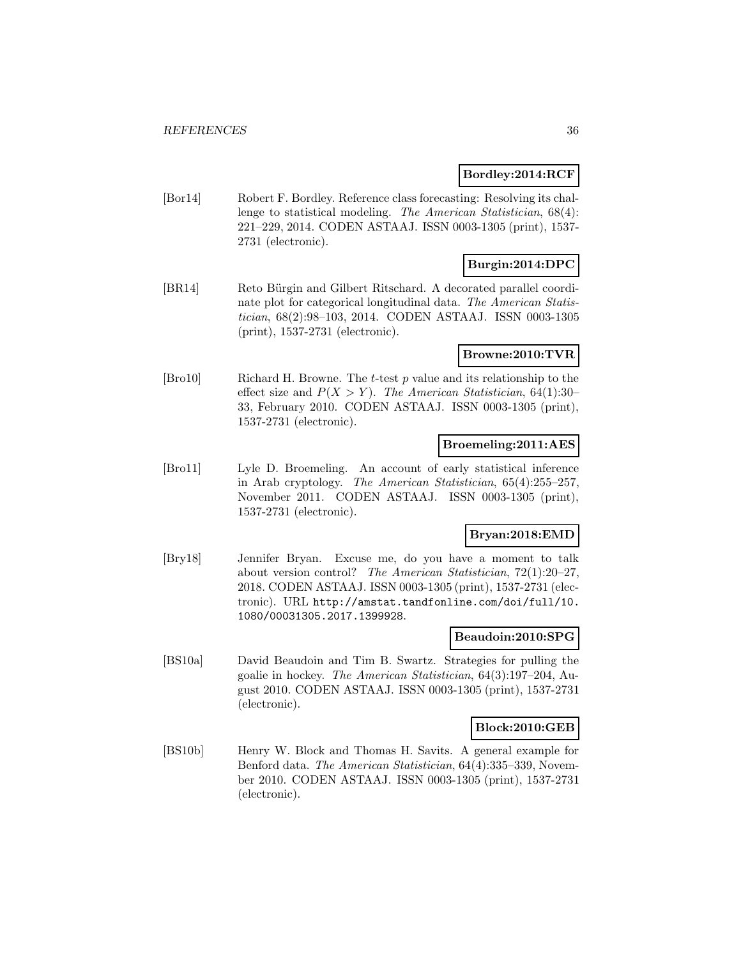## **Bordley:2014:RCF**

[Bor14] Robert F. Bordley. Reference class forecasting: Resolving its challenge to statistical modeling. The American Statistician, 68(4): 221–229, 2014. CODEN ASTAAJ. ISSN 0003-1305 (print), 1537- 2731 (electronic).

## **Burgin:2014:DPC**

[BR14] Reto Bürgin and Gilbert Ritschard. A decorated parallel coordinate plot for categorical longitudinal data. The American Statistician, 68(2):98–103, 2014. CODEN ASTAAJ. ISSN 0003-1305 (print), 1537-2731 (electronic).

## **Browne:2010:TVR**

[Bro10] Richard H. Browne. The t-test p value and its relationship to the effect size and  $P(X > Y)$ . The American Statistician, 64(1):30– 33, February 2010. CODEN ASTAAJ. ISSN 0003-1305 (print), 1537-2731 (electronic).

## **Broemeling:2011:AES**

[Bro11] Lyle D. Broemeling. An account of early statistical inference in Arab cryptology. The American Statistician, 65(4):255–257, November 2011. CODEN ASTAAJ. ISSN 0003-1305 (print), 1537-2731 (electronic).

## **Bryan:2018:EMD**

[Bry18] Jennifer Bryan. Excuse me, do you have a moment to talk about version control? The American Statistician, 72(1):20–27, 2018. CODEN ASTAAJ. ISSN 0003-1305 (print), 1537-2731 (electronic). URL http://amstat.tandfonline.com/doi/full/10. 1080/00031305.2017.1399928.

## **Beaudoin:2010:SPG**

[BS10a] David Beaudoin and Tim B. Swartz. Strategies for pulling the goalie in hockey. The American Statistician, 64(3):197–204, August 2010. CODEN ASTAAJ. ISSN 0003-1305 (print), 1537-2731 (electronic).

## **Block:2010:GEB**

[BS10b] Henry W. Block and Thomas H. Savits. A general example for Benford data. The American Statistician, 64(4):335–339, November 2010. CODEN ASTAAJ. ISSN 0003-1305 (print), 1537-2731 (electronic).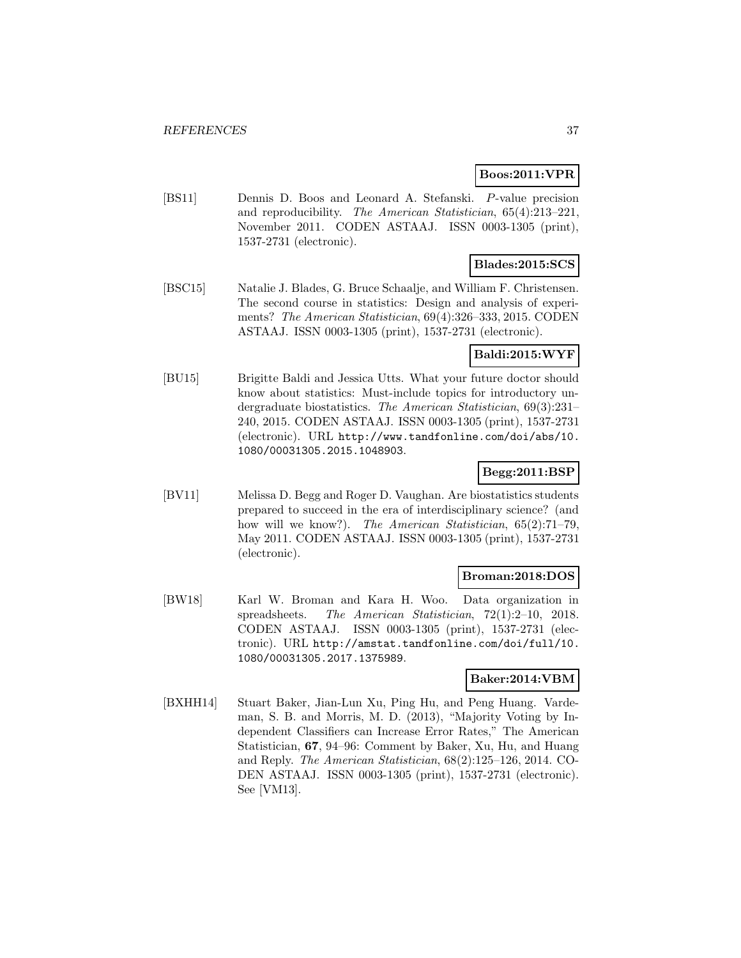#### **Boos:2011:VPR**

[BS11] Dennis D. Boos and Leonard A. Stefanski. P-value precision and reproducibility. The American Statistician, 65(4):213–221, November 2011. CODEN ASTAAJ. ISSN 0003-1305 (print), 1537-2731 (electronic).

# **Blades:2015:SCS**

[BSC15] Natalie J. Blades, G. Bruce Schaalje, and William F. Christensen. The second course in statistics: Design and analysis of experiments? The American Statistician, 69(4):326–333, 2015. CODEN ASTAAJ. ISSN 0003-1305 (print), 1537-2731 (electronic).

### **Baldi:2015:WYF**

[BU15] Brigitte Baldi and Jessica Utts. What your future doctor should know about statistics: Must-include topics for introductory undergraduate biostatistics. The American Statistician, 69(3):231– 240, 2015. CODEN ASTAAJ. ISSN 0003-1305 (print), 1537-2731 (electronic). URL http://www.tandfonline.com/doi/abs/10. 1080/00031305.2015.1048903.

### **Begg:2011:BSP**

[BV11] Melissa D. Begg and Roger D. Vaughan. Are biostatistics students prepared to succeed in the era of interdisciplinary science? (and how will we know?). The American Statistician, 65(2):71-79, May 2011. CODEN ASTAAJ. ISSN 0003-1305 (print), 1537-2731 (electronic).

### **Broman:2018:DOS**

[BW18] Karl W. Broman and Kara H. Woo. Data organization in spreadsheets. The American Statistician, 72(1):2–10, 2018. CODEN ASTAAJ. ISSN 0003-1305 (print), 1537-2731 (electronic). URL http://amstat.tandfonline.com/doi/full/10. 1080/00031305.2017.1375989.

### **Baker:2014:VBM**

[BXHH14] Stuart Baker, Jian-Lun Xu, Ping Hu, and Peng Huang. Vardeman, S. B. and Morris, M. D. (2013), "Majority Voting by Independent Classifiers can Increase Error Rates," The American Statistician, **67**, 94–96: Comment by Baker, Xu, Hu, and Huang and Reply. The American Statistician, 68(2):125–126, 2014. CO-DEN ASTAAJ. ISSN 0003-1305 (print), 1537-2731 (electronic). See [VM13].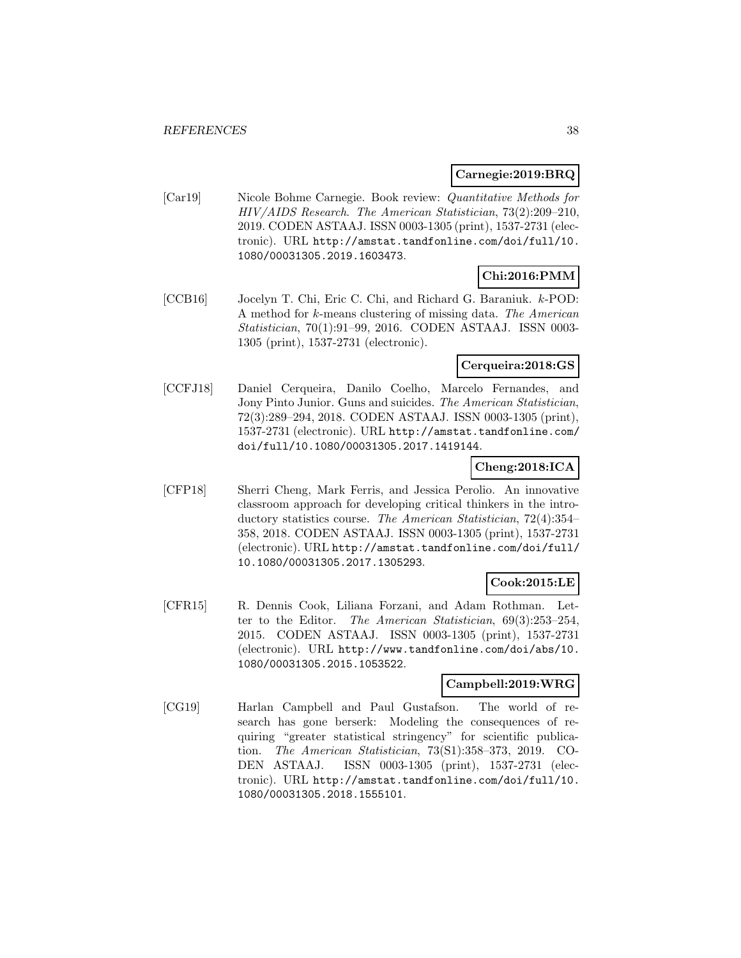### **Carnegie:2019:BRQ**

[Car19] Nicole Bohme Carnegie. Book review: Quantitative Methods for HIV/AIDS Research. The American Statistician, 73(2):209–210, 2019. CODEN ASTAAJ. ISSN 0003-1305 (print), 1537-2731 (electronic). URL http://amstat.tandfonline.com/doi/full/10. 1080/00031305.2019.1603473.

# **Chi:2016:PMM**

[CCB16] Jocelyn T. Chi, Eric C. Chi, and Richard G. Baraniuk. k-POD: A method for k-means clustering of missing data. The American Statistician, 70(1):91–99, 2016. CODEN ASTAAJ. ISSN 0003- 1305 (print), 1537-2731 (electronic).

### **Cerqueira:2018:GS**

[CCFJ18] Daniel Cerqueira, Danilo Coelho, Marcelo Fernandes, and Jony Pinto Junior. Guns and suicides. The American Statistician, 72(3):289–294, 2018. CODEN ASTAAJ. ISSN 0003-1305 (print), 1537-2731 (electronic). URL http://amstat.tandfonline.com/ doi/full/10.1080/00031305.2017.1419144.

# **Cheng:2018:ICA**

[CFP18] Sherri Cheng, Mark Ferris, and Jessica Perolio. An innovative classroom approach for developing critical thinkers in the introductory statistics course. The American Statistician, 72(4):354– 358, 2018. CODEN ASTAAJ. ISSN 0003-1305 (print), 1537-2731 (electronic). URL http://amstat.tandfonline.com/doi/full/ 10.1080/00031305.2017.1305293.

### **Cook:2015:LE**

[CFR15] R. Dennis Cook, Liliana Forzani, and Adam Rothman. Letter to the Editor. The American Statistician, 69(3):253–254, 2015. CODEN ASTAAJ. ISSN 0003-1305 (print), 1537-2731 (electronic). URL http://www.tandfonline.com/doi/abs/10. 1080/00031305.2015.1053522.

# **Campbell:2019:WRG**

[CG19] Harlan Campbell and Paul Gustafson. The world of research has gone berserk: Modeling the consequences of requiring "greater statistical stringency" for scientific publication. The American Statistician, 73(S1):358–373, 2019. CO-DEN ASTAAJ. ISSN 0003-1305 (print), 1537-2731 (electronic). URL http://amstat.tandfonline.com/doi/full/10. 1080/00031305.2018.1555101.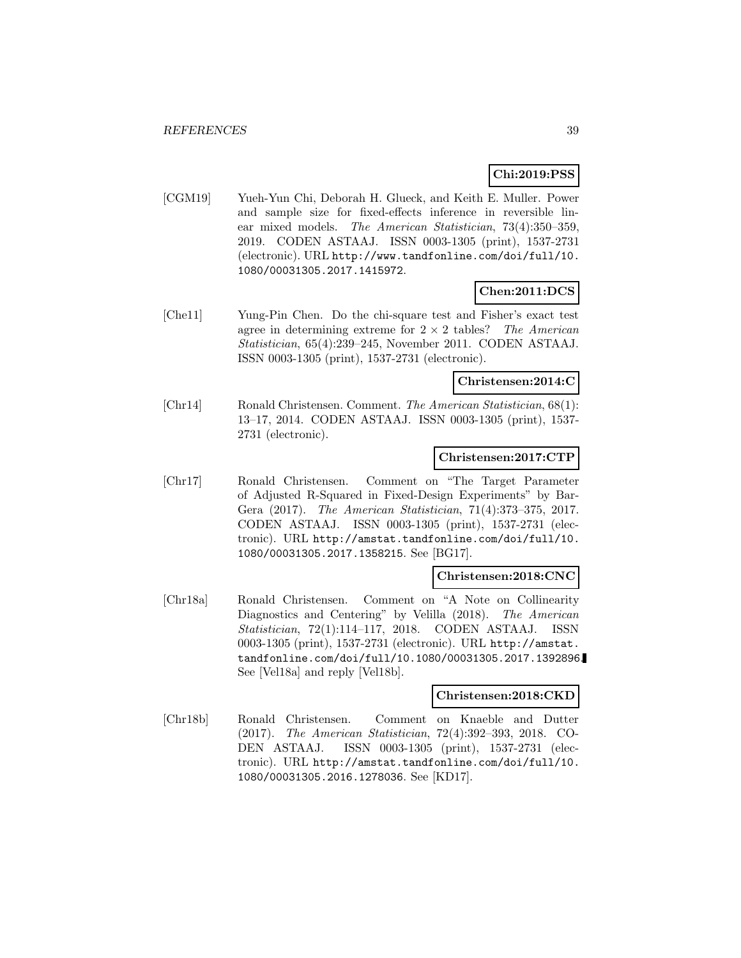# **Chi:2019:PSS**

[CGM19] Yueh-Yun Chi, Deborah H. Glueck, and Keith E. Muller. Power and sample size for fixed-effects inference in reversible linear mixed models. The American Statistician, 73(4):350–359, 2019. CODEN ASTAAJ. ISSN 0003-1305 (print), 1537-2731 (electronic). URL http://www.tandfonline.com/doi/full/10. 1080/00031305.2017.1415972.

# **Chen:2011:DCS**

[Che11] Yung-Pin Chen. Do the chi-square test and Fisher's exact test agree in determining extreme for  $2 \times 2$  tables? The American Statistician, 65(4):239–245, November 2011. CODEN ASTAAJ. ISSN 0003-1305 (print), 1537-2731 (electronic).

#### **Christensen:2014:C**

[Chr14] Ronald Christensen. Comment. The American Statistician, 68(1): 13–17, 2014. CODEN ASTAAJ. ISSN 0003-1305 (print), 1537- 2731 (electronic).

#### **Christensen:2017:CTP**

[Chr17] Ronald Christensen. Comment on "The Target Parameter of Adjusted R-Squared in Fixed-Design Experiments" by Bar-Gera (2017). The American Statistician, 71(4):373–375, 2017. CODEN ASTAAJ. ISSN 0003-1305 (print), 1537-2731 (electronic). URL http://amstat.tandfonline.com/doi/full/10. 1080/00031305.2017.1358215. See [BG17].

### **Christensen:2018:CNC**

[Chr18a] Ronald Christensen. Comment on "A Note on Collinearity Diagnostics and Centering" by Velilla (2018). The American Statistician, 72(1):114–117, 2018. CODEN ASTAAJ. ISSN 0003-1305 (print), 1537-2731 (electronic). URL http://amstat. tandfonline.com/doi/full/10.1080/00031305.2017.1392896. See [Vel18a] and reply [Vel18b].

#### **Christensen:2018:CKD**

[Chr18b] Ronald Christensen. Comment on Knaeble and Dutter (2017). The American Statistician, 72(4):392–393, 2018. CO-DEN ASTAAJ. ISSN 0003-1305 (print), 1537-2731 (electronic). URL http://amstat.tandfonline.com/doi/full/10. 1080/00031305.2016.1278036. See [KD17].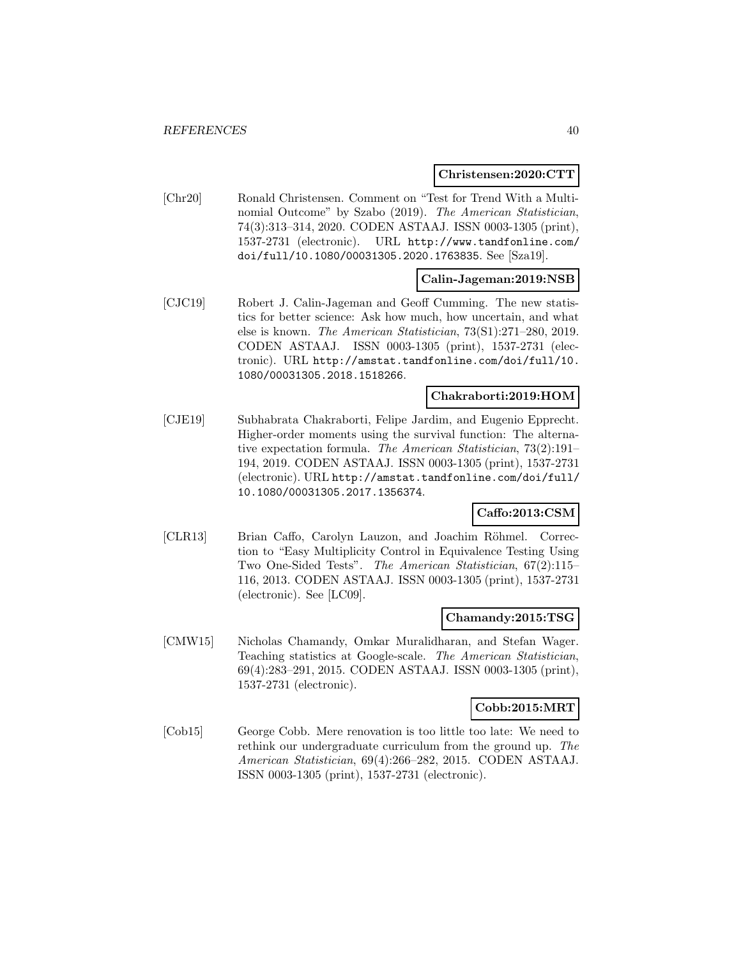#### **Christensen:2020:CTT**

[Chr20] Ronald Christensen. Comment on "Test for Trend With a Multinomial Outcome" by Szabo (2019). The American Statistician, 74(3):313–314, 2020. CODEN ASTAAJ. ISSN 0003-1305 (print), 1537-2731 (electronic). URL http://www.tandfonline.com/ doi/full/10.1080/00031305.2020.1763835. See [Sza19].

### **Calin-Jageman:2019:NSB**

[CJC19] Robert J. Calin-Jageman and Geoff Cumming. The new statistics for better science: Ask how much, how uncertain, and what else is known. The American Statistician, 73(S1):271–280, 2019. CODEN ASTAAJ. ISSN 0003-1305 (print), 1537-2731 (electronic). URL http://amstat.tandfonline.com/doi/full/10. 1080/00031305.2018.1518266.

### **Chakraborti:2019:HOM**

[CJE19] Subhabrata Chakraborti, Felipe Jardim, and Eugenio Epprecht. Higher-order moments using the survival function: The alternative expectation formula. The American Statistician, 73(2):191– 194, 2019. CODEN ASTAAJ. ISSN 0003-1305 (print), 1537-2731 (electronic). URL http://amstat.tandfonline.com/doi/full/ 10.1080/00031305.2017.1356374.

### **Caffo:2013:CSM**

[CLR13] Brian Caffo, Carolyn Lauzon, and Joachim Röhmel. Correction to "Easy Multiplicity Control in Equivalence Testing Using Two One-Sided Tests". The American Statistician, 67(2):115– 116, 2013. CODEN ASTAAJ. ISSN 0003-1305 (print), 1537-2731 (electronic). See [LC09].

#### **Chamandy:2015:TSG**

[CMW15] Nicholas Chamandy, Omkar Muralidharan, and Stefan Wager. Teaching statistics at Google-scale. The American Statistician, 69(4):283–291, 2015. CODEN ASTAAJ. ISSN 0003-1305 (print), 1537-2731 (electronic).

#### **Cobb:2015:MRT**

[Cob15] George Cobb. Mere renovation is too little too late: We need to rethink our undergraduate curriculum from the ground up. The American Statistician, 69(4):266–282, 2015. CODEN ASTAAJ. ISSN 0003-1305 (print), 1537-2731 (electronic).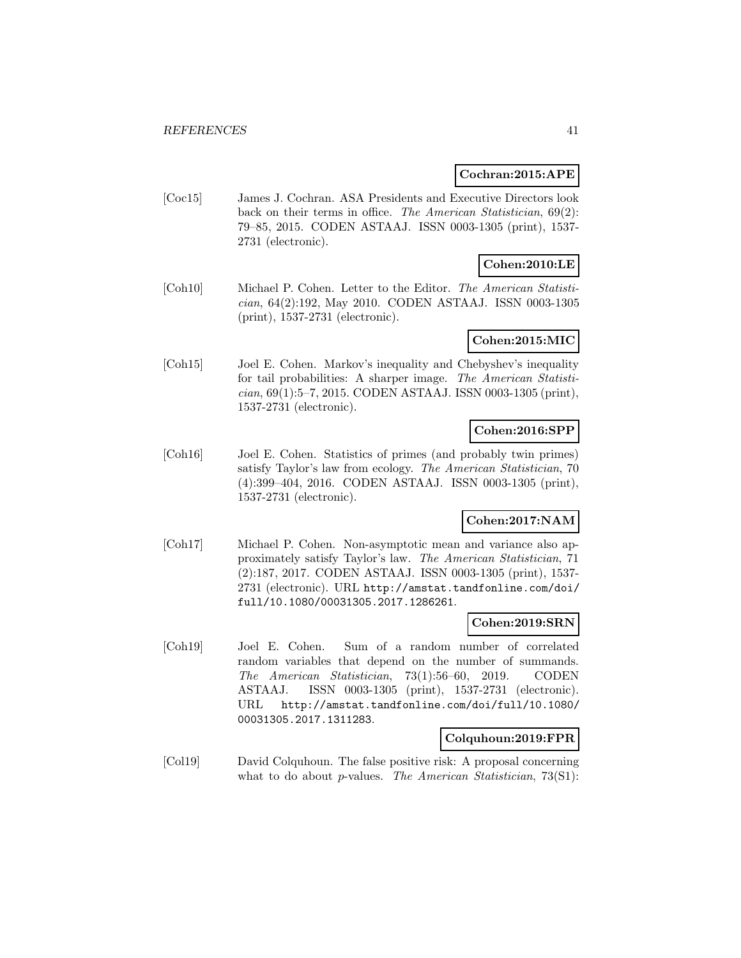#### **Cochran:2015:APE**

[Coc15] James J. Cochran. ASA Presidents and Executive Directors look back on their terms in office. The American Statistician, 69(2): 79–85, 2015. CODEN ASTAAJ. ISSN 0003-1305 (print), 1537- 2731 (electronic).

### **Cohen:2010:LE**

[Coh10] Michael P. Cohen. Letter to the Editor. The American Statistician, 64(2):192, May 2010. CODEN ASTAAJ. ISSN 0003-1305 (print), 1537-2731 (electronic).

### **Cohen:2015:MIC**

[Coh15] Joel E. Cohen. Markov's inequality and Chebyshev's inequality for tail probabilities: A sharper image. The American Statistician, 69(1):5–7, 2015. CODEN ASTAAJ. ISSN 0003-1305 (print), 1537-2731 (electronic).

# **Cohen:2016:SPP**

[Coh16] Joel E. Cohen. Statistics of primes (and probably twin primes) satisfy Taylor's law from ecology. The American Statistician, 70 (4):399–404, 2016. CODEN ASTAAJ. ISSN 0003-1305 (print), 1537-2731 (electronic).

# **Cohen:2017:NAM**

[Coh17] Michael P. Cohen. Non-asymptotic mean and variance also approximately satisfy Taylor's law. The American Statistician, 71 (2):187, 2017. CODEN ASTAAJ. ISSN 0003-1305 (print), 1537- 2731 (electronic). URL http://amstat.tandfonline.com/doi/ full/10.1080/00031305.2017.1286261.

### **Cohen:2019:SRN**

[Coh19] Joel E. Cohen. Sum of a random number of correlated random variables that depend on the number of summands. The American Statistician, 73(1):56–60, 2019. CODEN ASTAAJ. ISSN 0003-1305 (print), 1537-2731 (electronic). URL http://amstat.tandfonline.com/doi/full/10.1080/ 00031305.2017.1311283.

### **Colquhoun:2019:FPR**

[Col19] David Colquhoun. The false positive risk: A proposal concerning what to do about *p*-values. The American Statistician, 73(S1):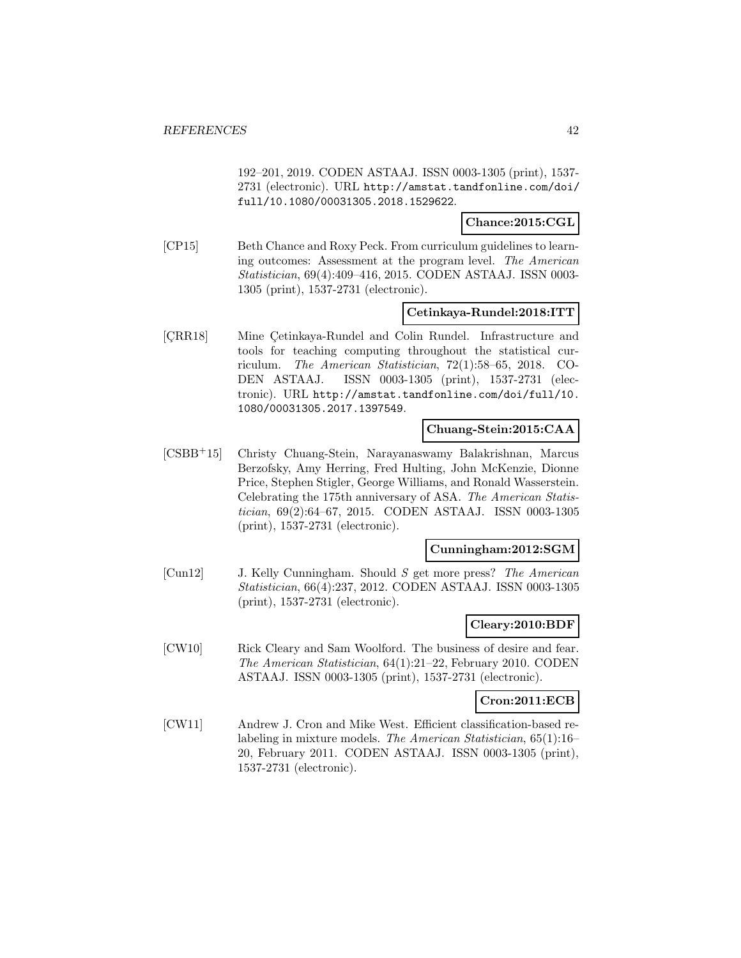192–201, 2019. CODEN ASTAAJ. ISSN 0003-1305 (print), 1537- 2731 (electronic). URL http://amstat.tandfonline.com/doi/ full/10.1080/00031305.2018.1529622.

**Chance:2015:CGL**

[CP15] Beth Chance and Roxy Peck. From curriculum guidelines to learning outcomes: Assessment at the program level. The American Statistician, 69(4):409–416, 2015. CODEN ASTAAJ. ISSN 0003- 1305 (print), 1537-2731 (electronic).

#### **Cetinkaya-Rundel:2018:ITT**

[CRR18] Mine Cetinkaya-Rundel and Colin Rundel. Infrastructure and tools for teaching computing throughout the statistical curriculum. The American Statistician, 72(1):58–65, 2018. CO-DEN ASTAAJ. ISSN 0003-1305 (print), 1537-2731 (electronic). URL http://amstat.tandfonline.com/doi/full/10. 1080/00031305.2017.1397549.

### **Chuang-Stein:2015:CAA**

[CSBB<sup>+</sup>15] Christy Chuang-Stein, Narayanaswamy Balakrishnan, Marcus Berzofsky, Amy Herring, Fred Hulting, John McKenzie, Dionne Price, Stephen Stigler, George Williams, and Ronald Wasserstein. Celebrating the 175th anniversary of ASA. The American Statistician, 69(2):64–67, 2015. CODEN ASTAAJ. ISSN 0003-1305 (print), 1537-2731 (electronic).

#### **Cunningham:2012:SGM**

[Cun12] J. Kelly Cunningham. Should S get more press? The American Statistician, 66(4):237, 2012. CODEN ASTAAJ. ISSN 0003-1305 (print), 1537-2731 (electronic).

### **Cleary:2010:BDF**

[CW10] Rick Cleary and Sam Woolford. The business of desire and fear. The American Statistician, 64(1):21–22, February 2010. CODEN ASTAAJ. ISSN 0003-1305 (print), 1537-2731 (electronic).

#### **Cron:2011:ECB**

[CW11] Andrew J. Cron and Mike West. Efficient classification-based relabeling in mixture models. The American Statistician, 65(1):16– 20, February 2011. CODEN ASTAAJ. ISSN 0003-1305 (print), 1537-2731 (electronic).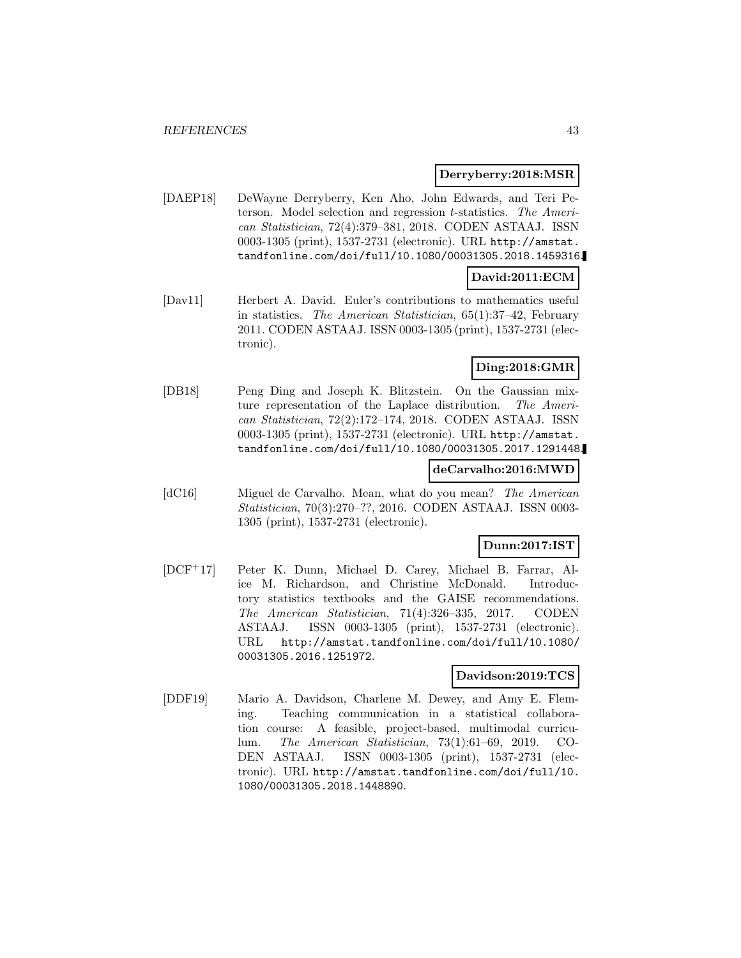### **Derryberry:2018:MSR**

[DAEP18] DeWayne Derryberry, Ken Aho, John Edwards, and Teri Peterson. Model selection and regression t-statistics. The American Statistician, 72(4):379–381, 2018. CODEN ASTAAJ. ISSN 0003-1305 (print), 1537-2731 (electronic). URL http://amstat. tandfonline.com/doi/full/10.1080/00031305.2018.1459316.

# **David:2011:ECM**

[Dav11] Herbert A. David. Euler's contributions to mathematics useful in statistics. The American Statistician, 65(1):37–42, February 2011. CODEN ASTAAJ. ISSN 0003-1305 (print), 1537-2731 (electronic).

# **Ding:2018:GMR**

[DB18] Peng Ding and Joseph K. Blitzstein. On the Gaussian mixture representation of the Laplace distribution. The American Statistician, 72(2):172–174, 2018. CODEN ASTAAJ. ISSN 0003-1305 (print), 1537-2731 (electronic). URL http://amstat. tandfonline.com/doi/full/10.1080/00031305.2017.1291448.

### **deCarvalho:2016:MWD**

[dC16] Miguel de Carvalho. Mean, what do you mean? The American Statistician, 70(3):270–??, 2016. CODEN ASTAAJ. ISSN 0003- 1305 (print), 1537-2731 (electronic).

#### **Dunn:2017:IST**

[DCF<sup>+</sup>17] Peter K. Dunn, Michael D. Carey, Michael B. Farrar, Alice M. Richardson, and Christine McDonald. Introductory statistics textbooks and the GAISE recommendations. The American Statistician, 71(4):326–335, 2017. CODEN ASTAAJ. ISSN 0003-1305 (print), 1537-2731 (electronic). URL http://amstat.tandfonline.com/doi/full/10.1080/ 00031305.2016.1251972.

#### **Davidson:2019:TCS**

[DDF19] Mario A. Davidson, Charlene M. Dewey, and Amy E. Fleming. Teaching communication in a statistical collaboration course: A feasible, project-based, multimodal curriculum. The American Statistician, 73(1):61–69, 2019. CO-DEN ASTAAJ. ISSN 0003-1305 (print), 1537-2731 (electronic). URL http://amstat.tandfonline.com/doi/full/10. 1080/00031305.2018.1448890.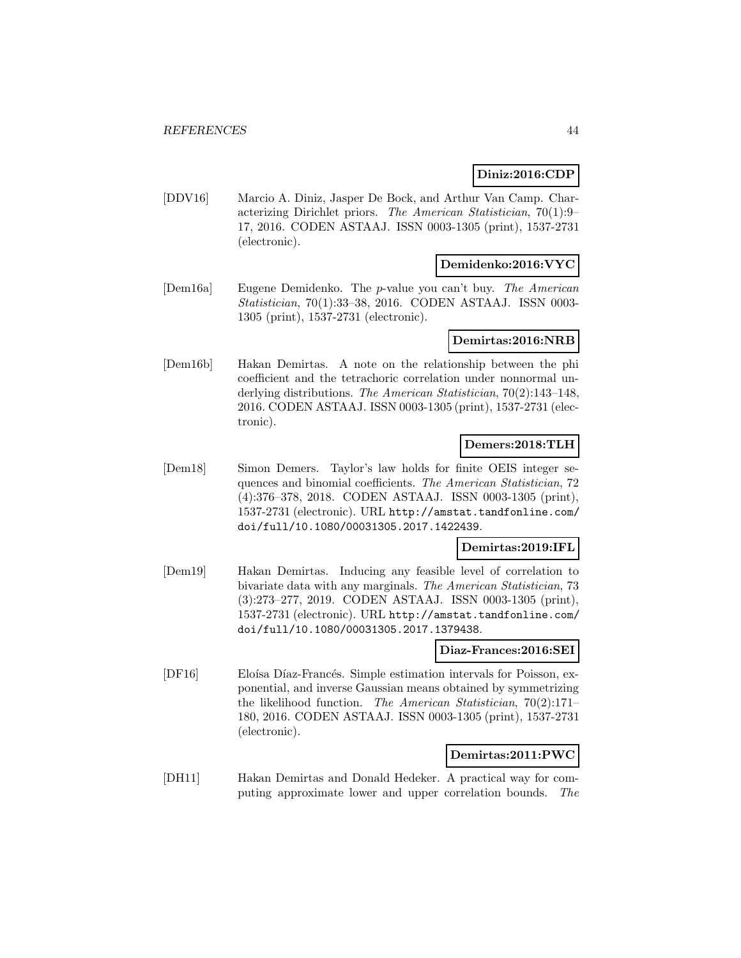### **Diniz:2016:CDP**

[DDV16] Marcio A. Diniz, Jasper De Bock, and Arthur Van Camp. Characterizing Dirichlet priors. The American Statistician, 70(1):9– 17, 2016. CODEN ASTAAJ. ISSN 0003-1305 (print), 1537-2731 (electronic).

#### **Demidenko:2016:VYC**

[Dem16a] Eugene Demidenko. The p-value you can't buy. The American Statistician, 70(1):33–38, 2016. CODEN ASTAAJ. ISSN 0003- 1305 (print), 1537-2731 (electronic).

#### **Demirtas:2016:NRB**

[Dem16b] Hakan Demirtas. A note on the relationship between the phi coefficient and the tetrachoric correlation under nonnormal underlying distributions. The American Statistician, 70(2):143–148, 2016. CODEN ASTAAJ. ISSN 0003-1305 (print), 1537-2731 (electronic).

#### **Demers:2018:TLH**

[Dem18] Simon Demers. Taylor's law holds for finite OEIS integer sequences and binomial coefficients. The American Statistician, 72 (4):376–378, 2018. CODEN ASTAAJ. ISSN 0003-1305 (print), 1537-2731 (electronic). URL http://amstat.tandfonline.com/ doi/full/10.1080/00031305.2017.1422439.

#### **Demirtas:2019:IFL**

[Dem19] Hakan Demirtas. Inducing any feasible level of correlation to bivariate data with any marginals. The American Statistician, 73 (3):273–277, 2019. CODEN ASTAAJ. ISSN 0003-1305 (print), 1537-2731 (electronic). URL http://amstat.tandfonline.com/ doi/full/10.1080/00031305.2017.1379438.

#### **Diaz-Frances:2016:SEI**

[DF16] Eloísa Díaz-Francés. Simple estimation intervals for Poisson, exponential, and inverse Gaussian means obtained by symmetrizing the likelihood function. The American Statistician, 70(2):171– 180, 2016. CODEN ASTAAJ. ISSN 0003-1305 (print), 1537-2731 (electronic).

#### **Demirtas:2011:PWC**

[DH11] Hakan Demirtas and Donald Hedeker. A practical way for computing approximate lower and upper correlation bounds. The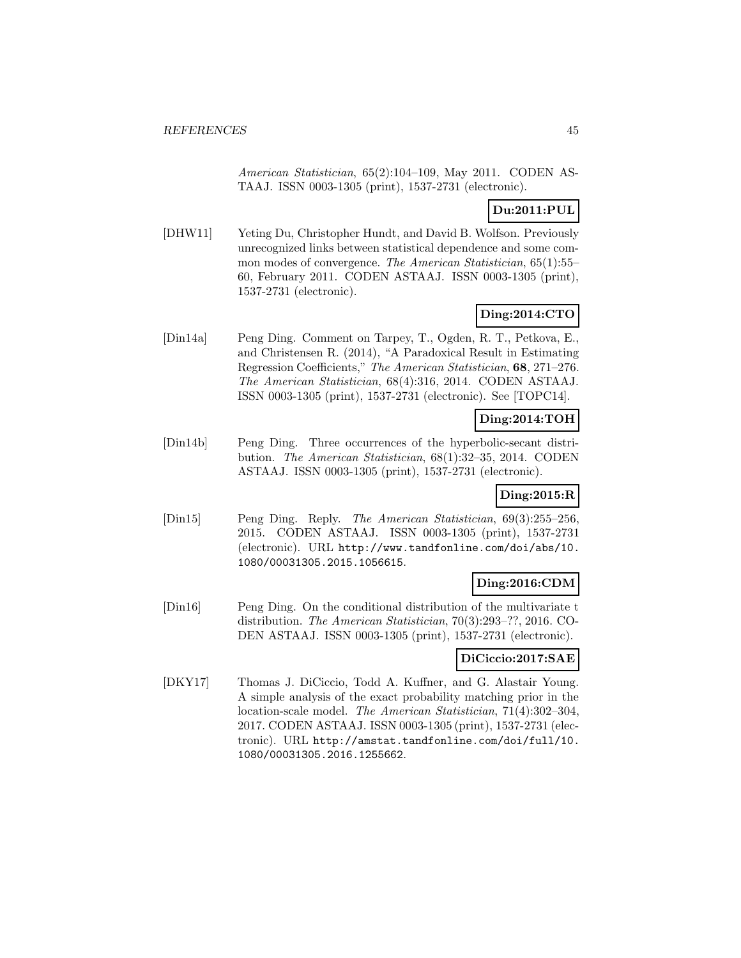American Statistician, 65(2):104–109, May 2011. CODEN AS-TAAJ. ISSN 0003-1305 (print), 1537-2731 (electronic).

# **Du:2011:PUL**

[DHW11] Yeting Du, Christopher Hundt, and David B. Wolfson. Previously unrecognized links between statistical dependence and some common modes of convergence. The American Statistician, 65(1):55– 60, February 2011. CODEN ASTAAJ. ISSN 0003-1305 (print), 1537-2731 (electronic).

# **Ding:2014:CTO**

[Din14a] Peng Ding. Comment on Tarpey, T., Ogden, R. T., Petkova, E., and Christensen R. (2014), "A Paradoxical Result in Estimating Regression Coefficients," The American Statistician, **68**, 271–276. The American Statistician, 68(4):316, 2014. CODEN ASTAAJ. ISSN 0003-1305 (print), 1537-2731 (electronic). See [TOPC14].

# **Ding:2014:TOH**

[Din14b] Peng Ding. Three occurrences of the hyperbolic-secant distribution. The American Statistician, 68(1):32–35, 2014. CODEN ASTAAJ. ISSN 0003-1305 (print), 1537-2731 (electronic).

# **Ding:2015:R**

[Din15] Peng Ding. Reply. The American Statistician, 69(3):255–256, 2015. CODEN ASTAAJ. ISSN 0003-1305 (print), 1537-2731 (electronic). URL http://www.tandfonline.com/doi/abs/10. 1080/00031305.2015.1056615.

### **Ding:2016:CDM**

[Din16] Peng Ding. On the conditional distribution of the multivariate t distribution. The American Statistician, 70(3):293–??, 2016. CO-DEN ASTAAJ. ISSN 0003-1305 (print), 1537-2731 (electronic).

# **DiCiccio:2017:SAE**

[DKY17] Thomas J. DiCiccio, Todd A. Kuffner, and G. Alastair Young. A simple analysis of the exact probability matching prior in the location-scale model. The American Statistician, 71(4):302–304, 2017. CODEN ASTAAJ. ISSN 0003-1305 (print), 1537-2731 (electronic). URL http://amstat.tandfonline.com/doi/full/10. 1080/00031305.2016.1255662.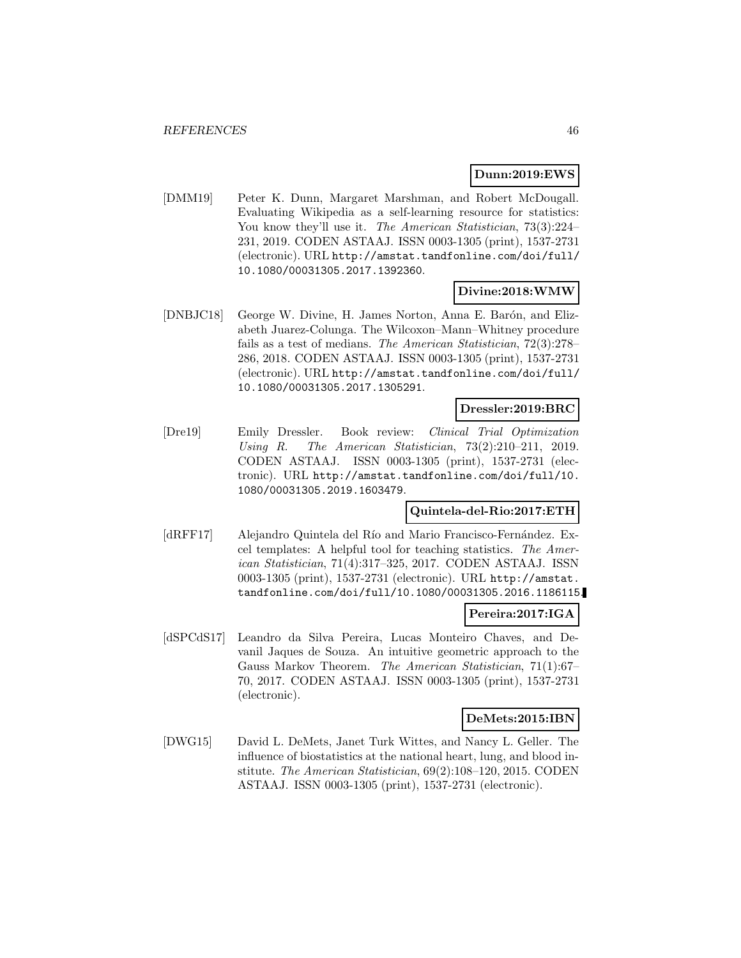### **Dunn:2019:EWS**

[DMM19] Peter K. Dunn, Margaret Marshman, and Robert McDougall. Evaluating Wikipedia as a self-learning resource for statistics: You know they'll use it. The American Statistician, 73(3):224– 231, 2019. CODEN ASTAAJ. ISSN 0003-1305 (print), 1537-2731 (electronic). URL http://amstat.tandfonline.com/doi/full/ 10.1080/00031305.2017.1392360.

### **Divine:2018:WMW**

[DNBJC18] George W. Divine, H. James Norton, Anna E. Barón, and Elizabeth Juarez-Colunga. The Wilcoxon–Mann–Whitney procedure fails as a test of medians. The American Statistician, 72(3):278– 286, 2018. CODEN ASTAAJ. ISSN 0003-1305 (print), 1537-2731 (electronic). URL http://amstat.tandfonline.com/doi/full/ 10.1080/00031305.2017.1305291.

#### **Dressler:2019:BRC**

[Dre19] Emily Dressler. Book review: Clinical Trial Optimization Using R. The American Statistician, 73(2):210–211, 2019. CODEN ASTAAJ. ISSN 0003-1305 (print), 1537-2731 (electronic). URL http://amstat.tandfonline.com/doi/full/10. 1080/00031305.2019.1603479.

#### **Quintela-del-Rio:2017:ETH**

[dRFF17] Alejandro Quintela del Río and Mario Francisco-Fernández. Excel templates: A helpful tool for teaching statistics. The American Statistician, 71(4):317–325, 2017. CODEN ASTAAJ. ISSN 0003-1305 (print), 1537-2731 (electronic). URL http://amstat. tandfonline.com/doi/full/10.1080/00031305.2016.1186115.

#### **Pereira:2017:IGA**

[dSPCdS17] Leandro da Silva Pereira, Lucas Monteiro Chaves, and Devanil Jaques de Souza. An intuitive geometric approach to the Gauss Markov Theorem. The American Statistician, 71(1):67– 70, 2017. CODEN ASTAAJ. ISSN 0003-1305 (print), 1537-2731 (electronic).

#### **DeMets:2015:IBN**

[DWG15] David L. DeMets, Janet Turk Wittes, and Nancy L. Geller. The influence of biostatistics at the national heart, lung, and blood institute. The American Statistician, 69(2):108–120, 2015. CODEN ASTAAJ. ISSN 0003-1305 (print), 1537-2731 (electronic).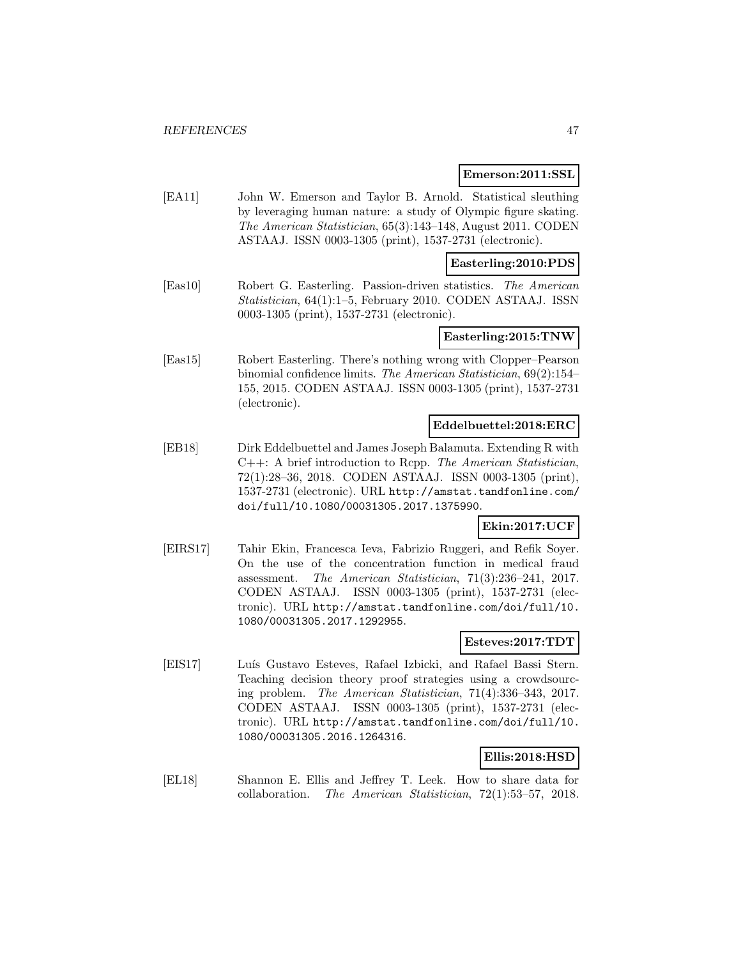#### **Emerson:2011:SSL**

[EA11] John W. Emerson and Taylor B. Arnold. Statistical sleuthing by leveraging human nature: a study of Olympic figure skating. The American Statistician, 65(3):143–148, August 2011. CODEN ASTAAJ. ISSN 0003-1305 (print), 1537-2731 (electronic).

#### **Easterling:2010:PDS**

[Eas10] Robert G. Easterling. Passion-driven statistics. The American Statistician, 64(1):1–5, February 2010. CODEN ASTAAJ. ISSN 0003-1305 (print), 1537-2731 (electronic).

#### **Easterling:2015:TNW**

[Eas15] Robert Easterling. There's nothing wrong with Clopper–Pearson binomial confidence limits. The American Statistician, 69(2):154– 155, 2015. CODEN ASTAAJ. ISSN 0003-1305 (print), 1537-2731 (electronic).

#### **Eddelbuettel:2018:ERC**

[EB18] Dirk Eddelbuettel and James Joseph Balamuta. Extending R with C++: A brief introduction to Rcpp. The American Statistician, 72(1):28–36, 2018. CODEN ASTAAJ. ISSN 0003-1305 (print), 1537-2731 (electronic). URL http://amstat.tandfonline.com/ doi/full/10.1080/00031305.2017.1375990.

# **Ekin:2017:UCF**

[EIRS17] Tahir Ekin, Francesca Ieva, Fabrizio Ruggeri, and Refik Soyer. On the use of the concentration function in medical fraud assessment. The American Statistician, 71(3):236–241, 2017. CODEN ASTAAJ. ISSN 0003-1305 (print), 1537-2731 (electronic). URL http://amstat.tandfonline.com/doi/full/10. 1080/00031305.2017.1292955.

### **Esteves:2017:TDT**

[EIS17] Luís Gustavo Esteves, Rafael Izbicki, and Rafael Bassi Stern. Teaching decision theory proof strategies using a crowdsourcing problem. The American Statistician, 71(4):336–343, 2017. CODEN ASTAAJ. ISSN 0003-1305 (print), 1537-2731 (electronic). URL http://amstat.tandfonline.com/doi/full/10. 1080/00031305.2016.1264316.

# **Ellis:2018:HSD**

[EL18] Shannon E. Ellis and Jeffrey T. Leek. How to share data for collaboration. The American Statistician, 72(1):53–57, 2018.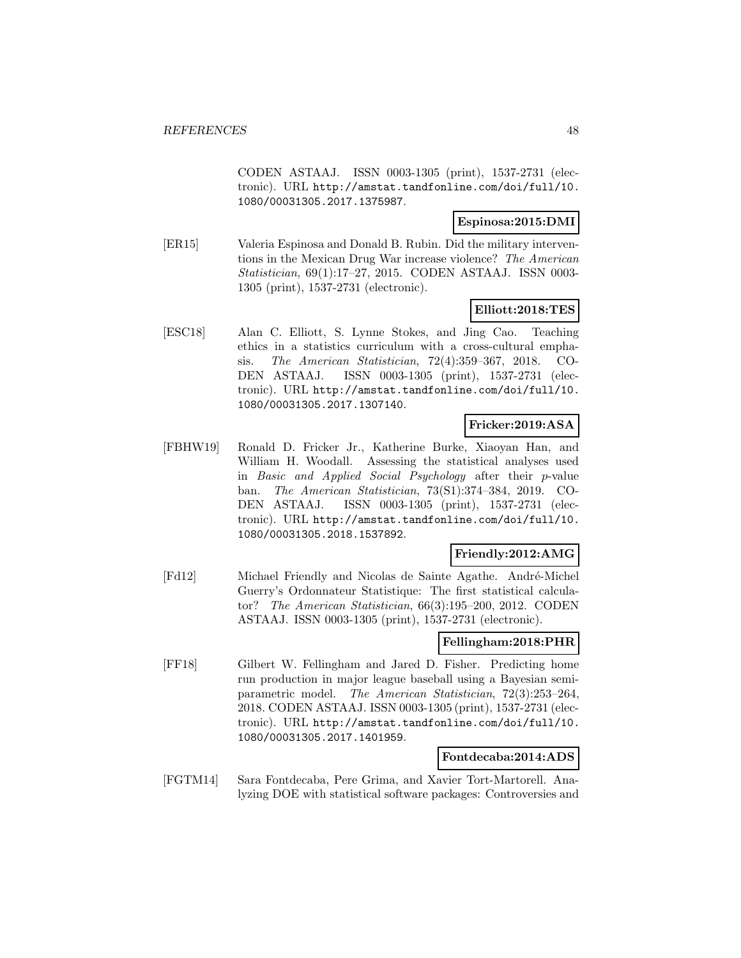CODEN ASTAAJ. ISSN 0003-1305 (print), 1537-2731 (electronic). URL http://amstat.tandfonline.com/doi/full/10. 1080/00031305.2017.1375987.

### **Espinosa:2015:DMI**

[ER15] Valeria Espinosa and Donald B. Rubin. Did the military interventions in the Mexican Drug War increase violence? The American Statistician, 69(1):17–27, 2015. CODEN ASTAAJ. ISSN 0003- 1305 (print), 1537-2731 (electronic).

### **Elliott:2018:TES**

[ESC18] Alan C. Elliott, S. Lynne Stokes, and Jing Cao. Teaching ethics in a statistics curriculum with a cross-cultural emphasis. The American Statistician, 72(4):359–367, 2018. CO-DEN ASTAAJ. ISSN 0003-1305 (print), 1537-2731 (electronic). URL http://amstat.tandfonline.com/doi/full/10. 1080/00031305.2017.1307140.

# **Fricker:2019:ASA**

[FBHW19] Ronald D. Fricker Jr., Katherine Burke, Xiaoyan Han, and William H. Woodall. Assessing the statistical analyses used in Basic and Applied Social Psychology after their p-value ban. The American Statistician, 73(S1):374–384, 2019. CO-DEN ASTAAJ. ISSN 0003-1305 (print), 1537-2731 (electronic). URL http://amstat.tandfonline.com/doi/full/10. 1080/00031305.2018.1537892.

### **Friendly:2012:AMG**

[Fd12] Michael Friendly and Nicolas de Sainte Agathe. André-Michel Guerry's Ordonnateur Statistique: The first statistical calculator? The American Statistician, 66(3):195–200, 2012. CODEN ASTAAJ. ISSN 0003-1305 (print), 1537-2731 (electronic).

### **Fellingham:2018:PHR**

[FF18] Gilbert W. Fellingham and Jared D. Fisher. Predicting home run production in major league baseball using a Bayesian semiparametric model. The American Statistician, 72(3):253–264, 2018. CODEN ASTAAJ. ISSN 0003-1305 (print), 1537-2731 (electronic). URL http://amstat.tandfonline.com/doi/full/10. 1080/00031305.2017.1401959.

### **Fontdecaba:2014:ADS**

[FGTM14] Sara Fontdecaba, Pere Grima, and Xavier Tort-Martorell. Analyzing DOE with statistical software packages: Controversies and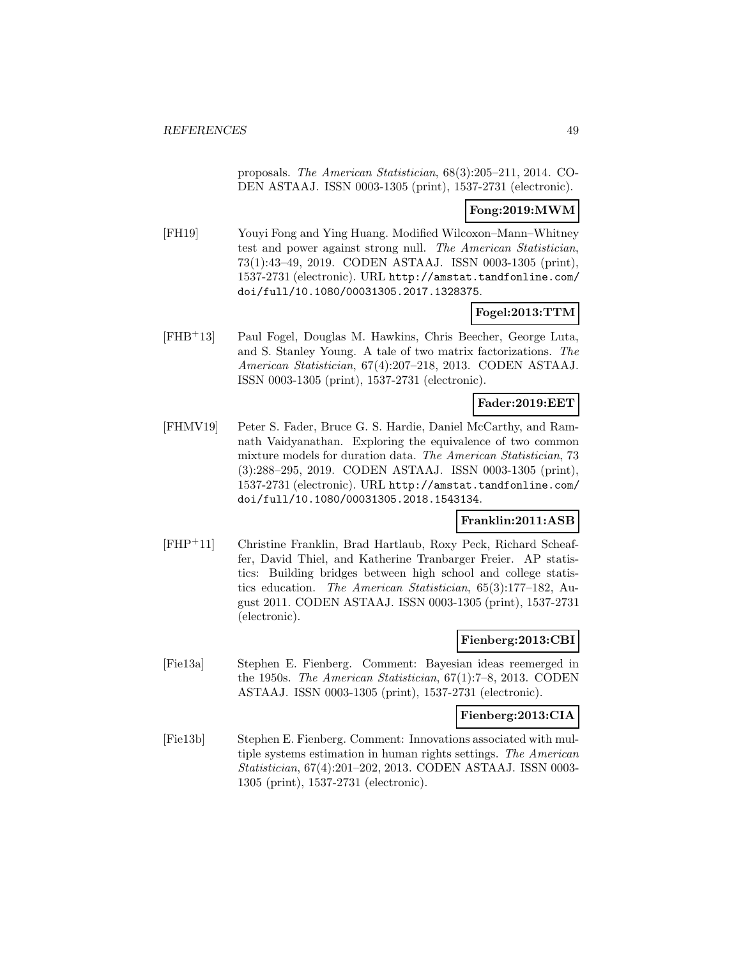proposals. The American Statistician, 68(3):205–211, 2014. CO-DEN ASTAAJ. ISSN 0003-1305 (print), 1537-2731 (electronic).

### **Fong:2019:MWM**

[FH19] Youyi Fong and Ying Huang. Modified Wilcoxon–Mann–Whitney test and power against strong null. The American Statistician, 73(1):43–49, 2019. CODEN ASTAAJ. ISSN 0003-1305 (print), 1537-2731 (electronic). URL http://amstat.tandfonline.com/ doi/full/10.1080/00031305.2017.1328375.

### **Fogel:2013:TTM**

[FHB<sup>+</sup>13] Paul Fogel, Douglas M. Hawkins, Chris Beecher, George Luta, and S. Stanley Young. A tale of two matrix factorizations. The American Statistician, 67(4):207–218, 2013. CODEN ASTAAJ. ISSN 0003-1305 (print), 1537-2731 (electronic).

### **Fader:2019:EET**

[FHMV19] Peter S. Fader, Bruce G. S. Hardie, Daniel McCarthy, and Ramnath Vaidyanathan. Exploring the equivalence of two common mixture models for duration data. The American Statistician, 73 (3):288–295, 2019. CODEN ASTAAJ. ISSN 0003-1305 (print), 1537-2731 (electronic). URL http://amstat.tandfonline.com/ doi/full/10.1080/00031305.2018.1543134.

### **Franklin:2011:ASB**

[FHP<sup>+</sup>11] Christine Franklin, Brad Hartlaub, Roxy Peck, Richard Scheaffer, David Thiel, and Katherine Tranbarger Freier. AP statistics: Building bridges between high school and college statistics education. The American Statistician, 65(3):177–182, August 2011. CODEN ASTAAJ. ISSN 0003-1305 (print), 1537-2731 (electronic).

### **Fienberg:2013:CBI**

[Fie13a] Stephen E. Fienberg. Comment: Bayesian ideas reemerged in the 1950s. The American Statistician, 67(1):7–8, 2013. CODEN ASTAAJ. ISSN 0003-1305 (print), 1537-2731 (electronic).

#### **Fienberg:2013:CIA**

[Fie13b] Stephen E. Fienberg. Comment: Innovations associated with multiple systems estimation in human rights settings. The American Statistician, 67(4):201–202, 2013. CODEN ASTAAJ. ISSN 0003- 1305 (print), 1537-2731 (electronic).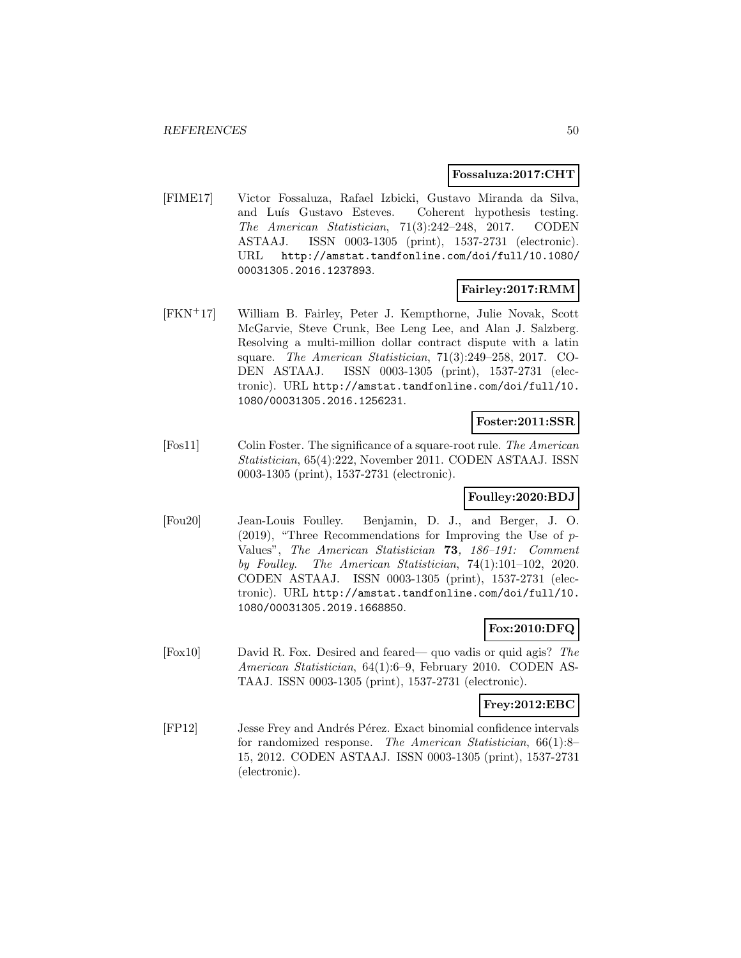#### **Fossaluza:2017:CHT**

[FIME17] Victor Fossaluza, Rafael Izbicki, Gustavo Miranda da Silva, and Luís Gustavo Esteves. Coherent hypothesis testing. The American Statistician, 71(3):242–248, 2017. CODEN ASTAAJ. ISSN 0003-1305 (print), 1537-2731 (electronic). URL http://amstat.tandfonline.com/doi/full/10.1080/ 00031305.2016.1237893.

# **Fairley:2017:RMM**

[FKN<sup>+</sup>17] William B. Fairley, Peter J. Kempthorne, Julie Novak, Scott McGarvie, Steve Crunk, Bee Leng Lee, and Alan J. Salzberg. Resolving a multi-million dollar contract dispute with a latin square. The American Statistician, 71(3):249–258, 2017. CO-DEN ASTAAJ. ISSN 0003-1305 (print), 1537-2731 (electronic). URL http://amstat.tandfonline.com/doi/full/10. 1080/00031305.2016.1256231.

#### **Foster:2011:SSR**

[Fos11] Colin Foster. The significance of a square-root rule. The American Statistician, 65(4):222, November 2011. CODEN ASTAAJ. ISSN 0003-1305 (print), 1537-2731 (electronic).

### **Foulley:2020:BDJ**

[Fou20] Jean-Louis Foulley. Benjamin, D. J., and Berger, J. O.  $(2019)$ , "Three Recommendations for Improving the Use of p-Values", The American Statistician **73**, 186–191: Comment by Foulley. The American Statistician, 74(1):101–102, 2020. CODEN ASTAAJ. ISSN 0003-1305 (print), 1537-2731 (electronic). URL http://amstat.tandfonline.com/doi/full/10. 1080/00031305.2019.1668850.

# **Fox:2010:DFQ**

[Fox10] David R. Fox. Desired and feared— quo vadis or quid agis? The American Statistician, 64(1):6–9, February 2010. CODEN AS-TAAJ. ISSN 0003-1305 (print), 1537-2731 (electronic).

#### **Frey:2012:EBC**

[FP12] Jesse Frey and Andrés Pérez. Exact binomial confidence intervals for randomized response. The American Statistician, 66(1):8– 15, 2012. CODEN ASTAAJ. ISSN 0003-1305 (print), 1537-2731 (electronic).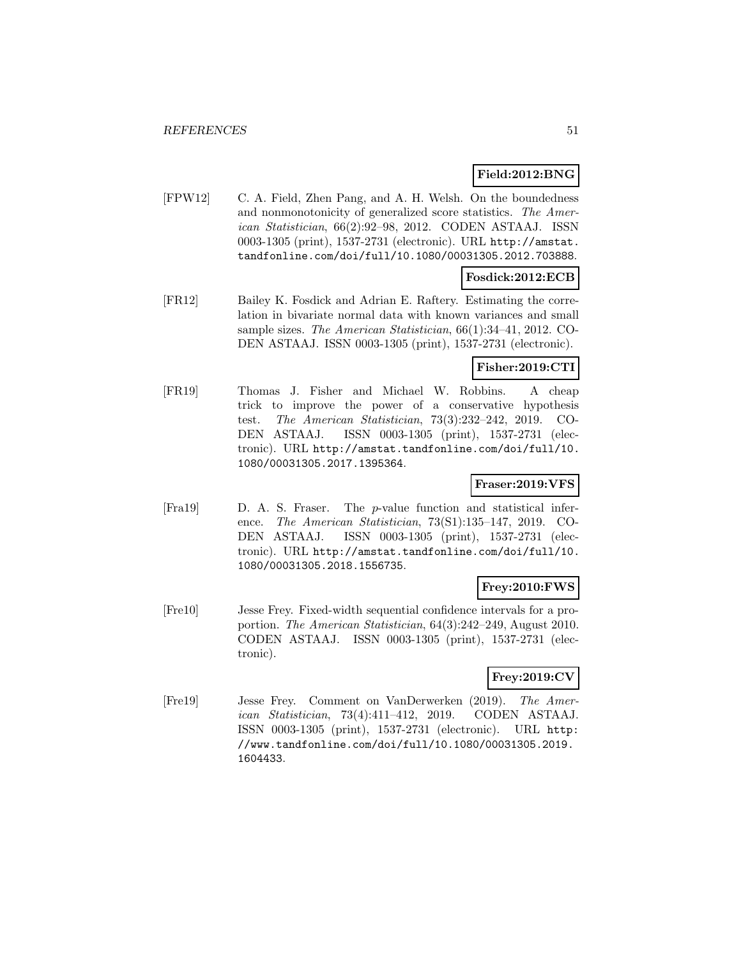# **Field:2012:BNG**

[FPW12] C. A. Field, Zhen Pang, and A. H. Welsh. On the boundedness and nonmonotonicity of generalized score statistics. The American Statistician, 66(2):92–98, 2012. CODEN ASTAAJ. ISSN 0003-1305 (print), 1537-2731 (electronic). URL http://amstat. tandfonline.com/doi/full/10.1080/00031305.2012.703888.

### **Fosdick:2012:ECB**

[FR12] Bailey K. Fosdick and Adrian E. Raftery. Estimating the correlation in bivariate normal data with known variances and small sample sizes. The American Statistician, 66(1):34–41, 2012. CO-DEN ASTAAJ. ISSN 0003-1305 (print), 1537-2731 (electronic).

# **Fisher:2019:CTI**

[FR19] Thomas J. Fisher and Michael W. Robbins. A cheap trick to improve the power of a conservative hypothesis test. The American Statistician, 73(3):232–242, 2019. CO-DEN ASTAAJ. ISSN 0003-1305 (print), 1537-2731 (electronic). URL http://amstat.tandfonline.com/doi/full/10. 1080/00031305.2017.1395364.

### **Fraser:2019:VFS**

[Fra19] D. A. S. Fraser. The p-value function and statistical inference. The American Statistician, 73(S1):135–147, 2019. CO-DEN ASTAAJ. ISSN 0003-1305 (print), 1537-2731 (electronic). URL http://amstat.tandfonline.com/doi/full/10. 1080/00031305.2018.1556735.

#### **Frey:2010:FWS**

[Fre10] Jesse Frey. Fixed-width sequential confidence intervals for a proportion. The American Statistician, 64(3):242–249, August 2010. CODEN ASTAAJ. ISSN 0003-1305 (print), 1537-2731 (electronic).

# **Frey:2019:CV**

[Fre19] Jesse Frey. Comment on VanDerwerken (2019). The American Statistician, 73(4):411–412, 2019. CODEN ASTAAJ. ISSN 0003-1305 (print), 1537-2731 (electronic). URL http: //www.tandfonline.com/doi/full/10.1080/00031305.2019. 1604433.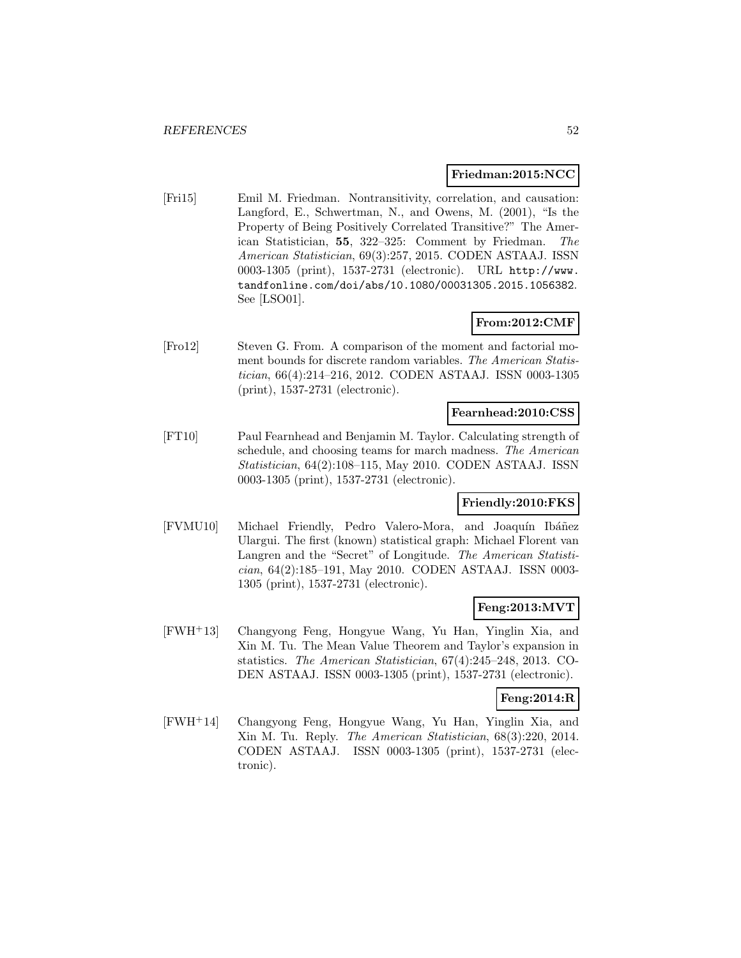### **Friedman:2015:NCC**

[Fri15] Emil M. Friedman. Nontransitivity, correlation, and causation: Langford, E., Schwertman, N., and Owens, M. (2001), "Is the Property of Being Positively Correlated Transitive?" The American Statistician, **55**, 322–325: Comment by Friedman. The American Statistician, 69(3):257, 2015. CODEN ASTAAJ. ISSN 0003-1305 (print), 1537-2731 (electronic). URL http://www. tandfonline.com/doi/abs/10.1080/00031305.2015.1056382. See [LSO01].

# **From:2012:CMF**

[Fro12] Steven G. From. A comparison of the moment and factorial moment bounds for discrete random variables. The American Statistician, 66(4):214–216, 2012. CODEN ASTAAJ. ISSN 0003-1305 (print), 1537-2731 (electronic).

#### **Fearnhead:2010:CSS**

[FT10] Paul Fearnhead and Benjamin M. Taylor. Calculating strength of schedule, and choosing teams for march madness. The American Statistician, 64(2):108–115, May 2010. CODEN ASTAAJ. ISSN 0003-1305 (print), 1537-2731 (electronic).

### **Friendly:2010:FKS**

[FVMU10] Michael Friendly, Pedro Valero-Mora, and Joaquín Ibáñez Ulargui. The first (known) statistical graph: Michael Florent van Langren and the "Secret" of Longitude. The American Statistician, 64(2):185–191, May 2010. CODEN ASTAAJ. ISSN 0003- 1305 (print), 1537-2731 (electronic).

### **Feng:2013:MVT**

[FWH<sup>+</sup>13] Changyong Feng, Hongyue Wang, Yu Han, Yinglin Xia, and Xin M. Tu. The Mean Value Theorem and Taylor's expansion in statistics. The American Statistician, 67(4):245–248, 2013. CO-DEN ASTAAJ. ISSN 0003-1305 (print), 1537-2731 (electronic).

### **Feng:2014:R**

[FWH<sup>+</sup>14] Changyong Feng, Hongyue Wang, Yu Han, Yinglin Xia, and Xin M. Tu. Reply. The American Statistician, 68(3):220, 2014. CODEN ASTAAJ. ISSN 0003-1305 (print), 1537-2731 (electronic).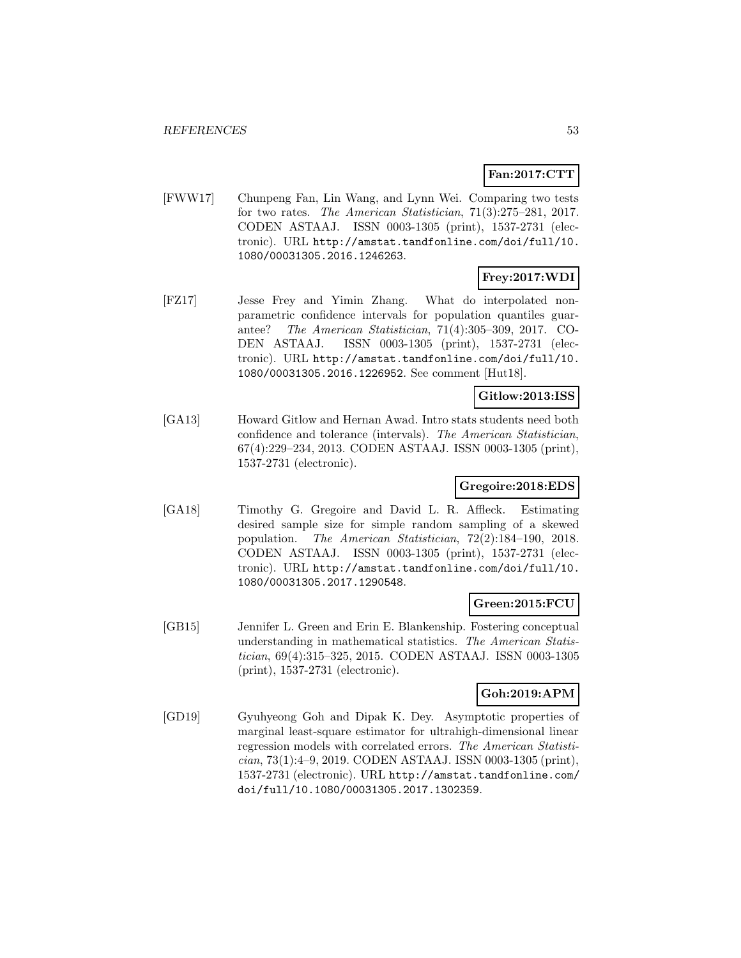# **Fan:2017:CTT**

[FWW17] Chunpeng Fan, Lin Wang, and Lynn Wei. Comparing two tests for two rates. The American Statistician, 71(3):275–281, 2017. CODEN ASTAAJ. ISSN 0003-1305 (print), 1537-2731 (electronic). URL http://amstat.tandfonline.com/doi/full/10. 1080/00031305.2016.1246263.

# **Frey:2017:WDI**

[FZ17] Jesse Frey and Yimin Zhang. What do interpolated nonparametric confidence intervals for population quantiles guarantee? The American Statistician, 71(4):305–309, 2017. CO-DEN ASTAAJ. ISSN 0003-1305 (print), 1537-2731 (electronic). URL http://amstat.tandfonline.com/doi/full/10. 1080/00031305.2016.1226952. See comment [Hut18].

# **Gitlow:2013:ISS**

[GA13] Howard Gitlow and Hernan Awad. Intro stats students need both confidence and tolerance (intervals). The American Statistician, 67(4):229–234, 2013. CODEN ASTAAJ. ISSN 0003-1305 (print), 1537-2731 (electronic).

### **Gregoire:2018:EDS**

[GA18] Timothy G. Gregoire and David L. R. Affleck. Estimating desired sample size for simple random sampling of a skewed population. The American Statistician, 72(2):184–190, 2018. CODEN ASTAAJ. ISSN 0003-1305 (print), 1537-2731 (electronic). URL http://amstat.tandfonline.com/doi/full/10. 1080/00031305.2017.1290548.

#### **Green:2015:FCU**

[GB15] Jennifer L. Green and Erin E. Blankenship. Fostering conceptual understanding in mathematical statistics. The American Statistician, 69(4):315–325, 2015. CODEN ASTAAJ. ISSN 0003-1305 (print), 1537-2731 (electronic).

### **Goh:2019:APM**

[GD19] Gyuhyeong Goh and Dipak K. Dey. Asymptotic properties of marginal least-square estimator for ultrahigh-dimensional linear regression models with correlated errors. The American Statistician, 73(1):4–9, 2019. CODEN ASTAAJ. ISSN 0003-1305 (print), 1537-2731 (electronic). URL http://amstat.tandfonline.com/ doi/full/10.1080/00031305.2017.1302359.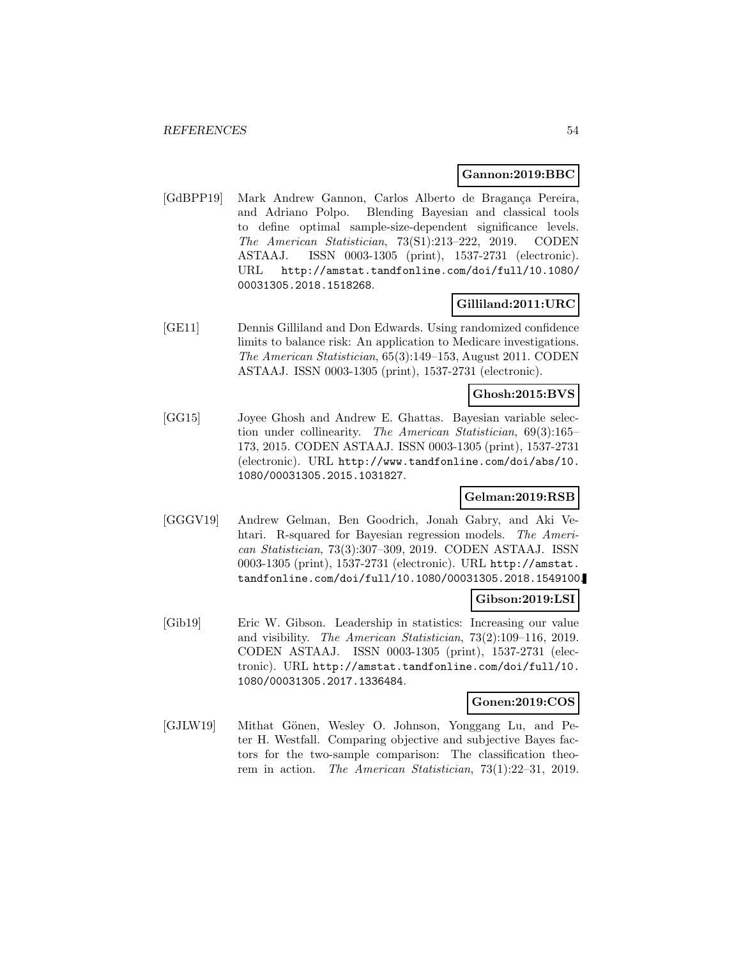#### **Gannon:2019:BBC**

[GdBPP19] Mark Andrew Gannon, Carlos Alberto de Bragança Pereira, and Adriano Polpo. Blending Bayesian and classical tools to define optimal sample-size-dependent significance levels. The American Statistician, 73(S1):213–222, 2019. CODEN ASTAAJ. ISSN 0003-1305 (print), 1537-2731 (electronic). URL http://amstat.tandfonline.com/doi/full/10.1080/ 00031305.2018.1518268.

### **Gilliland:2011:URC**

[GE11] Dennis Gilliland and Don Edwards. Using randomized confidence limits to balance risk: An application to Medicare investigations. The American Statistician, 65(3):149–153, August 2011. CODEN ASTAAJ. ISSN 0003-1305 (print), 1537-2731 (electronic).

### **Ghosh:2015:BVS**

[GG15] Joyee Ghosh and Andrew E. Ghattas. Bayesian variable selection under collinearity. The American Statistician, 69(3):165– 173, 2015. CODEN ASTAAJ. ISSN 0003-1305 (print), 1537-2731 (electronic). URL http://www.tandfonline.com/doi/abs/10. 1080/00031305.2015.1031827.

#### **Gelman:2019:RSB**

[GGGV19] Andrew Gelman, Ben Goodrich, Jonah Gabry, and Aki Vehtari. R-squared for Bayesian regression models. The American Statistician, 73(3):307–309, 2019. CODEN ASTAAJ. ISSN 0003-1305 (print), 1537-2731 (electronic). URL http://amstat. tandfonline.com/doi/full/10.1080/00031305.2018.1549100.

### **Gibson:2019:LSI**

[Gib19] Eric W. Gibson. Leadership in statistics: Increasing our value and visibility. The American Statistician, 73(2):109–116, 2019. CODEN ASTAAJ. ISSN 0003-1305 (print), 1537-2731 (electronic). URL http://amstat.tandfonline.com/doi/full/10. 1080/00031305.2017.1336484.

#### **Gonen:2019:COS**

[GJLW19] Mithat Gönen, Wesley O. Johnson, Yonggang Lu, and Peter H. Westfall. Comparing objective and subjective Bayes factors for the two-sample comparison: The classification theorem in action. The American Statistician, 73(1):22–31, 2019.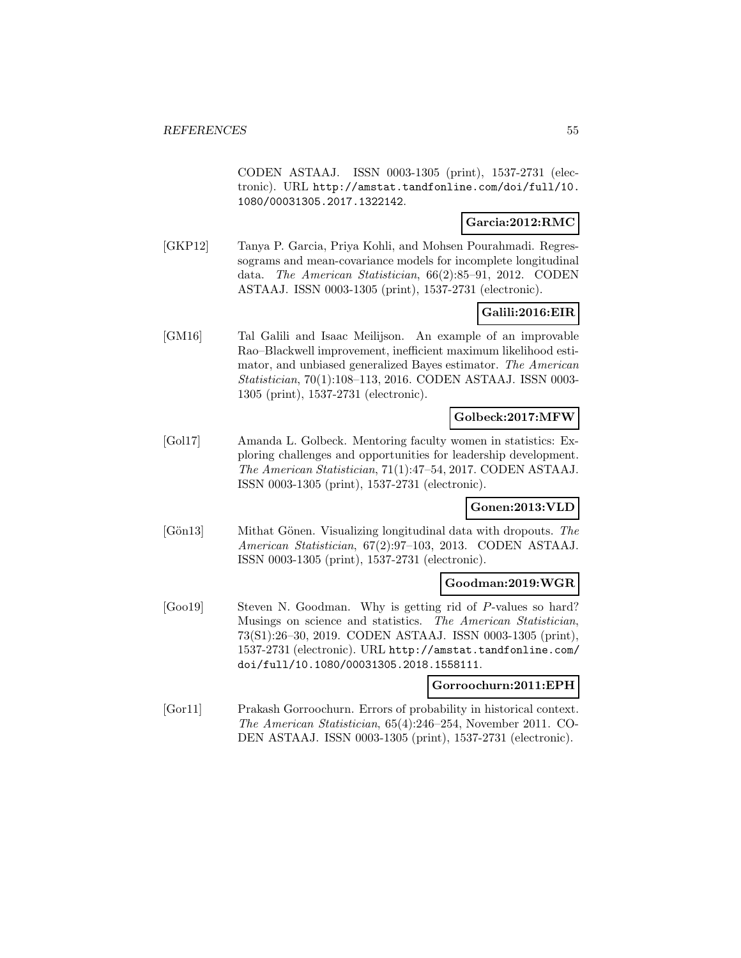CODEN ASTAAJ. ISSN 0003-1305 (print), 1537-2731 (electronic). URL http://amstat.tandfonline.com/doi/full/10. 1080/00031305.2017.1322142.

### **Garcia:2012:RMC**

[GKP12] Tanya P. Garcia, Priya Kohli, and Mohsen Pourahmadi. Regressograms and mean-covariance models for incomplete longitudinal data. The American Statistician, 66(2):85–91, 2012. CODEN ASTAAJ. ISSN 0003-1305 (print), 1537-2731 (electronic).

### **Galili:2016:EIR**

[GM16] Tal Galili and Isaac Meilijson. An example of an improvable Rao–Blackwell improvement, inefficient maximum likelihood estimator, and unbiased generalized Bayes estimator. The American Statistician, 70(1):108–113, 2016. CODEN ASTAAJ. ISSN 0003- 1305 (print), 1537-2731 (electronic).

### **Golbeck:2017:MFW**

[Gol17] Amanda L. Golbeck. Mentoring faculty women in statistics: Exploring challenges and opportunities for leadership development. The American Statistician, 71(1):47–54, 2017. CODEN ASTAAJ. ISSN 0003-1305 (print), 1537-2731 (electronic).

#### **Gonen:2013:VLD**

[Gön13] Mithat Gönen. Visualizing longitudinal data with dropouts. The American Statistician, 67(2):97–103, 2013. CODEN ASTAAJ. ISSN 0003-1305 (print), 1537-2731 (electronic).

#### **Goodman:2019:WGR**

[Goo19] Steven N. Goodman. Why is getting rid of P-values so hard? Musings on science and statistics. The American Statistician, 73(S1):26–30, 2019. CODEN ASTAAJ. ISSN 0003-1305 (print), 1537-2731 (electronic). URL http://amstat.tandfonline.com/ doi/full/10.1080/00031305.2018.1558111.

#### **Gorroochurn:2011:EPH**

[Gor11] Prakash Gorroochurn. Errors of probability in historical context. The American Statistician, 65(4):246–254, November 2011. CO-DEN ASTAAJ. ISSN 0003-1305 (print), 1537-2731 (electronic).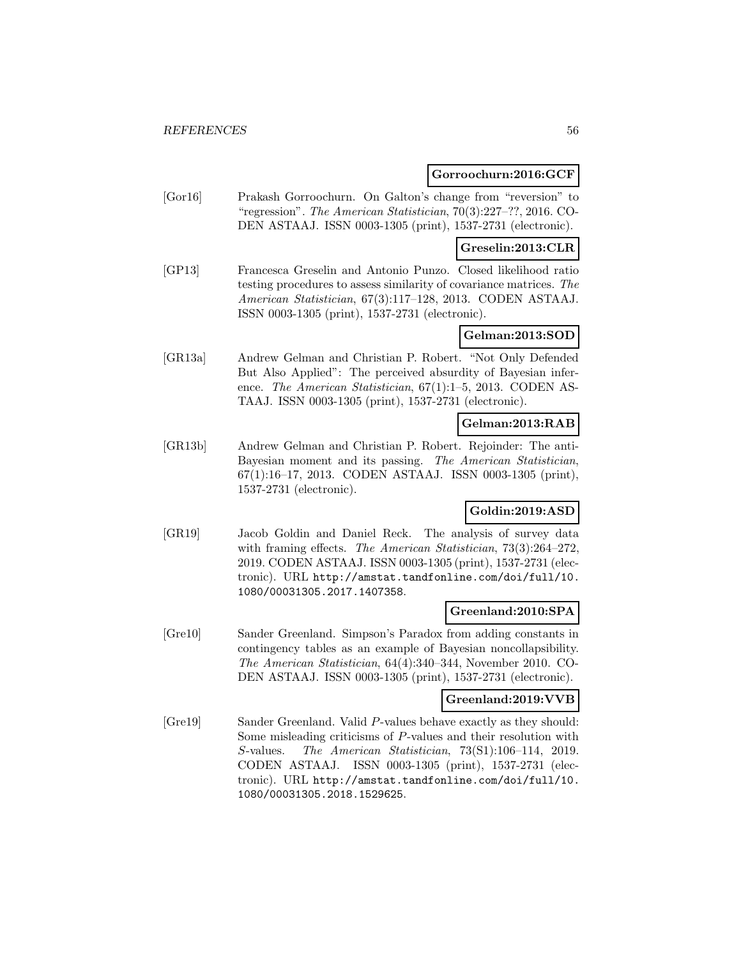#### **Gorroochurn:2016:GCF**

[Gor16] Prakash Gorroochurn. On Galton's change from "reversion" to "regression". The American Statistician, 70(3):227–??, 2016. CO-DEN ASTAAJ. ISSN 0003-1305 (print), 1537-2731 (electronic).

#### **Greselin:2013:CLR**

[GP13] Francesca Greselin and Antonio Punzo. Closed likelihood ratio testing procedures to assess similarity of covariance matrices. The American Statistician, 67(3):117–128, 2013. CODEN ASTAAJ. ISSN 0003-1305 (print), 1537-2731 (electronic).

### **Gelman:2013:SOD**

[GR13a] Andrew Gelman and Christian P. Robert. "Not Only Defended But Also Applied": The perceived absurdity of Bayesian inference. The American Statistician, 67(1):1–5, 2013. CODEN AS-TAAJ. ISSN 0003-1305 (print), 1537-2731 (electronic).

# **Gelman:2013:RAB**

[GR13b] Andrew Gelman and Christian P. Robert. Rejoinder: The anti-Bayesian moment and its passing. The American Statistician, 67(1):16–17, 2013. CODEN ASTAAJ. ISSN 0003-1305 (print), 1537-2731 (electronic).

### **Goldin:2019:ASD**

[GR19] Jacob Goldin and Daniel Reck. The analysis of survey data with framing effects. The American Statistician, 73(3):264–272, 2019. CODEN ASTAAJ. ISSN 0003-1305 (print), 1537-2731 (electronic). URL http://amstat.tandfonline.com/doi/full/10. 1080/00031305.2017.1407358.

### **Greenland:2010:SPA**

[Gre10] Sander Greenland. Simpson's Paradox from adding constants in contingency tables as an example of Bayesian noncollapsibility. The American Statistician, 64(4):340–344, November 2010. CO-DEN ASTAAJ. ISSN 0003-1305 (print), 1537-2731 (electronic).

#### **Greenland:2019:VVB**

[Gre19] Sander Greenland. Valid P-values behave exactly as they should: Some misleading criticisms of P-values and their resolution with S-values. The American Statistician, 73(S1):106–114, 2019. CODEN ASTAAJ. ISSN 0003-1305 (print), 1537-2731 (electronic). URL http://amstat.tandfonline.com/doi/full/10. 1080/00031305.2018.1529625.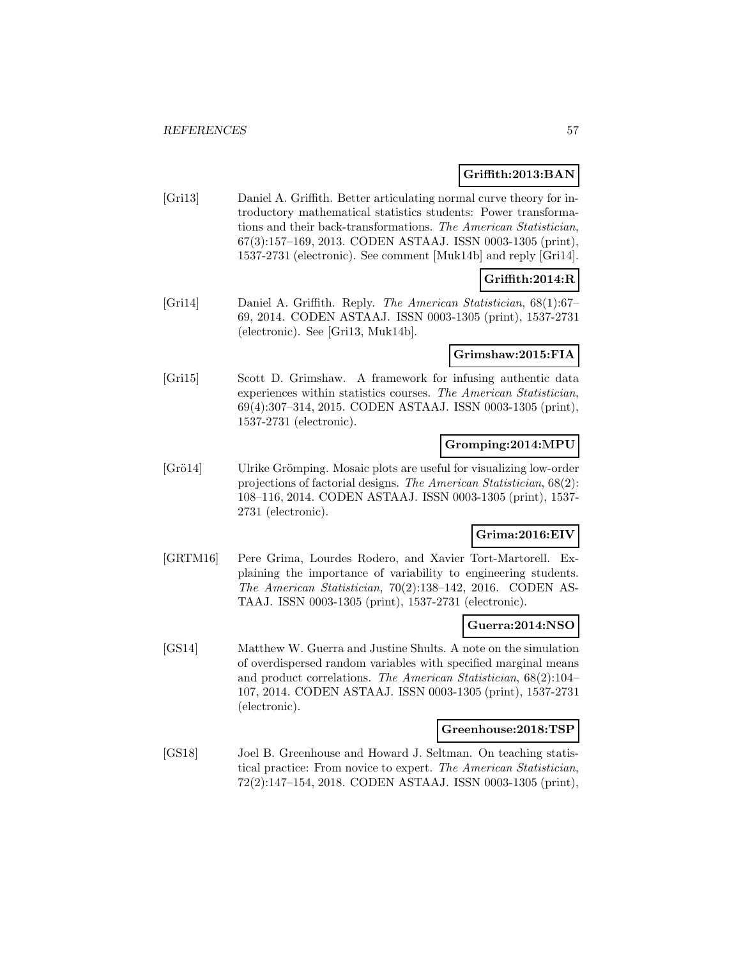#### **Griffith:2013:BAN**

[Gri13] Daniel A. Griffith. Better articulating normal curve theory for introductory mathematical statistics students: Power transformations and their back-transformations. The American Statistician, 67(3):157–169, 2013. CODEN ASTAAJ. ISSN 0003-1305 (print), 1537-2731 (electronic). See comment [Muk14b] and reply [Gri14].

# **Griffith:2014:R**

[Gri14] Daniel A. Griffith. Reply. The American Statistician, 68(1):67– 69, 2014. CODEN ASTAAJ. ISSN 0003-1305 (print), 1537-2731 (electronic). See [Gri13, Muk14b].

### **Grimshaw:2015:FIA**

[Gri15] Scott D. Grimshaw. A framework for infusing authentic data experiences within statistics courses. The American Statistician, 69(4):307–314, 2015. CODEN ASTAAJ. ISSN 0003-1305 (print), 1537-2731 (electronic).

### **Gromping:2014:MPU**

[Grö14] Ulrike Grömping. Mosaic plots are useful for visualizing low-order projections of factorial designs. The American Statistician, 68(2): 108–116, 2014. CODEN ASTAAJ. ISSN 0003-1305 (print), 1537- 2731 (electronic).

### **Grima:2016:EIV**

[GRTM16] Pere Grima, Lourdes Rodero, and Xavier Tort-Martorell. Explaining the importance of variability to engineering students. The American Statistician, 70(2):138–142, 2016. CODEN AS-TAAJ. ISSN 0003-1305 (print), 1537-2731 (electronic).

#### **Guerra:2014:NSO**

[GS14] Matthew W. Guerra and Justine Shults. A note on the simulation of overdispersed random variables with specified marginal means and product correlations. The American Statistician, 68(2):104– 107, 2014. CODEN ASTAAJ. ISSN 0003-1305 (print), 1537-2731 (electronic).

#### **Greenhouse:2018:TSP**

[GS18] Joel B. Greenhouse and Howard J. Seltman. On teaching statistical practice: From novice to expert. The American Statistician, 72(2):147–154, 2018. CODEN ASTAAJ. ISSN 0003-1305 (print),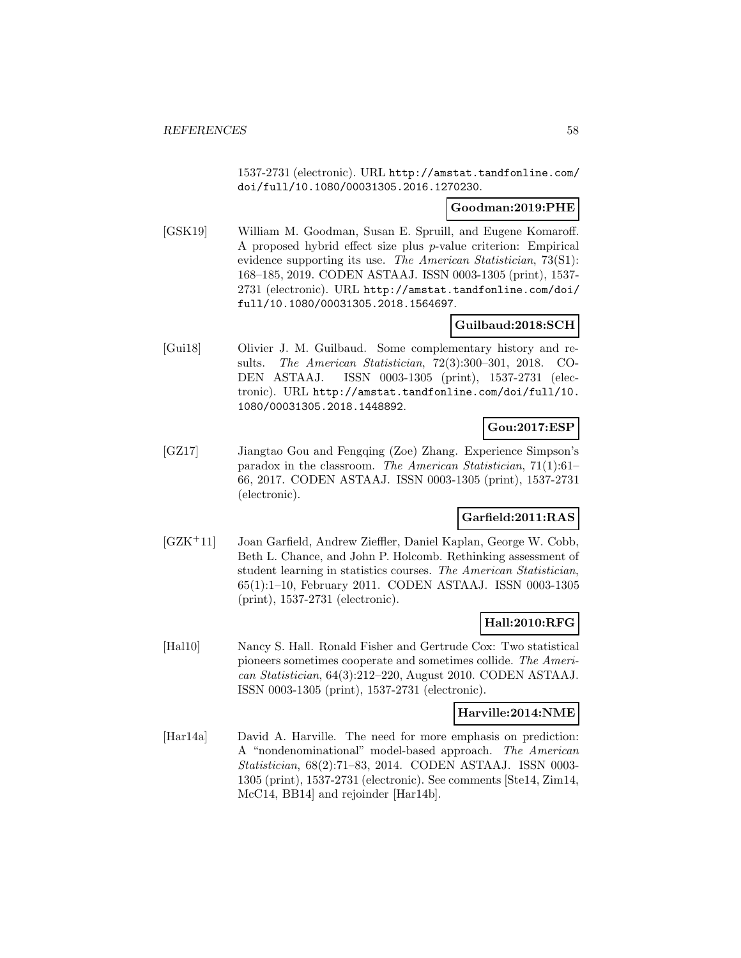1537-2731 (electronic). URL http://amstat.tandfonline.com/ doi/full/10.1080/00031305.2016.1270230.

### **Goodman:2019:PHE**

[GSK19] William M. Goodman, Susan E. Spruill, and Eugene Komaroff. A proposed hybrid effect size plus p-value criterion: Empirical evidence supporting its use. The American Statistician, 73(S1): 168–185, 2019. CODEN ASTAAJ. ISSN 0003-1305 (print), 1537- 2731 (electronic). URL http://amstat.tandfonline.com/doi/ full/10.1080/00031305.2018.1564697.

# **Guilbaud:2018:SCH**

[Gui18] Olivier J. M. Guilbaud. Some complementary history and results. The American Statistician, 72(3):300–301, 2018. CO-DEN ASTAAJ. ISSN 0003-1305 (print), 1537-2731 (electronic). URL http://amstat.tandfonline.com/doi/full/10. 1080/00031305.2018.1448892.

# **Gou:2017:ESP**

[GZ17] Jiangtao Gou and Fengqing (Zoe) Zhang. Experience Simpson's paradox in the classroom. The American Statistician, 71(1):61– 66, 2017. CODEN ASTAAJ. ISSN 0003-1305 (print), 1537-2731 (electronic).

# **Garfield:2011:RAS**

[GZK<sup>+</sup>11] Joan Garfield, Andrew Zieffler, Daniel Kaplan, George W. Cobb, Beth L. Chance, and John P. Holcomb. Rethinking assessment of student learning in statistics courses. The American Statistician, 65(1):1–10, February 2011. CODEN ASTAAJ. ISSN 0003-1305 (print), 1537-2731 (electronic).

### **Hall:2010:RFG**

[Hal10] Nancy S. Hall. Ronald Fisher and Gertrude Cox: Two statistical pioneers sometimes cooperate and sometimes collide. The American Statistician, 64(3):212–220, August 2010. CODEN ASTAAJ. ISSN 0003-1305 (print), 1537-2731 (electronic).

#### **Harville:2014:NME**

[Har14a] David A. Harville. The need for more emphasis on prediction: A "nondenominational" model-based approach. The American Statistician, 68(2):71–83, 2014. CODEN ASTAAJ. ISSN 0003- 1305 (print), 1537-2731 (electronic). See comments [Ste14, Zim14, McC14, BB14] and rejoinder [Har14b].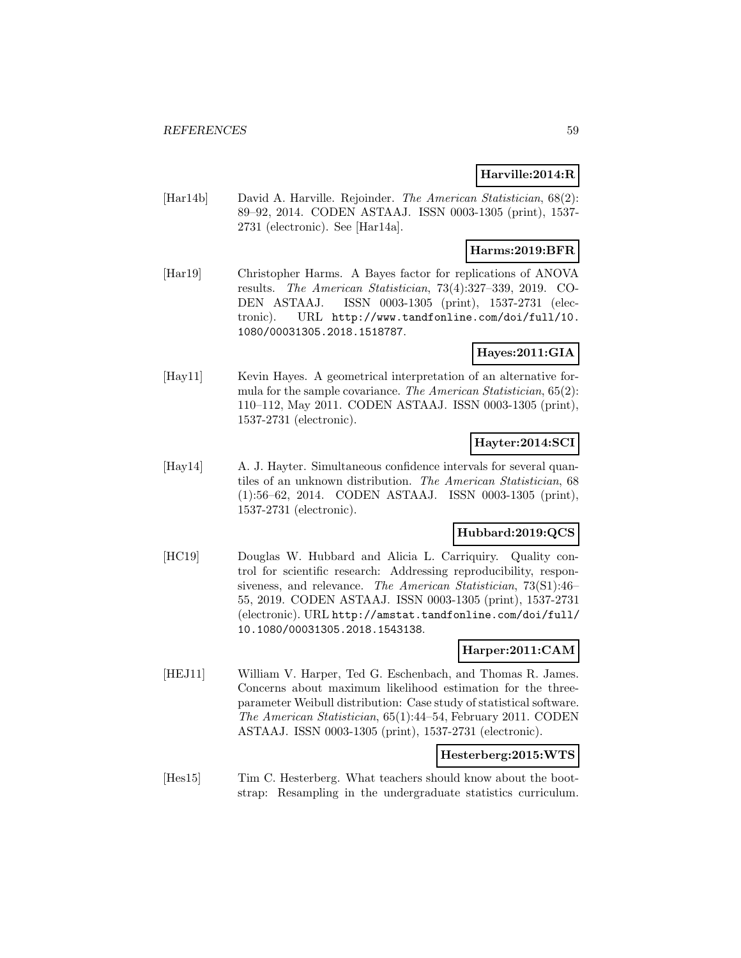# **Harville:2014:R**

[Har14b] David A. Harville. Rejoinder. The American Statistician, 68(2): 89–92, 2014. CODEN ASTAAJ. ISSN 0003-1305 (print), 1537- 2731 (electronic). See [Har14a].

# **Harms:2019:BFR**

[Har19] Christopher Harms. A Bayes factor for replications of ANOVA results. The American Statistician, 73(4):327–339, 2019. CO-DEN ASTAAJ. ISSN 0003-1305 (print), 1537-2731 (electronic). URL http://www.tandfonline.com/doi/full/10. 1080/00031305.2018.1518787.

# **Hayes:2011:GIA**

[Hay11] Kevin Hayes. A geometrical interpretation of an alternative formula for the sample covariance. The American Statistician, 65(2): 110–112, May 2011. CODEN ASTAAJ. ISSN 0003-1305 (print), 1537-2731 (electronic).

# **Hayter:2014:SCI**

[Hay14] A. J. Hayter. Simultaneous confidence intervals for several quantiles of an unknown distribution. The American Statistician, 68 (1):56–62, 2014. CODEN ASTAAJ. ISSN 0003-1305 (print), 1537-2731 (electronic).

### **Hubbard:2019:QCS**

[HC19] Douglas W. Hubbard and Alicia L. Carriquiry. Quality control for scientific research: Addressing reproducibility, responsiveness, and relevance. The American Statistician, 73(S1):46– 55, 2019. CODEN ASTAAJ. ISSN 0003-1305 (print), 1537-2731 (electronic). URL http://amstat.tandfonline.com/doi/full/ 10.1080/00031305.2018.1543138.

### **Harper:2011:CAM**

[HEJ11] William V. Harper, Ted G. Eschenbach, and Thomas R. James. Concerns about maximum likelihood estimation for the threeparameter Weibull distribution: Case study of statistical software. The American Statistician, 65(1):44–54, February 2011. CODEN ASTAAJ. ISSN 0003-1305 (print), 1537-2731 (electronic).

### **Hesterberg:2015:WTS**

[Hes15] Tim C. Hesterberg. What teachers should know about the bootstrap: Resampling in the undergraduate statistics curriculum.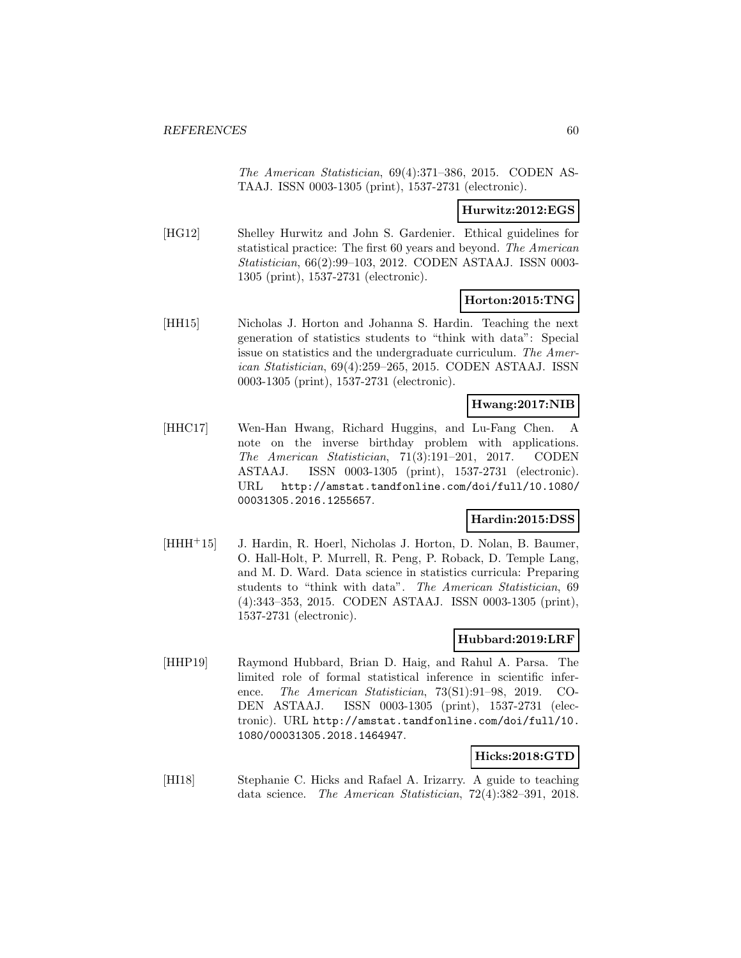The American Statistician, 69(4):371–386, 2015. CODEN AS-TAAJ. ISSN 0003-1305 (print), 1537-2731 (electronic).

#### **Hurwitz:2012:EGS**

[HG12] Shelley Hurwitz and John S. Gardenier. Ethical guidelines for statistical practice: The first 60 years and beyond. The American Statistician, 66(2):99–103, 2012. CODEN ASTAAJ. ISSN 0003- 1305 (print), 1537-2731 (electronic).

#### **Horton:2015:TNG**

[HH15] Nicholas J. Horton and Johanna S. Hardin. Teaching the next generation of statistics students to "think with data": Special issue on statistics and the undergraduate curriculum. The American Statistician, 69(4):259–265, 2015. CODEN ASTAAJ. ISSN 0003-1305 (print), 1537-2731 (electronic).

### **Hwang:2017:NIB**

[HHC17] Wen-Han Hwang, Richard Huggins, and Lu-Fang Chen. A note on the inverse birthday problem with applications. The American Statistician, 71(3):191–201, 2017. CODEN ASTAAJ. ISSN 0003-1305 (print), 1537-2731 (electronic). URL http://amstat.tandfonline.com/doi/full/10.1080/ 00031305.2016.1255657.

### **Hardin:2015:DSS**

[HHH<sup>+</sup>15] J. Hardin, R. Hoerl, Nicholas J. Horton, D. Nolan, B. Baumer, O. Hall-Holt, P. Murrell, R. Peng, P. Roback, D. Temple Lang, and M. D. Ward. Data science in statistics curricula: Preparing students to "think with data". The American Statistician, 69 (4):343–353, 2015. CODEN ASTAAJ. ISSN 0003-1305 (print), 1537-2731 (electronic).

### **Hubbard:2019:LRF**

[HHP19] Raymond Hubbard, Brian D. Haig, and Rahul A. Parsa. The limited role of formal statistical inference in scientific inference. The American Statistician, 73(S1):91–98, 2019. CO-DEN ASTAAJ. ISSN 0003-1305 (print), 1537-2731 (electronic). URL http://amstat.tandfonline.com/doi/full/10. 1080/00031305.2018.1464947.

### **Hicks:2018:GTD**

[HI18] Stephanie C. Hicks and Rafael A. Irizarry. A guide to teaching data science. The American Statistician, 72(4):382–391, 2018.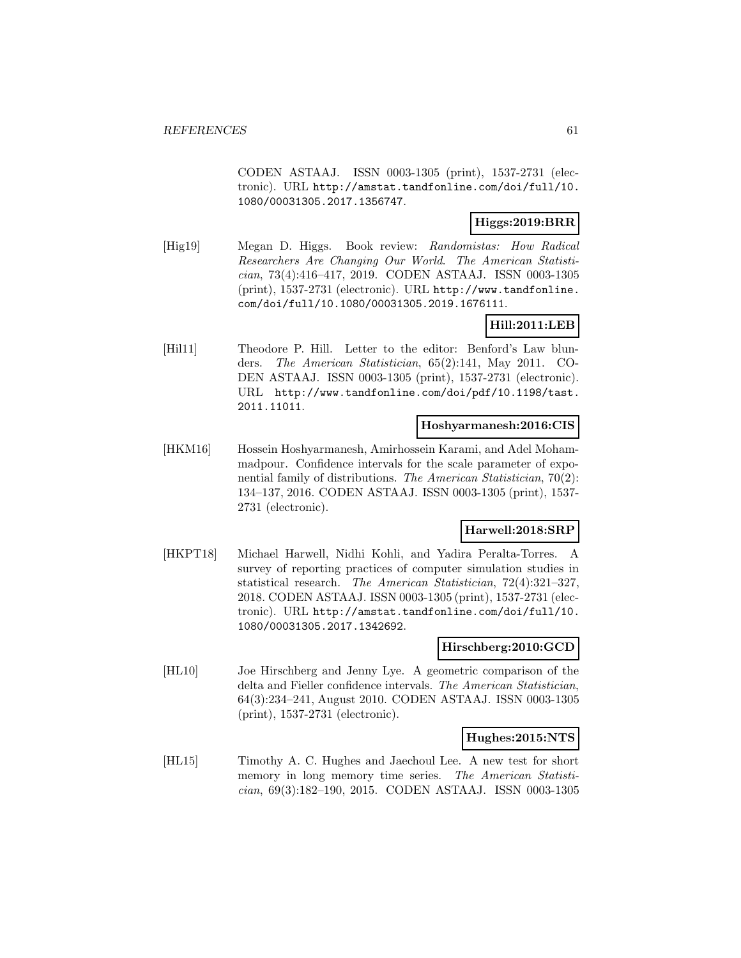CODEN ASTAAJ. ISSN 0003-1305 (print), 1537-2731 (electronic). URL http://amstat.tandfonline.com/doi/full/10. 1080/00031305.2017.1356747.

# **Higgs:2019:BRR**

[Hig19] Megan D. Higgs. Book review: Randomistas: How Radical Researchers Are Changing Our World. The American Statistician, 73(4):416–417, 2019. CODEN ASTAAJ. ISSN 0003-1305 (print), 1537-2731 (electronic). URL http://www.tandfonline. com/doi/full/10.1080/00031305.2019.1676111.

# **Hill:2011:LEB**

[Hil11] Theodore P. Hill. Letter to the editor: Benford's Law blunders. The American Statistician, 65(2):141, May 2011. CO-DEN ASTAAJ. ISSN 0003-1305 (print), 1537-2731 (electronic). URL http://www.tandfonline.com/doi/pdf/10.1198/tast. 2011.11011.

#### **Hoshyarmanesh:2016:CIS**

[HKM16] Hossein Hoshyarmanesh, Amirhossein Karami, and Adel Mohammadpour. Confidence intervals for the scale parameter of exponential family of distributions. The American Statistician, 70(2): 134–137, 2016. CODEN ASTAAJ. ISSN 0003-1305 (print), 1537- 2731 (electronic).

# **Harwell:2018:SRP**

[HKPT18] Michael Harwell, Nidhi Kohli, and Yadira Peralta-Torres. A survey of reporting practices of computer simulation studies in statistical research. The American Statistician, 72(4):321–327, 2018. CODEN ASTAAJ. ISSN 0003-1305 (print), 1537-2731 (electronic). URL http://amstat.tandfonline.com/doi/full/10. 1080/00031305.2017.1342692.

#### **Hirschberg:2010:GCD**

[HL10] Joe Hirschberg and Jenny Lye. A geometric comparison of the delta and Fieller confidence intervals. The American Statistician, 64(3):234–241, August 2010. CODEN ASTAAJ. ISSN 0003-1305 (print), 1537-2731 (electronic).

#### **Hughes:2015:NTS**

[HL15] Timothy A. C. Hughes and Jaechoul Lee. A new test for short memory in long memory time series. The American Statistician, 69(3):182–190, 2015. CODEN ASTAAJ. ISSN 0003-1305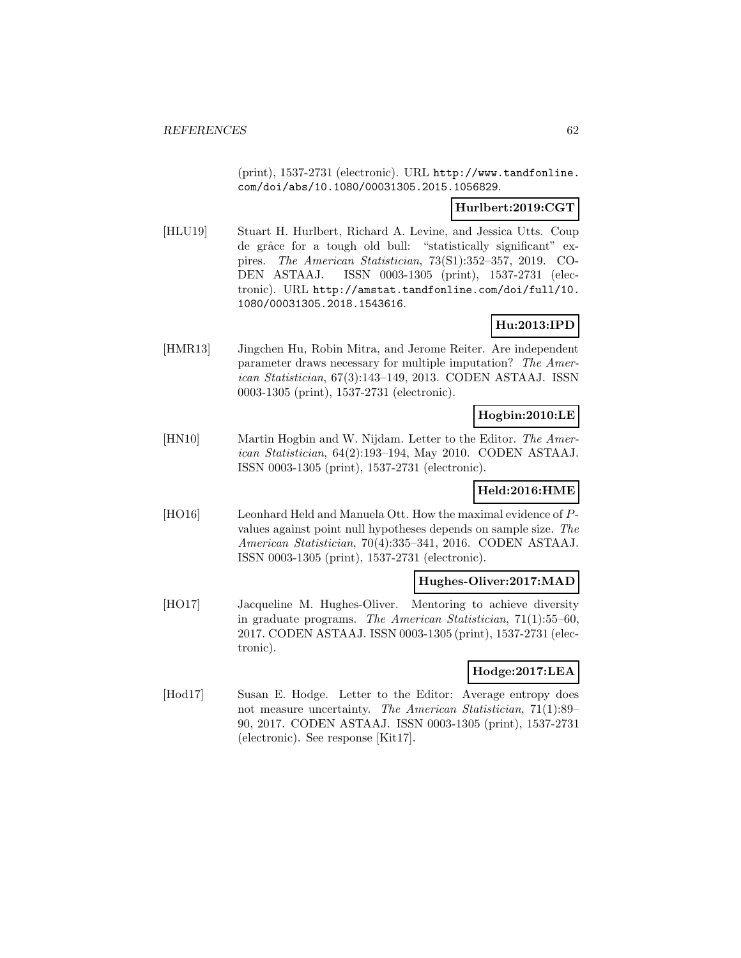(print), 1537-2731 (electronic). URL http://www.tandfonline. com/doi/abs/10.1080/00031305.2015.1056829.

### **Hurlbert:2019:CGT**

[HLU19] Stuart H. Hurlbert, Richard A. Levine, and Jessica Utts. Coup de grâce for a tough old bull: "statistically significant" expires. The American Statistician, 73(S1):352–357, 2019. CO-DEN ASTAAJ. ISSN 0003-1305 (print), 1537-2731 (electronic). URL http://amstat.tandfonline.com/doi/full/10. 1080/00031305.2018.1543616.

# **Hu:2013:IPD**

[HMR13] Jingchen Hu, Robin Mitra, and Jerome Reiter. Are independent parameter draws necessary for multiple imputation? The American Statistician, 67(3):143–149, 2013. CODEN ASTAAJ. ISSN 0003-1305 (print), 1537-2731 (electronic).

### **Hogbin:2010:LE**

[HN10] Martin Hogbin and W. Nijdam. Letter to the Editor. The American Statistician, 64(2):193–194, May 2010. CODEN ASTAAJ. ISSN 0003-1305 (print), 1537-2731 (electronic).

### **Held:2016:HME**

[HO16] Leonhard Held and Manuela Ott. How the maximal evidence of Pvalues against point null hypotheses depends on sample size. The American Statistician, 70(4):335–341, 2016. CODEN ASTAAJ. ISSN 0003-1305 (print), 1537-2731 (electronic).

### **Hughes-Oliver:2017:MAD**

[HO17] Jacqueline M. Hughes-Oliver. Mentoring to achieve diversity in graduate programs. The American Statistician, 71(1):55–60, 2017. CODEN ASTAAJ. ISSN 0003-1305 (print), 1537-2731 (electronic).

### **Hodge:2017:LEA**

[Hod17] Susan E. Hodge. Letter to the Editor: Average entropy does not measure uncertainty. The American Statistician, 71(1):89– 90, 2017. CODEN ASTAAJ. ISSN 0003-1305 (print), 1537-2731 (electronic). See response [Kit17].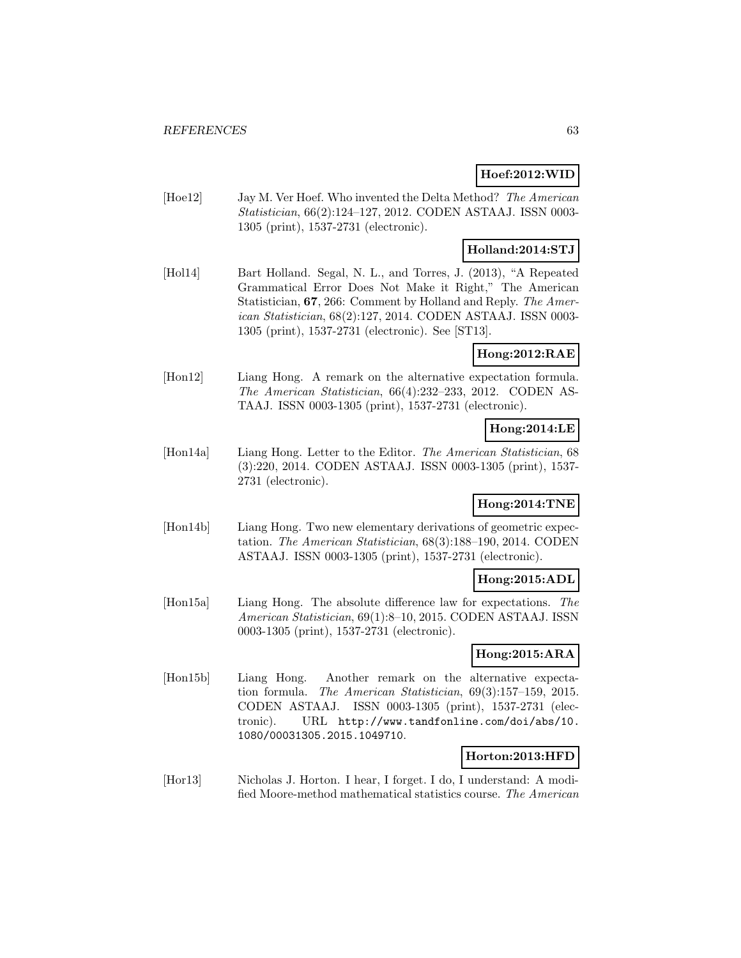# **Hoef:2012:WID**

[Hoe12] Jay M. Ver Hoef. Who invented the Delta Method? The American Statistician, 66(2):124–127, 2012. CODEN ASTAAJ. ISSN 0003- 1305 (print), 1537-2731 (electronic).

# **Holland:2014:STJ**

[Hol14] Bart Holland. Segal, N. L., and Torres, J. (2013), "A Repeated Grammatical Error Does Not Make it Right," The American Statistician, **67**, 266: Comment by Holland and Reply. The American Statistician, 68(2):127, 2014. CODEN ASTAAJ. ISSN 0003- 1305 (print), 1537-2731 (electronic). See [ST13].

**Hong:2012:RAE**

[Hon12] Liang Hong. A remark on the alternative expectation formula. The American Statistician, 66(4):232–233, 2012. CODEN AS-TAAJ. ISSN 0003-1305 (print), 1537-2731 (electronic).

### **Hong:2014:LE**

[Hon14a] Liang Hong. Letter to the Editor. The American Statistician, 68 (3):220, 2014. CODEN ASTAAJ. ISSN 0003-1305 (print), 1537- 2731 (electronic).

# **Hong:2014:TNE**

[Hon14b] Liang Hong. Two new elementary derivations of geometric expectation. The American Statistician, 68(3):188–190, 2014. CODEN ASTAAJ. ISSN 0003-1305 (print), 1537-2731 (electronic).

### **Hong:2015:ADL**

[Hon15a] Liang Hong. The absolute difference law for expectations. The American Statistician, 69(1):8–10, 2015. CODEN ASTAAJ. ISSN 0003-1305 (print), 1537-2731 (electronic).

### **Hong:2015:ARA**

[Hon15b] Liang Hong. Another remark on the alternative expectation formula. The American Statistician, 69(3):157–159, 2015. CODEN ASTAAJ. ISSN 0003-1305 (print), 1537-2731 (electronic). URL http://www.tandfonline.com/doi/abs/10. 1080/00031305.2015.1049710.

#### **Horton:2013:HFD**

[Hor13] Nicholas J. Horton. I hear, I forget. I do, I understand: A modified Moore-method mathematical statistics course. The American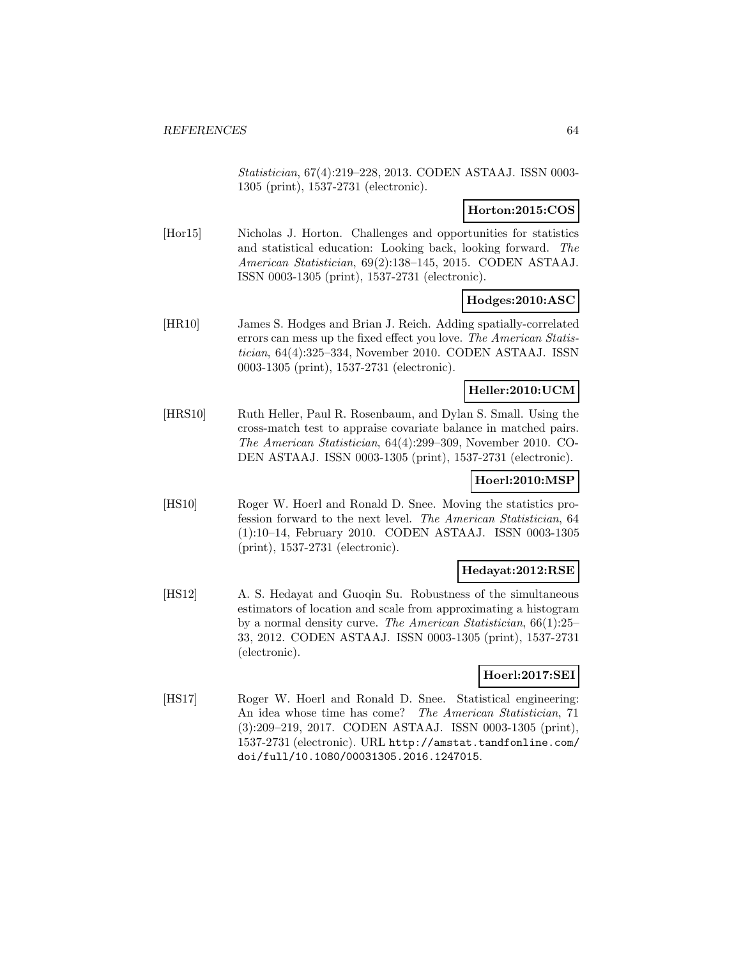Statistician, 67(4):219–228, 2013. CODEN ASTAAJ. ISSN 0003- 1305 (print), 1537-2731 (electronic).

### **Horton:2015:COS**

[Hor15] Nicholas J. Horton. Challenges and opportunities for statistics and statistical education: Looking back, looking forward. The American Statistician, 69(2):138–145, 2015. CODEN ASTAAJ. ISSN 0003-1305 (print), 1537-2731 (electronic).

### **Hodges:2010:ASC**

[HR10] James S. Hodges and Brian J. Reich. Adding spatially-correlated errors can mess up the fixed effect you love. The American Statistician, 64(4):325–334, November 2010. CODEN ASTAAJ. ISSN 0003-1305 (print), 1537-2731 (electronic).

### **Heller:2010:UCM**

[HRS10] Ruth Heller, Paul R. Rosenbaum, and Dylan S. Small. Using the cross-match test to appraise covariate balance in matched pairs. The American Statistician, 64(4):299–309, November 2010. CO-DEN ASTAAJ. ISSN 0003-1305 (print), 1537-2731 (electronic).

# **Hoerl:2010:MSP**

[HS10] Roger W. Hoerl and Ronald D. Snee. Moving the statistics profession forward to the next level. The American Statistician, 64 (1):10–14, February 2010. CODEN ASTAAJ. ISSN 0003-1305 (print), 1537-2731 (electronic).

### **Hedayat:2012:RSE**

[HS12] A. S. Hedayat and Guoqin Su. Robustness of the simultaneous estimators of location and scale from approximating a histogram by a normal density curve. The American Statistician, 66(1):25– 33, 2012. CODEN ASTAAJ. ISSN 0003-1305 (print), 1537-2731 (electronic).

### **Hoerl:2017:SEI**

[HS17] Roger W. Hoerl and Ronald D. Snee. Statistical engineering: An idea whose time has come? The American Statistician, 71 (3):209–219, 2017. CODEN ASTAAJ. ISSN 0003-1305 (print), 1537-2731 (electronic). URL http://amstat.tandfonline.com/ doi/full/10.1080/00031305.2016.1247015.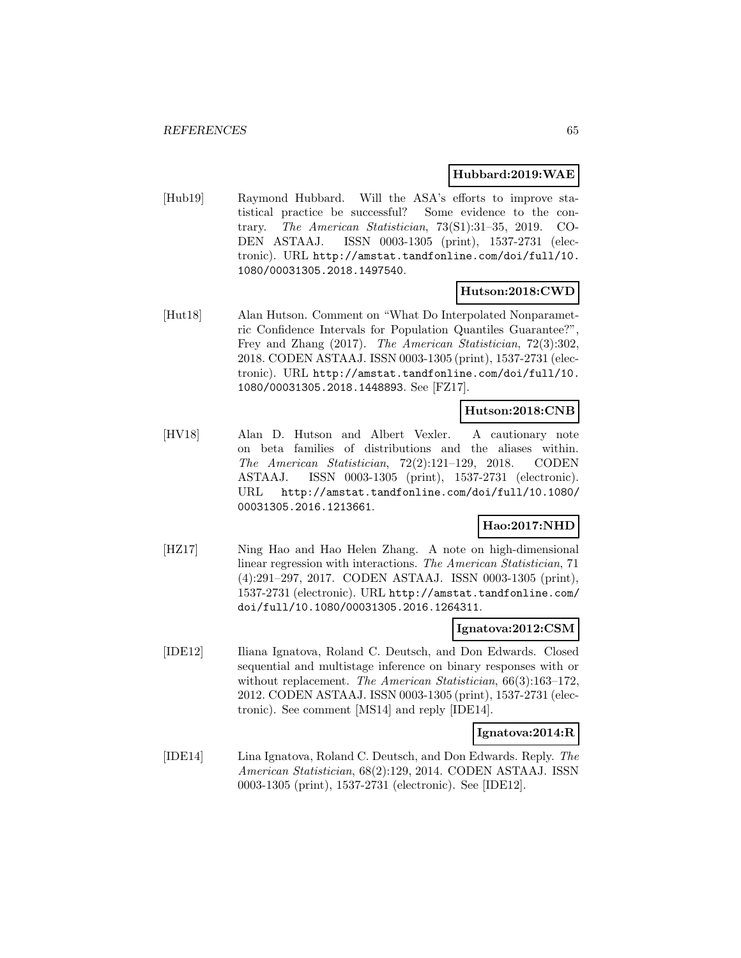### **Hubbard:2019:WAE**

[Hub19] Raymond Hubbard. Will the ASA's efforts to improve statistical practice be successful? Some evidence to the contrary. The American Statistician, 73(S1):31–35, 2019. CO-DEN ASTAAJ. ISSN 0003-1305 (print), 1537-2731 (electronic). URL http://amstat.tandfonline.com/doi/full/10. 1080/00031305.2018.1497540.

# **Hutson:2018:CWD**

[Hut18] Alan Hutson. Comment on "What Do Interpolated Nonparametric Confidence Intervals for Population Quantiles Guarantee?", Frey and Zhang (2017). The American Statistician, 72(3):302, 2018. CODEN ASTAAJ. ISSN 0003-1305 (print), 1537-2731 (electronic). URL http://amstat.tandfonline.com/doi/full/10. 1080/00031305.2018.1448893. See [FZ17].

### **Hutson:2018:CNB**

[HV18] Alan D. Hutson and Albert Vexler. A cautionary note on beta families of distributions and the aliases within. The American Statistician, 72(2):121–129, 2018. CODEN ASTAAJ. ISSN 0003-1305 (print), 1537-2731 (electronic). URL http://amstat.tandfonline.com/doi/full/10.1080/ 00031305.2016.1213661.

#### **Hao:2017:NHD**

[HZ17] Ning Hao and Hao Helen Zhang. A note on high-dimensional linear regression with interactions. The American Statistician, 71 (4):291–297, 2017. CODEN ASTAAJ. ISSN 0003-1305 (print), 1537-2731 (electronic). URL http://amstat.tandfonline.com/ doi/full/10.1080/00031305.2016.1264311.

#### **Ignatova:2012:CSM**

[IDE12] Iliana Ignatova, Roland C. Deutsch, and Don Edwards. Closed sequential and multistage inference on binary responses with or without replacement. The American Statistician, 66(3):163-172, 2012. CODEN ASTAAJ. ISSN 0003-1305 (print), 1537-2731 (electronic). See comment [MS14] and reply [IDE14].

#### **Ignatova:2014:R**

[IDE14] Lina Ignatova, Roland C. Deutsch, and Don Edwards. Reply. The American Statistician, 68(2):129, 2014. CODEN ASTAAJ. ISSN 0003-1305 (print), 1537-2731 (electronic). See [IDE12].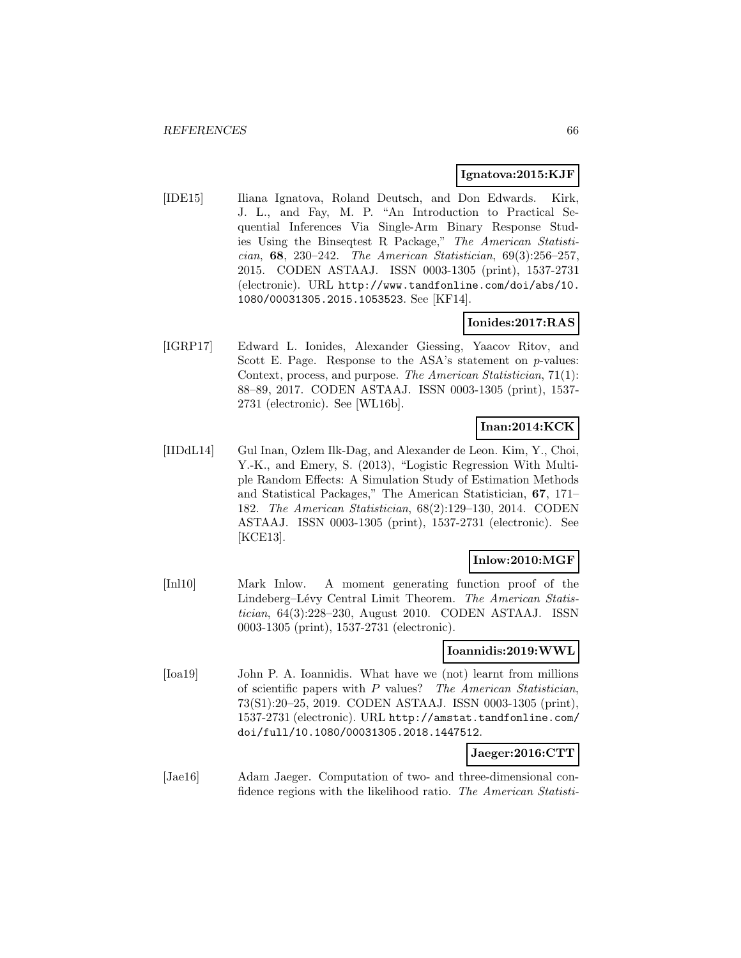#### **Ignatova:2015:KJF**

[IDE15] Iliana Ignatova, Roland Deutsch, and Don Edwards. Kirk, J. L., and Fay, M. P. "An Introduction to Practical Sequential Inferences Via Single-Arm Binary Response Studies Using the Binseqtest R Package," The American Statistician, **68**, 230–242. The American Statistician, 69(3):256–257, 2015. CODEN ASTAAJ. ISSN 0003-1305 (print), 1537-2731 (electronic). URL http://www.tandfonline.com/doi/abs/10. 1080/00031305.2015.1053523. See [KF14].

### **Ionides:2017:RAS**

[IGRP17] Edward L. Ionides, Alexander Giessing, Yaacov Ritov, and Scott E. Page. Response to the ASA's statement on p-values: Context, process, and purpose. The American Statistician, 71(1): 88–89, 2017. CODEN ASTAAJ. ISSN 0003-1305 (print), 1537- 2731 (electronic). See [WL16b].

### **Inan:2014:KCK**

[IIDdL14] Gul Inan, Ozlem Ilk-Dag, and Alexander de Leon. Kim, Y., Choi, Y.-K., and Emery, S. (2013), "Logistic Regression With Multiple Random Effects: A Simulation Study of Estimation Methods and Statistical Packages," The American Statistician, **67**, 171– 182. The American Statistician, 68(2):129–130, 2014. CODEN ASTAAJ. ISSN 0003-1305 (print), 1537-2731 (electronic). See [KCE13].

### **Inlow:2010:MGF**

[Inl10] Mark Inlow. A moment generating function proof of the Lindeberg–Lévy Central Limit Theorem. The American Statistician, 64(3):228–230, August 2010. CODEN ASTAAJ. ISSN 0003-1305 (print), 1537-2731 (electronic).

#### **Ioannidis:2019:WWL**

[Ioa19] John P. A. Ioannidis. What have we (not) learnt from millions of scientific papers with P values? The American Statistician, 73(S1):20–25, 2019. CODEN ASTAAJ. ISSN 0003-1305 (print), 1537-2731 (electronic). URL http://amstat.tandfonline.com/ doi/full/10.1080/00031305.2018.1447512.

#### **Jaeger:2016:CTT**

[Jae16] Adam Jaeger. Computation of two- and three-dimensional confidence regions with the likelihood ratio. The American Statisti-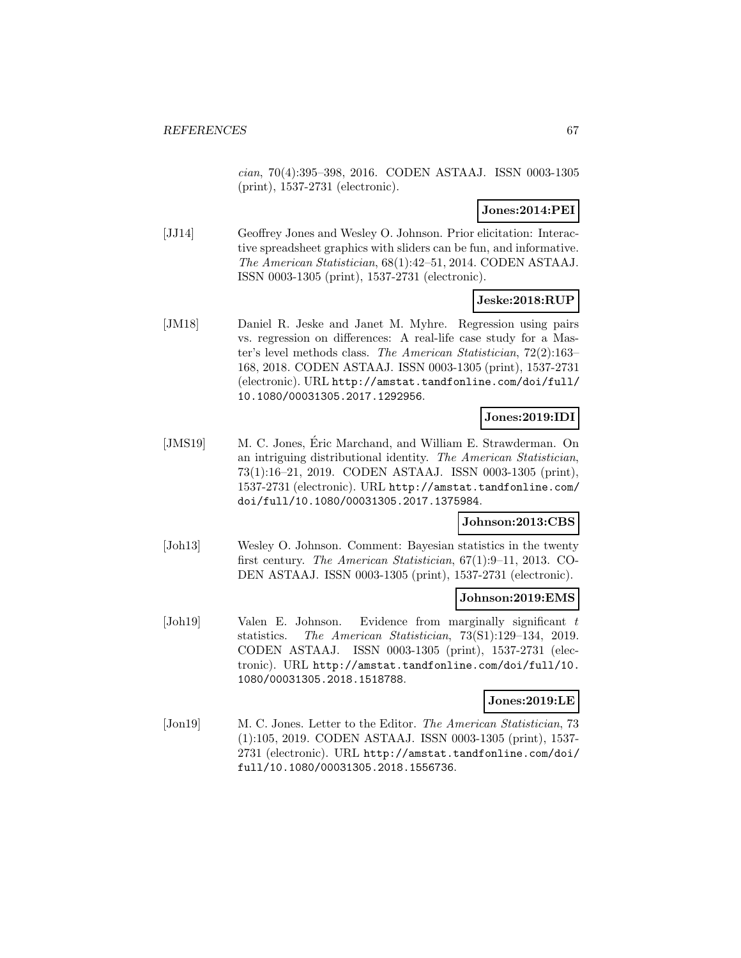cian, 70(4):395–398, 2016. CODEN ASTAAJ. ISSN 0003-1305 (print), 1537-2731 (electronic).

### **Jones:2014:PEI**

[JJ14] Geoffrey Jones and Wesley O. Johnson. Prior elicitation: Interactive spreadsheet graphics with sliders can be fun, and informative. The American Statistician, 68(1):42–51, 2014. CODEN ASTAAJ. ISSN 0003-1305 (print), 1537-2731 (electronic).

### **Jeske:2018:RUP**

[JM18] Daniel R. Jeske and Janet M. Myhre. Regression using pairs vs. regression on differences: A real-life case study for a Master's level methods class. The American Statistician, 72(2):163– 168, 2018. CODEN ASTAAJ. ISSN 0003-1305 (print), 1537-2731 (electronic). URL http://amstat.tandfonline.com/doi/full/ 10.1080/00031305.2017.1292956.

# **Jones:2019:IDI**

[JMS19] M. C. Jones, Eric Marchand, and William E. Strawderman. On an intriguing distributional identity. The American Statistician, 73(1):16–21, 2019. CODEN ASTAAJ. ISSN 0003-1305 (print), 1537-2731 (electronic). URL http://amstat.tandfonline.com/ doi/full/10.1080/00031305.2017.1375984.

### **Johnson:2013:CBS**

[Joh13] Wesley O. Johnson. Comment: Bayesian statistics in the twenty first century. The American Statistician, 67(1):9–11, 2013. CO-DEN ASTAAJ. ISSN 0003-1305 (print), 1537-2731 (electronic).

### **Johnson:2019:EMS**

[Joh19] Valen E. Johnson. Evidence from marginally significant t statistics. The American Statistician, 73(S1):129–134, 2019. CODEN ASTAAJ. ISSN 0003-1305 (print), 1537-2731 (electronic). URL http://amstat.tandfonline.com/doi/full/10. 1080/00031305.2018.1518788.

# **Jones:2019:LE**

[Jon19] M. C. Jones. Letter to the Editor. The American Statistician, 73 (1):105, 2019. CODEN ASTAAJ. ISSN 0003-1305 (print), 1537- 2731 (electronic). URL http://amstat.tandfonline.com/doi/ full/10.1080/00031305.2018.1556736.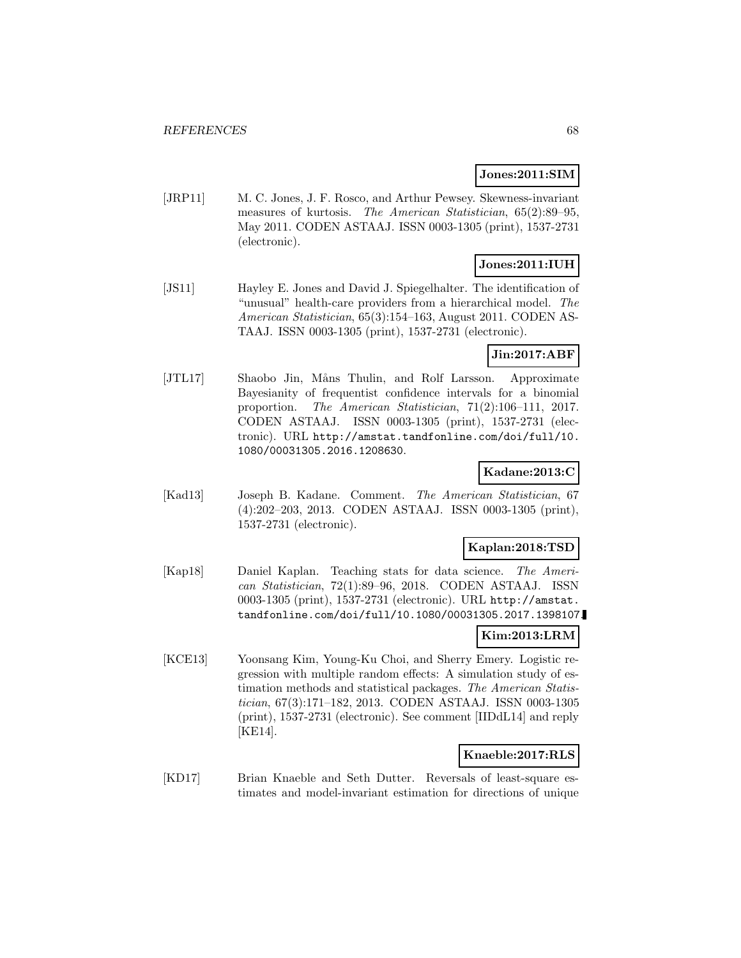#### **Jones:2011:SIM**

[JRP11] M. C. Jones, J. F. Rosco, and Arthur Pewsey. Skewness-invariant measures of kurtosis. The American Statistician, 65(2):89–95, May 2011. CODEN ASTAAJ. ISSN 0003-1305 (print), 1537-2731 (electronic).

### **Jones:2011:IUH**

[JS11] Hayley E. Jones and David J. Spiegelhalter. The identification of "unusual" health-care providers from a hierarchical model. The American Statistician, 65(3):154–163, August 2011. CODEN AS-TAAJ. ISSN 0003-1305 (print), 1537-2731 (electronic).

# **Jin:2017:ABF**

[JTL17] Shaobo Jin, Måns Thulin, and Rolf Larsson. Approximate Bayesianity of frequentist confidence intervals for a binomial proportion. The American Statistician, 71(2):106–111, 2017. CODEN ASTAAJ. ISSN 0003-1305 (print), 1537-2731 (electronic). URL http://amstat.tandfonline.com/doi/full/10. 1080/00031305.2016.1208630.

### **Kadane:2013:C**

[Kad13] Joseph B. Kadane. Comment. The American Statistician, 67 (4):202–203, 2013. CODEN ASTAAJ. ISSN 0003-1305 (print), 1537-2731 (electronic).

#### **Kaplan:2018:TSD**

[Kap18] Daniel Kaplan. Teaching stats for data science. The American Statistician, 72(1):89–96, 2018. CODEN ASTAAJ. ISSN 0003-1305 (print), 1537-2731 (electronic). URL http://amstat. tandfonline.com/doi/full/10.1080/00031305.2017.1398107.

# **Kim:2013:LRM**

[KCE13] Yoonsang Kim, Young-Ku Choi, and Sherry Emery. Logistic regression with multiple random effects: A simulation study of estimation methods and statistical packages. The American Statistician, 67(3):171–182, 2013. CODEN ASTAAJ. ISSN 0003-1305 (print), 1537-2731 (electronic). See comment [IIDdL14] and reply [KE14].

#### **Knaeble:2017:RLS**

[KD17] Brian Knaeble and Seth Dutter. Reversals of least-square estimates and model-invariant estimation for directions of unique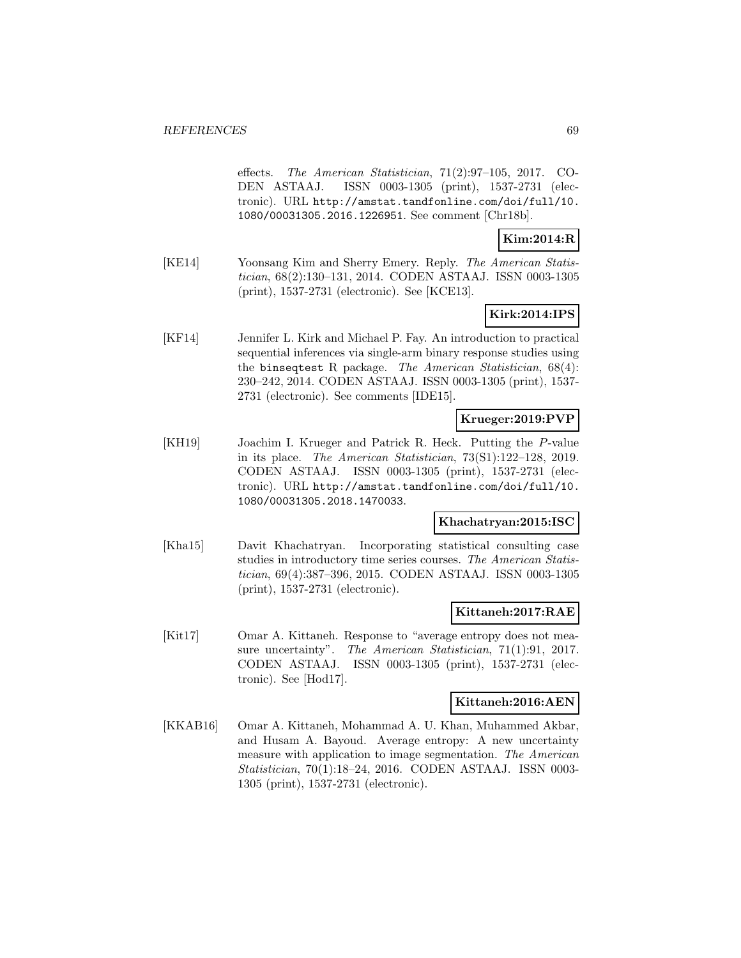effects. The American Statistician, 71(2):97–105, 2017. CO-DEN ASTAAJ. ISSN 0003-1305 (print), 1537-2731 (electronic). URL http://amstat.tandfonline.com/doi/full/10. 1080/00031305.2016.1226951. See comment [Chr18b].

# **Kim:2014:R**

[KE14] Yoonsang Kim and Sherry Emery. Reply. The American Statistician, 68(2):130–131, 2014. CODEN ASTAAJ. ISSN 0003-1305 (print), 1537-2731 (electronic). See [KCE13].

# **Kirk:2014:IPS**

[KF14] Jennifer L. Kirk and Michael P. Fay. An introduction to practical sequential inferences via single-arm binary response studies using the binseqtest R package. The American Statistician, 68(4): 230–242, 2014. CODEN ASTAAJ. ISSN 0003-1305 (print), 1537- 2731 (electronic). See comments [IDE15].

### **Krueger:2019:PVP**

[KH19] Joachim I. Krueger and Patrick R. Heck. Putting the P-value in its place. The American Statistician, 73(S1):122–128, 2019. CODEN ASTAAJ. ISSN 0003-1305 (print), 1537-2731 (electronic). URL http://amstat.tandfonline.com/doi/full/10. 1080/00031305.2018.1470033.

#### **Khachatryan:2015:ISC**

[Kha15] Davit Khachatryan. Incorporating statistical consulting case studies in introductory time series courses. The American Statistician, 69(4):387–396, 2015. CODEN ASTAAJ. ISSN 0003-1305 (print), 1537-2731 (electronic).

#### **Kittaneh:2017:RAE**

[Kit17] Omar A. Kittaneh. Response to "average entropy does not measure uncertainty". The American Statistician, 71(1):91, 2017. CODEN ASTAAJ. ISSN 0003-1305 (print), 1537-2731 (electronic). See [Hod17].

#### **Kittaneh:2016:AEN**

[KKAB16] Omar A. Kittaneh, Mohammad A. U. Khan, Muhammed Akbar, and Husam A. Bayoud. Average entropy: A new uncertainty measure with application to image segmentation. The American Statistician, 70(1):18–24, 2016. CODEN ASTAAJ. ISSN 0003- 1305 (print), 1537-2731 (electronic).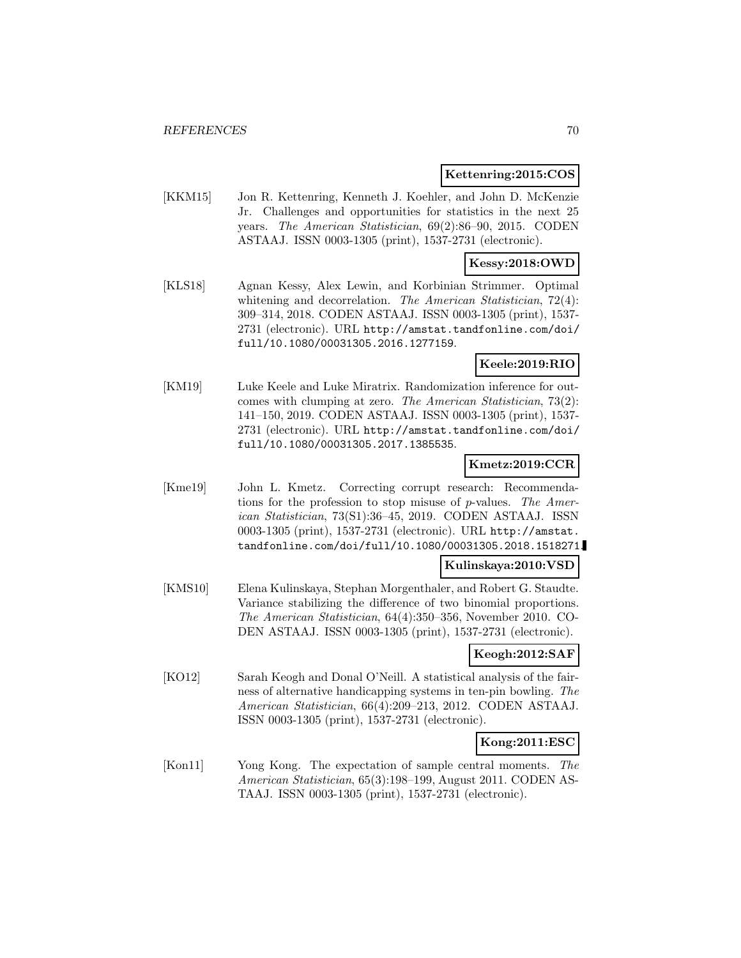#### **Kettenring:2015:COS**

[KKM15] Jon R. Kettenring, Kenneth J. Koehler, and John D. McKenzie Jr. Challenges and opportunities for statistics in the next 25 years. The American Statistician, 69(2):86–90, 2015. CODEN ASTAAJ. ISSN 0003-1305 (print), 1537-2731 (electronic).

### **Kessy:2018:OWD**

[KLS18] Agnan Kessy, Alex Lewin, and Korbinian Strimmer. Optimal whitening and decorrelation. The American Statistician, 72(4): 309–314, 2018. CODEN ASTAAJ. ISSN 0003-1305 (print), 1537- 2731 (electronic). URL http://amstat.tandfonline.com/doi/ full/10.1080/00031305.2016.1277159.

### **Keele:2019:RIO**

[KM19] Luke Keele and Luke Miratrix. Randomization inference for outcomes with clumping at zero. The American Statistician, 73(2): 141–150, 2019. CODEN ASTAAJ. ISSN 0003-1305 (print), 1537- 2731 (electronic). URL http://amstat.tandfonline.com/doi/ full/10.1080/00031305.2017.1385535.

### **Kmetz:2019:CCR**

[Kme19] John L. Kmetz. Correcting corrupt research: Recommendations for the profession to stop misuse of p-values. The American Statistician, 73(S1):36–45, 2019. CODEN ASTAAJ. ISSN 0003-1305 (print), 1537-2731 (electronic). URL http://amstat. tandfonline.com/doi/full/10.1080/00031305.2018.1518271.

#### **Kulinskaya:2010:VSD**

[KMS10] Elena Kulinskaya, Stephan Morgenthaler, and Robert G. Staudte. Variance stabilizing the difference of two binomial proportions. The American Statistician, 64(4):350–356, November 2010. CO-DEN ASTAAJ. ISSN 0003-1305 (print), 1537-2731 (electronic).

### **Keogh:2012:SAF**

[KO12] Sarah Keogh and Donal O'Neill. A statistical analysis of the fairness of alternative handicapping systems in ten-pin bowling. The American Statistician, 66(4):209–213, 2012. CODEN ASTAAJ. ISSN 0003-1305 (print), 1537-2731 (electronic).

### **Kong:2011:ESC**

[Kon11] Yong Kong. The expectation of sample central moments. The American Statistician, 65(3):198–199, August 2011. CODEN AS-TAAJ. ISSN 0003-1305 (print), 1537-2731 (electronic).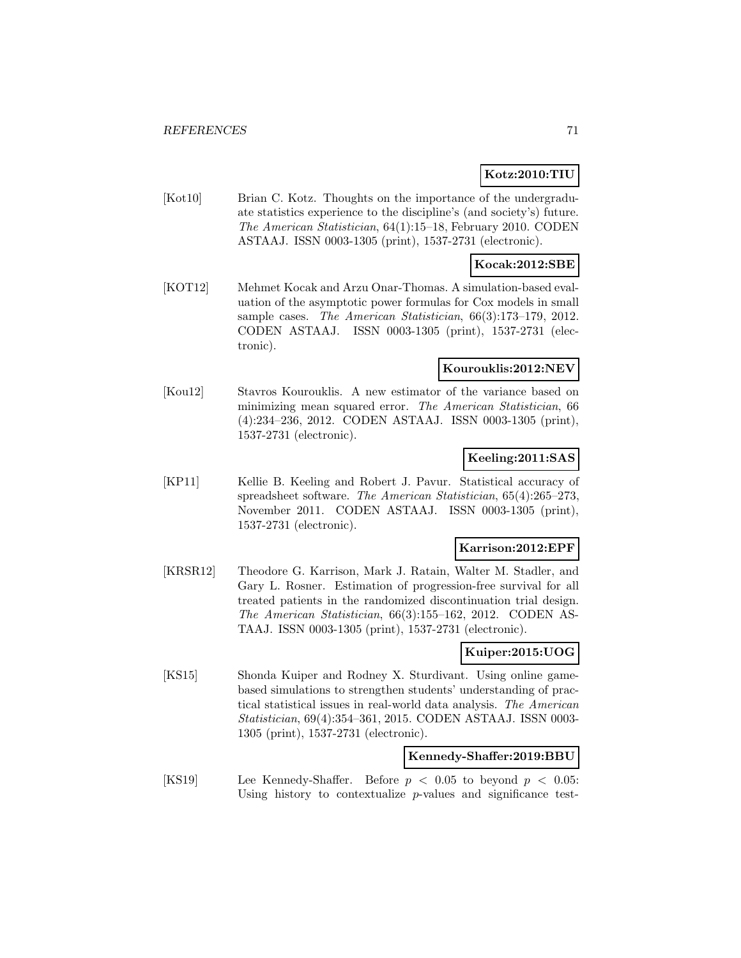# **Kotz:2010:TIU**

[Kot10] Brian C. Kotz. Thoughts on the importance of the undergraduate statistics experience to the discipline's (and society's) future. The American Statistician, 64(1):15–18, February 2010. CODEN ASTAAJ. ISSN 0003-1305 (print), 1537-2731 (electronic).

#### **Kocak:2012:SBE**

[KOT12] Mehmet Kocak and Arzu Onar-Thomas. A simulation-based evaluation of the asymptotic power formulas for Cox models in small sample cases. The American Statistician, 66(3):173–179, 2012. CODEN ASTAAJ. ISSN 0003-1305 (print), 1537-2731 (electronic).

#### **Kourouklis:2012:NEV**

[Kou12] Stavros Kourouklis. A new estimator of the variance based on minimizing mean squared error. The American Statistician, 66 (4):234–236, 2012. CODEN ASTAAJ. ISSN 0003-1305 (print), 1537-2731 (electronic).

### **Keeling:2011:SAS**

[KP11] Kellie B. Keeling and Robert J. Pavur. Statistical accuracy of spreadsheet software. The American Statistician, 65(4):265–273, November 2011. CODEN ASTAAJ. ISSN 0003-1305 (print), 1537-2731 (electronic).

#### **Karrison:2012:EPF**

[KRSR12] Theodore G. Karrison, Mark J. Ratain, Walter M. Stadler, and Gary L. Rosner. Estimation of progression-free survival for all treated patients in the randomized discontinuation trial design. The American Statistician, 66(3):155–162, 2012. CODEN AS-TAAJ. ISSN 0003-1305 (print), 1537-2731 (electronic).

### **Kuiper:2015:UOG**

[KS15] Shonda Kuiper and Rodney X. Sturdivant. Using online gamebased simulations to strengthen students' understanding of practical statistical issues in real-world data analysis. The American Statistician, 69(4):354–361, 2015. CODEN ASTAAJ. ISSN 0003- 1305 (print), 1537-2731 (electronic).

#### **Kennedy-Shaffer:2019:BBU**

[KS19] Lee Kennedy-Shaffer. Before  $p < 0.05$  to beyond  $p < 0.05$ : Using history to contextualize p-values and significance test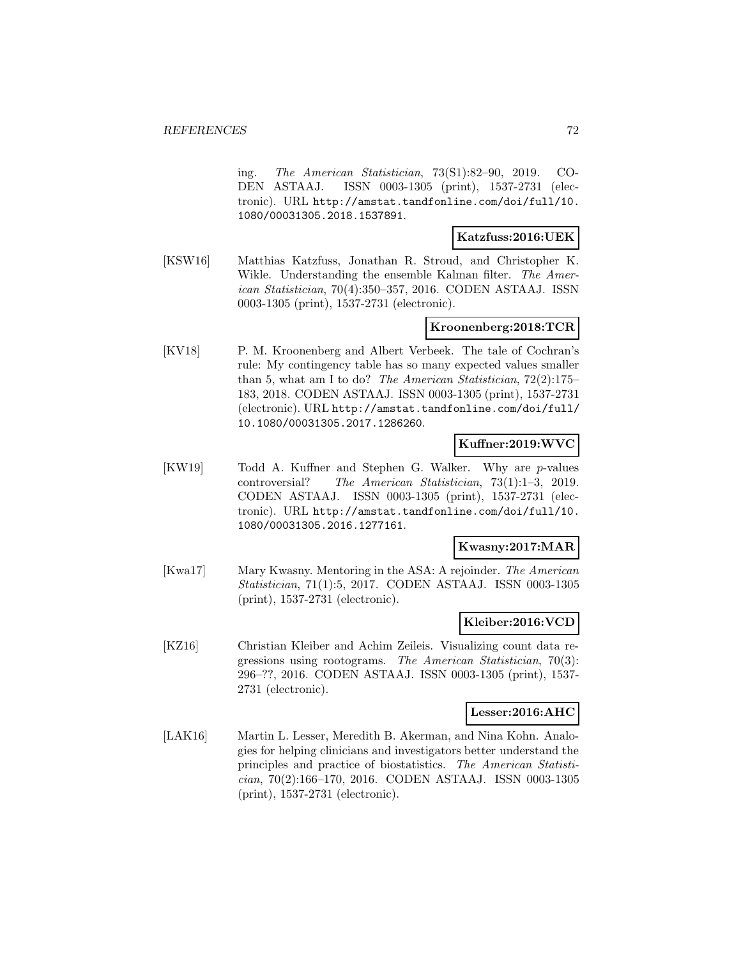ing. The American Statistician, 73(S1):82–90, 2019. CO-DEN ASTAAJ. ISSN 0003-1305 (print), 1537-2731 (electronic). URL http://amstat.tandfonline.com/doi/full/10. 1080/00031305.2018.1537891.

### **Katzfuss:2016:UEK**

[KSW16] Matthias Katzfuss, Jonathan R. Stroud, and Christopher K. Wikle. Understanding the ensemble Kalman filter. The American Statistician, 70(4):350–357, 2016. CODEN ASTAAJ. ISSN 0003-1305 (print), 1537-2731 (electronic).

### **Kroonenberg:2018:TCR**

[KV18] P. M. Kroonenberg and Albert Verbeek. The tale of Cochran's rule: My contingency table has so many expected values smaller than 5, what am I to do? The American Statistician, 72(2):175– 183, 2018. CODEN ASTAAJ. ISSN 0003-1305 (print), 1537-2731 (electronic). URL http://amstat.tandfonline.com/doi/full/ 10.1080/00031305.2017.1286260.

# **Kuffner:2019:WVC**

[KW19] Todd A. Kuffner and Stephen G. Walker. Why are p-values controversial? The American Statistician, 73(1):1–3, 2019. CODEN ASTAAJ. ISSN 0003-1305 (print), 1537-2731 (electronic). URL http://amstat.tandfonline.com/doi/full/10. 1080/00031305.2016.1277161.

### **Kwasny:2017:MAR**

[Kwa17] Mary Kwasny. Mentoring in the ASA: A rejoinder. The American Statistician, 71(1):5, 2017. CODEN ASTAAJ. ISSN 0003-1305 (print), 1537-2731 (electronic).

### **Kleiber:2016:VCD**

[KZ16] Christian Kleiber and Achim Zeileis. Visualizing count data regressions using rootograms. The American Statistician, 70(3): 296–??, 2016. CODEN ASTAAJ. ISSN 0003-1305 (print), 1537- 2731 (electronic).

#### **Lesser:2016:AHC**

[LAK16] Martin L. Lesser, Meredith B. Akerman, and Nina Kohn. Analogies for helping clinicians and investigators better understand the principles and practice of biostatistics. The American Statistician, 70(2):166–170, 2016. CODEN ASTAAJ. ISSN 0003-1305 (print), 1537-2731 (electronic).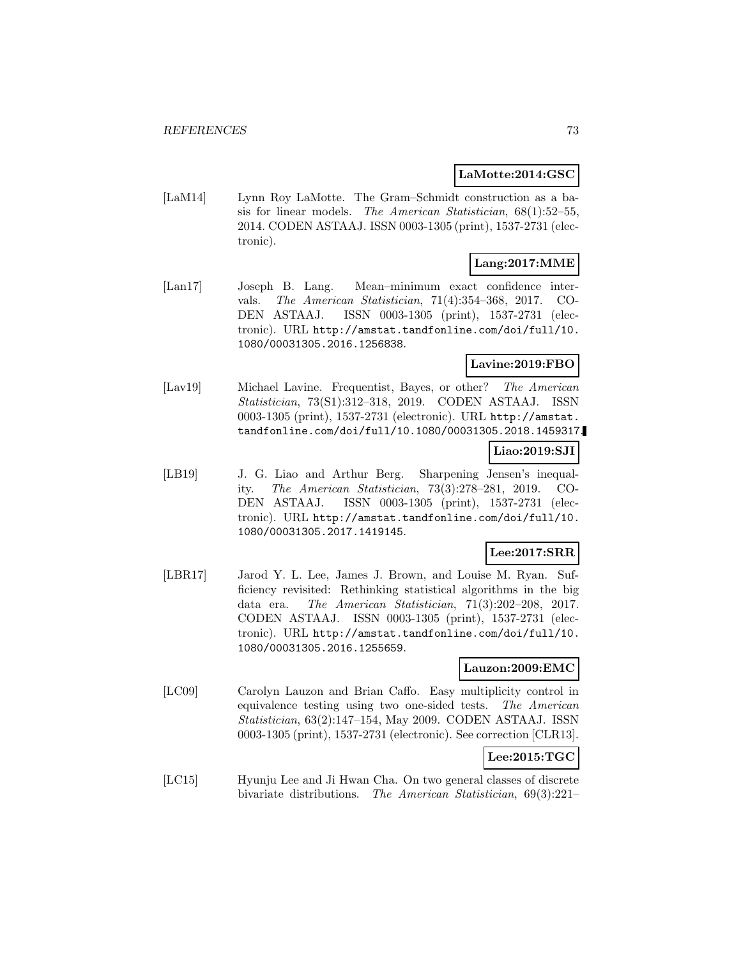## **LaMotte:2014:GSC**

[LaM14] Lynn Roy LaMotte. The Gram–Schmidt construction as a basis for linear models. The American Statistician, 68(1):52–55, 2014. CODEN ASTAAJ. ISSN 0003-1305 (print), 1537-2731 (electronic).

# **Lang:2017:MME**

[Lan17] Joseph B. Lang. Mean–minimum exact confidence intervals. The American Statistician, 71(4):354–368, 2017. CO-DEN ASTAAJ. ISSN 0003-1305 (print), 1537-2731 (electronic). URL http://amstat.tandfonline.com/doi/full/10. 1080/00031305.2016.1256838.

## **Lavine:2019:FBO**

[Lav19] Michael Lavine. Frequentist, Bayes, or other? The American Statistician, 73(S1):312–318, 2019. CODEN ASTAAJ. ISSN 0003-1305 (print), 1537-2731 (electronic). URL http://amstat. tandfonline.com/doi/full/10.1080/00031305.2018.1459317.

## **Liao:2019:SJI**

[LB19] J. G. Liao and Arthur Berg. Sharpening Jensen's inequality. The American Statistician, 73(3):278–281, 2019. CO-DEN ASTAAJ. ISSN 0003-1305 (print), 1537-2731 (electronic). URL http://amstat.tandfonline.com/doi/full/10. 1080/00031305.2017.1419145.

## **Lee:2017:SRR**

[LBR17] Jarod Y. L. Lee, James J. Brown, and Louise M. Ryan. Sufficiency revisited: Rethinking statistical algorithms in the big data era. The American Statistician, 71(3):202–208, 2017. CODEN ASTAAJ. ISSN 0003-1305 (print), 1537-2731 (electronic). URL http://amstat.tandfonline.com/doi/full/10. 1080/00031305.2016.1255659.

## **Lauzon:2009:EMC**

[LC09] Carolyn Lauzon and Brian Caffo. Easy multiplicity control in equivalence testing using two one-sided tests. The American Statistician, 63(2):147–154, May 2009. CODEN ASTAAJ. ISSN 0003-1305 (print), 1537-2731 (electronic). See correction [CLR13].

# **Lee:2015:TGC**

[LC15] Hyunju Lee and Ji Hwan Cha. On two general classes of discrete bivariate distributions. The American Statistician, 69(3):221–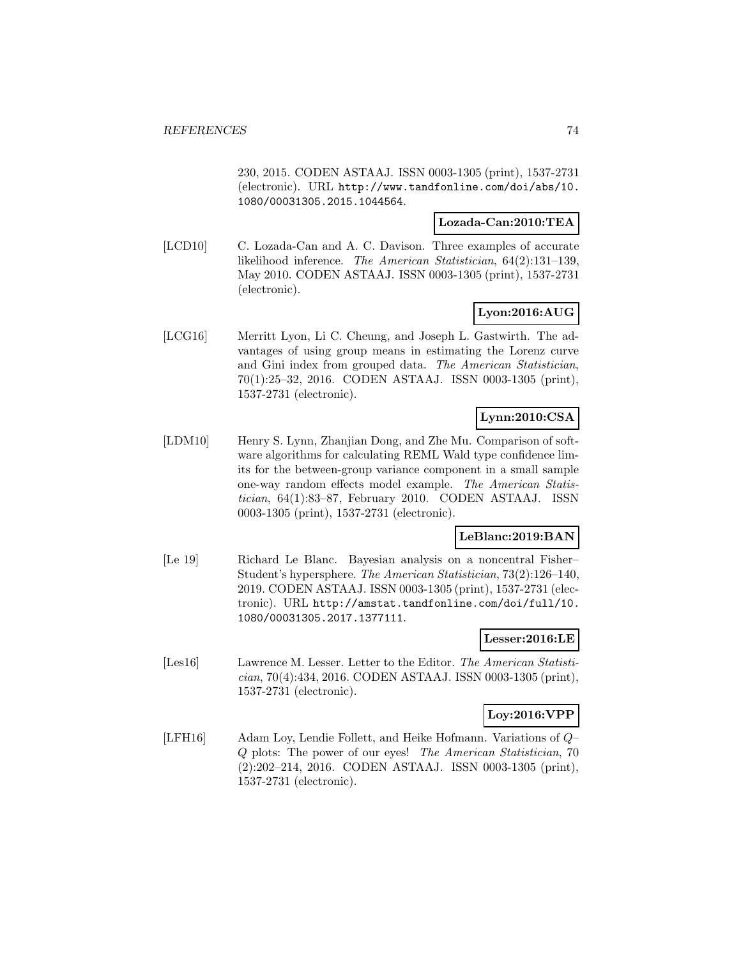230, 2015. CODEN ASTAAJ. ISSN 0003-1305 (print), 1537-2731 (electronic). URL http://www.tandfonline.com/doi/abs/10. 1080/00031305.2015.1044564.

#### **Lozada-Can:2010:TEA**

[LCD10] C. Lozada-Can and A. C. Davison. Three examples of accurate likelihood inference. The American Statistician, 64(2):131–139, May 2010. CODEN ASTAAJ. ISSN 0003-1305 (print), 1537-2731 (electronic).

## **Lyon:2016:AUG**

[LCG16] Merritt Lyon, Li C. Cheung, and Joseph L. Gastwirth. The advantages of using group means in estimating the Lorenz curve and Gini index from grouped data. The American Statistician, 70(1):25–32, 2016. CODEN ASTAAJ. ISSN 0003-1305 (print), 1537-2731 (electronic).

## **Lynn:2010:CSA**

[LDM10] Henry S. Lynn, Zhanjian Dong, and Zhe Mu. Comparison of software algorithms for calculating REML Wald type confidence limits for the between-group variance component in a small sample one-way random effects model example. The American Statistician, 64(1):83–87, February 2010. CODEN ASTAAJ. ISSN 0003-1305 (print), 1537-2731 (electronic).

### **LeBlanc:2019:BAN**

[Le 19] Richard Le Blanc. Bayesian analysis on a noncentral Fisher– Student's hypersphere. The American Statistician, 73(2):126–140, 2019. CODEN ASTAAJ. ISSN 0003-1305 (print), 1537-2731 (electronic). URL http://amstat.tandfonline.com/doi/full/10. 1080/00031305.2017.1377111.

## **Lesser:2016:LE**

[Les16] Lawrence M. Lesser. Letter to the Editor. The American Statistician, 70(4):434, 2016. CODEN ASTAAJ. ISSN 0003-1305 (print), 1537-2731 (electronic).

## **Loy:2016:VPP**

[LFH16] Adam Loy, Lendie Follett, and Heike Hofmann. Variations of Q– Q plots: The power of our eyes! The American Statistician, 70 (2):202–214, 2016. CODEN ASTAAJ. ISSN 0003-1305 (print), 1537-2731 (electronic).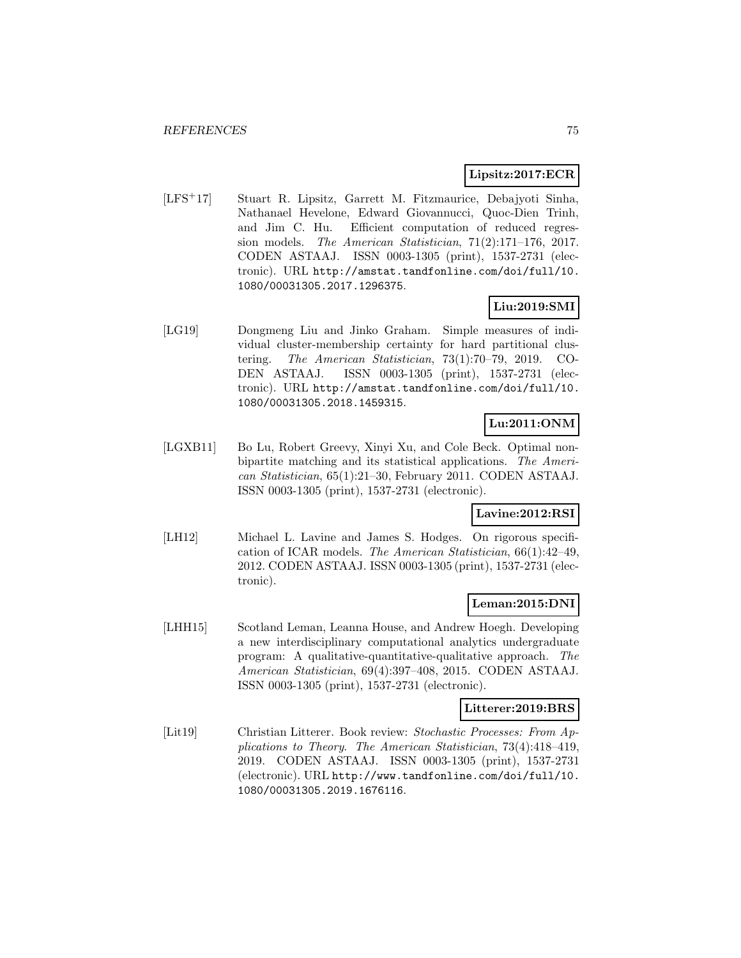### **Lipsitz:2017:ECR**

[LFS<sup>+</sup>17] Stuart R. Lipsitz, Garrett M. Fitzmaurice, Debajyoti Sinha, Nathanael Hevelone, Edward Giovannucci, Quoc-Dien Trinh, and Jim C. Hu. Efficient computation of reduced regression models. The American Statistician, 71(2):171–176, 2017. CODEN ASTAAJ. ISSN 0003-1305 (print), 1537-2731 (electronic). URL http://amstat.tandfonline.com/doi/full/10. 1080/00031305.2017.1296375.

## **Liu:2019:SMI**

[LG19] Dongmeng Liu and Jinko Graham. Simple measures of individual cluster-membership certainty for hard partitional clustering. The American Statistician, 73(1):70–79, 2019. CO-DEN ASTAAJ. ISSN 0003-1305 (print), 1537-2731 (electronic). URL http://amstat.tandfonline.com/doi/full/10. 1080/00031305.2018.1459315.

## **Lu:2011:ONM**

[LGXB11] Bo Lu, Robert Greevy, Xinyi Xu, and Cole Beck. Optimal nonbipartite matching and its statistical applications. The American Statistician, 65(1):21–30, February 2011. CODEN ASTAAJ. ISSN 0003-1305 (print), 1537-2731 (electronic).

### **Lavine:2012:RSI**

[LH12] Michael L. Lavine and James S. Hodges. On rigorous specification of ICAR models. The American Statistician, 66(1):42–49, 2012. CODEN ASTAAJ. ISSN 0003-1305 (print), 1537-2731 (electronic).

## **Leman:2015:DNI**

[LHH15] Scotland Leman, Leanna House, and Andrew Hoegh. Developing a new interdisciplinary computational analytics undergraduate program: A qualitative-quantitative-qualitative approach. The American Statistician, 69(4):397–408, 2015. CODEN ASTAAJ. ISSN 0003-1305 (print), 1537-2731 (electronic).

### **Litterer:2019:BRS**

[Lit19] Christian Litterer. Book review: Stochastic Processes: From Applications to Theory. The American Statistician, 73(4):418–419, 2019. CODEN ASTAAJ. ISSN 0003-1305 (print), 1537-2731 (electronic). URL http://www.tandfonline.com/doi/full/10. 1080/00031305.2019.1676116.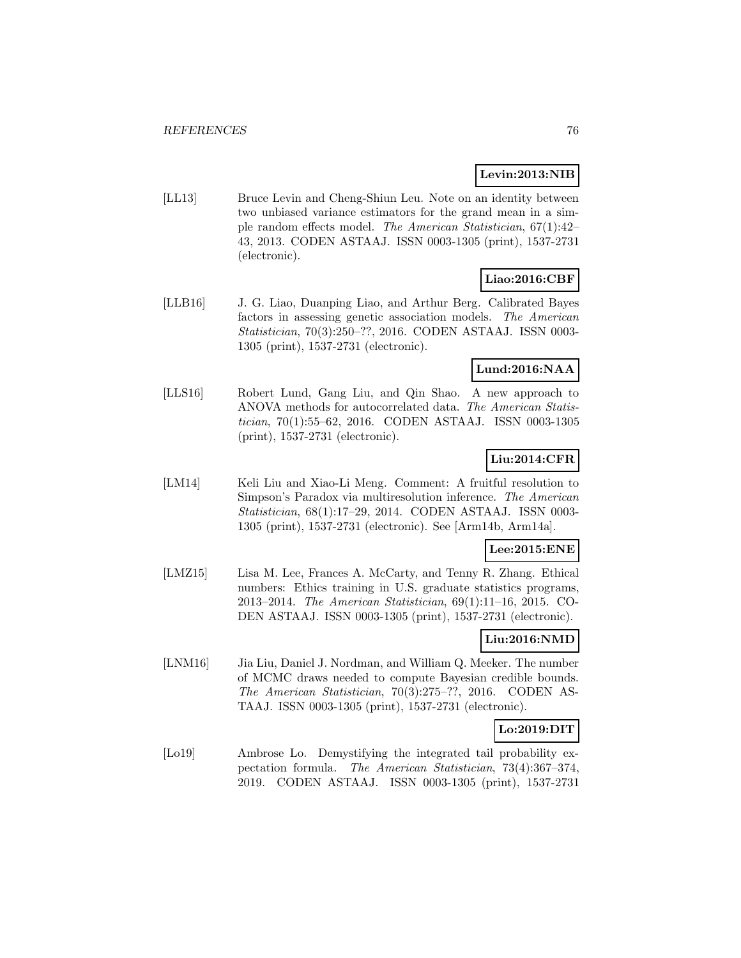### **Levin:2013:NIB**

[LL13] Bruce Levin and Cheng-Shiun Leu. Note on an identity between two unbiased variance estimators for the grand mean in a simple random effects model. The American Statistician, 67(1):42– 43, 2013. CODEN ASTAAJ. ISSN 0003-1305 (print), 1537-2731 (electronic).

## **Liao:2016:CBF**

[LLB16] J. G. Liao, Duanping Liao, and Arthur Berg. Calibrated Bayes factors in assessing genetic association models. The American Statistician, 70(3):250–??, 2016. CODEN ASTAAJ. ISSN 0003- 1305 (print), 1537-2731 (electronic).

## **Lund:2016:NAA**

[LLS16] Robert Lund, Gang Liu, and Qin Shao. A new approach to ANOVA methods for autocorrelated data. The American Statistician, 70(1):55–62, 2016. CODEN ASTAAJ. ISSN 0003-1305 (print), 1537-2731 (electronic).

## **Liu:2014:CFR**

[LM14] Keli Liu and Xiao-Li Meng. Comment: A fruitful resolution to Simpson's Paradox via multiresolution inference. The American Statistician, 68(1):17–29, 2014. CODEN ASTAAJ. ISSN 0003- 1305 (print), 1537-2731 (electronic). See [Arm14b, Arm14a].

## **Lee:2015:ENE**

[LMZ15] Lisa M. Lee, Frances A. McCarty, and Tenny R. Zhang. Ethical numbers: Ethics training in U.S. graduate statistics programs, 2013–2014. The American Statistician, 69(1):11–16, 2015. CO-DEN ASTAAJ. ISSN 0003-1305 (print), 1537-2731 (electronic).

## **Liu:2016:NMD**

[LNM16] Jia Liu, Daniel J. Nordman, and William Q. Meeker. The number of MCMC draws needed to compute Bayesian credible bounds. The American Statistician, 70(3):275–??, 2016. CODEN AS-TAAJ. ISSN 0003-1305 (print), 1537-2731 (electronic).

## **Lo:2019:DIT**

[Lo19] Ambrose Lo. Demystifying the integrated tail probability expectation formula. The American Statistician, 73(4):367–374, 2019. CODEN ASTAAJ. ISSN 0003-1305 (print), 1537-2731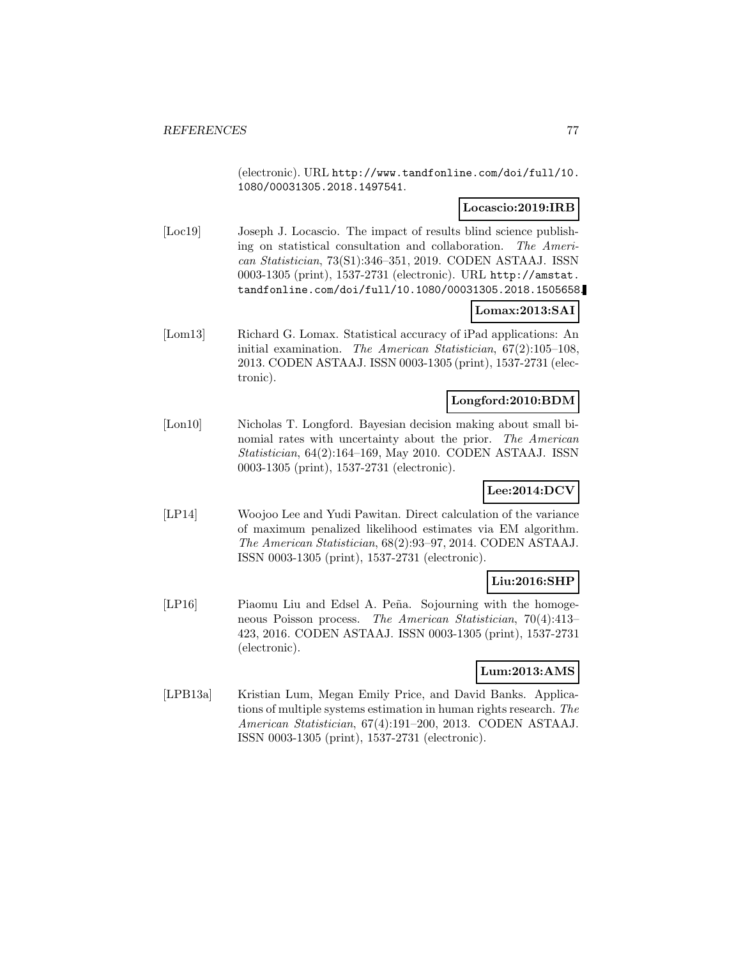(electronic). URL http://www.tandfonline.com/doi/full/10. 1080/00031305.2018.1497541.

## **Locascio:2019:IRB**

[Loc19] Joseph J. Locascio. The impact of results blind science publishing on statistical consultation and collaboration. The American Statistician, 73(S1):346–351, 2019. CODEN ASTAAJ. ISSN 0003-1305 (print), 1537-2731 (electronic). URL http://amstat. tandfonline.com/doi/full/10.1080/00031305.2018.1505658.

## **Lomax:2013:SAI**

[Lom13] Richard G. Lomax. Statistical accuracy of iPad applications: An initial examination. The American Statistician, 67(2):105–108, 2013. CODEN ASTAAJ. ISSN 0003-1305 (print), 1537-2731 (electronic).

## **Longford:2010:BDM**

[Lon10] Nicholas T. Longford. Bayesian decision making about small binomial rates with uncertainty about the prior. The American Statistician, 64(2):164–169, May 2010. CODEN ASTAAJ. ISSN 0003-1305 (print), 1537-2731 (electronic).

## **Lee:2014:DCV**

[LP14] Woojoo Lee and Yudi Pawitan. Direct calculation of the variance of maximum penalized likelihood estimates via EM algorithm. The American Statistician, 68(2):93–97, 2014. CODEN ASTAAJ. ISSN 0003-1305 (print), 1537-2731 (electronic).

## **Liu:2016:SHP**

[LP16] Piaomu Liu and Edsel A. Peña. Sojourning with the homogeneous Poisson process. The American Statistician, 70(4):413– 423, 2016. CODEN ASTAAJ. ISSN 0003-1305 (print), 1537-2731 (electronic).

## **Lum:2013:AMS**

[LPB13a] Kristian Lum, Megan Emily Price, and David Banks. Applications of multiple systems estimation in human rights research. The American Statistician, 67(4):191–200, 2013. CODEN ASTAAJ. ISSN 0003-1305 (print), 1537-2731 (electronic).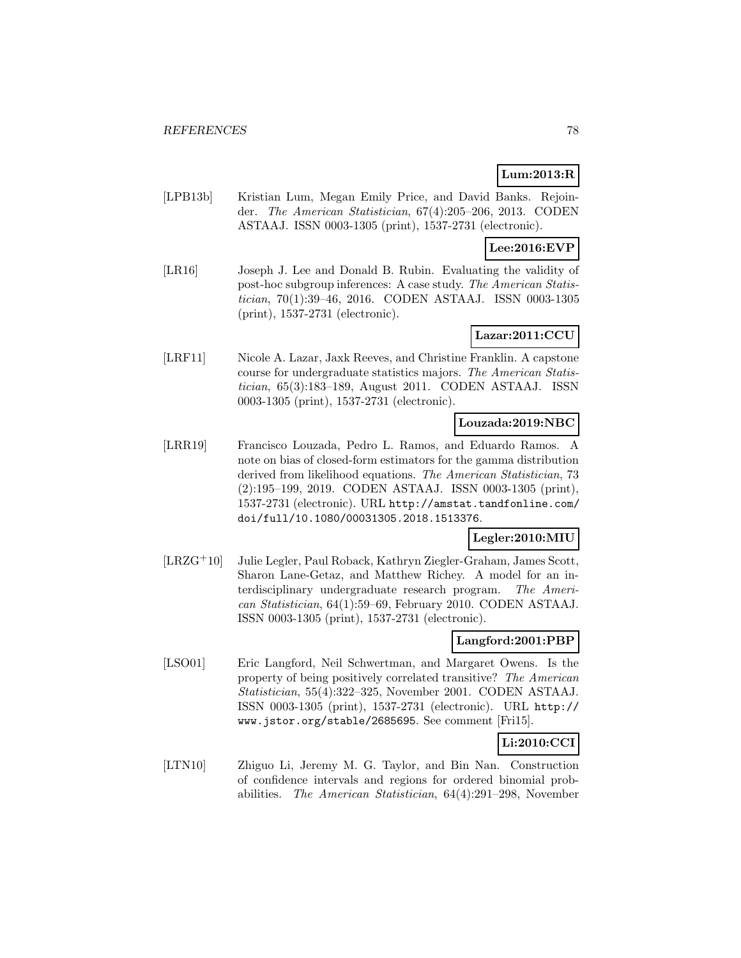# **Lum:2013:R**

[LPB13b] Kristian Lum, Megan Emily Price, and David Banks. Rejoinder. The American Statistician, 67(4):205–206, 2013. CODEN ASTAAJ. ISSN 0003-1305 (print), 1537-2731 (electronic).

## **Lee:2016:EVP**

[LR16] Joseph J. Lee and Donald B. Rubin. Evaluating the validity of post-hoc subgroup inferences: A case study. The American Statistician, 70(1):39–46, 2016. CODEN ASTAAJ. ISSN 0003-1305 (print), 1537-2731 (electronic).

## **Lazar:2011:CCU**

[LRF11] Nicole A. Lazar, Jaxk Reeves, and Christine Franklin. A capstone course for undergraduate statistics majors. The American Statistician, 65(3):183–189, August 2011. CODEN ASTAAJ. ISSN 0003-1305 (print), 1537-2731 (electronic).

### **Louzada:2019:NBC**

[LRR19] Francisco Louzada, Pedro L. Ramos, and Eduardo Ramos. A note on bias of closed-form estimators for the gamma distribution derived from likelihood equations. The American Statistician, 73 (2):195–199, 2019. CODEN ASTAAJ. ISSN 0003-1305 (print), 1537-2731 (electronic). URL http://amstat.tandfonline.com/ doi/full/10.1080/00031305.2018.1513376.

## **Legler:2010:MIU**

[LRZG<sup>+</sup>10] Julie Legler, Paul Roback, Kathryn Ziegler-Graham, James Scott, Sharon Lane-Getaz, and Matthew Richey. A model for an interdisciplinary undergraduate research program. The American Statistician, 64(1):59–69, February 2010. CODEN ASTAAJ. ISSN 0003-1305 (print), 1537-2731 (electronic).

## **Langford:2001:PBP**

[LSO01] Eric Langford, Neil Schwertman, and Margaret Owens. Is the property of being positively correlated transitive? The American Statistician, 55(4):322–325, November 2001. CODEN ASTAAJ. ISSN 0003-1305 (print), 1537-2731 (electronic). URL http:// www.jstor.org/stable/2685695. See comment [Fri15].

## **Li:2010:CCI**

[LTN10] Zhiguo Li, Jeremy M. G. Taylor, and Bin Nan. Construction of confidence intervals and regions for ordered binomial probabilities. The American Statistician, 64(4):291–298, November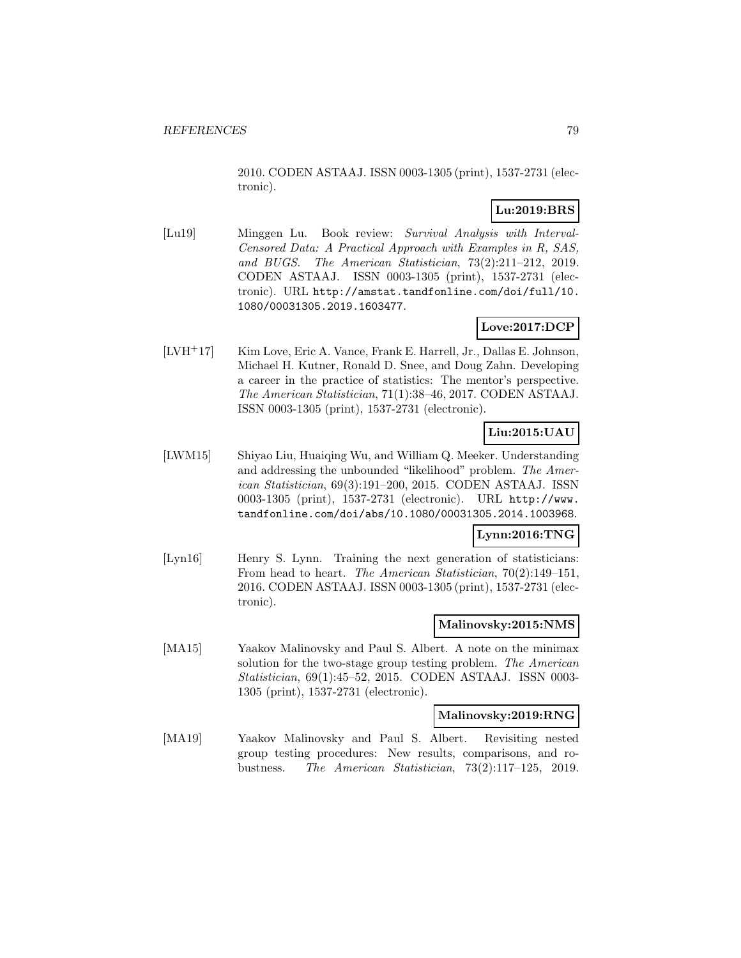2010. CODEN ASTAAJ. ISSN 0003-1305 (print), 1537-2731 (electronic).

## **Lu:2019:BRS**

[Lu19] Minggen Lu. Book review: Survival Analysis with Interval-Censored Data: A Practical Approach with Examples in R, SAS, and BUGS. The American Statistician, 73(2):211–212, 2019. CODEN ASTAAJ. ISSN 0003-1305 (print), 1537-2731 (electronic). URL http://amstat.tandfonline.com/doi/full/10. 1080/00031305.2019.1603477.

## **Love:2017:DCP**

[LVH<sup>+</sup>17] Kim Love, Eric A. Vance, Frank E. Harrell, Jr., Dallas E. Johnson, Michael H. Kutner, Ronald D. Snee, and Doug Zahn. Developing a career in the practice of statistics: The mentor's perspective. The American Statistician, 71(1):38–46, 2017. CODEN ASTAAJ. ISSN 0003-1305 (print), 1537-2731 (electronic).

## **Liu:2015:UAU**

[LWM15] Shiyao Liu, Huaiqing Wu, and William Q. Meeker. Understanding and addressing the unbounded "likelihood" problem. The American Statistician, 69(3):191–200, 2015. CODEN ASTAAJ. ISSN 0003-1305 (print), 1537-2731 (electronic). URL http://www. tandfonline.com/doi/abs/10.1080/00031305.2014.1003968.

## **Lynn:2016:TNG**

[Lyn16] Henry S. Lynn. Training the next generation of statisticians: From head to heart. The American Statistician, 70(2):149–151, 2016. CODEN ASTAAJ. ISSN 0003-1305 (print), 1537-2731 (electronic).

### **Malinovsky:2015:NMS**

[MA15] Yaakov Malinovsky and Paul S. Albert. A note on the minimax solution for the two-stage group testing problem. The American Statistician, 69(1):45–52, 2015. CODEN ASTAAJ. ISSN 0003- 1305 (print), 1537-2731 (electronic).

### **Malinovsky:2019:RNG**

[MA19] Yaakov Malinovsky and Paul S. Albert. Revisiting nested group testing procedures: New results, comparisons, and robustness. The American Statistician, 73(2):117–125, 2019.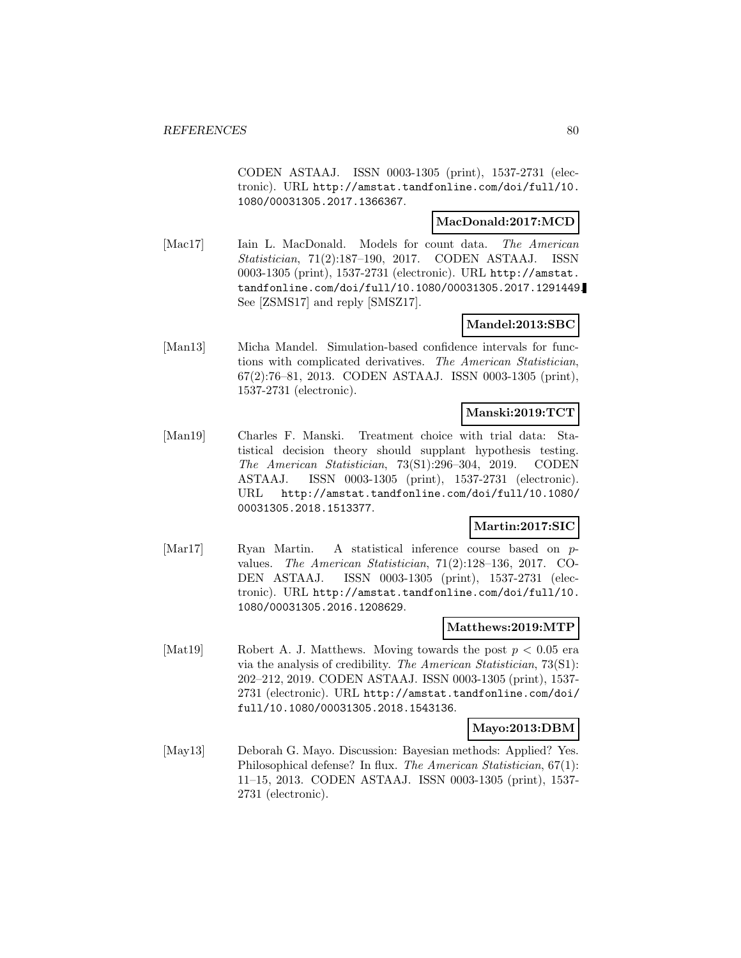CODEN ASTAAJ. ISSN 0003-1305 (print), 1537-2731 (electronic). URL http://amstat.tandfonline.com/doi/full/10. 1080/00031305.2017.1366367.

### **MacDonald:2017:MCD**

[Mac17] Iain L. MacDonald. Models for count data. The American Statistician, 71(2):187–190, 2017. CODEN ASTAAJ. ISSN 0003-1305 (print), 1537-2731 (electronic). URL http://amstat. tandfonline.com/doi/full/10.1080/00031305.2017.1291449. See [ZSMS17] and reply [SMSZ17].

### **Mandel:2013:SBC**

[Man13] Micha Mandel. Simulation-based confidence intervals for functions with complicated derivatives. The American Statistician, 67(2):76–81, 2013. CODEN ASTAAJ. ISSN 0003-1305 (print), 1537-2731 (electronic).

### **Manski:2019:TCT**

[Man19] Charles F. Manski. Treatment choice with trial data: Statistical decision theory should supplant hypothesis testing. The American Statistician, 73(S1):296–304, 2019. CODEN ASTAAJ. ISSN 0003-1305 (print), 1537-2731 (electronic). URL http://amstat.tandfonline.com/doi/full/10.1080/ 00031305.2018.1513377.

## **Martin:2017:SIC**

[Mar17] Ryan Martin. A statistical inference course based on pvalues. The American Statistician, 71(2):128–136, 2017. CO-DEN ASTAAJ. ISSN 0003-1305 (print), 1537-2731 (electronic). URL http://amstat.tandfonline.com/doi/full/10. 1080/00031305.2016.1208629.

### **Matthews:2019:MTP**

[Mat19] Robert A. J. Matthews. Moving towards the post  $p < 0.05$  era via the analysis of credibility. The American Statistician, 73(S1): 202–212, 2019. CODEN ASTAAJ. ISSN 0003-1305 (print), 1537- 2731 (electronic). URL http://amstat.tandfonline.com/doi/ full/10.1080/00031305.2018.1543136.

## **Mayo:2013:DBM**

[May13] Deborah G. Mayo. Discussion: Bayesian methods: Applied? Yes. Philosophical defense? In flux. The American Statistician, 67(1): 11–15, 2013. CODEN ASTAAJ. ISSN 0003-1305 (print), 1537- 2731 (electronic).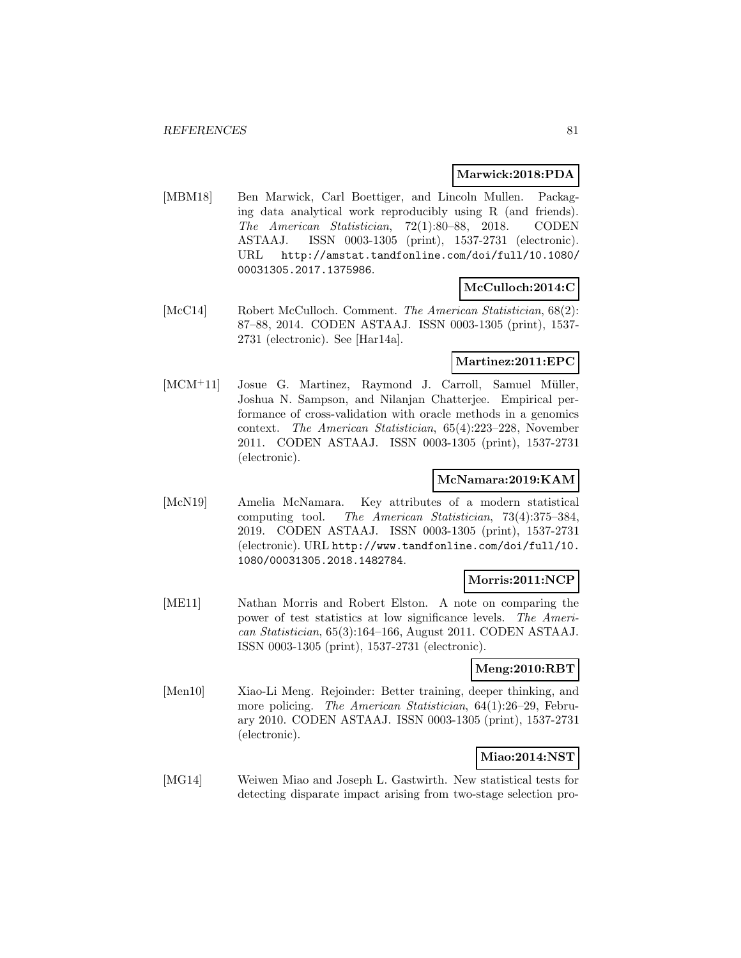### **Marwick:2018:PDA**

[MBM18] Ben Marwick, Carl Boettiger, and Lincoln Mullen. Packaging data analytical work reproducibly using R (and friends). The American Statistician, 72(1):80–88, 2018. CODEN ASTAAJ. ISSN 0003-1305 (print), 1537-2731 (electronic). URL http://amstat.tandfonline.com/doi/full/10.1080/ 00031305.2017.1375986.

## **McCulloch:2014:C**

[McC14] Robert McCulloch. Comment. The American Statistician, 68(2): 87–88, 2014. CODEN ASTAAJ. ISSN 0003-1305 (print), 1537- 2731 (electronic). See [Har14a].

## **Martinez:2011:EPC**

[MCM<sup>+</sup>11] Josue G. Martinez, Raymond J. Carroll, Samuel Müller, Joshua N. Sampson, and Nilanjan Chatterjee. Empirical performance of cross-validation with oracle methods in a genomics context. The American Statistician, 65(4):223–228, November 2011. CODEN ASTAAJ. ISSN 0003-1305 (print), 1537-2731 (electronic).

## **McNamara:2019:KAM**

[McN19] Amelia McNamara. Key attributes of a modern statistical computing tool. The American Statistician, 73(4):375–384, 2019. CODEN ASTAAJ. ISSN 0003-1305 (print), 1537-2731 (electronic). URL http://www.tandfonline.com/doi/full/10. 1080/00031305.2018.1482784.

## **Morris:2011:NCP**

[ME11] Nathan Morris and Robert Elston. A note on comparing the power of test statistics at low significance levels. The American Statistician, 65(3):164–166, August 2011. CODEN ASTAAJ. ISSN 0003-1305 (print), 1537-2731 (electronic).

## **Meng:2010:RBT**

[Men10] Xiao-Li Meng. Rejoinder: Better training, deeper thinking, and more policing. *The American Statistician*, 64(1):26–29, February 2010. CODEN ASTAAJ. ISSN 0003-1305 (print), 1537-2731 (electronic).

## **Miao:2014:NST**

[MG14] Weiwen Miao and Joseph L. Gastwirth. New statistical tests for detecting disparate impact arising from two-stage selection pro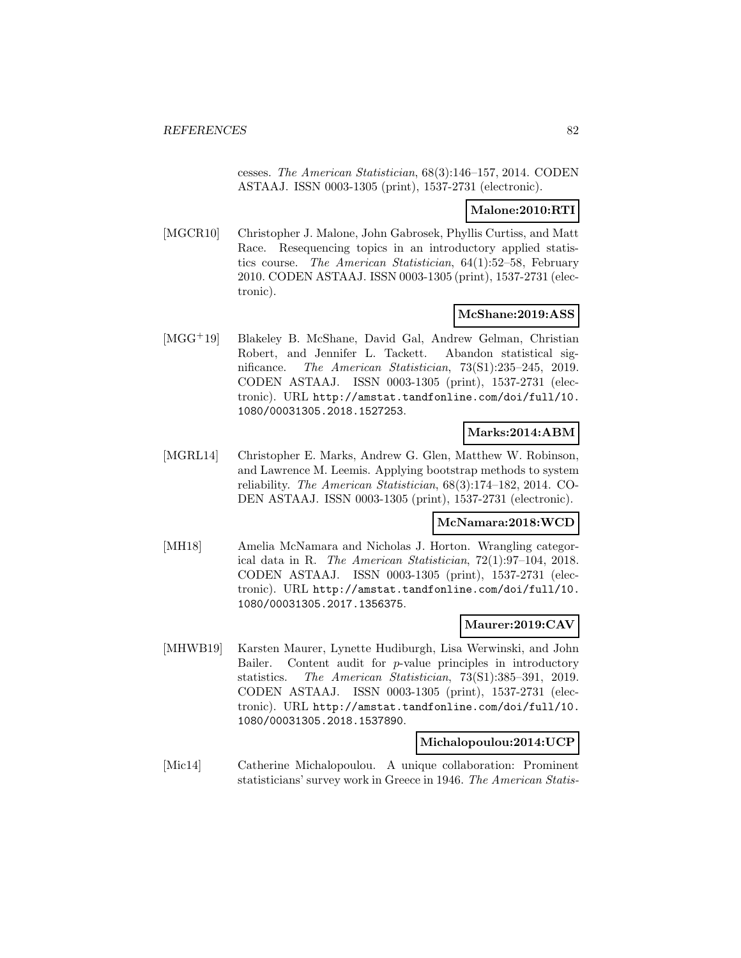cesses. The American Statistician, 68(3):146–157, 2014. CODEN ASTAAJ. ISSN 0003-1305 (print), 1537-2731 (electronic).

## **Malone:2010:RTI**

[MGCR10] Christopher J. Malone, John Gabrosek, Phyllis Curtiss, and Matt Race. Resequencing topics in an introductory applied statistics course. The American Statistician, 64(1):52–58, February 2010. CODEN ASTAAJ. ISSN 0003-1305 (print), 1537-2731 (electronic).

### **McShane:2019:ASS**

[MGG<sup>+</sup>19] Blakeley B. McShane, David Gal, Andrew Gelman, Christian Robert, and Jennifer L. Tackett. Abandon statistical significance. The American Statistician, 73(S1):235–245, 2019. CODEN ASTAAJ. ISSN 0003-1305 (print), 1537-2731 (electronic). URL http://amstat.tandfonline.com/doi/full/10. 1080/00031305.2018.1527253.

### **Marks:2014:ABM**

[MGRL14] Christopher E. Marks, Andrew G. Glen, Matthew W. Robinson, and Lawrence M. Leemis. Applying bootstrap methods to system reliability. The American Statistician, 68(3):174–182, 2014. CO-DEN ASTAAJ. ISSN 0003-1305 (print), 1537-2731 (electronic).

## **McNamara:2018:WCD**

[MH18] Amelia McNamara and Nicholas J. Horton. Wrangling categorical data in R. The American Statistician, 72(1):97–104, 2018. CODEN ASTAAJ. ISSN 0003-1305 (print), 1537-2731 (electronic). URL http://amstat.tandfonline.com/doi/full/10. 1080/00031305.2017.1356375.

### **Maurer:2019:CAV**

[MHWB19] Karsten Maurer, Lynette Hudiburgh, Lisa Werwinski, and John Bailer. Content audit for p-value principles in introductory statistics. The American Statistician, 73(S1):385–391, 2019. CODEN ASTAAJ. ISSN 0003-1305 (print), 1537-2731 (electronic). URL http://amstat.tandfonline.com/doi/full/10. 1080/00031305.2018.1537890.

## **Michalopoulou:2014:UCP**

[Mic14] Catherine Michalopoulou. A unique collaboration: Prominent statisticians' survey work in Greece in 1946. The American Statis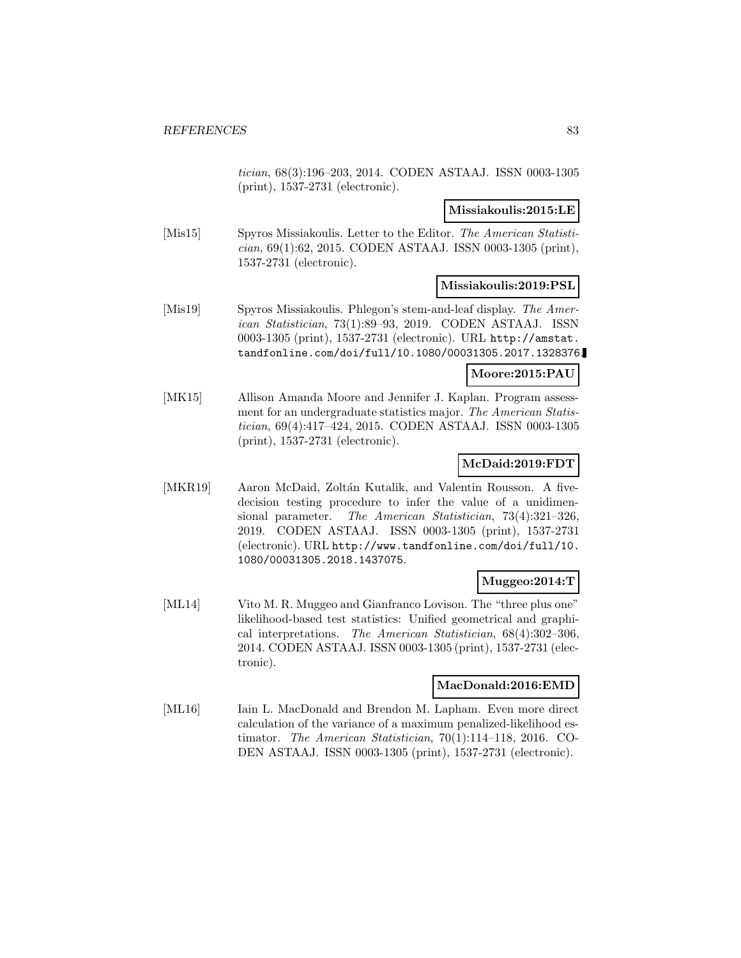tician, 68(3):196–203, 2014. CODEN ASTAAJ. ISSN 0003-1305 (print), 1537-2731 (electronic).

### **Missiakoulis:2015:LE**

[Mis15] Spyros Missiakoulis. Letter to the Editor. The American Statistician, 69(1):62, 2015. CODEN ASTAAJ. ISSN 0003-1305 (print), 1537-2731 (electronic).

### **Missiakoulis:2019:PSL**

[Mis19] Spyros Missiakoulis. Phlegon's stem-and-leaf display. The American Statistician, 73(1):89–93, 2019. CODEN ASTAAJ. ISSN 0003-1305 (print), 1537-2731 (electronic). URL http://amstat. tandfonline.com/doi/full/10.1080/00031305.2017.1328376.

### **Moore:2015:PAU**

[MK15] Allison Amanda Moore and Jennifer J. Kaplan. Program assessment for an undergraduate statistics major. The American Statistician, 69(4):417–424, 2015. CODEN ASTAAJ. ISSN 0003-1305 (print), 1537-2731 (electronic).

## **McDaid:2019:FDT**

[MKR19] Aaron McDaid, Zoltán Kutalik, and Valentin Rousson. A fivedecision testing procedure to infer the value of a unidimensional parameter. The American Statistician, 73(4):321–326, 2019. CODEN ASTAAJ. ISSN 0003-1305 (print), 1537-2731 (electronic). URL http://www.tandfonline.com/doi/full/10. 1080/00031305.2018.1437075.

## **Muggeo:2014:T**

[ML14] Vito M. R. Muggeo and Gianfranco Lovison. The "three plus one" likelihood-based test statistics: Unified geometrical and graphical interpretations. The American Statistician, 68(4):302–306, 2014. CODEN ASTAAJ. ISSN 0003-1305 (print), 1537-2731 (electronic).

### **MacDonald:2016:EMD**

[ML16] Iain L. MacDonald and Brendon M. Lapham. Even more direct calculation of the variance of a maximum penalized-likelihood estimator. The American Statistician, 70(1):114–118, 2016. CO-DEN ASTAAJ. ISSN 0003-1305 (print), 1537-2731 (electronic).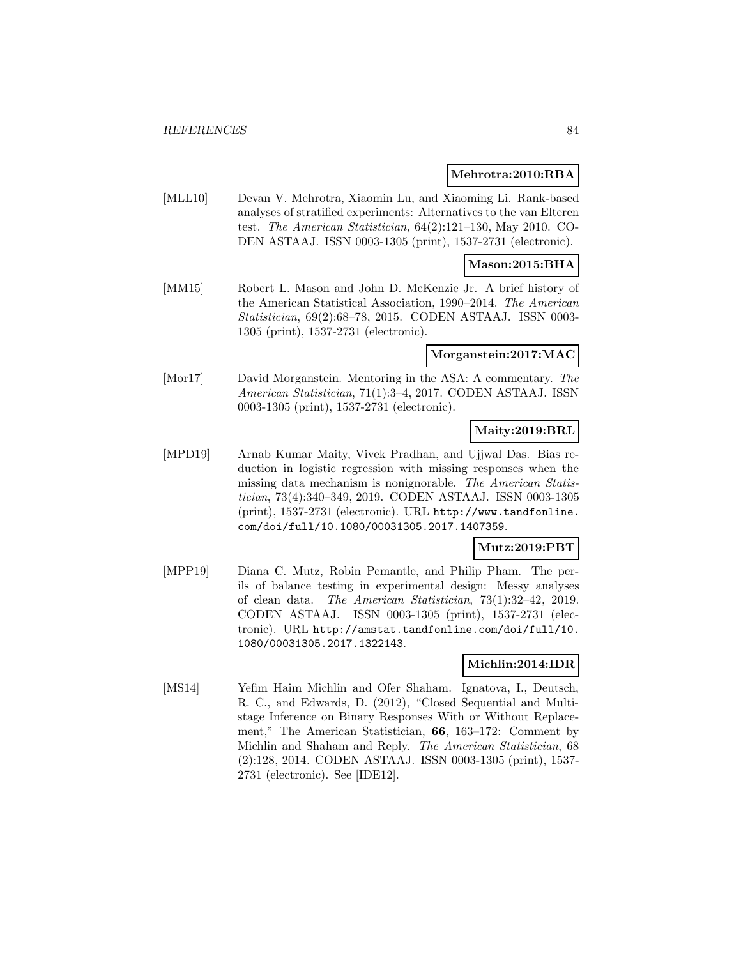#### **Mehrotra:2010:RBA**

[MLL10] Devan V. Mehrotra, Xiaomin Lu, and Xiaoming Li. Rank-based analyses of stratified experiments: Alternatives to the van Elteren test. The American Statistician, 64(2):121–130, May 2010. CO-DEN ASTAAJ. ISSN 0003-1305 (print), 1537-2731 (electronic).

### **Mason:2015:BHA**

[MM15] Robert L. Mason and John D. McKenzie Jr. A brief history of the American Statistical Association, 1990–2014. The American Statistician, 69(2):68–78, 2015. CODEN ASTAAJ. ISSN 0003- 1305 (print), 1537-2731 (electronic).

#### **Morganstein:2017:MAC**

[Mor17] David Morganstein. Mentoring in the ASA: A commentary. The American Statistician, 71(1):3–4, 2017. CODEN ASTAAJ. ISSN 0003-1305 (print), 1537-2731 (electronic).

## **Maity:2019:BRL**

[MPD19] Arnab Kumar Maity, Vivek Pradhan, and Ujjwal Das. Bias reduction in logistic regression with missing responses when the missing data mechanism is nonignorable. The American Statistician, 73(4):340–349, 2019. CODEN ASTAAJ. ISSN 0003-1305 (print), 1537-2731 (electronic). URL http://www.tandfonline. com/doi/full/10.1080/00031305.2017.1407359.

### **Mutz:2019:PBT**

[MPP19] Diana C. Mutz, Robin Pemantle, and Philip Pham. The perils of balance testing in experimental design: Messy analyses of clean data. The American Statistician, 73(1):32–42, 2019. CODEN ASTAAJ. ISSN 0003-1305 (print), 1537-2731 (electronic). URL http://amstat.tandfonline.com/doi/full/10. 1080/00031305.2017.1322143.

### **Michlin:2014:IDR**

[MS14] Yefim Haim Michlin and Ofer Shaham. Ignatova, I., Deutsch, R. C., and Edwards, D. (2012), "Closed Sequential and Multistage Inference on Binary Responses With or Without Replacement," The American Statistician, **66**, 163–172: Comment by Michlin and Shaham and Reply. The American Statistician, 68 (2):128, 2014. CODEN ASTAAJ. ISSN 0003-1305 (print), 1537- 2731 (electronic). See [IDE12].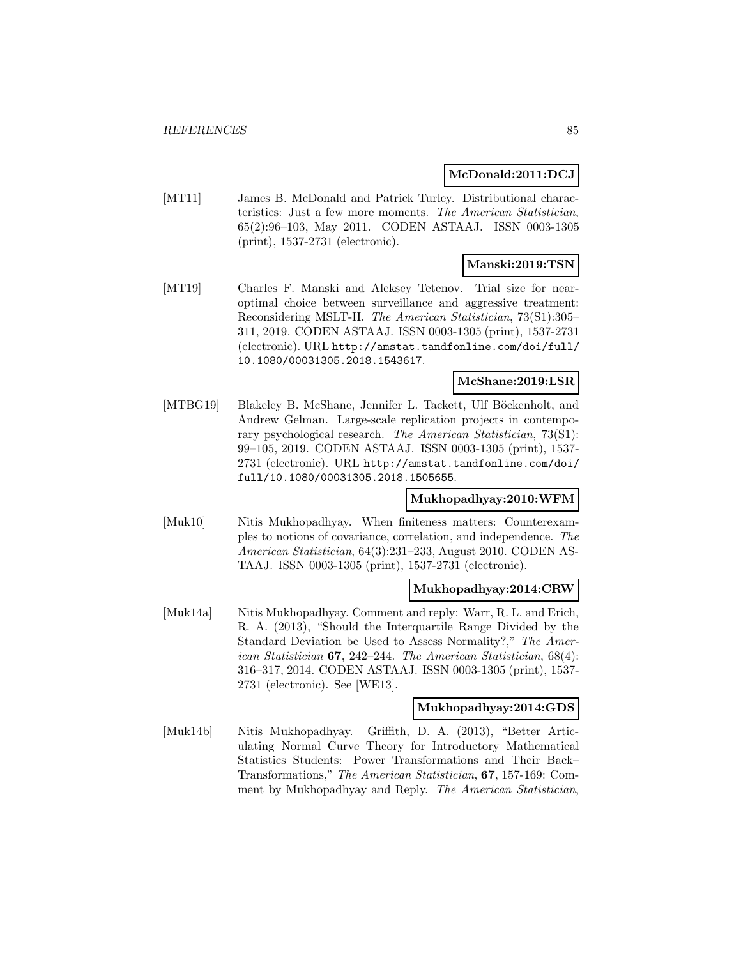### **McDonald:2011:DCJ**

[MT11] James B. McDonald and Patrick Turley. Distributional characteristics: Just a few more moments. The American Statistician, 65(2):96–103, May 2011. CODEN ASTAAJ. ISSN 0003-1305 (print), 1537-2731 (electronic).

### **Manski:2019:TSN**

[MT19] Charles F. Manski and Aleksey Tetenov. Trial size for nearoptimal choice between surveillance and aggressive treatment: Reconsidering MSLT-II. The American Statistician, 73(S1):305– 311, 2019. CODEN ASTAAJ. ISSN 0003-1305 (print), 1537-2731 (electronic). URL http://amstat.tandfonline.com/doi/full/ 10.1080/00031305.2018.1543617.

#### **McShane:2019:LSR**

[MTBG19] Blakeley B. McShane, Jennifer L. Tackett, Ulf Böckenholt, and Andrew Gelman. Large-scale replication projects in contemporary psychological research. The American Statistician, 73(S1): 99–105, 2019. CODEN ASTAAJ. ISSN 0003-1305 (print), 1537- 2731 (electronic). URL http://amstat.tandfonline.com/doi/ full/10.1080/00031305.2018.1505655.

### **Mukhopadhyay:2010:WFM**

[Muk10] Nitis Mukhopadhyay. When finiteness matters: Counterexamples to notions of covariance, correlation, and independence. The American Statistician, 64(3):231–233, August 2010. CODEN AS-TAAJ. ISSN 0003-1305 (print), 1537-2731 (electronic).

### **Mukhopadhyay:2014:CRW**

[Muk14a] Nitis Mukhopadhyay. Comment and reply: Warr, R. L. and Erich, R. A. (2013), "Should the Interquartile Range Divided by the Standard Deviation be Used to Assess Normality?," The American Statistician **67**, 242–244. The American Statistician, 68(4): 316–317, 2014. CODEN ASTAAJ. ISSN 0003-1305 (print), 1537- 2731 (electronic). See [WE13].

#### **Mukhopadhyay:2014:GDS**

[Muk14b] Nitis Mukhopadhyay. Griffith, D. A. (2013), "Better Articulating Normal Curve Theory for Introductory Mathematical Statistics Students: Power Transformations and Their Back– Transformations," The American Statistician, **67**, 157-169: Comment by Mukhopadhyay and Reply. The American Statistician,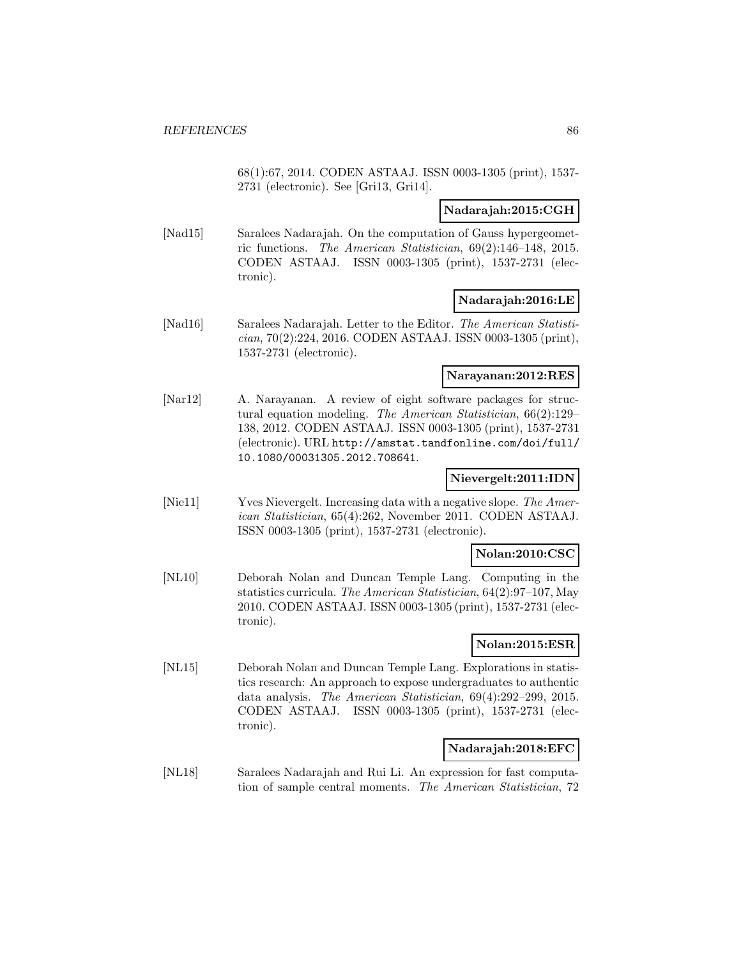68(1):67, 2014. CODEN ASTAAJ. ISSN 0003-1305 (print), 1537- 2731 (electronic). See [Gri13, Gri14].

### **Nadarajah:2015:CGH**

[Nad15] Saralees Nadarajah. On the computation of Gauss hypergeometric functions. The American Statistician, 69(2):146–148, 2015. CODEN ASTAAJ. ISSN 0003-1305 (print), 1537-2731 (electronic).

### **Nadarajah:2016:LE**

[Nad16] Saralees Nadarajah. Letter to the Editor. The American Statistician, 70(2):224, 2016. CODEN ASTAAJ. ISSN 0003-1305 (print), 1537-2731 (electronic).

### **Narayanan:2012:RES**

[Nar12] A. Narayanan. A review of eight software packages for structural equation modeling. The American Statistician, 66(2):129– 138, 2012. CODEN ASTAAJ. ISSN 0003-1305 (print), 1537-2731 (electronic). URL http://amstat.tandfonline.com/doi/full/ 10.1080/00031305.2012.708641.

## **Nievergelt:2011:IDN**

[Nie11] Yves Nievergelt. Increasing data with a negative slope. The American Statistician, 65(4):262, November 2011. CODEN ASTAAJ. ISSN 0003-1305 (print), 1537-2731 (electronic).

### **Nolan:2010:CSC**

[NL10] Deborah Nolan and Duncan Temple Lang. Computing in the statistics curricula. The American Statistician, 64(2):97–107, May 2010. CODEN ASTAAJ. ISSN 0003-1305 (print), 1537-2731 (electronic).

## **Nolan:2015:ESR**

[NL15] Deborah Nolan and Duncan Temple Lang. Explorations in statistics research: An approach to expose undergraduates to authentic data analysis. The American Statistician, 69(4):292–299, 2015. CODEN ASTAAJ. ISSN 0003-1305 (print), 1537-2731 (electronic).

### **Nadarajah:2018:EFC**

[NL18] Saralees Nadarajah and Rui Li. An expression for fast computation of sample central moments. The American Statistician, 72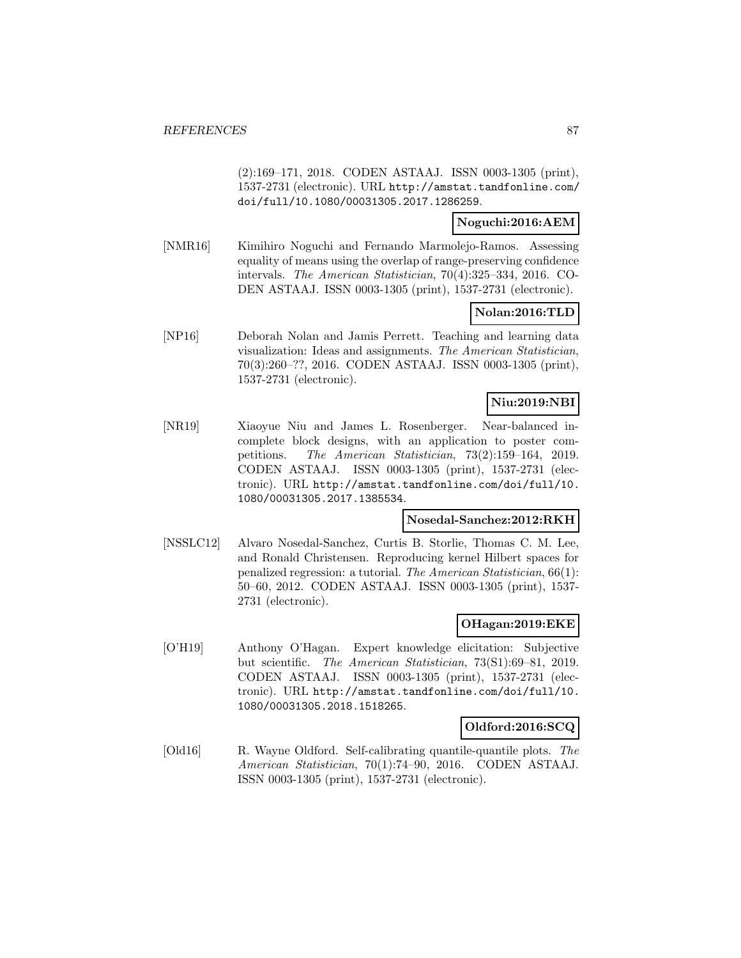(2):169–171, 2018. CODEN ASTAAJ. ISSN 0003-1305 (print), 1537-2731 (electronic). URL http://amstat.tandfonline.com/ doi/full/10.1080/00031305.2017.1286259.

### **Noguchi:2016:AEM**

[NMR16] Kimihiro Noguchi and Fernando Marmolejo-Ramos. Assessing equality of means using the overlap of range-preserving confidence intervals. The American Statistician, 70(4):325–334, 2016. CO-DEN ASTAAJ. ISSN 0003-1305 (print), 1537-2731 (electronic).

## **Nolan:2016:TLD**

[NP16] Deborah Nolan and Jamis Perrett. Teaching and learning data visualization: Ideas and assignments. The American Statistician, 70(3):260–??, 2016. CODEN ASTAAJ. ISSN 0003-1305 (print), 1537-2731 (electronic).

## **Niu:2019:NBI**

[NR19] Xiaoyue Niu and James L. Rosenberger. Near-balanced incomplete block designs, with an application to poster competitions. The American Statistician, 73(2):159–164, 2019. CODEN ASTAAJ. ISSN 0003-1305 (print), 1537-2731 (electronic). URL http://amstat.tandfonline.com/doi/full/10. 1080/00031305.2017.1385534.

## **Nosedal-Sanchez:2012:RKH**

[NSSLC12] Alvaro Nosedal-Sanchez, Curtis B. Storlie, Thomas C. M. Lee, and Ronald Christensen. Reproducing kernel Hilbert spaces for penalized regression: a tutorial. The American Statistician, 66(1): 50–60, 2012. CODEN ASTAAJ. ISSN 0003-1305 (print), 1537- 2731 (electronic).

## **OHagan:2019:EKE**

[O'H19] Anthony O'Hagan. Expert knowledge elicitation: Subjective but scientific. The American Statistician, 73(S1):69–81, 2019. CODEN ASTAAJ. ISSN 0003-1305 (print), 1537-2731 (electronic). URL http://amstat.tandfonline.com/doi/full/10. 1080/00031305.2018.1518265.

### **Oldford:2016:SCQ**

[Old16] R. Wayne Oldford. Self-calibrating quantile-quantile plots. The American Statistician, 70(1):74–90, 2016. CODEN ASTAAJ. ISSN 0003-1305 (print), 1537-2731 (electronic).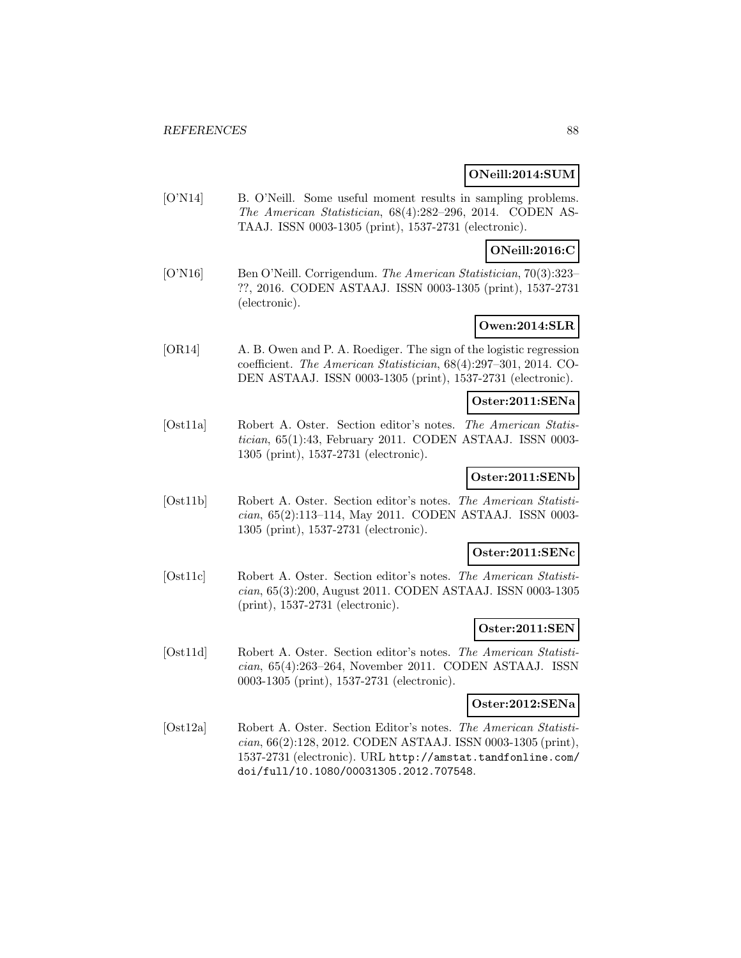### **ONeill:2014:SUM**

[O'N14] B. O'Neill. Some useful moment results in sampling problems. The American Statistician, 68(4):282–296, 2014. CODEN AS-TAAJ. ISSN 0003-1305 (print), 1537-2731 (electronic).

## **ONeill:2016:C**

[O'N16] Ben O'Neill. Corrigendum. The American Statistician, 70(3):323– ??, 2016. CODEN ASTAAJ. ISSN 0003-1305 (print), 1537-2731 (electronic).

## **Owen:2014:SLR**

[OR14] A. B. Owen and P. A. Roediger. The sign of the logistic regression coefficient. The American Statistician, 68(4):297–301, 2014. CO-DEN ASTAAJ. ISSN 0003-1305 (print), 1537-2731 (electronic).

### **Oster:2011:SENa**

[Ost11a] Robert A. Oster. Section editor's notes. The American Statistician, 65(1):43, February 2011. CODEN ASTAAJ. ISSN 0003- 1305 (print), 1537-2731 (electronic).

## **Oster:2011:SENb**

[Ost11b] Robert A. Oster. Section editor's notes. The American Statistician, 65(2):113–114, May 2011. CODEN ASTAAJ. ISSN 0003- 1305 (print), 1537-2731 (electronic).

### **Oster:2011:SENc**

[Ost11c] Robert A. Oster. Section editor's notes. The American Statistician, 65(3):200, August 2011. CODEN ASTAAJ. ISSN 0003-1305 (print), 1537-2731 (electronic).

### **Oster:2011:SEN**

[Ost11d] Robert A. Oster. Section editor's notes. The American Statistician, 65(4):263–264, November 2011. CODEN ASTAAJ. ISSN 0003-1305 (print), 1537-2731 (electronic).

## **Oster:2012:SENa**

[Ost12a] Robert A. Oster. Section Editor's notes. The American Statistician, 66(2):128, 2012. CODEN ASTAAJ. ISSN 0003-1305 (print), 1537-2731 (electronic). URL http://amstat.tandfonline.com/ doi/full/10.1080/00031305.2012.707548.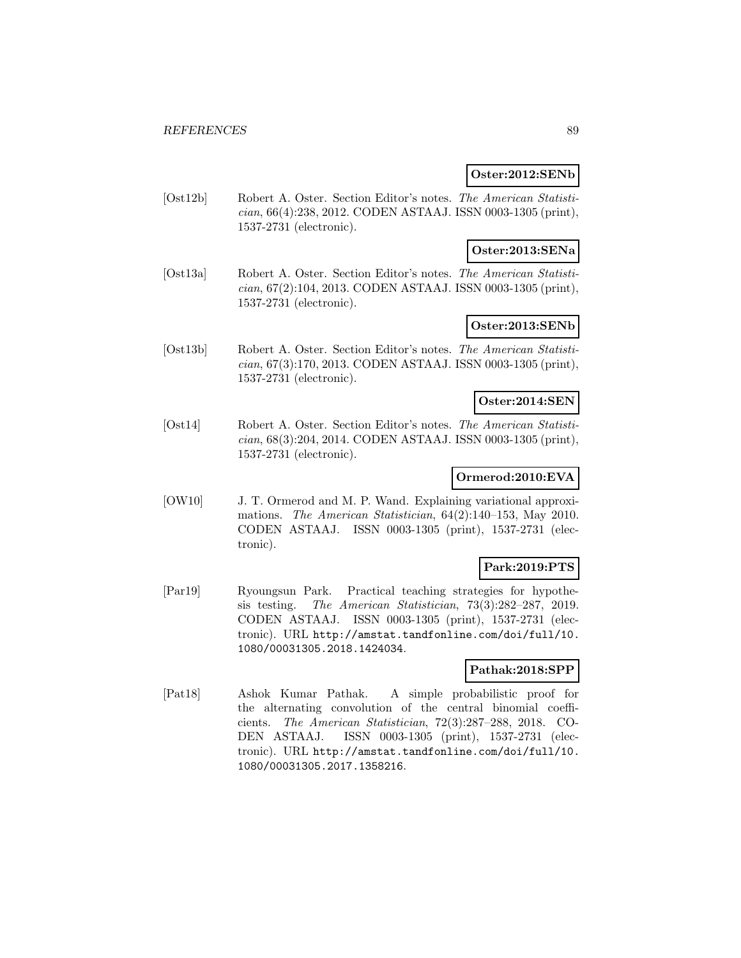#### **Oster:2012:SENb**

[Ost12b] Robert A. Oster. Section Editor's notes. The American Statistician, 66(4):238, 2012. CODEN ASTAAJ. ISSN 0003-1305 (print), 1537-2731 (electronic).

### **Oster:2013:SENa**

[Ost13a] Robert A. Oster. Section Editor's notes. The American Statistician, 67(2):104, 2013. CODEN ASTAAJ. ISSN 0003-1305 (print), 1537-2731 (electronic).

## **Oster:2013:SENb**

[Ost13b] Robert A. Oster. Section Editor's notes. The American Statistician, 67(3):170, 2013. CODEN ASTAAJ. ISSN 0003-1305 (print), 1537-2731 (electronic).

### **Oster:2014:SEN**

[Ost14] Robert A. Oster. Section Editor's notes. The American Statistician, 68(3):204, 2014. CODEN ASTAAJ. ISSN 0003-1305 (print), 1537-2731 (electronic).

## **Ormerod:2010:EVA**

[OW10] J. T. Ormerod and M. P. Wand. Explaining variational approximations. The American Statistician, 64(2):140–153, May 2010. CODEN ASTAAJ. ISSN 0003-1305 (print), 1537-2731 (electronic).

## **Park:2019:PTS**

[Par19] Ryoungsun Park. Practical teaching strategies for hypothesis testing. The American Statistician, 73(3):282–287, 2019. CODEN ASTAAJ. ISSN 0003-1305 (print), 1537-2731 (electronic). URL http://amstat.tandfonline.com/doi/full/10. 1080/00031305.2018.1424034.

## **Pathak:2018:SPP**

[Pat18] Ashok Kumar Pathak. A simple probabilistic proof for the alternating convolution of the central binomial coefficients. The American Statistician, 72(3):287–288, 2018. CO-DEN ASTAAJ. ISSN 0003-1305 (print), 1537-2731 (electronic). URL http://amstat.tandfonline.com/doi/full/10. 1080/00031305.2017.1358216.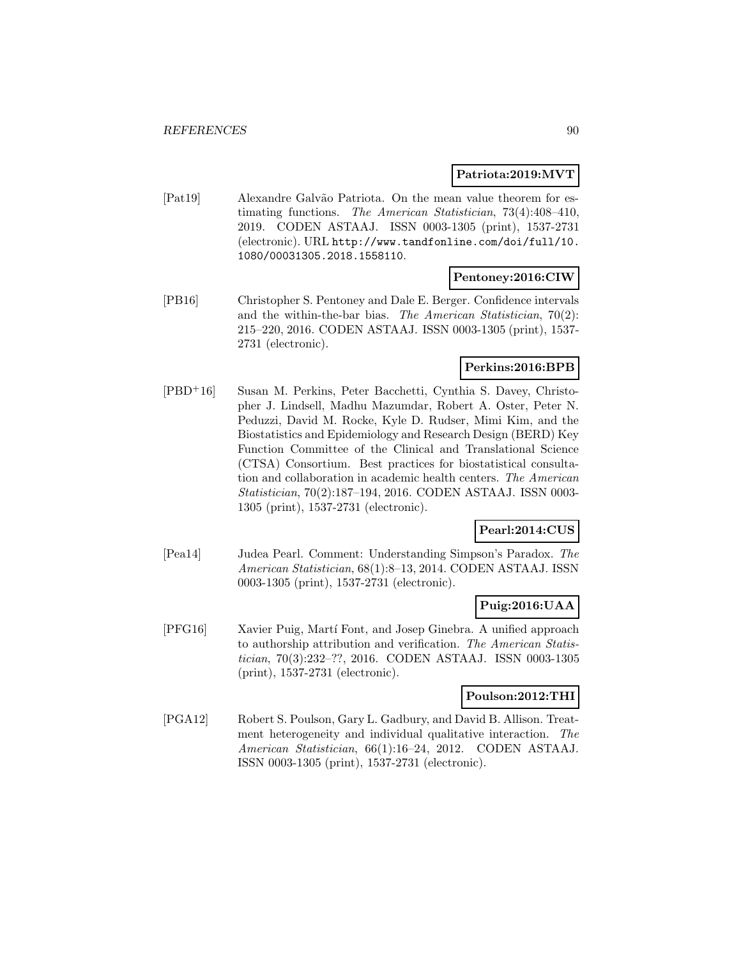### **Patriota:2019:MVT**

[Pat19] Alexandre Galv˜ao Patriota. On the mean value theorem for estimating functions. The American Statistician, 73(4):408–410, 2019. CODEN ASTAAJ. ISSN 0003-1305 (print), 1537-2731 (electronic). URL http://www.tandfonline.com/doi/full/10. 1080/00031305.2018.1558110.

### **Pentoney:2016:CIW**

[PB16] Christopher S. Pentoney and Dale E. Berger. Confidence intervals and the within-the-bar bias. The American Statistician, 70(2): 215–220, 2016. CODEN ASTAAJ. ISSN 0003-1305 (print), 1537- 2731 (electronic).

## **Perkins:2016:BPB**

[PBD<sup>+</sup>16] Susan M. Perkins, Peter Bacchetti, Cynthia S. Davey, Christopher J. Lindsell, Madhu Mazumdar, Robert A. Oster, Peter N. Peduzzi, David M. Rocke, Kyle D. Rudser, Mimi Kim, and the Biostatistics and Epidemiology and Research Design (BERD) Key Function Committee of the Clinical and Translational Science (CTSA) Consortium. Best practices for biostatistical consultation and collaboration in academic health centers. The American Statistician, 70(2):187–194, 2016. CODEN ASTAAJ. ISSN 0003- 1305 (print), 1537-2731 (electronic).

## **Pearl:2014:CUS**

[Pea14] Judea Pearl. Comment: Understanding Simpson's Paradox. The American Statistician, 68(1):8–13, 2014. CODEN ASTAAJ. ISSN 0003-1305 (print), 1537-2731 (electronic).

## **Puig:2016:UAA**

[PFG16] Xavier Puig, Martí Font, and Josep Ginebra. A unified approach to authorship attribution and verification. The American Statistician, 70(3):232–??, 2016. CODEN ASTAAJ. ISSN 0003-1305 (print), 1537-2731 (electronic).

### **Poulson:2012:THI**

[PGA12] Robert S. Poulson, Gary L. Gadbury, and David B. Allison. Treatment heterogeneity and individual qualitative interaction. The American Statistician, 66(1):16–24, 2012. CODEN ASTAAJ. ISSN 0003-1305 (print), 1537-2731 (electronic).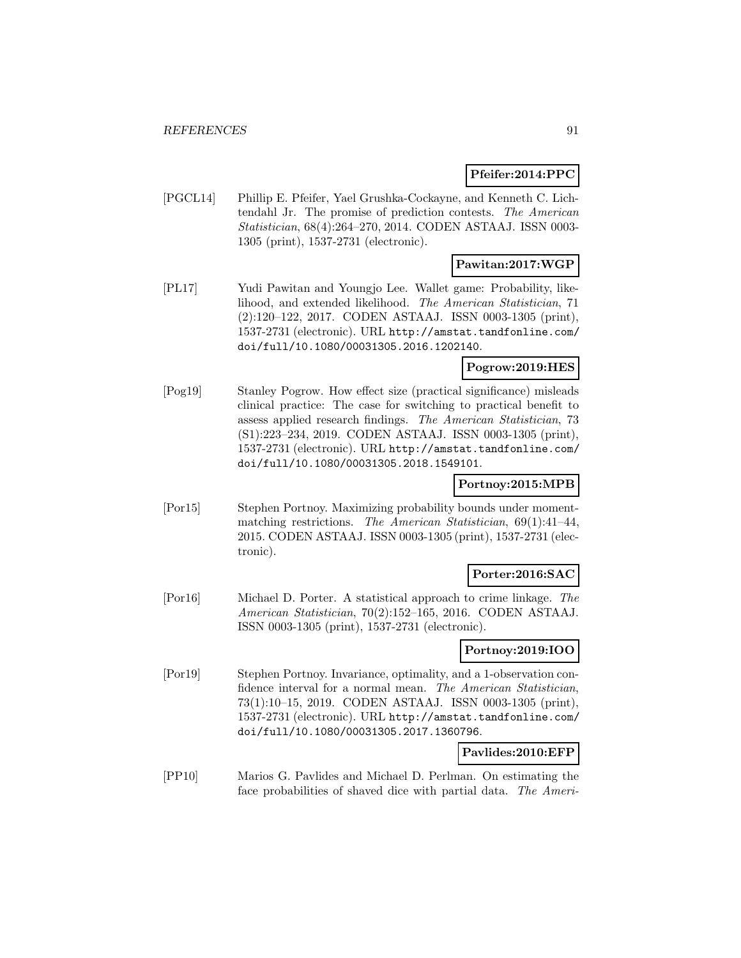### **Pfeifer:2014:PPC**

[PGCL14] Phillip E. Pfeifer, Yael Grushka-Cockayne, and Kenneth C. Lichtendahl Jr. The promise of prediction contests. The American Statistician, 68(4):264–270, 2014. CODEN ASTAAJ. ISSN 0003- 1305 (print), 1537-2731 (electronic).

## **Pawitan:2017:WGP**

[PL17] Yudi Pawitan and Youngjo Lee. Wallet game: Probability, likelihood, and extended likelihood. The American Statistician, 71 (2):120–122, 2017. CODEN ASTAAJ. ISSN 0003-1305 (print), 1537-2731 (electronic). URL http://amstat.tandfonline.com/ doi/full/10.1080/00031305.2016.1202140.

## **Pogrow:2019:HES**

[Pog19] Stanley Pogrow. How effect size (practical significance) misleads clinical practice: The case for switching to practical benefit to assess applied research findings. The American Statistician, 73 (S1):223–234, 2019. CODEN ASTAAJ. ISSN 0003-1305 (print), 1537-2731 (electronic). URL http://amstat.tandfonline.com/ doi/full/10.1080/00031305.2018.1549101.

### **Portnoy:2015:MPB**

[Por15] Stephen Portnoy. Maximizing probability bounds under momentmatching restrictions. The American Statistician, 69(1):41–44, 2015. CODEN ASTAAJ. ISSN 0003-1305 (print), 1537-2731 (electronic).

### **Porter:2016:SAC**

[Por16] Michael D. Porter. A statistical approach to crime linkage. The American Statistician, 70(2):152–165, 2016. CODEN ASTAAJ. ISSN 0003-1305 (print), 1537-2731 (electronic).

### **Portnoy:2019:IOO**

[Por19] Stephen Portnoy. Invariance, optimality, and a 1-observation confidence interval for a normal mean. The American Statistician, 73(1):10–15, 2019. CODEN ASTAAJ. ISSN 0003-1305 (print), 1537-2731 (electronic). URL http://amstat.tandfonline.com/ doi/full/10.1080/00031305.2017.1360796.

### **Pavlides:2010:EFP**

[PP10] Marios G. Pavlides and Michael D. Perlman. On estimating the face probabilities of shaved dice with partial data. The Ameri-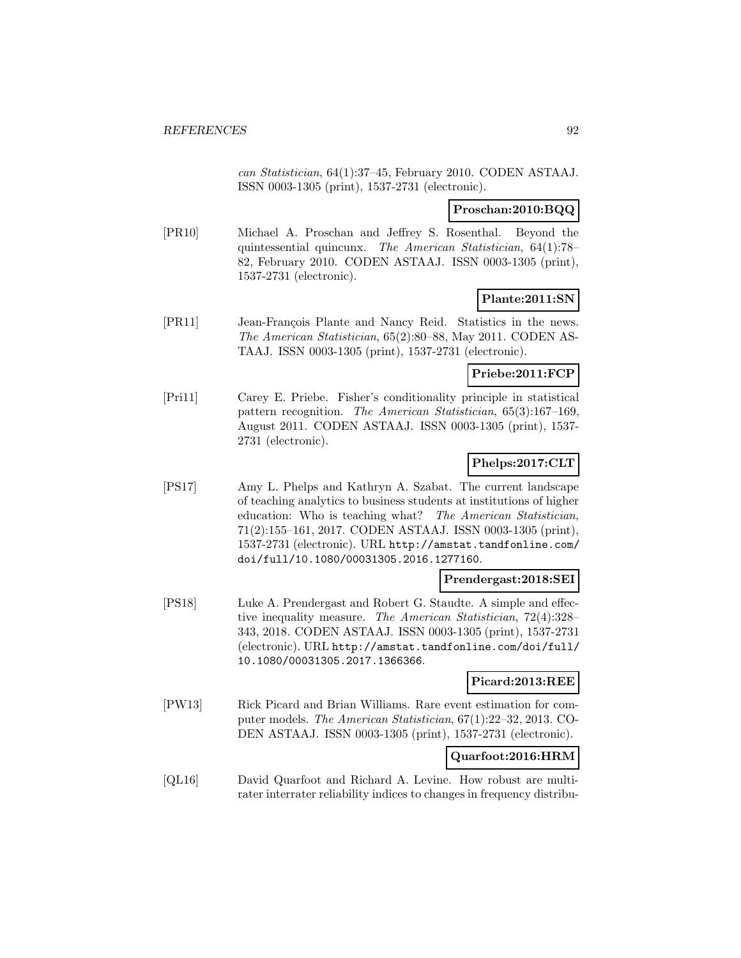can Statistician, 64(1):37–45, February 2010. CODEN ASTAAJ. ISSN 0003-1305 (print), 1537-2731 (electronic).

### **Proschan:2010:BQQ**

[PR10] Michael A. Proschan and Jeffrey S. Rosenthal. Beyond the quintessential quincunx. The American Statistician, 64(1):78– 82, February 2010. CODEN ASTAAJ. ISSN 0003-1305 (print), 1537-2731 (electronic).

## **Plante:2011:SN**

[PR11] Jean-François Plante and Nancy Reid. Statistics in the news. The American Statistician, 65(2):80–88, May 2011. CODEN AS-TAAJ. ISSN 0003-1305 (print), 1537-2731 (electronic).

### **Priebe:2011:FCP**

[Pri11] Carey E. Priebe. Fisher's conditionality principle in statistical pattern recognition. The American Statistician, 65(3):167–169, August 2011. CODEN ASTAAJ. ISSN 0003-1305 (print), 1537- 2731 (electronic).

## **Phelps:2017:CLT**

[PS17] Amy L. Phelps and Kathryn A. Szabat. The current landscape of teaching analytics to business students at institutions of higher education: Who is teaching what? The American Statistician, 71(2):155–161, 2017. CODEN ASTAAJ. ISSN 0003-1305 (print), 1537-2731 (electronic). URL http://amstat.tandfonline.com/ doi/full/10.1080/00031305.2016.1277160.

## **Prendergast:2018:SEI**

[PS18] Luke A. Prendergast and Robert G. Staudte. A simple and effective inequality measure. The American Statistician, 72(4):328– 343, 2018. CODEN ASTAAJ. ISSN 0003-1305 (print), 1537-2731 (electronic). URL http://amstat.tandfonline.com/doi/full/ 10.1080/00031305.2017.1366366.

## **Picard:2013:REE**

[PW13] Rick Picard and Brian Williams. Rare event estimation for computer models. The American Statistician, 67(1):22–32, 2013. CO-DEN ASTAAJ. ISSN 0003-1305 (print), 1537-2731 (electronic).

## **Quarfoot:2016:HRM**

[QL16] David Quarfoot and Richard A. Levine. How robust are multirater interrater reliability indices to changes in frequency distribu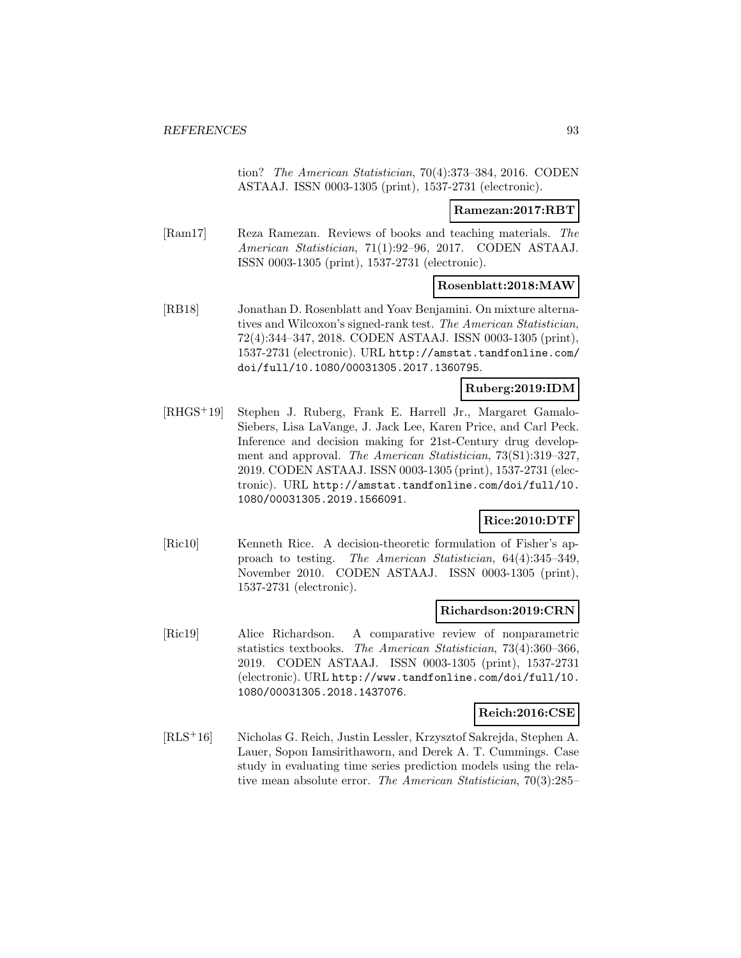tion? The American Statistician, 70(4):373–384, 2016. CODEN ASTAAJ. ISSN 0003-1305 (print), 1537-2731 (electronic).

### **Ramezan:2017:RBT**

[Ram17] Reza Ramezan. Reviews of books and teaching materials. The American Statistician, 71(1):92–96, 2017. CODEN ASTAAJ. ISSN 0003-1305 (print), 1537-2731 (electronic).

## **Rosenblatt:2018:MAW**

[RB18] Jonathan D. Rosenblatt and Yoav Benjamini. On mixture alternatives and Wilcoxon's signed-rank test. The American Statistician, 72(4):344–347, 2018. CODEN ASTAAJ. ISSN 0003-1305 (print), 1537-2731 (electronic). URL http://amstat.tandfonline.com/ doi/full/10.1080/00031305.2017.1360795.

### **Ruberg:2019:IDM**

[RHGS<sup>+</sup>19] Stephen J. Ruberg, Frank E. Harrell Jr., Margaret Gamalo-Siebers, Lisa LaVange, J. Jack Lee, Karen Price, and Carl Peck. Inference and decision making for 21st-Century drug development and approval. The American Statistician, 73(S1):319–327, 2019. CODEN ASTAAJ. ISSN 0003-1305 (print), 1537-2731 (electronic). URL http://amstat.tandfonline.com/doi/full/10. 1080/00031305.2019.1566091.

## **Rice:2010:DTF**

[Ric10] Kenneth Rice. A decision-theoretic formulation of Fisher's approach to testing. The American Statistician, 64(4):345–349, November 2010. CODEN ASTAAJ. ISSN 0003-1305 (print), 1537-2731 (electronic).

### **Richardson:2019:CRN**

[Ric19] Alice Richardson. A comparative review of nonparametric statistics textbooks. The American Statistician, 73(4):360–366, 2019. CODEN ASTAAJ. ISSN 0003-1305 (print), 1537-2731 (electronic). URL http://www.tandfonline.com/doi/full/10. 1080/00031305.2018.1437076.

### **Reich:2016:CSE**

[RLS<sup>+</sup>16] Nicholas G. Reich, Justin Lessler, Krzysztof Sakrejda, Stephen A. Lauer, Sopon Iamsirithaworn, and Derek A. T. Cummings. Case study in evaluating time series prediction models using the relative mean absolute error. The American Statistician, 70(3):285–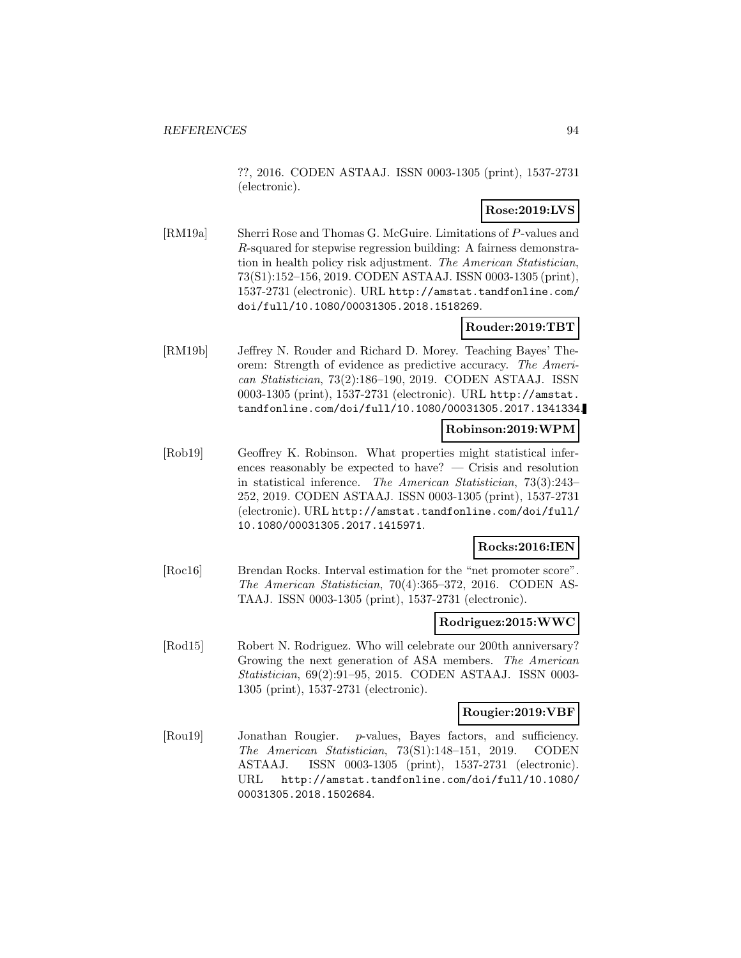??, 2016. CODEN ASTAAJ. ISSN 0003-1305 (print), 1537-2731 (electronic).

## **Rose:2019:LVS**

[RM19a] Sherri Rose and Thomas G. McGuire. Limitations of P-values and R-squared for stepwise regression building: A fairness demonstration in health policy risk adjustment. The American Statistician, 73(S1):152–156, 2019. CODEN ASTAAJ. ISSN 0003-1305 (print), 1537-2731 (electronic). URL http://amstat.tandfonline.com/ doi/full/10.1080/00031305.2018.1518269.

## **Rouder:2019:TBT**

[RM19b] Jeffrey N. Rouder and Richard D. Morey. Teaching Bayes' Theorem: Strength of evidence as predictive accuracy. The American Statistician, 73(2):186–190, 2019. CODEN ASTAAJ. ISSN 0003-1305 (print), 1537-2731 (electronic). URL http://amstat. tandfonline.com/doi/full/10.1080/00031305.2017.1341334.

### **Robinson:2019:WPM**

[Rob19] Geoffrey K. Robinson. What properties might statistical inferences reasonably be expected to have? — Crisis and resolution in statistical inference. The American Statistician, 73(3):243– 252, 2019. CODEN ASTAAJ. ISSN 0003-1305 (print), 1537-2731 (electronic). URL http://amstat.tandfonline.com/doi/full/ 10.1080/00031305.2017.1415971.

### **Rocks:2016:IEN**

[Roc16] Brendan Rocks. Interval estimation for the "net promoter score". The American Statistician, 70(4):365–372, 2016. CODEN AS-TAAJ. ISSN 0003-1305 (print), 1537-2731 (electronic).

### **Rodriguez:2015:WWC**

[Rod15] Robert N. Rodriguez. Who will celebrate our 200th anniversary? Growing the next generation of ASA members. The American Statistician, 69(2):91–95, 2015. CODEN ASTAAJ. ISSN 0003- 1305 (print), 1537-2731 (electronic).

#### **Rougier:2019:VBF**

[Rou19] Jonathan Rougier. p-values, Bayes factors, and sufficiency. The American Statistician, 73(S1):148–151, 2019. CODEN ASTAAJ. ISSN 0003-1305 (print), 1537-2731 (electronic). URL http://amstat.tandfonline.com/doi/full/10.1080/ 00031305.2018.1502684.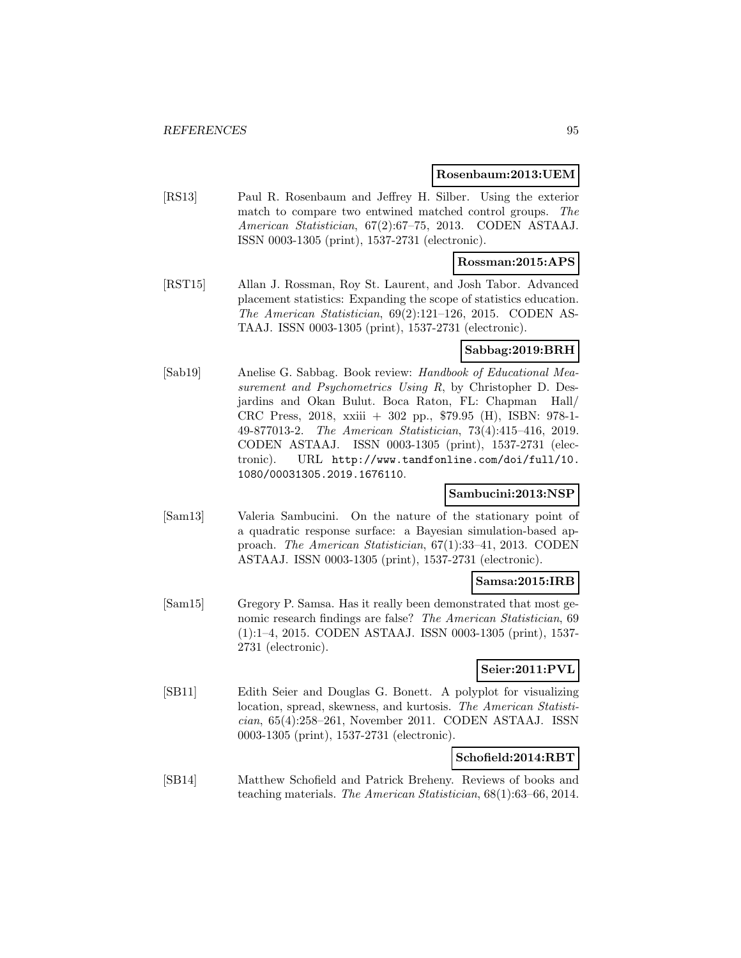#### **Rosenbaum:2013:UEM**

[RS13] Paul R. Rosenbaum and Jeffrey H. Silber. Using the exterior match to compare two entwined matched control groups. The American Statistician, 67(2):67–75, 2013. CODEN ASTAAJ. ISSN 0003-1305 (print), 1537-2731 (electronic).

### **Rossman:2015:APS**

[RST15] Allan J. Rossman, Roy St. Laurent, and Josh Tabor. Advanced placement statistics: Expanding the scope of statistics education. The American Statistician, 69(2):121–126, 2015. CODEN AS-TAAJ. ISSN 0003-1305 (print), 1537-2731 (electronic).

### **Sabbag:2019:BRH**

[Sab19] Anelise G. Sabbag. Book review: Handbook of Educational Measurement and Psychometrics Using R, by Christopher D. Desjardins and Okan Bulut. Boca Raton, FL: Chapman Hall/ CRC Press, 2018, xxiii + 302 pp., \$79.95 (H), ISBN: 978-1- 49-877013-2. The American Statistician, 73(4):415–416, 2019. CODEN ASTAAJ. ISSN 0003-1305 (print), 1537-2731 (electronic). URL http://www.tandfonline.com/doi/full/10. 1080/00031305.2019.1676110.

### **Sambucini:2013:NSP**

[Sam13] Valeria Sambucini. On the nature of the stationary point of a quadratic response surface: a Bayesian simulation-based approach. The American Statistician, 67(1):33–41, 2013. CODEN ASTAAJ. ISSN 0003-1305 (print), 1537-2731 (electronic).

### **Samsa:2015:IRB**

[Sam15] Gregory P. Samsa. Has it really been demonstrated that most genomic research findings are false? The American Statistician, 69 (1):1–4, 2015. CODEN ASTAAJ. ISSN 0003-1305 (print), 1537- 2731 (electronic).

## **Seier:2011:PVL**

[SB11] Edith Seier and Douglas G. Bonett. A polyplot for visualizing location, spread, skewness, and kurtosis. The American Statistician, 65(4):258–261, November 2011. CODEN ASTAAJ. ISSN 0003-1305 (print), 1537-2731 (electronic).

### **Schofield:2014:RBT**

[SB14] Matthew Schofield and Patrick Breheny. Reviews of books and teaching materials. The American Statistician, 68(1):63–66, 2014.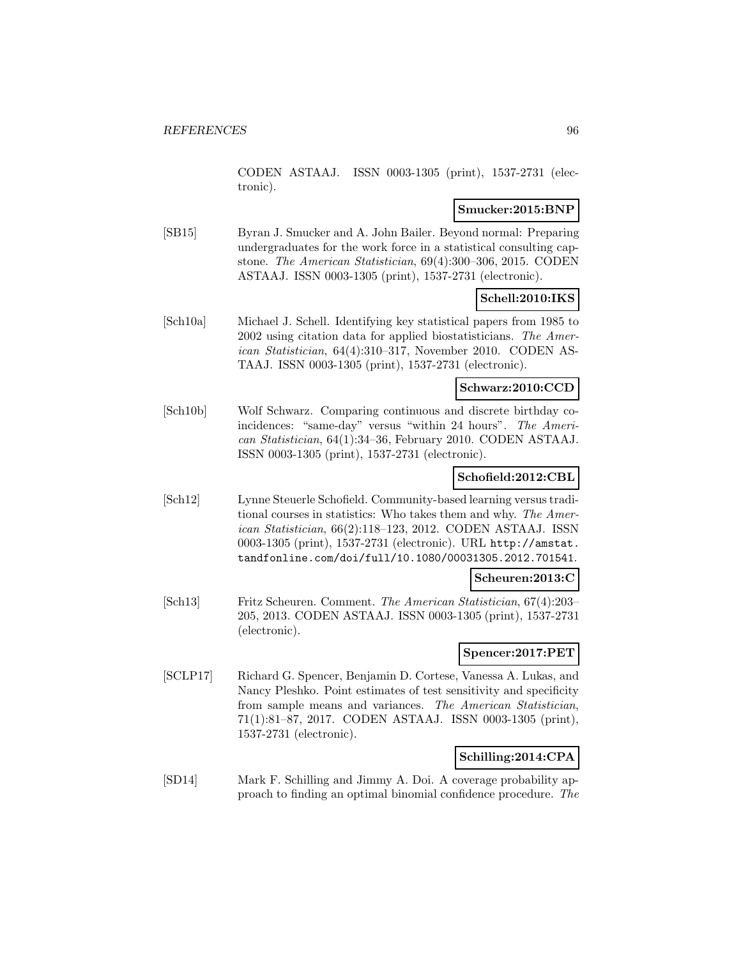CODEN ASTAAJ. ISSN 0003-1305 (print), 1537-2731 (electronic).

### **Smucker:2015:BNP**

[SB15] Byran J. Smucker and A. John Bailer. Beyond normal: Preparing undergraduates for the work force in a statistical consulting capstone. The American Statistician, 69(4):300–306, 2015. CODEN ASTAAJ. ISSN 0003-1305 (print), 1537-2731 (electronic).

## **Schell:2010:IKS**

[Sch10a] Michael J. Schell. Identifying key statistical papers from 1985 to 2002 using citation data for applied biostatisticians. The American Statistician, 64(4):310–317, November 2010. CODEN AS-TAAJ. ISSN 0003-1305 (print), 1537-2731 (electronic).

#### **Schwarz:2010:CCD**

[Sch10b] Wolf Schwarz. Comparing continuous and discrete birthday coincidences: "same-day" versus "within 24 hours". The American Statistician, 64(1):34–36, February 2010. CODEN ASTAAJ. ISSN 0003-1305 (print), 1537-2731 (electronic).

## **Schofield:2012:CBL**

[Sch12] Lynne Steuerle Schofield. Community-based learning versus traditional courses in statistics: Who takes them and why. The American Statistician, 66(2):118–123, 2012. CODEN ASTAAJ. ISSN 0003-1305 (print), 1537-2731 (electronic). URL http://amstat. tandfonline.com/doi/full/10.1080/00031305.2012.701541.

### **Scheuren:2013:C**

[Sch13] Fritz Scheuren. Comment. The American Statistician, 67(4):203– 205, 2013. CODEN ASTAAJ. ISSN 0003-1305 (print), 1537-2731 (electronic).

#### **Spencer:2017:PET**

[SCLP17] Richard G. Spencer, Benjamin D. Cortese, Vanessa A. Lukas, and Nancy Pleshko. Point estimates of test sensitivity and specificity from sample means and variances. The American Statistician, 71(1):81–87, 2017. CODEN ASTAAJ. ISSN 0003-1305 (print), 1537-2731 (electronic).

## **Schilling:2014:CPA**

[SD14] Mark F. Schilling and Jimmy A. Doi. A coverage probability approach to finding an optimal binomial confidence procedure. The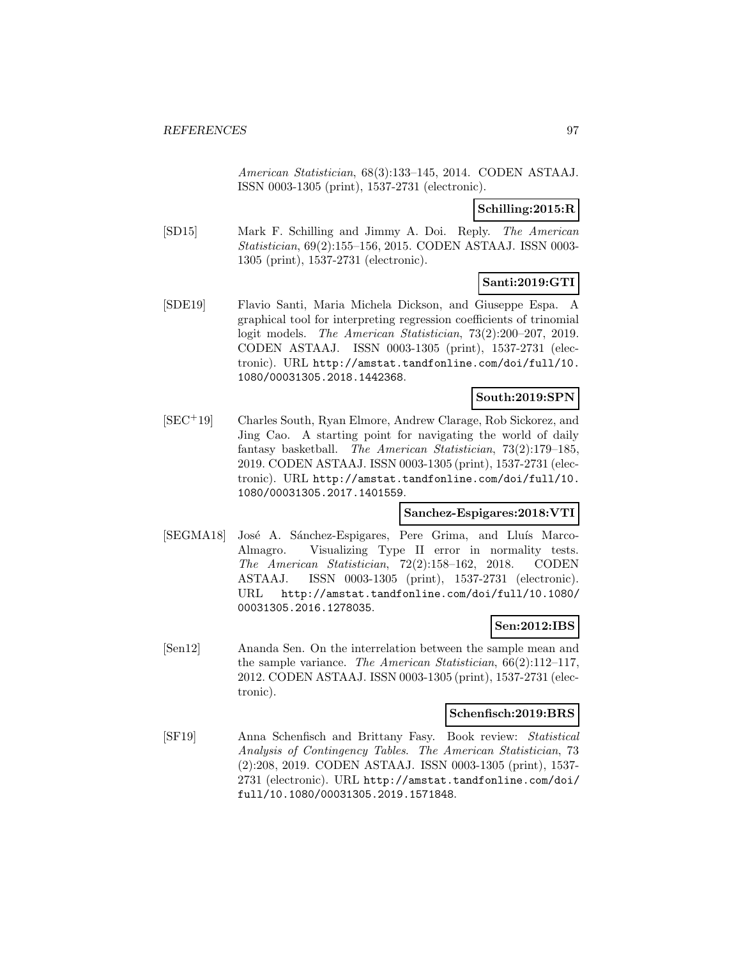American Statistician, 68(3):133–145, 2014. CODEN ASTAAJ. ISSN 0003-1305 (print), 1537-2731 (electronic).

**Schilling:2015:R**

[SD15] Mark F. Schilling and Jimmy A. Doi. Reply. The American Statistician, 69(2):155–156, 2015. CODEN ASTAAJ. ISSN 0003- 1305 (print), 1537-2731 (electronic).

## **Santi:2019:GTI**

[SDE19] Flavio Santi, Maria Michela Dickson, and Giuseppe Espa. A graphical tool for interpreting regression coefficients of trinomial logit models. The American Statistician, 73(2):200–207, 2019. CODEN ASTAAJ. ISSN 0003-1305 (print), 1537-2731 (electronic). URL http://amstat.tandfonline.com/doi/full/10. 1080/00031305.2018.1442368.

## **South:2019:SPN**

[SEC<sup>+</sup>19] Charles South, Ryan Elmore, Andrew Clarage, Rob Sickorez, and Jing Cao. A starting point for navigating the world of daily fantasy basketball. The American Statistician, 73(2):179–185, 2019. CODEN ASTAAJ. ISSN 0003-1305 (print), 1537-2731 (electronic). URL http://amstat.tandfonline.com/doi/full/10. 1080/00031305.2017.1401559.

### **Sanchez-Espigares:2018:VTI**

[SEGMA18] José A. Sánchez-Espigares, Pere Grima, and Lluís Marco-Almagro. Visualizing Type II error in normality tests. The American Statistician, 72(2):158–162, 2018. CODEN ASTAAJ. ISSN 0003-1305 (print), 1537-2731 (electronic). URL http://amstat.tandfonline.com/doi/full/10.1080/ 00031305.2016.1278035.

### **Sen:2012:IBS**

[Sen12] Ananda Sen. On the interrelation between the sample mean and the sample variance. The American Statistician, 66(2):112–117, 2012. CODEN ASTAAJ. ISSN 0003-1305 (print), 1537-2731 (electronic).

### **Schenfisch:2019:BRS**

[SF19] Anna Schenfisch and Brittany Fasy. Book review: Statistical Analysis of Contingency Tables. The American Statistician, 73 (2):208, 2019. CODEN ASTAAJ. ISSN 0003-1305 (print), 1537- 2731 (electronic). URL http://amstat.tandfonline.com/doi/ full/10.1080/00031305.2019.1571848.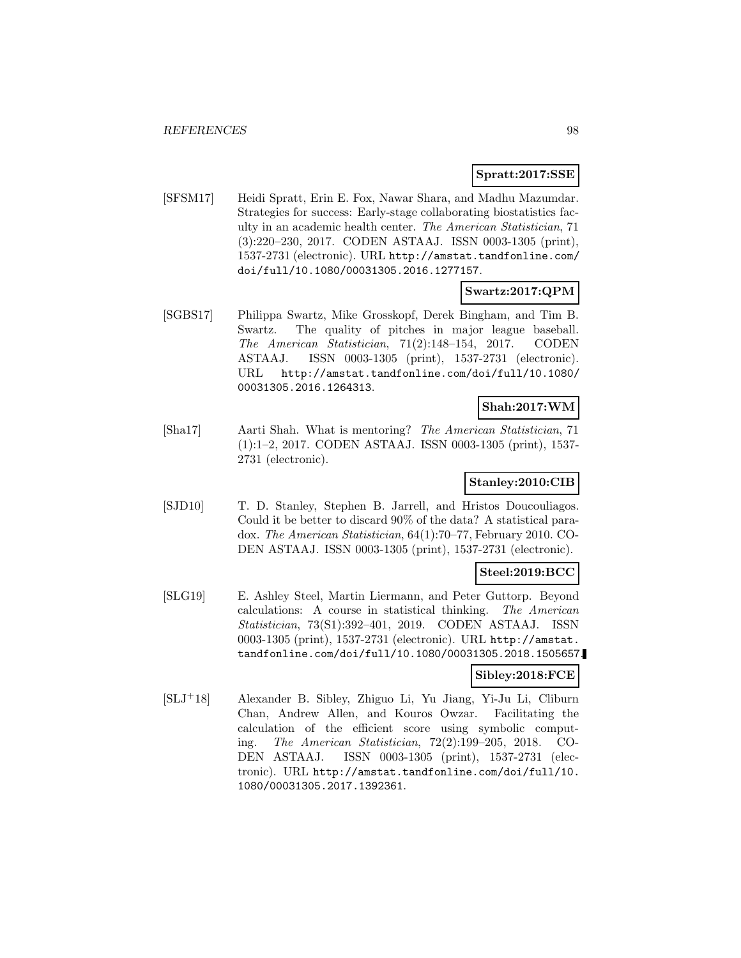### **Spratt:2017:SSE**

[SFSM17] Heidi Spratt, Erin E. Fox, Nawar Shara, and Madhu Mazumdar. Strategies for success: Early-stage collaborating biostatistics faculty in an academic health center. The American Statistician, 71 (3):220–230, 2017. CODEN ASTAAJ. ISSN 0003-1305 (print), 1537-2731 (electronic). URL http://amstat.tandfonline.com/ doi/full/10.1080/00031305.2016.1277157.

## **Swartz:2017:QPM**

[SGBS17] Philippa Swartz, Mike Grosskopf, Derek Bingham, and Tim B. Swartz. The quality of pitches in major league baseball. The American Statistician, 71(2):148–154, 2017. CODEN ASTAAJ. ISSN 0003-1305 (print), 1537-2731 (electronic). URL http://amstat.tandfonline.com/doi/full/10.1080/ 00031305.2016.1264313.

### **Shah:2017:WM**

[Sha17] Aarti Shah. What is mentoring? The American Statistician, 71 (1):1–2, 2017. CODEN ASTAAJ. ISSN 0003-1305 (print), 1537- 2731 (electronic).

## **Stanley:2010:CIB**

[SJD10] T. D. Stanley, Stephen B. Jarrell, and Hristos Doucouliagos. Could it be better to discard 90% of the data? A statistical paradox. The American Statistician, 64(1):70–77, February 2010. CO-DEN ASTAAJ. ISSN 0003-1305 (print), 1537-2731 (electronic).

### **Steel:2019:BCC**

[SLG19] E. Ashley Steel, Martin Liermann, and Peter Guttorp. Beyond calculations: A course in statistical thinking. The American Statistician, 73(S1):392–401, 2019. CODEN ASTAAJ. ISSN 0003-1305 (print), 1537-2731 (electronic). URL http://amstat. tandfonline.com/doi/full/10.1080/00031305.2018.1505657.

### **Sibley:2018:FCE**

[SLJ<sup>+</sup>18] Alexander B. Sibley, Zhiguo Li, Yu Jiang, Yi-Ju Li, Cliburn Chan, Andrew Allen, and Kouros Owzar. Facilitating the calculation of the efficient score using symbolic computing. The American Statistician, 72(2):199–205, 2018. CO-DEN ASTAAJ. ISSN 0003-1305 (print), 1537-2731 (electronic). URL http://amstat.tandfonline.com/doi/full/10. 1080/00031305.2017.1392361.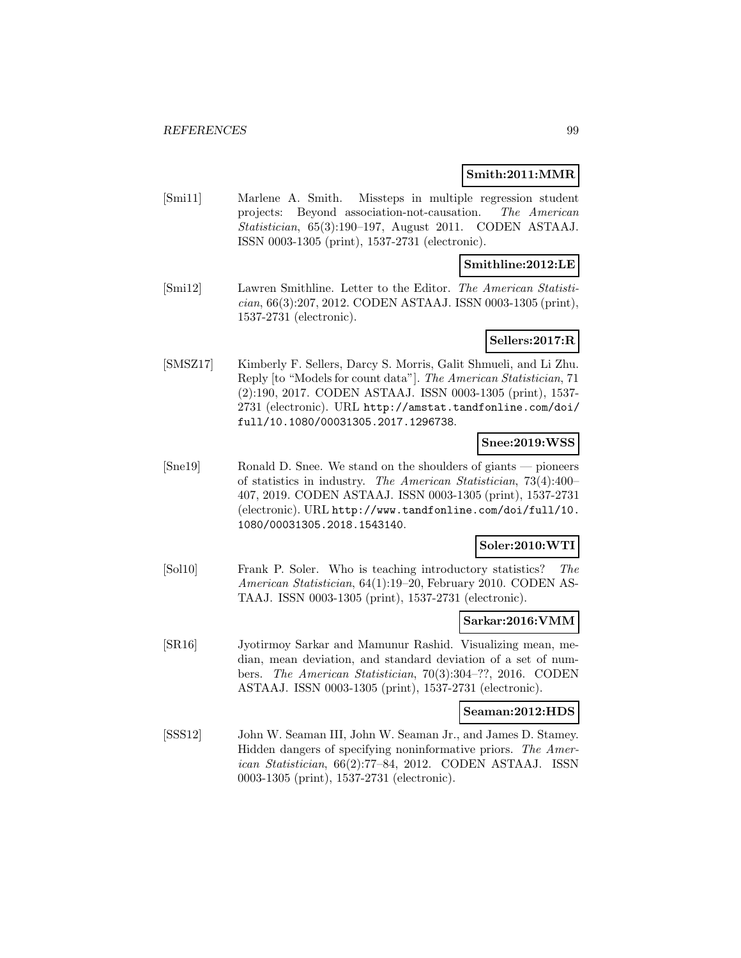### **Smith:2011:MMR**

[Smi11] Marlene A. Smith. Missteps in multiple regression student projects: Beyond association-not-causation. The American Statistician, 65(3):190–197, August 2011. CODEN ASTAAJ. ISSN 0003-1305 (print), 1537-2731 (electronic).

### **Smithline:2012:LE**

[Smi12] Lawren Smithline. Letter to the Editor. The American Statistician, 66(3):207, 2012. CODEN ASTAAJ. ISSN 0003-1305 (print), 1537-2731 (electronic).

### **Sellers:2017:R**

[SMSZ17] Kimberly F. Sellers, Darcy S. Morris, Galit Shmueli, and Li Zhu. Reply [to "Models for count data"]. The American Statistician, 71 (2):190, 2017. CODEN ASTAAJ. ISSN 0003-1305 (print), 1537- 2731 (electronic). URL http://amstat.tandfonline.com/doi/ full/10.1080/00031305.2017.1296738.

### **Snee:2019:WSS**

[Sne19] Ronald D. Snee. We stand on the shoulders of giants — pioneers of statistics in industry. The American Statistician, 73(4):400– 407, 2019. CODEN ASTAAJ. ISSN 0003-1305 (print), 1537-2731 (electronic). URL http://www.tandfonline.com/doi/full/10. 1080/00031305.2018.1543140.

### **Soler:2010:WTI**

[Sol10] Frank P. Soler. Who is teaching introductory statistics? The American Statistician, 64(1):19–20, February 2010. CODEN AS-TAAJ. ISSN 0003-1305 (print), 1537-2731 (electronic).

#### **Sarkar:2016:VMM**

[SR16] Jyotirmoy Sarkar and Mamunur Rashid. Visualizing mean, median, mean deviation, and standard deviation of a set of numbers. The American Statistician, 70(3):304–??, 2016. CODEN ASTAAJ. ISSN 0003-1305 (print), 1537-2731 (electronic).

### **Seaman:2012:HDS**

[SSS12] John W. Seaman III, John W. Seaman Jr., and James D. Stamey. Hidden dangers of specifying noninformative priors. The American Statistician, 66(2):77–84, 2012. CODEN ASTAAJ. ISSN 0003-1305 (print), 1537-2731 (electronic).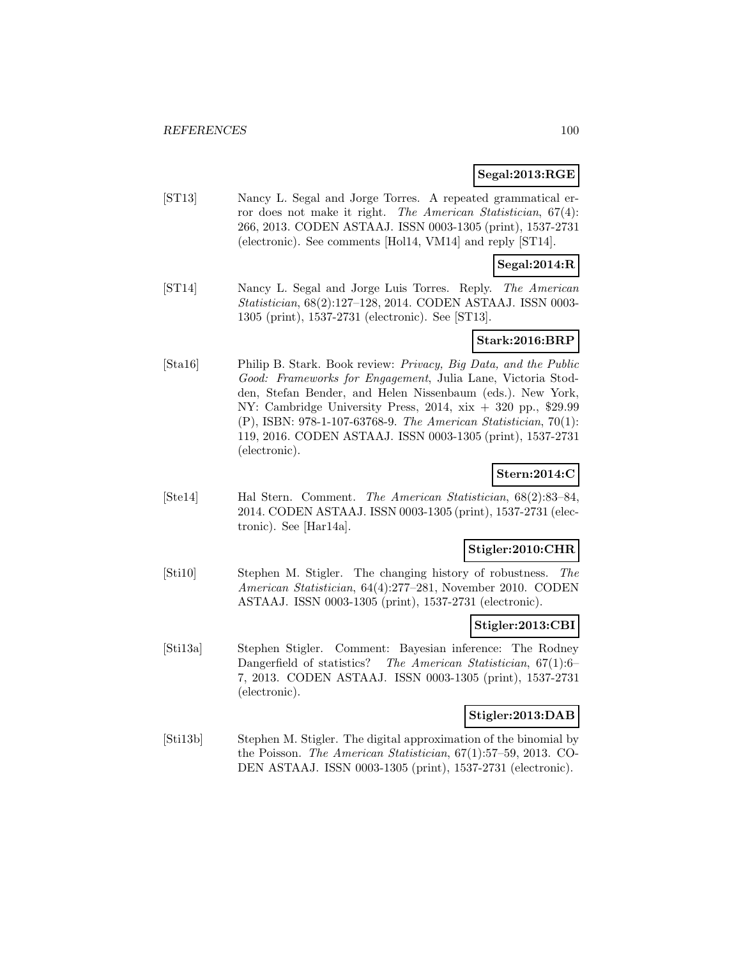### **Segal:2013:RGE**

[ST13] Nancy L. Segal and Jorge Torres. A repeated grammatical error does not make it right. The American Statistician, 67(4): 266, 2013. CODEN ASTAAJ. ISSN 0003-1305 (print), 1537-2731 (electronic). See comments [Hol14, VM14] and reply [ST14].

### **Segal:2014:R**

[ST14] Nancy L. Segal and Jorge Luis Torres. Reply. The American Statistician, 68(2):127–128, 2014. CODEN ASTAAJ. ISSN 0003- 1305 (print), 1537-2731 (electronic). See [ST13].

## **Stark:2016:BRP**

[Sta16] Philip B. Stark. Book review: Privacy, Big Data, and the Public Good: Frameworks for Engagement, Julia Lane, Victoria Stodden, Stefan Bender, and Helen Nissenbaum (eds.). New York, NY: Cambridge University Press, 2014, xix + 320 pp., \$29.99 (P), ISBN: 978-1-107-63768-9. The American Statistician, 70(1): 119, 2016. CODEN ASTAAJ. ISSN 0003-1305 (print), 1537-2731 (electronic).

## **Stern:2014:C**

[Ste14] Hal Stern. Comment. The American Statistician, 68(2):83–84, 2014. CODEN ASTAAJ. ISSN 0003-1305 (print), 1537-2731 (electronic). See [Har14a].

## **Stigler:2010:CHR**

[Sti10] Stephen M. Stigler. The changing history of robustness. The American Statistician, 64(4):277–281, November 2010. CODEN ASTAAJ. ISSN 0003-1305 (print), 1537-2731 (electronic).

### **Stigler:2013:CBI**

[Sti13a] Stephen Stigler. Comment: Bayesian inference: The Rodney Dangerfield of statistics? The American Statistician, 67(1):6– 7, 2013. CODEN ASTAAJ. ISSN 0003-1305 (print), 1537-2731 (electronic).

### **Stigler:2013:DAB**

[Sti13b] Stephen M. Stigler. The digital approximation of the binomial by the Poisson. The American Statistician, 67(1):57–59, 2013. CO-DEN ASTAAJ. ISSN 0003-1305 (print), 1537-2731 (electronic).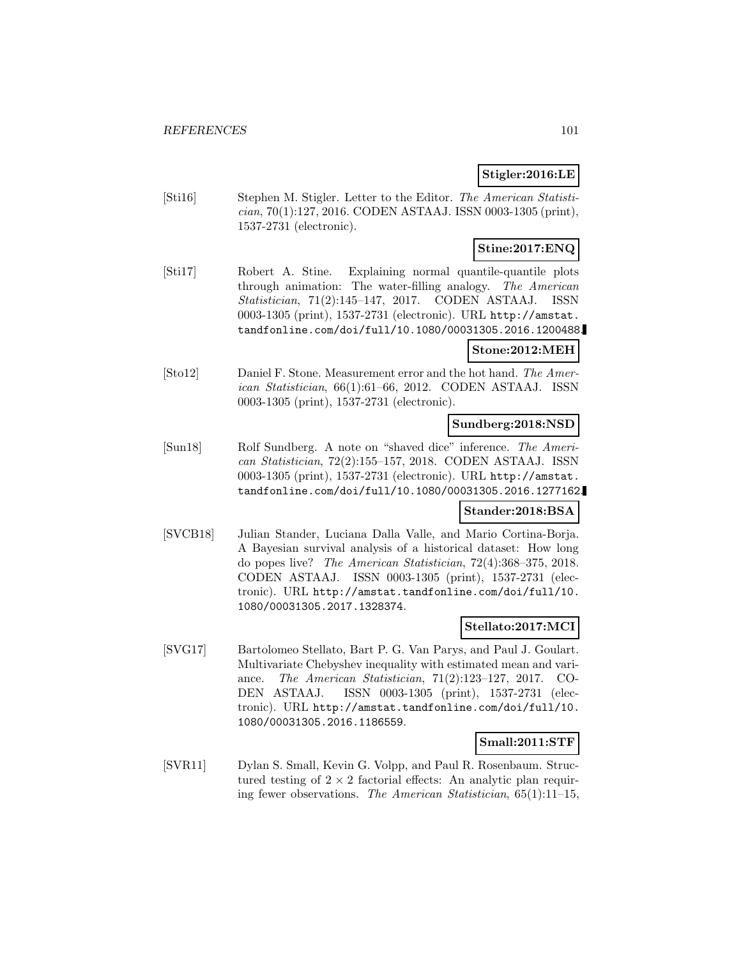## **Stigler:2016:LE**

[Sti16] Stephen M. Stigler. Letter to the Editor. The American Statistician, 70(1):127, 2016. CODEN ASTAAJ. ISSN 0003-1305 (print), 1537-2731 (electronic).

## **Stine:2017:ENQ**

[Sti17] Robert A. Stine. Explaining normal quantile-quantile plots through animation: The water-filling analogy. The American Statistician, 71(2):145–147, 2017. CODEN ASTAAJ. ISSN 0003-1305 (print), 1537-2731 (electronic). URL http://amstat. tandfonline.com/doi/full/10.1080/00031305.2016.1200488.

### **Stone:2012:MEH**

[Sto12] Daniel F. Stone. Measurement error and the hot hand. The American Statistician, 66(1):61–66, 2012. CODEN ASTAAJ. ISSN 0003-1305 (print), 1537-2731 (electronic).

### **Sundberg:2018:NSD**

[Sun18] Rolf Sundberg. A note on "shaved dice" inference. The American Statistician, 72(2):155–157, 2018. CODEN ASTAAJ. ISSN 0003-1305 (print), 1537-2731 (electronic). URL http://amstat. tandfonline.com/doi/full/10.1080/00031305.2016.1277162.

## **Stander:2018:BSA**

[SVCB18] Julian Stander, Luciana Dalla Valle, and Mario Cortina-Borja. A Bayesian survival analysis of a historical dataset: How long do popes live? The American Statistician, 72(4):368–375, 2018. CODEN ASTAAJ. ISSN 0003-1305 (print), 1537-2731 (electronic). URL http://amstat.tandfonline.com/doi/full/10. 1080/00031305.2017.1328374.

## **Stellato:2017:MCI**

[SVG17] Bartolomeo Stellato, Bart P. G. Van Parys, and Paul J. Goulart. Multivariate Chebyshev inequality with estimated mean and variance. The American Statistician, 71(2):123–127, 2017. CO-DEN ASTAAJ. ISSN 0003-1305 (print), 1537-2731 (electronic). URL http://amstat.tandfonline.com/doi/full/10. 1080/00031305.2016.1186559.

## **Small:2011:STF**

[SVR11] Dylan S. Small, Kevin G. Volpp, and Paul R. Rosenbaum. Structured testing of  $2 \times 2$  factorial effects: An analytic plan requiring fewer observations. The American Statistician, 65(1):11–15,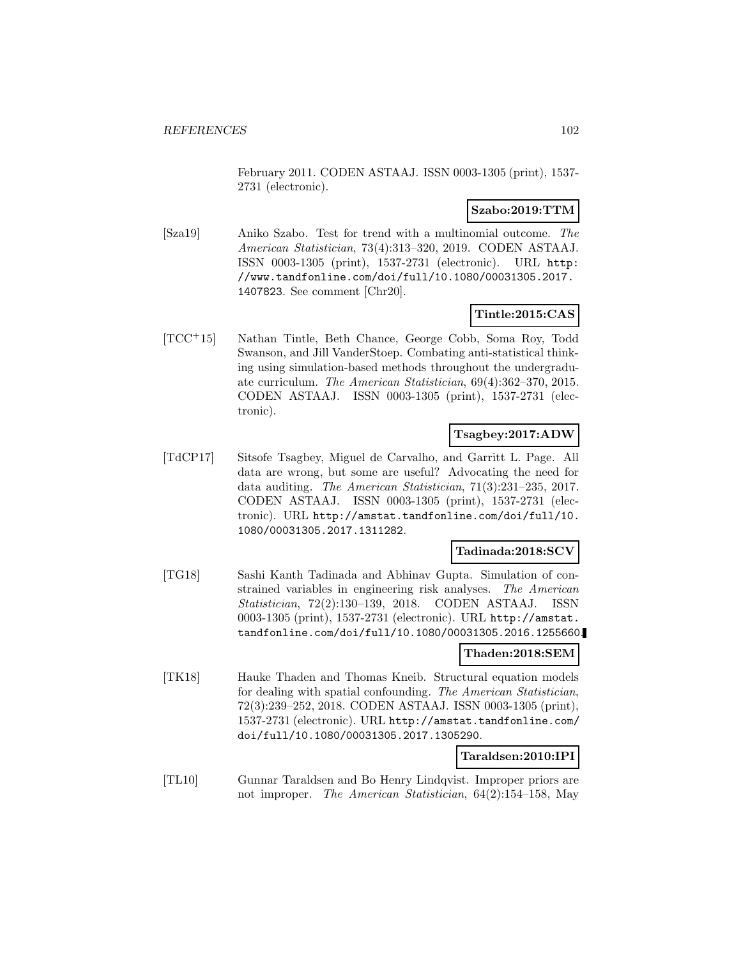February 2011. CODEN ASTAAJ. ISSN 0003-1305 (print), 1537- 2731 (electronic).

### **Szabo:2019:TTM**

[Sza19] Aniko Szabo. Test for trend with a multinomial outcome. The American Statistician, 73(4):313–320, 2019. CODEN ASTAAJ. ISSN 0003-1305 (print), 1537-2731 (electronic). URL http: //www.tandfonline.com/doi/full/10.1080/00031305.2017. 1407823. See comment [Chr20].

## **Tintle:2015:CAS**

[TCC<sup>+</sup>15] Nathan Tintle, Beth Chance, George Cobb, Soma Roy, Todd Swanson, and Jill VanderStoep. Combating anti-statistical thinking using simulation-based methods throughout the undergraduate curriculum. The American Statistician, 69(4):362–370, 2015. CODEN ASTAAJ. ISSN 0003-1305 (print), 1537-2731 (electronic).

## **Tsagbey:2017:ADW**

[TdCP17] Sitsofe Tsagbey, Miguel de Carvalho, and Garritt L. Page. All data are wrong, but some are useful? Advocating the need for data auditing. The American Statistician, 71(3):231–235, 2017. CODEN ASTAAJ. ISSN 0003-1305 (print), 1537-2731 (electronic). URL http://amstat.tandfonline.com/doi/full/10. 1080/00031305.2017.1311282.

### **Tadinada:2018:SCV**

[TG18] Sashi Kanth Tadinada and Abhinav Gupta. Simulation of constrained variables in engineering risk analyses. The American Statistician, 72(2):130–139, 2018. CODEN ASTAAJ. ISSN 0003-1305 (print), 1537-2731 (electronic). URL http://amstat. tandfonline.com/doi/full/10.1080/00031305.2016.1255660.

#### **Thaden:2018:SEM**

[TK18] Hauke Thaden and Thomas Kneib. Structural equation models for dealing with spatial confounding. The American Statistician, 72(3):239–252, 2018. CODEN ASTAAJ. ISSN 0003-1305 (print), 1537-2731 (electronic). URL http://amstat.tandfonline.com/ doi/full/10.1080/00031305.2017.1305290.

### **Taraldsen:2010:IPI**

[TL10] Gunnar Taraldsen and Bo Henry Lindqvist. Improper priors are not improper. The American Statistician, 64(2):154–158, May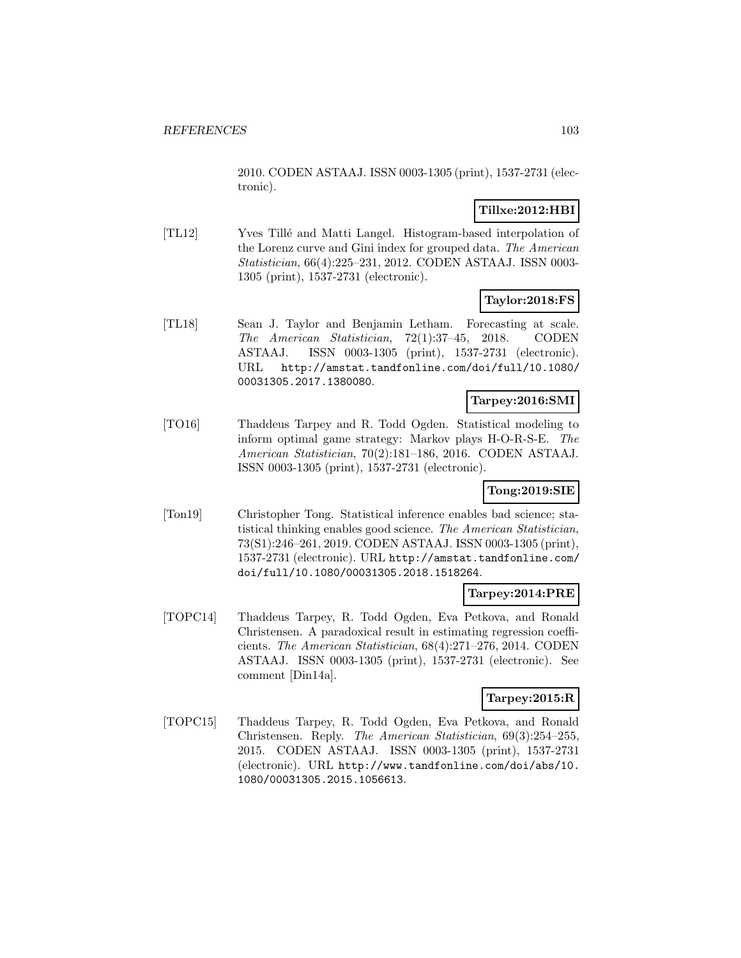2010. CODEN ASTAAJ. ISSN 0003-1305 (print), 1537-2731 (electronic).

## **Tillxe:2012:HBI**

[TL12] Yves Tillé and Matti Langel. Histogram-based interpolation of the Lorenz curve and Gini index for grouped data. The American Statistician, 66(4):225–231, 2012. CODEN ASTAAJ. ISSN 0003- 1305 (print), 1537-2731 (electronic).

## **Taylor:2018:FS**

[TL18] Sean J. Taylor and Benjamin Letham. Forecasting at scale. The American Statistician, 72(1):37–45, 2018. CODEN ASTAAJ. ISSN 0003-1305 (print), 1537-2731 (electronic). URL http://amstat.tandfonline.com/doi/full/10.1080/ 00031305.2017.1380080.

## **Tarpey:2016:SMI**

[TO16] Thaddeus Tarpey and R. Todd Ogden. Statistical modeling to inform optimal game strategy: Markov plays H-O-R-S-E. The American Statistician, 70(2):181–186, 2016. CODEN ASTAAJ. ISSN 0003-1305 (print), 1537-2731 (electronic).

## **Tong:2019:SIE**

[Ton19] Christopher Tong. Statistical inference enables bad science; statistical thinking enables good science. The American Statistician, 73(S1):246–261, 2019. CODEN ASTAAJ. ISSN 0003-1305 (print), 1537-2731 (electronic). URL http://amstat.tandfonline.com/ doi/full/10.1080/00031305.2018.1518264.

## **Tarpey:2014:PRE**

[TOPC14] Thaddeus Tarpey, R. Todd Ogden, Eva Petkova, and Ronald Christensen. A paradoxical result in estimating regression coefficients. The American Statistician, 68(4):271–276, 2014. CODEN ASTAAJ. ISSN 0003-1305 (print), 1537-2731 (electronic). See comment [Din14a].

## **Tarpey:2015:R**

[TOPC15] Thaddeus Tarpey, R. Todd Ogden, Eva Petkova, and Ronald Christensen. Reply. The American Statistician, 69(3):254–255, 2015. CODEN ASTAAJ. ISSN 0003-1305 (print), 1537-2731 (electronic). URL http://www.tandfonline.com/doi/abs/10. 1080/00031305.2015.1056613.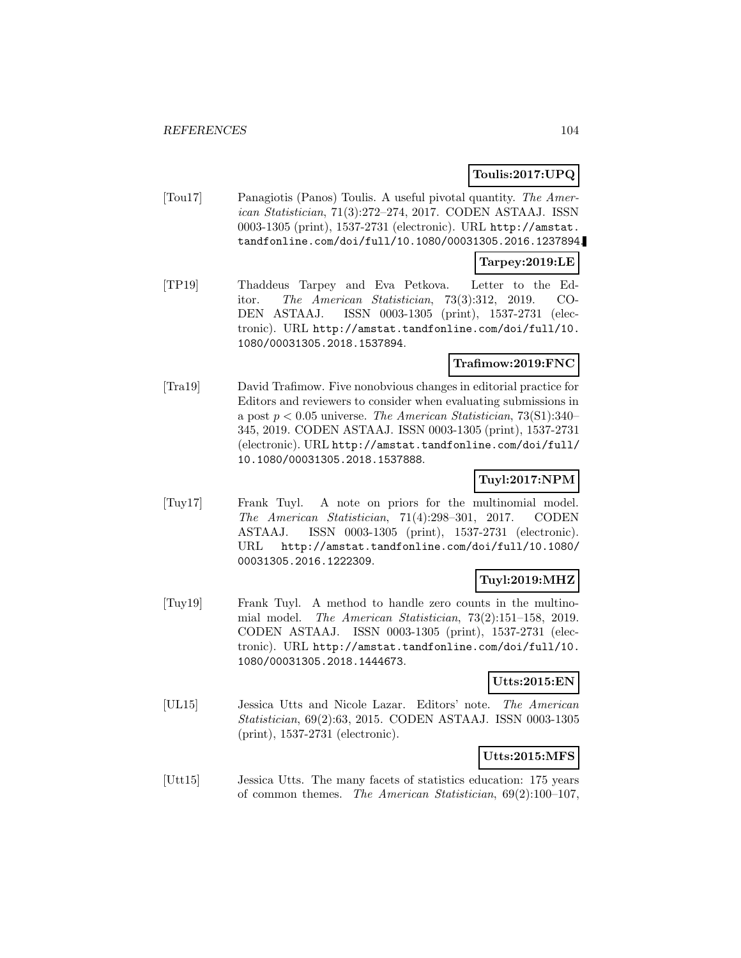## **Toulis:2017:UPQ**

[Tou17] Panagiotis (Panos) Toulis. A useful pivotal quantity. The American Statistician, 71(3):272–274, 2017. CODEN ASTAAJ. ISSN 0003-1305 (print), 1537-2731 (electronic). URL http://amstat. tandfonline.com/doi/full/10.1080/00031305.2016.1237894.

### **Tarpey:2019:LE**

[TP19] Thaddeus Tarpey and Eva Petkova. Letter to the Editor. The American Statistician, 73(3):312, 2019. CO-DEN ASTAAJ. ISSN 0003-1305 (print), 1537-2731 (electronic). URL http://amstat.tandfonline.com/doi/full/10. 1080/00031305.2018.1537894.

## **Trafimow:2019:FNC**

[Tra19] David Trafimow. Five nonobvious changes in editorial practice for Editors and reviewers to consider when evaluating submissions in a post  $p < 0.05$  universe. The American Statistician, 73(S1):340– 345, 2019. CODEN ASTAAJ. ISSN 0003-1305 (print), 1537-2731 (electronic). URL http://amstat.tandfonline.com/doi/full/ 10.1080/00031305.2018.1537888.

# **Tuyl:2017:NPM**

[Tuy17] Frank Tuyl. A note on priors for the multinomial model. The American Statistician, 71(4):298–301, 2017. CODEN ASTAAJ. ISSN 0003-1305 (print), 1537-2731 (electronic). URL http://amstat.tandfonline.com/doi/full/10.1080/ 00031305.2016.1222309.

## **Tuyl:2019:MHZ**

[Tuy19] Frank Tuyl. A method to handle zero counts in the multinomial model. The American Statistician, 73(2):151–158, 2019. CODEN ASTAAJ. ISSN 0003-1305 (print), 1537-2731 (electronic). URL http://amstat.tandfonline.com/doi/full/10. 1080/00031305.2018.1444673.

### **Utts:2015:EN**

[UL15] Jessica Utts and Nicole Lazar. Editors' note. The American Statistician, 69(2):63, 2015. CODEN ASTAAJ. ISSN 0003-1305 (print), 1537-2731 (electronic).

## **Utts:2015:MFS**

[Utt15] Jessica Utts. The many facets of statistics education: 175 years of common themes. The American Statistician, 69(2):100–107,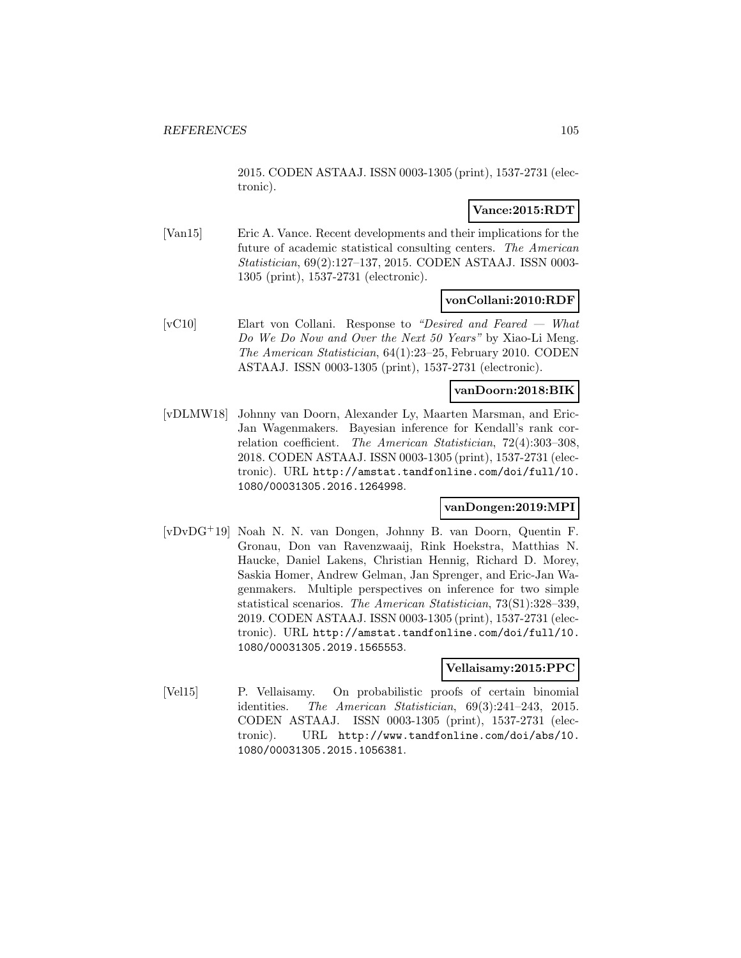2015. CODEN ASTAAJ. ISSN 0003-1305 (print), 1537-2731 (electronic).

## **Vance:2015:RDT**

[Van15] Eric A. Vance. Recent developments and their implications for the future of academic statistical consulting centers. The American Statistician, 69(2):127–137, 2015. CODEN ASTAAJ. ISSN 0003- 1305 (print), 1537-2731 (electronic).

### **vonCollani:2010:RDF**

[vC10] Elart von Collani. Response to "Desired and Feared — What Do We Do Now and Over the Next 50 Years" by Xiao-Li Meng. The American Statistician, 64(1):23–25, February 2010. CODEN ASTAAJ. ISSN 0003-1305 (print), 1537-2731 (electronic).

### **vanDoorn:2018:BIK**

[vDLMW18] Johnny van Doorn, Alexander Ly, Maarten Marsman, and Eric-Jan Wagenmakers. Bayesian inference for Kendall's rank correlation coefficient. The American Statistician, 72(4):303–308, 2018. CODEN ASTAAJ. ISSN 0003-1305 (print), 1537-2731 (electronic). URL http://amstat.tandfonline.com/doi/full/10. 1080/00031305.2016.1264998.

### **vanDongen:2019:MPI**

[vDvDG<sup>+</sup>19] Noah N. N. van Dongen, Johnny B. van Doorn, Quentin F. Gronau, Don van Ravenzwaaij, Rink Hoekstra, Matthias N. Haucke, Daniel Lakens, Christian Hennig, Richard D. Morey, Saskia Homer, Andrew Gelman, Jan Sprenger, and Eric-Jan Wagenmakers. Multiple perspectives on inference for two simple statistical scenarios. The American Statistician, 73(S1):328–339, 2019. CODEN ASTAAJ. ISSN 0003-1305 (print), 1537-2731 (electronic). URL http://amstat.tandfonline.com/doi/full/10. 1080/00031305.2019.1565553.

### **Vellaisamy:2015:PPC**

[Vel15] P. Vellaisamy. On probabilistic proofs of certain binomial identities. The American Statistician, 69(3):241–243, 2015. CODEN ASTAAJ. ISSN 0003-1305 (print), 1537-2731 (electronic). URL http://www.tandfonline.com/doi/abs/10. 1080/00031305.2015.1056381.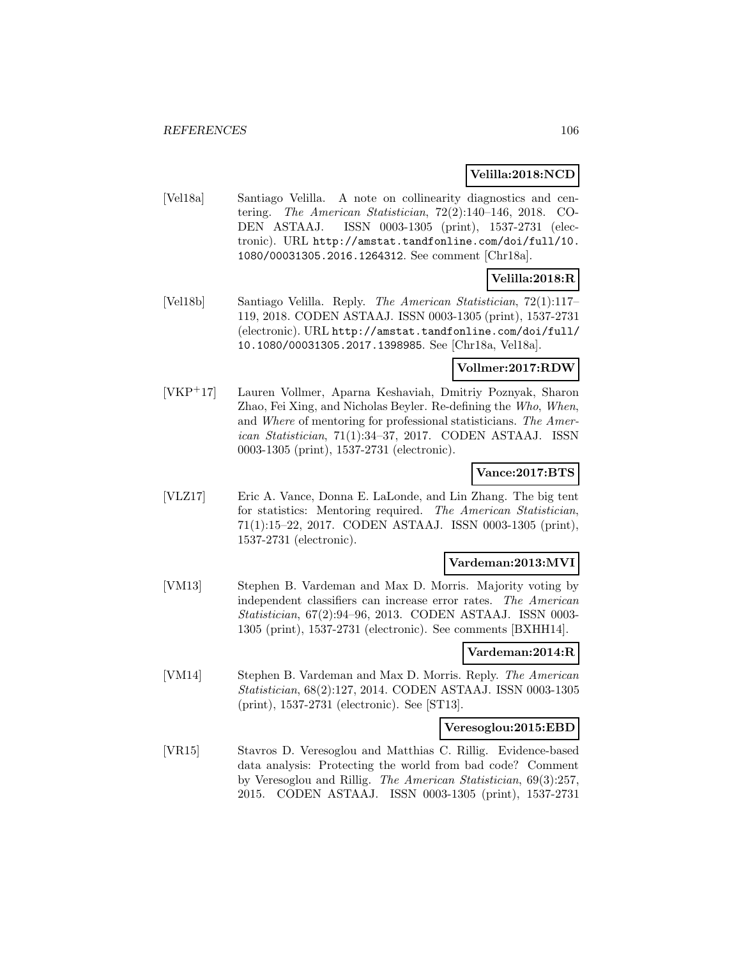### **Velilla:2018:NCD**

[Vel18a] Santiago Velilla. A note on collinearity diagnostics and centering. The American Statistician, 72(2):140–146, 2018. CO-DEN ASTAAJ. ISSN 0003-1305 (print), 1537-2731 (electronic). URL http://amstat.tandfonline.com/doi/full/10. 1080/00031305.2016.1264312. See comment [Chr18a].

# **Velilla:2018:R**

[Vel18b] Santiago Velilla. Reply. The American Statistician, 72(1):117– 119, 2018. CODEN ASTAAJ. ISSN 0003-1305 (print), 1537-2731 (electronic). URL http://amstat.tandfonline.com/doi/full/ 10.1080/00031305.2017.1398985. See [Chr18a, Vel18a].

### **Vollmer:2017:RDW**

[VKP<sup>+</sup>17] Lauren Vollmer, Aparna Keshaviah, Dmitriy Poznyak, Sharon Zhao, Fei Xing, and Nicholas Beyler. Re-defining the Who, When, and Where of mentoring for professional statisticians. The American Statistician, 71(1):34–37, 2017. CODEN ASTAAJ. ISSN 0003-1305 (print), 1537-2731 (electronic).

### **Vance:2017:BTS**

[VLZ17] Eric A. Vance, Donna E. LaLonde, and Lin Zhang. The big tent for statistics: Mentoring required. The American Statistician, 71(1):15–22, 2017. CODEN ASTAAJ. ISSN 0003-1305 (print), 1537-2731 (electronic).

### **Vardeman:2013:MVI**

[VM13] Stephen B. Vardeman and Max D. Morris. Majority voting by independent classifiers can increase error rates. The American Statistician, 67(2):94–96, 2013. CODEN ASTAAJ. ISSN 0003- 1305 (print), 1537-2731 (electronic). See comments [BXHH14].

### **Vardeman:2014:R**

[VM14] Stephen B. Vardeman and Max D. Morris. Reply. The American Statistician, 68(2):127, 2014. CODEN ASTAAJ. ISSN 0003-1305 (print), 1537-2731 (electronic). See [ST13].

#### **Veresoglou:2015:EBD**

[VR15] Stavros D. Veresoglou and Matthias C. Rillig. Evidence-based data analysis: Protecting the world from bad code? Comment by Veresoglou and Rillig. The American Statistician, 69(3):257, 2015. CODEN ASTAAJ. ISSN 0003-1305 (print), 1537-2731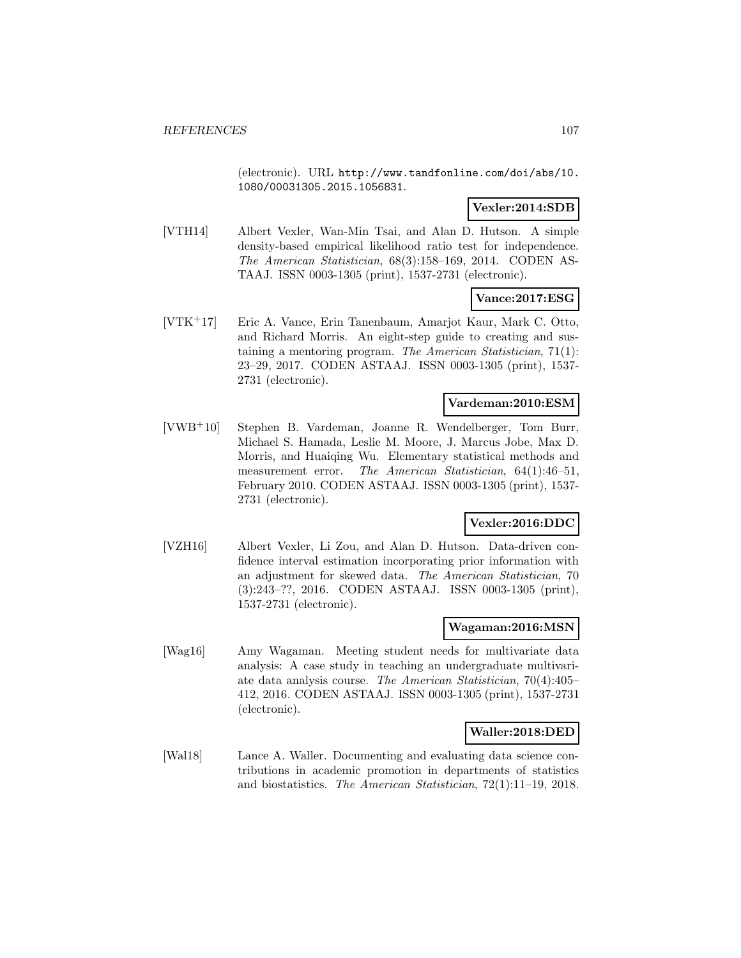(electronic). URL http://www.tandfonline.com/doi/abs/10. 1080/00031305.2015.1056831.

## **Vexler:2014:SDB**

[VTH14] Albert Vexler, Wan-Min Tsai, and Alan D. Hutson. A simple density-based empirical likelihood ratio test for independence. The American Statistician, 68(3):158–169, 2014. CODEN AS-TAAJ. ISSN 0003-1305 (print), 1537-2731 (electronic).

## **Vance:2017:ESG**

[VTK<sup>+</sup>17] Eric A. Vance, Erin Tanenbaum, Amarjot Kaur, Mark C. Otto, and Richard Morris. An eight-step guide to creating and sustaining a mentoring program. The American Statistician, 71(1): 23–29, 2017. CODEN ASTAAJ. ISSN 0003-1305 (print), 1537- 2731 (electronic).

### **Vardeman:2010:ESM**

[VWB<sup>+</sup>10] Stephen B. Vardeman, Joanne R. Wendelberger, Tom Burr, Michael S. Hamada, Leslie M. Moore, J. Marcus Jobe, Max D. Morris, and Huaiqing Wu. Elementary statistical methods and measurement error. The American Statistician, 64(1):46–51, February 2010. CODEN ASTAAJ. ISSN 0003-1305 (print), 1537- 2731 (electronic).

### **Vexler:2016:DDC**

[VZH16] Albert Vexler, Li Zou, and Alan D. Hutson. Data-driven confidence interval estimation incorporating prior information with an adjustment for skewed data. The American Statistician, 70 (3):243–??, 2016. CODEN ASTAAJ. ISSN 0003-1305 (print), 1537-2731 (electronic).

#### **Wagaman:2016:MSN**

[Wag16] Amy Wagaman. Meeting student needs for multivariate data analysis: A case study in teaching an undergraduate multivariate data analysis course. The American Statistician, 70(4):405– 412, 2016. CODEN ASTAAJ. ISSN 0003-1305 (print), 1537-2731 (electronic).

### **Waller:2018:DED**

[Wal18] Lance A. Waller. Documenting and evaluating data science contributions in academic promotion in departments of statistics and biostatistics. The American Statistician, 72(1):11–19, 2018.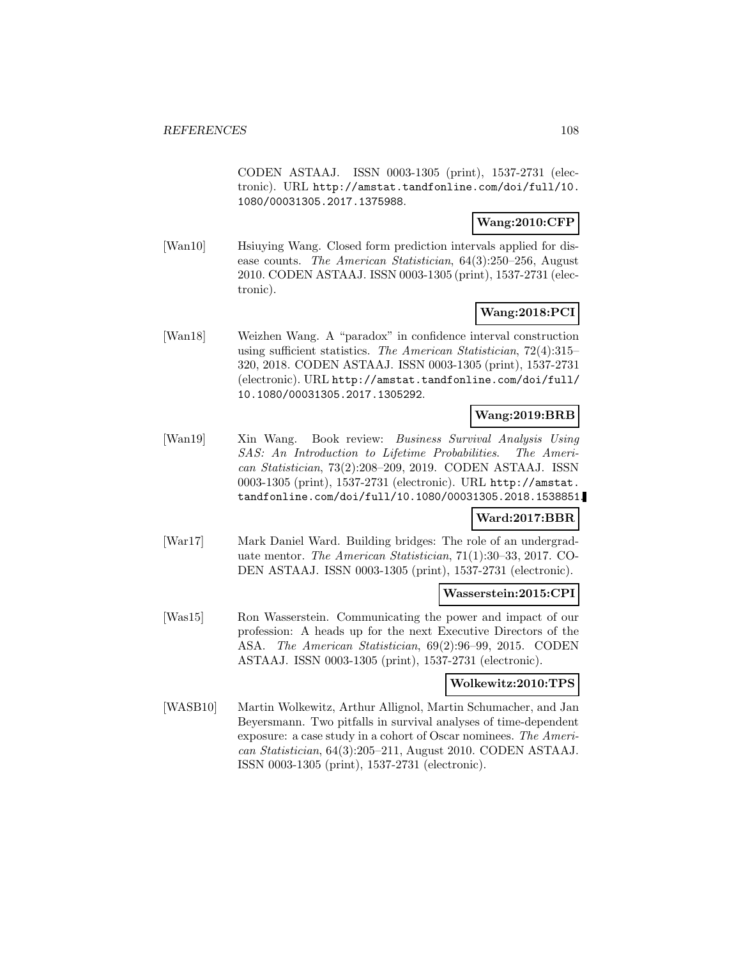CODEN ASTAAJ. ISSN 0003-1305 (print), 1537-2731 (electronic). URL http://amstat.tandfonline.com/doi/full/10. 1080/00031305.2017.1375988.

## **Wang:2010:CFP**

[Wan10] Hsiuying Wang. Closed form prediction intervals applied for disease counts. The American Statistician, 64(3):250–256, August 2010. CODEN ASTAAJ. ISSN 0003-1305 (print), 1537-2731 (electronic).

## **Wang:2018:PCI**

[Wan18] Weizhen Wang. A "paradox" in confidence interval construction using sufficient statistics. The American Statistician, 72(4):315– 320, 2018. CODEN ASTAAJ. ISSN 0003-1305 (print), 1537-2731 (electronic). URL http://amstat.tandfonline.com/doi/full/ 10.1080/00031305.2017.1305292.

## **Wang:2019:BRB**

[Wan19] Xin Wang. Book review: Business Survival Analysis Using SAS: An Introduction to Lifetime Probabilities. The American Statistician, 73(2):208–209, 2019. CODEN ASTAAJ. ISSN 0003-1305 (print), 1537-2731 (electronic). URL http://amstat. tandfonline.com/doi/full/10.1080/00031305.2018.1538851.

## **Ward:2017:BBR**

[War17] Mark Daniel Ward. Building bridges: The role of an undergraduate mentor. The American Statistician, 71(1):30–33, 2017. CO-DEN ASTAAJ. ISSN 0003-1305 (print), 1537-2731 (electronic).

### **Wasserstein:2015:CPI**

[Was15] Ron Wasserstein. Communicating the power and impact of our profession: A heads up for the next Executive Directors of the ASA. The American Statistician, 69(2):96–99, 2015. CODEN ASTAAJ. ISSN 0003-1305 (print), 1537-2731 (electronic).

### **Wolkewitz:2010:TPS**

[WASB10] Martin Wolkewitz, Arthur Allignol, Martin Schumacher, and Jan Beyersmann. Two pitfalls in survival analyses of time-dependent exposure: a case study in a cohort of Oscar nominees. The American Statistician, 64(3):205–211, August 2010. CODEN ASTAAJ. ISSN 0003-1305 (print), 1537-2731 (electronic).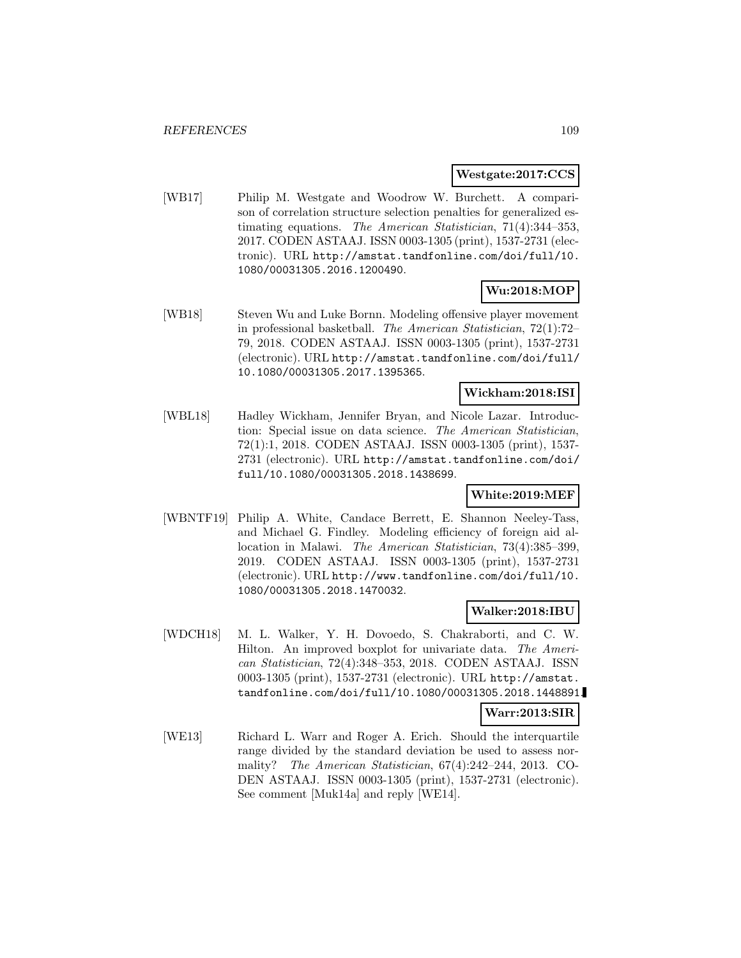#### **Westgate:2017:CCS**

[WB17] Philip M. Westgate and Woodrow W. Burchett. A comparison of correlation structure selection penalties for generalized estimating equations. The American Statistician, 71(4):344–353, 2017. CODEN ASTAAJ. ISSN 0003-1305 (print), 1537-2731 (electronic). URL http://amstat.tandfonline.com/doi/full/10. 1080/00031305.2016.1200490.

# **Wu:2018:MOP**

[WB18] Steven Wu and Luke Bornn. Modeling offensive player movement in professional basketball. The American Statistician, 72(1):72– 79, 2018. CODEN ASTAAJ. ISSN 0003-1305 (print), 1537-2731 (electronic). URL http://amstat.tandfonline.com/doi/full/ 10.1080/00031305.2017.1395365.

#### **Wickham:2018:ISI**

[WBL18] Hadley Wickham, Jennifer Bryan, and Nicole Lazar. Introduction: Special issue on data science. The American Statistician, 72(1):1, 2018. CODEN ASTAAJ. ISSN 0003-1305 (print), 1537- 2731 (electronic). URL http://amstat.tandfonline.com/doi/ full/10.1080/00031305.2018.1438699.

### **White:2019:MEF**

[WBNTF19] Philip A. White, Candace Berrett, E. Shannon Neeley-Tass, and Michael G. Findley. Modeling efficiency of foreign aid allocation in Malawi. The American Statistician, 73(4):385–399, 2019. CODEN ASTAAJ. ISSN 0003-1305 (print), 1537-2731 (electronic). URL http://www.tandfonline.com/doi/full/10. 1080/00031305.2018.1470032.

### **Walker:2018:IBU**

[WDCH18] M. L. Walker, Y. H. Dovoedo, S. Chakraborti, and C. W. Hilton. An improved boxplot for univariate data. The American Statistician, 72(4):348–353, 2018. CODEN ASTAAJ. ISSN 0003-1305 (print), 1537-2731 (electronic). URL http://amstat. tandfonline.com/doi/full/10.1080/00031305.2018.1448891.

#### **Warr:2013:SIR**

[WE13] Richard L. Warr and Roger A. Erich. Should the interquartile range divided by the standard deviation be used to assess normality? The American Statistician, 67(4):242–244, 2013. CO-DEN ASTAAJ. ISSN 0003-1305 (print), 1537-2731 (electronic). See comment [Muk14a] and reply [WE14].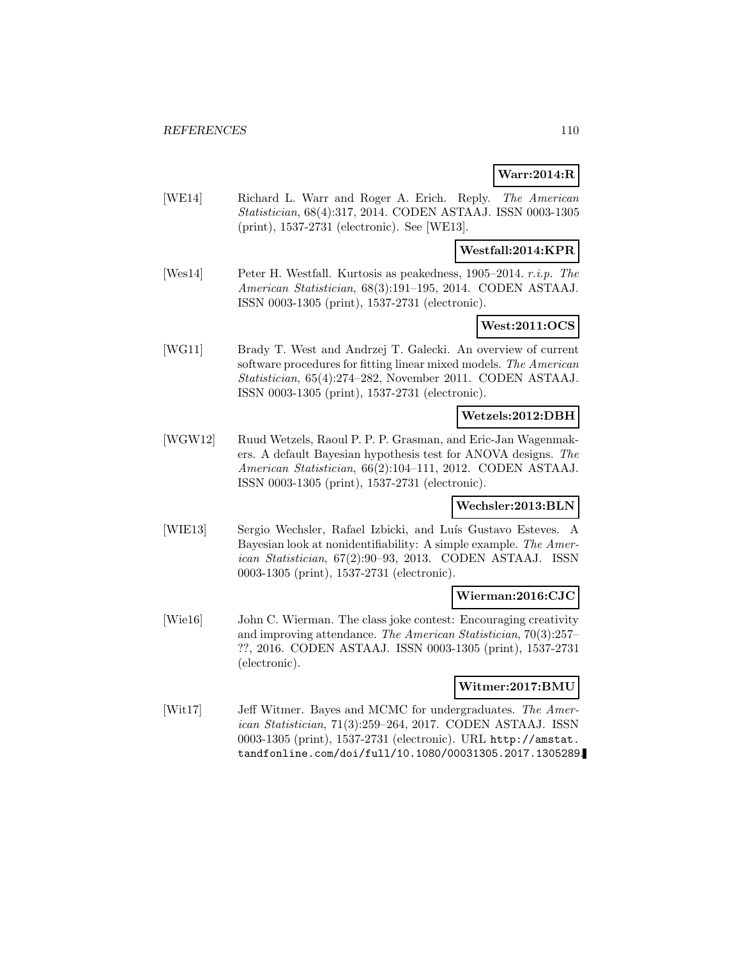## **Warr:2014:R**

[WE14] Richard L. Warr and Roger A. Erich. Reply. The American Statistician, 68(4):317, 2014. CODEN ASTAAJ. ISSN 0003-1305 (print), 1537-2731 (electronic). See [WE13].

### **Westfall:2014:KPR**

[Wes14] Peter H. Westfall. Kurtosis as peakedness, 1905–2014. r.i.p. The American Statistician, 68(3):191–195, 2014. CODEN ASTAAJ. ISSN 0003-1305 (print), 1537-2731 (electronic).

### **West:2011:OCS**

[WG11] Brady T. West and Andrzej T. Galecki. An overview of current software procedures for fitting linear mixed models. The American Statistician, 65(4):274–282, November 2011. CODEN ASTAAJ. ISSN 0003-1305 (print), 1537-2731 (electronic).

#### **Wetzels:2012:DBH**

[WGW12] Ruud Wetzels, Raoul P. P. P. Grasman, and Eric-Jan Wagenmakers. A default Bayesian hypothesis test for ANOVA designs. The American Statistician, 66(2):104–111, 2012. CODEN ASTAAJ. ISSN 0003-1305 (print), 1537-2731 (electronic).

#### **Wechsler:2013:BLN**

[WIE13] Sergio Wechsler, Rafael Izbicki, and Luís Gustavo Esteves. A Bayesian look at nonidentifiability: A simple example. The American Statistician, 67(2):90–93, 2013. CODEN ASTAAJ. ISSN 0003-1305 (print), 1537-2731 (electronic).

#### **Wierman:2016:CJC**

[Wie16] John C. Wierman. The class joke contest: Encouraging creativity and improving attendance. The American Statistician, 70(3):257– ??, 2016. CODEN ASTAAJ. ISSN 0003-1305 (print), 1537-2731 (electronic).

### **Witmer:2017:BMU**

[Wit17] Jeff Witmer. Bayes and MCMC for undergraduates. The American Statistician, 71(3):259–264, 2017. CODEN ASTAAJ. ISSN 0003-1305 (print), 1537-2731 (electronic). URL http://amstat. tandfonline.com/doi/full/10.1080/00031305.2017.1305289.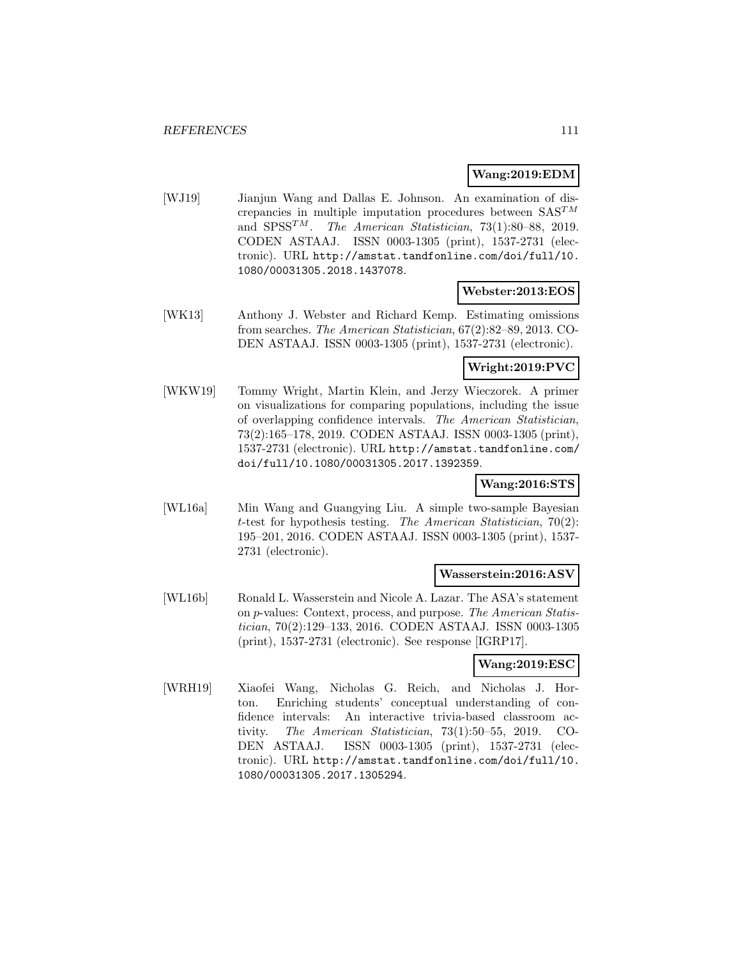### **Wang:2019:EDM**

[WJ19] Jianjun Wang and Dallas E. Johnson. An examination of discrepancies in multiple imputation procedures between  $SAS^{TM}$ and  $SPSS^{TM}$ . The American Statistician, 73(1):80–88, 2019. CODEN ASTAAJ. ISSN 0003-1305 (print), 1537-2731 (electronic). URL http://amstat.tandfonline.com/doi/full/10. 1080/00031305.2018.1437078.

#### **Webster:2013:EOS**

[WK13] Anthony J. Webster and Richard Kemp. Estimating omissions from searches. The American Statistician, 67(2):82–89, 2013. CO-DEN ASTAAJ. ISSN 0003-1305 (print), 1537-2731 (electronic).

### **Wright:2019:PVC**

[WKW19] Tommy Wright, Martin Klein, and Jerzy Wieczorek. A primer on visualizations for comparing populations, including the issue of overlapping confidence intervals. The American Statistician, 73(2):165–178, 2019. CODEN ASTAAJ. ISSN 0003-1305 (print), 1537-2731 (electronic). URL http://amstat.tandfonline.com/ doi/full/10.1080/00031305.2017.1392359.

### **Wang:2016:STS**

[WL16a] Min Wang and Guangying Liu. A simple two-sample Bayesian t-test for hypothesis testing. The American Statistician,  $70(2)$ : 195–201, 2016. CODEN ASTAAJ. ISSN 0003-1305 (print), 1537- 2731 (electronic).

#### **Wasserstein:2016:ASV**

[WL16b] Ronald L. Wasserstein and Nicole A. Lazar. The ASA's statement on p-values: Context, process, and purpose. The American Statistician, 70(2):129–133, 2016. CODEN ASTAAJ. ISSN 0003-1305 (print), 1537-2731 (electronic). See response [IGRP17].

## **Wang:2019:ESC**

[WRH19] Xiaofei Wang, Nicholas G. Reich, and Nicholas J. Horton. Enriching students' conceptual understanding of confidence intervals: An interactive trivia-based classroom activity. The American Statistician, 73(1):50–55, 2019. CO-DEN ASTAAJ. ISSN 0003-1305 (print), 1537-2731 (electronic). URL http://amstat.tandfonline.com/doi/full/10. 1080/00031305.2017.1305294.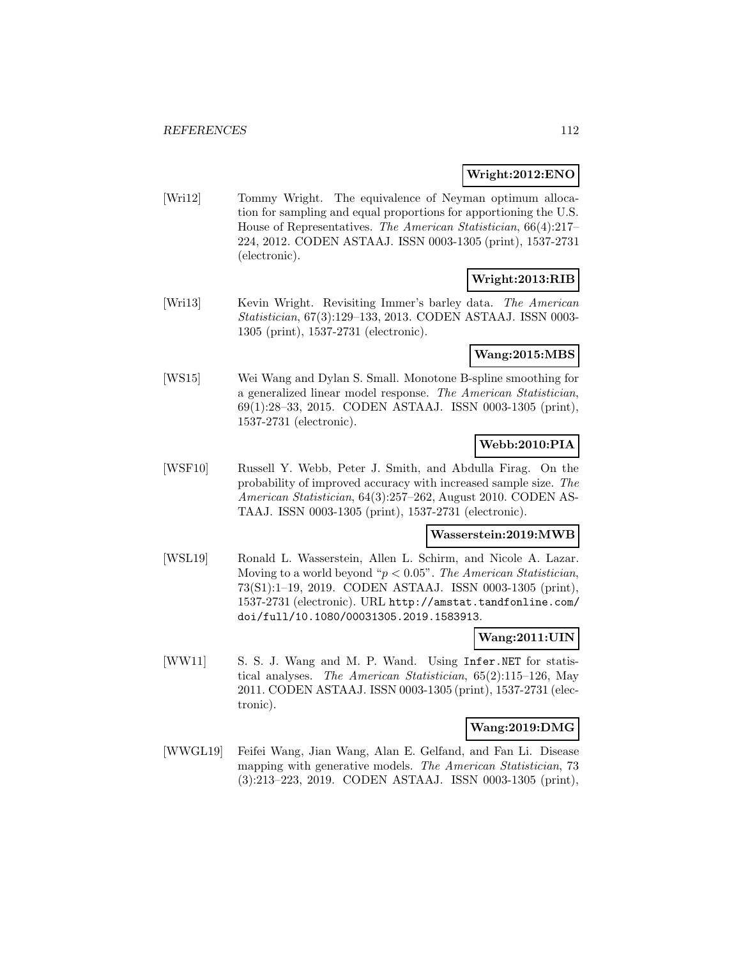### **Wright:2012:ENO**

[Wri12] Tommy Wright. The equivalence of Neyman optimum allocation for sampling and equal proportions for apportioning the U.S. House of Representatives. The American Statistician, 66(4):217– 224, 2012. CODEN ASTAAJ. ISSN 0003-1305 (print), 1537-2731 (electronic).

# **Wright:2013:RIB**

[Wri13] Kevin Wright. Revisiting Immer's barley data. The American Statistician, 67(3):129–133, 2013. CODEN ASTAAJ. ISSN 0003- 1305 (print), 1537-2731 (electronic).

#### **Wang:2015:MBS**

[WS15] Wei Wang and Dylan S. Small. Monotone B-spline smoothing for a generalized linear model response. The American Statistician, 69(1):28–33, 2015. CODEN ASTAAJ. ISSN 0003-1305 (print), 1537-2731 (electronic).

## **Webb:2010:PIA**

[WSF10] Russell Y. Webb, Peter J. Smith, and Abdulla Firag. On the probability of improved accuracy with increased sample size. The American Statistician, 64(3):257–262, August 2010. CODEN AS-TAAJ. ISSN 0003-1305 (print), 1537-2731 (electronic).

#### **Wasserstein:2019:MWB**

[WSL19] Ronald L. Wasserstein, Allen L. Schirm, and Nicole A. Lazar. Moving to a world beyond " $p < 0.05$ ". The American Statistician, 73(S1):1–19, 2019. CODEN ASTAAJ. ISSN 0003-1305 (print), 1537-2731 (electronic). URL http://amstat.tandfonline.com/ doi/full/10.1080/00031305.2019.1583913.

## **Wang:2011:UIN**

[WW11] S. S. J. Wang and M. P. Wand. Using Infer.NET for statistical analyses. The American Statistician, 65(2):115–126, May 2011. CODEN ASTAAJ. ISSN 0003-1305 (print), 1537-2731 (electronic).

### **Wang:2019:DMG**

[WWGL19] Feifei Wang, Jian Wang, Alan E. Gelfand, and Fan Li. Disease mapping with generative models. The American Statistician, 73 (3):213–223, 2019. CODEN ASTAAJ. ISSN 0003-1305 (print),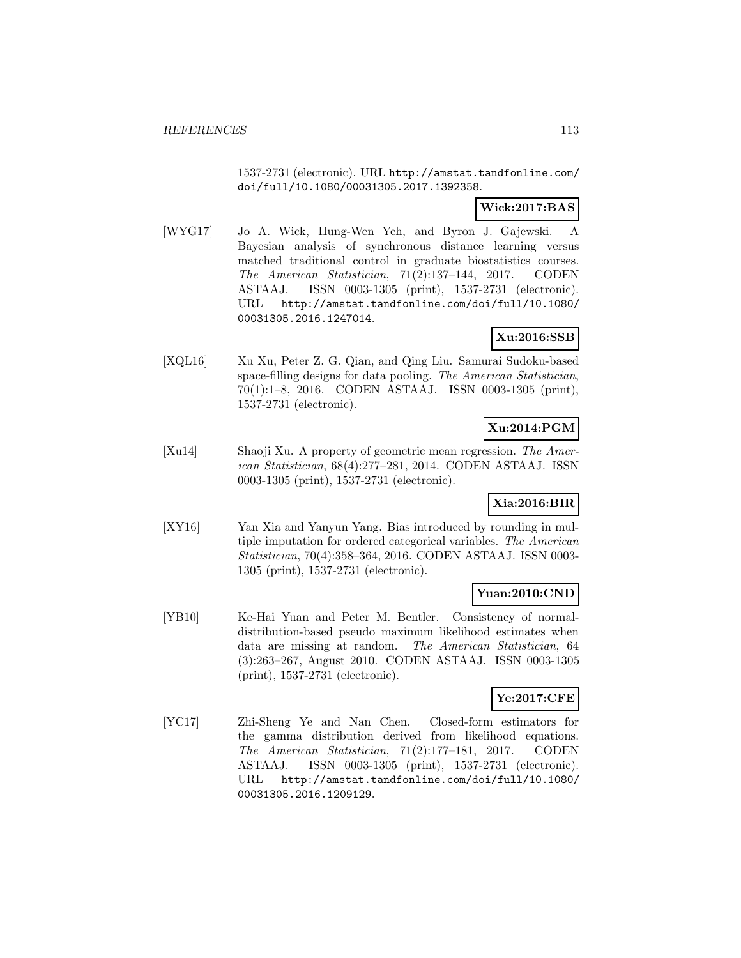1537-2731 (electronic). URL http://amstat.tandfonline.com/ doi/full/10.1080/00031305.2017.1392358.

## **Wick:2017:BAS**

[WYG17] Jo A. Wick, Hung-Wen Yeh, and Byron J. Gajewski. A Bayesian analysis of synchronous distance learning versus matched traditional control in graduate biostatistics courses. The American Statistician, 71(2):137–144, 2017. CODEN ASTAAJ. ISSN 0003-1305 (print), 1537-2731 (electronic). URL http://amstat.tandfonline.com/doi/full/10.1080/ 00031305.2016.1247014.

### **Xu:2016:SSB**

[XQL16] Xu Xu, Peter Z. G. Qian, and Qing Liu. Samurai Sudoku-based space-filling designs for data pooling. The American Statistician, 70(1):1–8, 2016. CODEN ASTAAJ. ISSN 0003-1305 (print), 1537-2731 (electronic).

## **Xu:2014:PGM**

[Xu14] Shaoji Xu. A property of geometric mean regression. The American Statistician, 68(4):277–281, 2014. CODEN ASTAAJ. ISSN 0003-1305 (print), 1537-2731 (electronic).

## **Xia:2016:BIR**

[XY16] Yan Xia and Yanyun Yang. Bias introduced by rounding in multiple imputation for ordered categorical variables. The American Statistician, 70(4):358–364, 2016. CODEN ASTAAJ. ISSN 0003- 1305 (print), 1537-2731 (electronic).

#### **Yuan:2010:CND**

[YB10] Ke-Hai Yuan and Peter M. Bentler. Consistency of normaldistribution-based pseudo maximum likelihood estimates when data are missing at random. The American Statistician, 64 (3):263–267, August 2010. CODEN ASTAAJ. ISSN 0003-1305 (print), 1537-2731 (electronic).

## **Ye:2017:CFE**

[YC17] Zhi-Sheng Ye and Nan Chen. Closed-form estimators for the gamma distribution derived from likelihood equations. The American Statistician, 71(2):177–181, 2017. CODEN ASTAAJ. ISSN 0003-1305 (print), 1537-2731 (electronic). URL http://amstat.tandfonline.com/doi/full/10.1080/ 00031305.2016.1209129.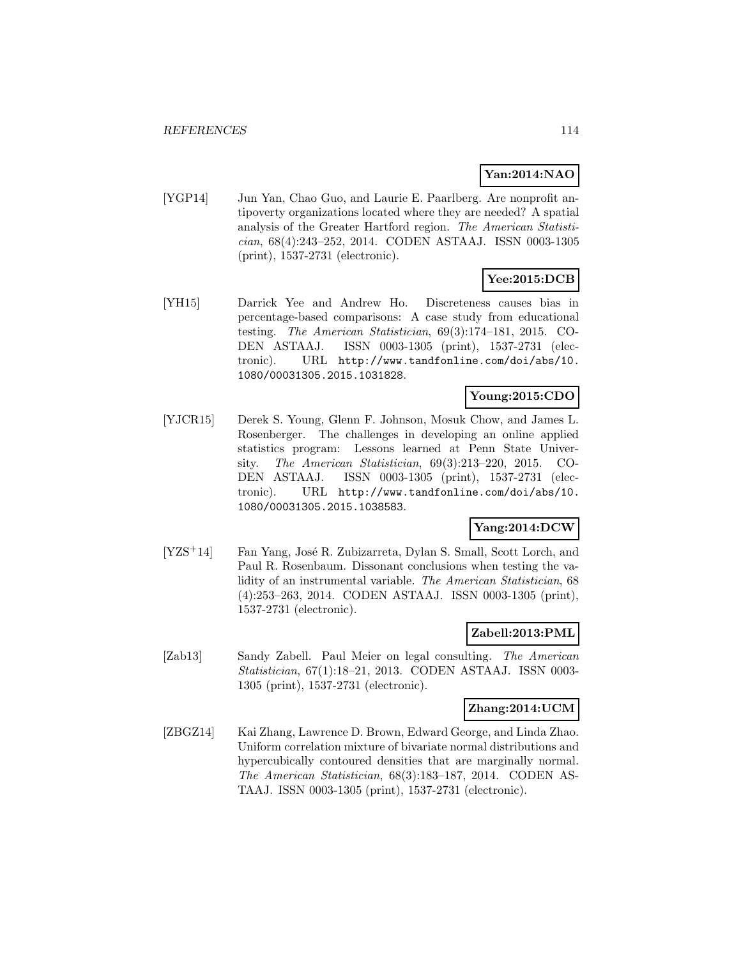## **Yan:2014:NAO**

[YGP14] Jun Yan, Chao Guo, and Laurie E. Paarlberg. Are nonprofit antipoverty organizations located where they are needed? A spatial analysis of the Greater Hartford region. The American Statistician, 68(4):243–252, 2014. CODEN ASTAAJ. ISSN 0003-1305 (print), 1537-2731 (electronic).

# **Yee:2015:DCB**

[YH15] Darrick Yee and Andrew Ho. Discreteness causes bias in percentage-based comparisons: A case study from educational testing. The American Statistician, 69(3):174–181, 2015. CO-DEN ASTAAJ. ISSN 0003-1305 (print), 1537-2731 (electronic). URL http://www.tandfonline.com/doi/abs/10. 1080/00031305.2015.1031828.

## **Young:2015:CDO**

[YJCR15] Derek S. Young, Glenn F. Johnson, Mosuk Chow, and James L. Rosenberger. The challenges in developing an online applied statistics program: Lessons learned at Penn State University. The American Statistician, 69(3):213–220, 2015. CO-DEN ASTAAJ. ISSN 0003-1305 (print), 1537-2731 (electronic). URL http://www.tandfonline.com/doi/abs/10. 1080/00031305.2015.1038583.

## **Yang:2014:DCW**

[YZS<sup>+</sup>14] Fan Yang, José R. Zubizarreta, Dylan S. Small, Scott Lorch, and Paul R. Rosenbaum. Dissonant conclusions when testing the validity of an instrumental variable. The American Statistician, 68 (4):253–263, 2014. CODEN ASTAAJ. ISSN 0003-1305 (print), 1537-2731 (electronic).

### **Zabell:2013:PML**

[Zab13] Sandy Zabell. Paul Meier on legal consulting. The American Statistician, 67(1):18–21, 2013. CODEN ASTAAJ. ISSN 0003- 1305 (print), 1537-2731 (electronic).

#### **Zhang:2014:UCM**

[ZBGZ14] Kai Zhang, Lawrence D. Brown, Edward George, and Linda Zhao. Uniform correlation mixture of bivariate normal distributions and hypercubically contoured densities that are marginally normal. The American Statistician, 68(3):183–187, 2014. CODEN AS-TAAJ. ISSN 0003-1305 (print), 1537-2731 (electronic).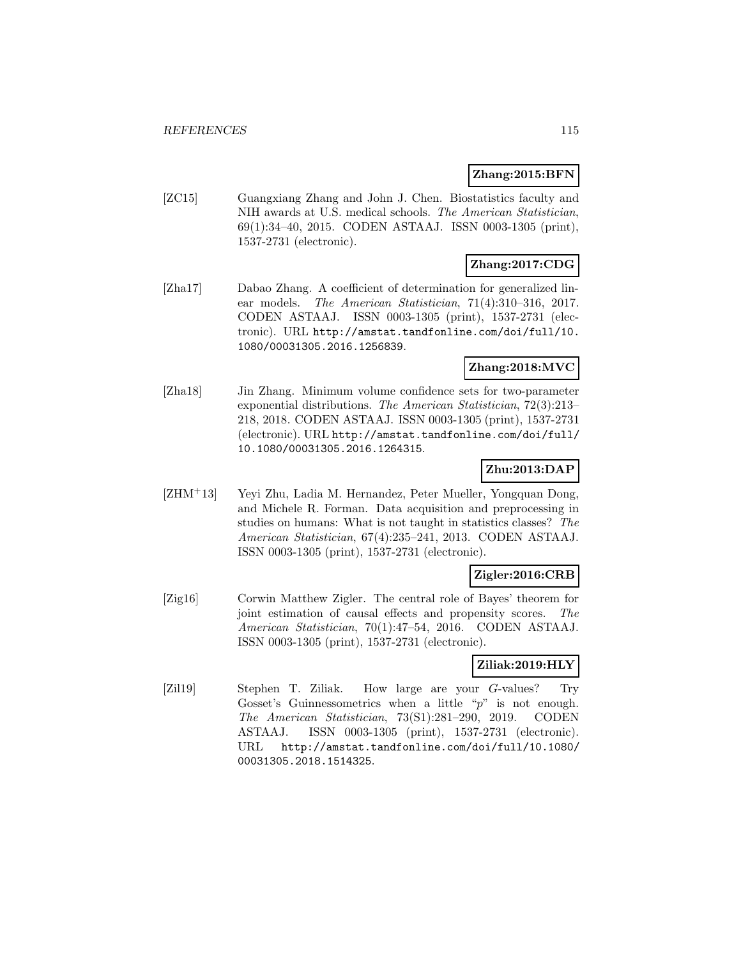#### **Zhang:2015:BFN**

[ZC15] Guangxiang Zhang and John J. Chen. Biostatistics faculty and NIH awards at U.S. medical schools. The American Statistician, 69(1):34–40, 2015. CODEN ASTAAJ. ISSN 0003-1305 (print), 1537-2731 (electronic).

## **Zhang:2017:CDG**

[Zha17] Dabao Zhang. A coefficient of determination for generalized linear models. The American Statistician, 71(4):310–316, 2017. CODEN ASTAAJ. ISSN 0003-1305 (print), 1537-2731 (electronic). URL http://amstat.tandfonline.com/doi/full/10. 1080/00031305.2016.1256839.

## **Zhang:2018:MVC**

[Zha18] Jin Zhang. Minimum volume confidence sets for two-parameter exponential distributions. The American Statistician, 72(3):213– 218, 2018. CODEN ASTAAJ. ISSN 0003-1305 (print), 1537-2731 (electronic). URL http://amstat.tandfonline.com/doi/full/ 10.1080/00031305.2016.1264315.

## **Zhu:2013:DAP**

[ZHM<sup>+</sup>13] Yeyi Zhu, Ladia M. Hernandez, Peter Mueller, Yongquan Dong, and Michele R. Forman. Data acquisition and preprocessing in studies on humans: What is not taught in statistics classes? The American Statistician, 67(4):235–241, 2013. CODEN ASTAAJ. ISSN 0003-1305 (print), 1537-2731 (electronic).

### **Zigler:2016:CRB**

[Zig16] Corwin Matthew Zigler. The central role of Bayes' theorem for joint estimation of causal effects and propensity scores. The American Statistician, 70(1):47–54, 2016. CODEN ASTAAJ. ISSN 0003-1305 (print), 1537-2731 (electronic).

### **Ziliak:2019:HLY**

[Zil19] Stephen T. Ziliak. How large are your G-values? Try Gosset's Guinnessometrics when a little " $p$ " is not enough. The American Statistician, 73(S1):281–290, 2019. CODEN ASTAAJ. ISSN 0003-1305 (print), 1537-2731 (electronic). URL http://amstat.tandfonline.com/doi/full/10.1080/ 00031305.2018.1514325.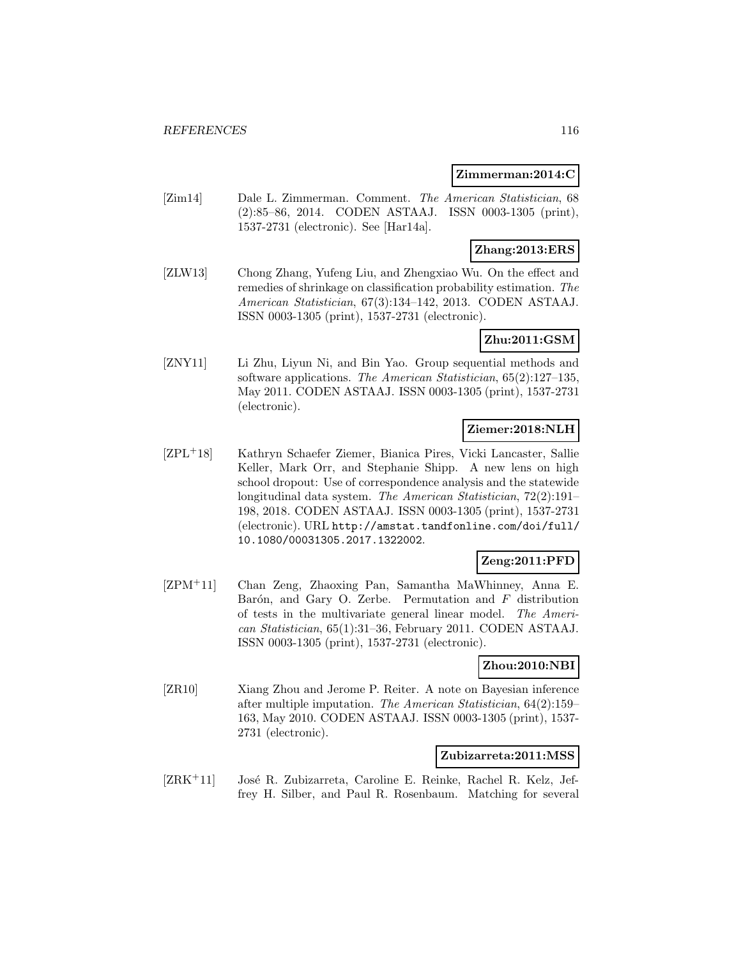#### **Zimmerman:2014:C**

[Zim14] Dale L. Zimmerman. Comment. The American Statistician, 68 (2):85–86, 2014. CODEN ASTAAJ. ISSN 0003-1305 (print), 1537-2731 (electronic). See [Har14a].

## **Zhang:2013:ERS**

[ZLW13] Chong Zhang, Yufeng Liu, and Zhengxiao Wu. On the effect and remedies of shrinkage on classification probability estimation. The American Statistician, 67(3):134–142, 2013. CODEN ASTAAJ. ISSN 0003-1305 (print), 1537-2731 (electronic).

# **Zhu:2011:GSM**

[ZNY11] Li Zhu, Liyun Ni, and Bin Yao. Group sequential methods and software applications. The American Statistician, 65(2):127–135, May 2011. CODEN ASTAAJ. ISSN 0003-1305 (print), 1537-2731 (electronic).

## **Ziemer:2018:NLH**

[ZPL<sup>+</sup>18] Kathryn Schaefer Ziemer, Bianica Pires, Vicki Lancaster, Sallie Keller, Mark Orr, and Stephanie Shipp. A new lens on high school dropout: Use of correspondence analysis and the statewide longitudinal data system. The American Statistician, 72(2):191– 198, 2018. CODEN ASTAAJ. ISSN 0003-1305 (print), 1537-2731 (electronic). URL http://amstat.tandfonline.com/doi/full/ 10.1080/00031305.2017.1322002.

## **Zeng:2011:PFD**

[ZPM<sup>+</sup>11] Chan Zeng, Zhaoxing Pan, Samantha MaWhinney, Anna E. Barón, and Gary O. Zerbe. Permutation and  $F$  distribution of tests in the multivariate general linear model. The American Statistician, 65(1):31–36, February 2011. CODEN ASTAAJ. ISSN 0003-1305 (print), 1537-2731 (electronic).

### **Zhou:2010:NBI**

[ZR10] Xiang Zhou and Jerome P. Reiter. A note on Bayesian inference after multiple imputation. The American Statistician, 64(2):159– 163, May 2010. CODEN ASTAAJ. ISSN 0003-1305 (print), 1537- 2731 (electronic).

#### **Zubizarreta:2011:MSS**

 $[ZRK<sup>+</sup>11]$  José R. Zubizarreta, Caroline E. Reinke, Rachel R. Kelz, Jeffrey H. Silber, and Paul R. Rosenbaum. Matching for several